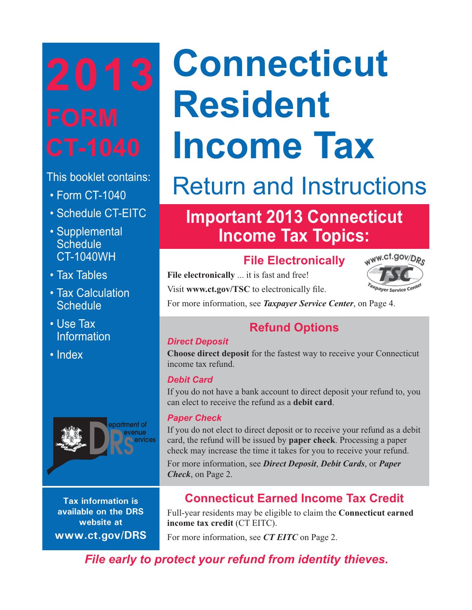This booklet contains:

- Form CT-1040
- Schedule CT-EITC
- Supplemental **Schedule** CT-1040WH
- Tax Tables
- Tax Calculation **Schedule**
- Use Tax **Information**
- Index



**Tax information is available on the DRS website at www.ct.gov/DRS**

# **Connecticut Resident Income Tax**

## Return and Instructions

## **Important 2013 Connecticut Income Tax Topics:**

## **File Electronically**

**File electronically** ... it is fast and free!

Visit www.ct.gov/TSC to electronically file.

For more information, see *Taxpayer Service Center*, on Page 4.

## **Refund Options**

## *Direct Deposit*

**Choose direct deposit** for the fastest way to receive your Connecticut income tax refund.

## *Debit Card*

If you do not have a bank account to direct deposit your refund to, you can elect to receive the refund as a **debit card**.

## *Paper Check*

If you do not elect to direct deposit or to receive your refund as a debit card, the refund will be issued by **paper check**. Processing a paper check may increase the time it takes for you to receive your refund.

For more information, see *Direct Deposit*, *Debit Cards*, or *Paper Check*, on Page 2.

## **Connecticut Earned Income Tax Credit**

Full-year residents may be eligible to claim the **Connecticut earned income tax credit** (CT EITC).

For more information, see *CT EITC* on Page 2.

*File early to protect your refund from identity thieves.*

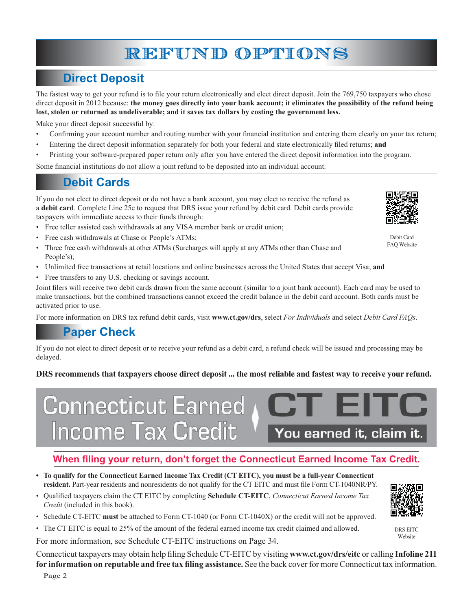## **REFUND OPTIONS**

## **Direct Deposit**

The fastest way to get your refund is to file your return electronically and elect direct deposit. Join the 769,750 taxpayers who chose direct deposit in 2012 because: **the money goes directly into your bank account; it eliminates the possibility of the refund being lost, stolen or returned as undeliverable; and it saves tax dollars by costing the government less.**

Make your direct deposit successful by:

- Confirming your account number and routing number with your financial institution and entering them clearly on your tax return;
- Entering the direct deposit information separately for both your federal and state electronically filed returns; and
- Printing your software-prepared paper return only after you have entered the direct deposit information into the program.

Some financial institutions do not allow a joint refund to be deposited into an individual account.

## **Debit Cards**

If you do not elect to direct deposit or do not have a bank account, you may elect to receive the refund as a **debit card**. Complete Line 25e to request that DRS issue your refund by debit card. Debit cards provide taxpayers with immediate access to their funds through:

- Free teller assisted cash withdrawals at any VISA member bank or credit union;
- Free cash withdrawals at Chase or People's ATMs;
- Three free cash withdrawals at other ATMs (Surcharges will apply at any ATMs other than Chase and People's);
- Unlimited free transactions at retail locations and online businesses across the United States that accept Visa; **and**
- Free transfers to any U.S. checking or savings account.

Joint filers will receive two debit cards drawn from the same account (similar to a joint bank account). Each card may be used to make transactions, but the combined transactions cannot exceed the credit balance in the debit card account. Both cards must be activated prior to use.

For more information on DRS tax refund debit cards, visit **www.ct.gov/drs**, select *For Individuals* and select *Debit Card FAQs*.

## **Paper Check**

If you do not elect to direct deposit or to receive your refund as a debit card, a refund check will be issued and processing may be delayed.

#### **DRS recommends that taxpayers choose direct deposit ... the most reliable and fastest way to receive your refund.**



## When filing your return, don't forget the Connecticut Earned Income Tax Credit.

- **To qualify for the Connecticut Earned Income Tax Credit (CT EITC), you must be a full-year Connecticut** resident. Part-year residents and nonresidents do not qualify for the CT EITC and must file Form CT-1040NR/PY.
- Qualified taxpayers claim the CT EITC by completing **Schedule CT-EITC**, *Connecticut Earned Income Tax Credit* (included in this book).
- Schedule CT-EITC **must** be attached to Form CT-1040 (or Form CT-1040X) or the credit will not be approved.

• The CT EITC is equal to 25% of the amount of the federal earned income tax credit claimed and allowed.

For more information, see Schedule CT-EITC instructions on Page 34.

Connecticut taxpayers may obtain help filing Schedule CT-EITC by visiting www.ct.gov/drs/eitc or calling Infoline 211 for information on reputable and free tax filing assistance. See the back cover for more Connecticut tax information.



Debit Card FAQ Website

DRS EITC Website

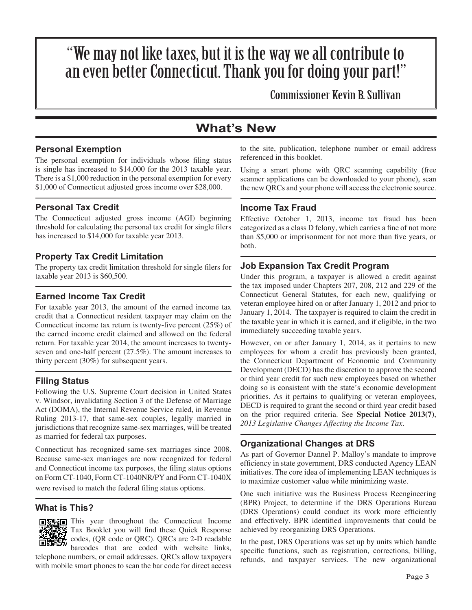## "We may not like taxes, but it is the way we all contribute to an even better Connecticut. Thank you for doing your part!"

Commissioner Kevin B. Sullivan

## **What's New**

#### **Personal Exemption**

The personal exemption for individuals whose filing status is single has increased to \$14,000 for the 2013 taxable year. There is a \$1,000 reduction in the personal exemption for every \$1,000 of Connecticut adjusted gross income over \$28,000.

#### **Personal Tax Credit**

The Connecticut adjusted gross income (AGI) beginning threshold for calculating the personal tax credit for single filers has increased to \$14,000 for taxable year 2013.

#### **Property Tax Credit Limitation**

The property tax credit limitation threshold for single filers for taxable year 2013 is \$60,500.

#### **Earned Income Tax Credit**

For taxable year 2013, the amount of the earned income tax credit that a Connecticut resident taxpayer may claim on the Connecticut income tax return is twenty-five percent  $(25%)$  of the earned income credit claimed and allowed on the federal return. For taxable year 2014, the amount increases to twentyseven and one-half percent (27.5%). The amount increases to thirty percent (30%) for subsequent years.

#### **Filing Status**

Following the U.S. Supreme Court decision in United States v. Windsor, invalidating Section 3 of the Defense of Marriage Act (DOMA), the Internal Revenue Service ruled, in Revenue Ruling 2013-17, that same-sex couples, legally married in jurisdictions that recognize same-sex marriages, will be treated as married for federal tax purposes.

Connecticut has recognized same-sex marriages since 2008. Because same-sex marriages are now recognized for federal and Connecticut income tax purposes, the filing status options on Form CT-1040, Form CT-1040NR/PY and Form CT-1040X were revised to match the federal filing status options.

#### **What is This?**



**OR This year throughout the Connecticut Income** Tax Booklet you will find these Quick Response codes, (QR code or QRC). QRCs are 2-D readable barcodes that are coded with website links,

telephone numbers, or email addresses. QRCs allow taxpayers with mobile smart phones to scan the bar code for direct access to the site, publication, telephone number or email address referenced in this booklet.

Using a smart phone with QRC scanning capability (free scanner applications can be downloaded to your phone), scan the new QRCs and your phone will access the electronic source.

#### **Income Tax Fraud**

Effective October 1, 2013, income tax fraud has been categorized as a class D felony, which carries a fine of not more than \$5,000 or imprisonment for not more than five years, or both.

#### **Job Expansion Tax Credit Program**

Under this program, a taxpayer is allowed a credit against the tax imposed under Chapters 207, 208, 212 and 229 of the Connecticut General Statutes, for each new, qualifying or veteran employee hired on or after January 1, 2012 and prior to January 1, 2014. The taxpayer is required to claim the credit in the taxable year in which it is earned, and if eligible, in the two immediately succeeding taxable years.

However, on or after January 1, 2014, as it pertains to new employees for whom a credit has previously been granted, the Connecticut Department of Economic and Community Development (DECD) has the discretion to approve the second or third year credit for such new employees based on whether doing so is consistent with the state's economic development priorities. As it pertains to qualifying or veteran employees, DECD is required to grant the second or third year credit based on the prior required criteria. See **Special Notice 2013(7)**, *2013 Legislative Changes Affecting the Income Tax*.

#### **Organizational Changes at DRS**

As part of Governor Dannel P. Malloy's mandate to improve efficiency in state government, DRS conducted Agency LEAN initiatives. The core idea of implementing LEAN techniques is to maximize customer value while minimizing waste.

One such initiative was the Business Process Reengineering (BPR) Project, to determine if the DRS Operations Bureau (DRS Operations) could conduct its work more efficiently and effectively. BPR identified improvements that could be achieved by reorganizing DRS Operations.

In the past, DRS Operations was set up by units which handle specific functions, such as registration, corrections, billing, refunds, and taxpayer services. The new organizational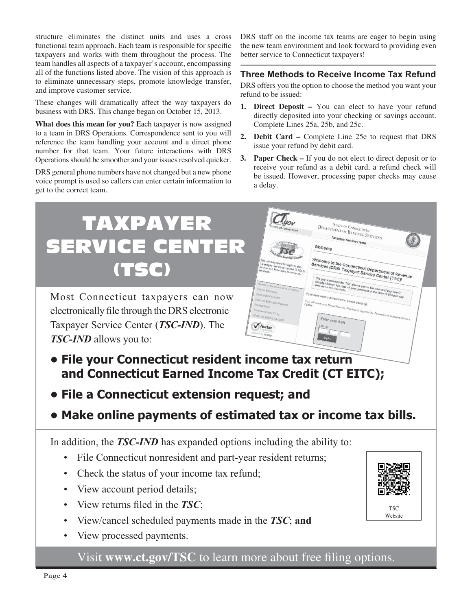structure eliminates the distinct units and uses a cross functional team approach. Each team is responsible for specific taxpayers and works with them throughout the process. The team handles all aspects of a taxpayer's account, encompassing all of the functions listed above. The vision of this approach is to eliminate unnecessary steps, promote knowledge transfer, and improve customer service.

These changes will dramatically affect the way taxpayers do business with DRS. This change began on October 15, 2013.

**What does this mean for you?** Each taxpayer is now assigned to a team in DRS Operations. Correspondence sent to you will reference the team handling your account and a direct phone number for that team. Your future interactions with DRS Operations should be smoother and your issues resolved quicker.

DRS general phone numbers have not changed but a new phone voice prompt is used so callers can enter certain information to get to the correct team.

DRS staff on the income tax teams are eager to begin using the new team environment and look forward to providing even better service to Connecticut taxpayers!

#### **Three Methods to Receive Income Tax Refund**

DRS offers you the option to choose the method you want your refund to be issued:

- **1. Direct Deposit –** You can elect to have your refund directly deposited into your checking or savings account. Complete Lines 25a, 25b, and 25c.
- **2. Debit Card** Complete Line 25e to request that DRS issue your refund by debit card.
- **3. Paper Check** If you do not elect to direct deposit or to receive your refund as a debit card, a refund check will be issued. However, processing paper checks may cause a delay.

## TAXPAYER **STATE OF CONNECTICUT**  $\frac{S_{TATE\ OF\ CONNECTICUT}}{D_{EPARTMETOT\ OF\ REVENUE\ SEERVICES}}$ Taxpayer Service Center SERVICE CENTER Welcom Welcome to the Connecticut Department of Rev $\frac{1}{\text{Unif you know that the } \text{zero}}$  Taxpayer Service Center (TSC)! Velcome to the Conr<br><sup>lervices</sup> (DRs) (TSC) Most Connecticut taxpayers can now electronically file through the DRS electronic Taxpayer Service Center (*TSC-IND*). The *TSC-IND* allows you to: **• File your Connecticut resident income tax return and Connecticut Earned Income Tax Credit (CT EITC); • File a Connecticut extension request; and • Make online payments of estimated tax or income tax bills.** In addition, the *TSC-IND* has expanded options including the ability to: • File Connecticut nonresident and part-year resident returns; • Check the status of your income tax refund; View account period details; • View returns filed in the *TSC*; TSC Website• View/cancel scheduled payments made in the *TSC*; **and** • View processed payments. Visit www.ct.gov/TSC to learn more about free filing options.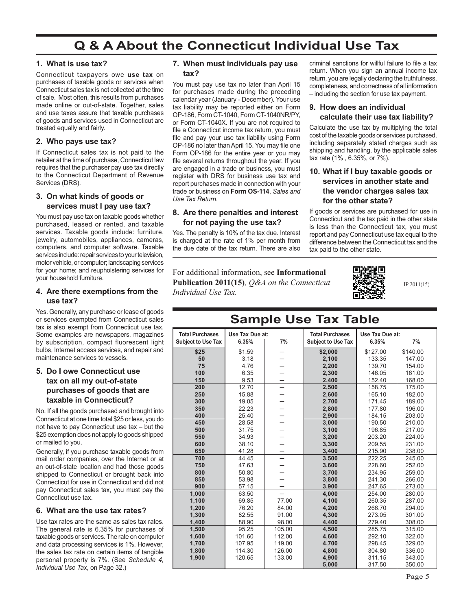## **Q & A About the Connecticut Individual Use Tax**

#### **1. What is use tax?**

Connecticut taxpayers owe **use tax** on purchases of taxable goods or services when Connecticut sales tax is not collected at the time of sale. Most often, this results from purchases made online or out-of-state. Together, sales and use taxes assure that taxable purchases of goods and services used in Connecticut are treated equally and fairly.

#### **2. Who pays use tax?**

If Connecticut sales tax is not paid to the retailer at the time of purchase, Connecticut law requires that the purchaser pay use tax directly to the Connecticut Department of Revenue Services (DRS).

#### **3. On what kinds of goods or services must I pay use tax?**

You must pay use tax on taxable goods whether purchased, leased or rented, and taxable services. Taxable goods include: furniture, jewelry, automobiles, appliances, cameras, computers, and computer software. Taxable services include: repair services to your television, motor vehicle, or computer; landscaping services for your home; and reupholstering services for your household furniture.

#### **4. Are there exemptions from the use tax?**

Yes. Generally, any purchase or lease of goods or services exempted from Connecticut sales tax is also exempt from Connecticut use tax. Some examples are newspapers, magazines by subscription, compact fluorescent light bulbs, Internet access services, and repair and maintenance services to vessels.

#### **5. Do I owe Connecticut use tax on all my out-of-state purchases of goods that are taxable in Connecticut?**

No. If all the goods purchased and brought into Connecticut at one time total \$25 or less, you do not have to pay Connecticut use tax – but the \$25 exemption does not apply to goods shipped or mailed to you.

Generally, if you purchase taxable goods from mail order companies, over the Internet or at an out-of-state location and had those goods shipped to Connecticut or brought back into Connecticut for use in Connecticut and did not pay Connecticut sales tax, you must pay the Connecticut use tax.

#### **6. What are the use tax rates?**

Use tax rates are the same as sales tax rates. The general rate is 6.35% for purchases of taxable goods or services. The rate on computer and data processing services is 1%. However, the sales tax rate on certain items of tangible personal property is 7%. (See *Schedule 4, Individual Use Tax*, on Page 32.)

#### **7. When must individuals pay use tax?**

You must pay use tax no later than April 15 for purchases made during the preceding calendar year (January - December). Your use tax liability may be reported either on Form OP-186, Form CT-1040, Form CT-1040NR/PY, or Form CT-1040X. If you are not required to file a Connecticut income tax return, you must file and pay your use tax liability using Form OP-186 no later than April 15. You may file one Form OP-186 for the entire year or you may file several returns throughout the year. If you are engaged in a trade or business, you must register with DRS for business use tax and report purchases made in connection with your trade or business on **Form OS-114**, *Sales and Use Tax Return*.

#### **8. Are there penalties and interest for not paying the use tax?**

Yes. The penalty is 10% of the tax due. Interest is charged at the rate of 1% per month from the due date of the tax return. There are also

criminal sanctions for willful failure to file a tax return. When you sign an annual income tax return, you are legally declaring the truthfulness, completeness, and correctness of all information – including the section for use tax payment.

#### **9. How does an individual calculate their use tax liability?**

Calculate the use tax by multiplying the total cost of the taxable goods or services purchased, including separately stated charges such as shipping and handling, by the applicable sales tax rate (1% , 6.35%, or 7%).

#### **10. What if I buy taxable goods or services in another state and the vendor charges sales tax for the other state?**

If goods or services are purchased for use in Connecticut and the tax paid in the other state is less than the Connecticut tax, you must report and pay Connecticut use tax equal to the difference between the Connecticut tax and the tax paid to the other state.

For additional information, see **Informational Publication 2011(15)***, Q&A on the Connecticut Individual Use Tax.*



IP 2011(15)

## **Sample Use Tax Table**

| <b>Total Purchases</b>    | Use Tax Due at: |        | <b>Total Purchases</b>    | Use Tax Due at: |          |
|---------------------------|-----------------|--------|---------------------------|-----------------|----------|
| <b>Subject to Use Tax</b> | 6.35%           | 7%     | <b>Subject to Use Tax</b> | 6.35%           | 7%       |
| \$25                      | \$1.59          |        | \$2,000                   | \$127.00        | \$140.00 |
| 50                        | 3.18            |        | 2,100                     | 133.35          | 147.00   |
| 75                        | 4.76            |        | 2,200                     | 139.70          | 154.00   |
| 100                       | 6.35            |        | 2,300                     | 146.05          | 161.00   |
| 150                       | 9.53            |        | 2,400                     | 152.40          | 168.00   |
| 200                       | 12.70           |        | 2,500                     | 158.75          | 175.00   |
| 250                       | 15.88           |        | 2,600                     | 165.10          | 182.00   |
| 300                       | 19.05           |        | 2,700                     | 171.45          | 189.00   |
| 350                       | 22.23           |        | 2,800                     | 177.80          | 196.00   |
| 400                       | 25.40           |        | 2,900                     | 184.15          | 203.00   |
| 450                       | 28.58           |        | 3,000                     | 190.50          | 210.00   |
| 500                       | 31.75           |        | 3,100                     | 196.85          | 217.00   |
| 550                       | 34.93           |        | 3,200                     | 203.20          | 224.00   |
| 600                       | 38.10           |        | 3.300                     | 209.55          | 231.00   |
| 650                       | 41.28           |        | 3,400                     | 215.90          | 238.00   |
| 700                       | 44.45           |        | 3,500                     | 222.25          | 245.00   |
| 750                       | 47.63           |        | 3,600                     | 228.60          | 252.00   |
| 800                       | 50.80           |        | 3,700                     | 234.95          | 259.00   |
| 850                       | 53.98           |        | 3,800                     | 241.30          | 266.00   |
| 900                       | 57.15           |        | 3,900                     | 247.65          | 273.00   |
| 1,000                     | 63.50           |        | 4,000                     | 254.00          | 280.00   |
| 1,100                     | 69.85           | 77.00  | 4,100                     | 260.35          | 287.00   |
| 1,200                     | 76.20           | 84.00  | 4,200                     | 266.70          | 294.00   |
| 1.300                     | 82.55           | 91.00  | 4.300                     | 273.05          | 301.00   |
| 1,400                     | 88.90           | 98.00  | 4.400                     | 279.40          | 308.00   |
| 1,500                     | 95.25           | 105.00 | 4,500                     | 285.75          | 315.00   |
| 1,600                     | 101.60          | 112.00 | 4,600                     | 292.10          | 322.00   |
| 1.700                     | 107.95          | 119.00 | 4.700                     | 298.45          | 329.00   |
| 1,800                     | 114.30          | 126.00 | 4,800                     | 304.80          | 336.00   |
| 1,900                     | 120.65          | 133.00 | 4,900                     | 311.15          | 343.00   |
|                           |                 |        | 5,000                     | 317.50          | 350.00   |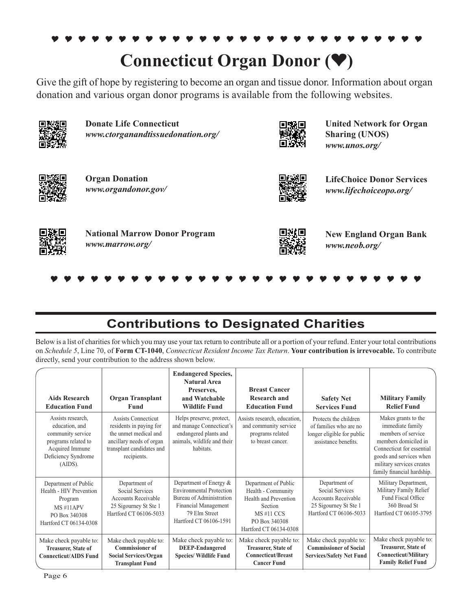#### $\bullet$ ---------------------------**Connecticut Organ Donor (V)**

Give the gift of hope by registering to become an organ and tissue donor. Information about organ donation and various organ donor programs is available from the following websites.



**Donate Life Connecticut**  *www.ctorganandtissuedonation.org/*



**United Network for Organ Sharing (UNOS)** *www.unos.org/*



**Organ Donation** *www.organdonor.gov/*



**LifeChoice Donor Services** *www.lifechoiceopo.org/*



 $\bullet$ ---------------------------

**National Marrow Donor Program** *www.marrow.org/*



**New England Organ Bank** *www.neob.org/*

## **Contributions to Designated Charities**

Below is a list of charities for which you may use your tax return to contribute all or a portion of your refund. Enter your total contributions on *Schedule 5*, Line 70, of **Form CT-1040**, *Connecticut Resident Income Tax Return*. **Your contribution is irrevocable.** To contribute directly, send your contribution to the address shown below.

| <b>Aids Research</b><br><b>Education Fund</b>                                                                                           | <b>Organ Transplant</b><br>Fund                                                                                                                 | <b>Endangered Species,</b><br><b>Natural Area</b><br>Preserves,<br>and Watchable<br><b>Wildlife Fund</b>                                                        | <b>Breast Cancer</b><br><b>Research and</b><br><b>Education Fund</b>                                                                          | <b>Safety Net</b><br><b>Services Fund</b>                                                                         | <b>Military Family</b><br><b>Relief Fund</b>                                                                                                                                                             |
|-----------------------------------------------------------------------------------------------------------------------------------------|-------------------------------------------------------------------------------------------------------------------------------------------------|-----------------------------------------------------------------------------------------------------------------------------------------------------------------|-----------------------------------------------------------------------------------------------------------------------------------------------|-------------------------------------------------------------------------------------------------------------------|----------------------------------------------------------------------------------------------------------------------------------------------------------------------------------------------------------|
| Assists research,<br>education, and<br>community service<br>programs related to<br>Acquired Immune<br>Deficiency Syndrome<br>$(AIDS)$ . | Assists Connecticut<br>residents in paying for<br>the unmet medical and<br>ancillary needs of organ<br>transplant candidates and<br>recipients. | Helps preserve, protect,<br>and manage Connecticut's<br>endangered plants and<br>animals, wildlife and their<br>habitats.                                       | Assists research, education,<br>and community service<br>programs related<br>to breast cancer.                                                | Protects the children<br>of families who are no<br>longer eligible for public<br>assistance benefits.             | Makes grants to the<br>immediate family<br>members of service<br>members domiciled in<br>Connecticut for essential<br>goods and services when<br>military services creates<br>family financial hardship. |
| Department of Public<br>Health - HIV Prevention<br>Program<br>MS#11APV<br>PO Box 340308<br>Hartford CT 06134-0308                       | Department of<br>Social Services<br>Accounts Receivable<br>25 Sigourney St Ste 1<br>Hartford CT 06106-5033                                      | Department of Energy &<br><b>Environmental Protection</b><br>Bureau of Administration<br><b>Financial Management</b><br>79 Elm Street<br>Hartford CT 06106-1591 | Department of Public<br>Health - Community<br>Health and Prevention<br>Section<br><b>MS#11 CCS</b><br>PO Box 340308<br>Hartford CT 06134-0308 | Department of<br>Social Services<br><b>Accounts Receivable</b><br>25 Sigourney St Ste 1<br>Hartford CT 06106-5033 | Military Department,<br>Military Family Relief<br>Fund Fiscal Office<br>360 Broad St<br>Hartford CT 06105-3795                                                                                           |
| Make check payable to:<br>Treasurer, State of<br><b>Connecticut/AIDS Fund</b>                                                           | Make check payable to:<br><b>Commissioner of</b><br>Social Services/Organ<br><b>Transplant Fund</b>                                             | Make check payable to:<br><b>DEEP-Endangered</b><br><b>Species/ Wildlife Fund</b>                                                                               | Make check payable to:<br>Treasurer, State of<br><b>Connecticut/Breast</b><br><b>Cancer Fund</b>                                              | Make check payable to:<br><b>Commissioner of Social</b><br><b>Services/Safety Net Fund</b>                        | Make check payable to:<br>Treasurer, State of<br><b>Connecticut/Military</b><br><b>Family Relief Fund</b>                                                                                                |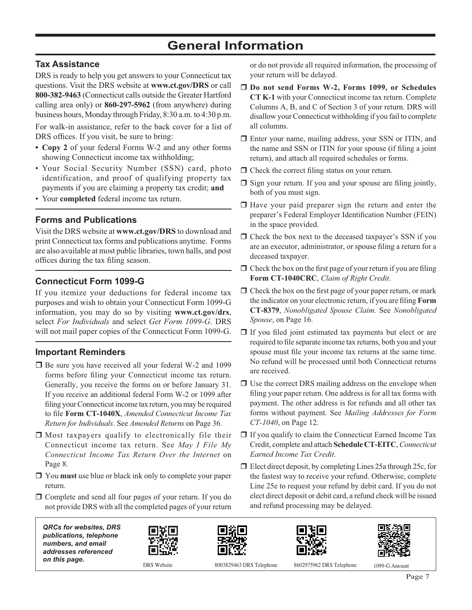## **General Information**

#### **Tax Assistance**

DRS is ready to help you get answers to your Connecticut tax questions. Visit the DRS website at **www.ct.gov/DRS** or call **800-382-9463** (Connecticut calls outside the Greater Hartford calling area only) or **860-297-5962** (from anywhere) during business hours, Monday through Friday, 8:30 a.m. to 4:30 p.m.

For walk-in assistance, refer to the back cover for a list of DRS offices. If you visit, be sure to bring:

- **Copy 2** of your federal Forms W-2 and any other forms showing Connecticut income tax withholding;
- Your Social Security Number (SSN) card, photo identification, and proof of qualifying property tax payments if you are claiming a property tax credit; **and**
- Your **completed** federal income tax return.

#### **Forms and Publications**

Visit the DRS website at **www.ct.gov/DRS** to download and print Connecticut tax forms and publications anytime. Forms are also available at most public libraries, town halls, and post offices during the tax filing season.

#### **Connecticut Form 1099-G**

If you itemize your deductions for federal income tax purposes and wish to obtain your Connecticut Form 1099-G information, you may do so by visiting **www.ct.gov/drs**, select *For Individuals* and select *Get Form 1099-G*. DRS will not mail paper copies of the Connecticut Form 1099-G.

#### **Important Reminders**

- □ Be sure you have received all your federal W-2 and 1099 forms before filing your Connecticut income tax return. Generally, you receive the forms on or before January 31. If you receive an additional federal Form W-2 or 1099 after filing your Connecticut income tax return, you may be required to file Form CT-1040X, *Amended Connecticut Income Tax Return for Individuals*. See *Amended Returns* on Page 36.
- Most taxpayers qualify to electronically file their Connecticut income tax return. See *May I File My Connecticut Income Tax Return Over the Internet* on Page 8.
- You **must** use blue or black ink only to complete your paper return.
- Complete and send all four pages of your return. If you do not provide DRS with all the completed pages of your return

or do not provide all required information, the processing of your return will be delayed.

- **Do not send Forms W-2, Forms 1099, or Schedules CT K-1** with your Connecticut income tax return. Complete Columns A, B, and C of Section 3 of your return. DRS will disallow your Connecticut withholding if you fail to complete all columns.
- Enter your name, mailing address, your SSN or ITIN, and the name and SSN or ITIN for your spouse (if filing a joint return), and attach all required schedules or forms.
- $\Box$  Check the correct filing status on your return.
- $\Box$  Sign your return. If you and your spouse are filing jointly, both of you must sign.
- Have your paid preparer sign the return and enter the preparer's Federal Employer Identification Number (FEIN) in the space provided.
- $\Box$  Check the box next to the deceased taxpayer's SSN if you are an executor, administrator, or spouse filing a return for a deceased taxpayer.
- $\Box$  Check the box on the first page of your return if you are filing **Form CT-1040CRC**, *Claim of Right Credit*.
- $\Box$  Check the box on the first page of your paper return, or mark the indicator on your electronic return, if you are filing **Form CT-8379**, *Nonobligated Spouse Claim*. See *Nonobligated Spouse*, on Page 16.
- $\Box$  If you filed joint estimated tax payments but elect or are required to file separate income tax returns, both you and your spouse must file your income tax returns at the same time. No refund will be processed until both Connecticut returns are received.
- $\square$  Use the correct DRS mailing address on the envelope when filing your paper return. One address is for all tax forms with payment. The other address is for refunds and all other tax forms without payment. See *Mailing Addresses for Form CT-1040*, on Page 12.
- $\Box$  If you qualify to claim the Connecticut Earned Income Tax Credit, complete and attach **Schedule CT-EITC**, *Connecticut Earned Income Tax Credit*.
- □ Elect direct deposit, by completing Lines 25a through 25c, for the fastest way to receive your refund. Otherwise, complete Line 25e to request your refund by debit card. If you do not elect direct deposit or debit card, a refund check will be issued and refund processing may be delayed.

*QRCs for websites, DRS publications, telephone numbers, and email addresses referenced on this page.* DRS Website 8003829463 DRS Telephone 8602975962 DRS Telephone 1099-G Amount







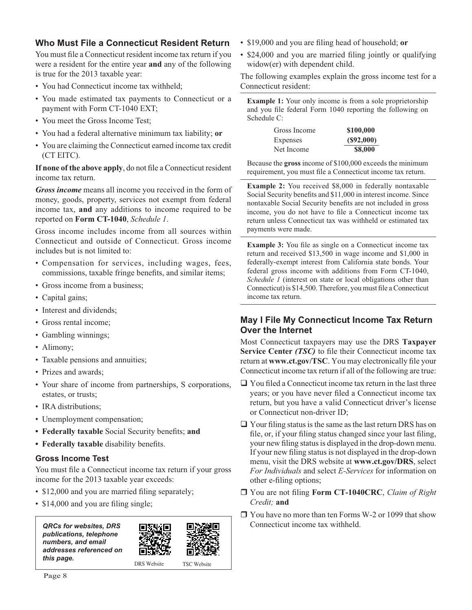#### **Who Must File a Connecticut Resident Return**

You must file a Connecticut resident income tax return if you were a resident for the entire year **and** any of the following is true for the 2013 taxable year:

- You had Connecticut income tax withheld;
- You made estimated tax payments to Connecticut or a payment with Form CT-1040 EXT;
- You meet the Gross Income Test;
- You had a federal alternative minimum tax liability; **or**
- You are claiming the Connecticut earned income tax credit (CT EITC).

If none of the above apply, do not file a Connecticut resident income tax return.

*Gross income* means all income you received in the form of money, goods, property, services not exempt from federal income tax, **and** any additions to income required to be reported on **Form CT-1040**, *Schedule 1*.

Gross income includes income from all sources within Connecticut and outside of Connecticut. Gross income includes but is not limited to:

- Compensation for services, including wages, fees, commissions, taxable fringe benefits, and similar items;
- Gross income from a business;
- Capital gains;
- Interest and dividends;
- Gross rental income;
- Gambling winnings;
- Alimony;
- Taxable pensions and annuities;
- Prizes and awards;
- Your share of income from partnerships, S corporations, estates, or trusts;
- IRA distributions;
- Unemployment compensation;
- Federally taxable Social Security benefits; and
- Federally taxable disability benefits.

#### **Gross Income Test**

You must file a Connecticut income tax return if your gross income for the 2013 taxable year exceeds:

- \$12,000 and you are married filing separately;
- \$14,000 and you are filing single;

| <b>QRCs for websites, DRS</b> |
|-------------------------------|
| publications, telephone       |
| numbers, and email            |
| addresses referenced on       |
| this page.                    |





DRS Website

- \$19,000 and you are filing head of household; or
- \$24,000 and you are married filing jointly or qualifying widow(er) with dependent child.

The following examples explain the gross income test for a Connecticut resident:

**Example 1:** Your only income is from a sole proprietorship and you file federal Form 1040 reporting the following on Schedule C:

| Gross Income | \$100,000 |
|--------------|-----------|
| Expenses     | (S92,000) |
| Net Income   | \$8,000   |

Because the **gross** income of \$100,000 exceeds the minimum requirement, you must file a Connecticut income tax return.

**Example 2:** You received \$8,000 in federally nontaxable Social Security benefits and \$11,000 in interest income. Since nontaxable Social Security benefits are not included in gross income, you do not have to file a Connecticut income tax return unless Connecticut tax was withheld or estimated tax payments were made.

**Example 3:** You file as single on a Connecticut income tax return and received \$13,500 in wage income and \$1,000 in federally-exempt interest from California state bonds. Your federal gross income with additions from Form CT-1040, *Schedule 1* (interest on state or local obligations other than Connecticut) is \$14,500. Therefore, you must file a Connecticut income tax return.

#### **May I File My Connecticut Income Tax Return Over the Internet**

Most Connecticut taxpayers may use the DRS **Taxpayer Service Center** *(TSC)* to file their Connecticut income tax return at www.ct.gov/TSC. You may electronically file your Connecticut income tax return if all of the following are true:

- $\Box$  You filed a Connecticut income tax return in the last three years; or you have never filed a Connecticut income tax return, but you have a valid Connecticut driver's license or Connecticut non-driver ID;
- $\Box$  Your filing status is the same as the last return DRS has on file, or, if your filing status changed since your last filing, your new filing status is displayed in the drop-down menu. If your new filing status is not displayed in the drop-down menu, visit the DRS website at **www.ct.gov/DRS**, select *For Individuals* and select *E-Services* for information on other e-filing options;
- □ You are not filing Form CT-1040CRC, *Claim of Right Credit;* **and**
- □ You have no more than ten Forms W-2 or 1099 that show Connecticut income tax withheld.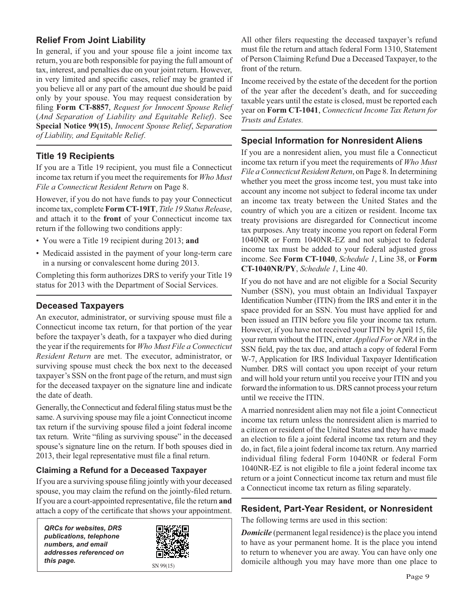#### **Relief From Joint Liability**

In general, if you and your spouse file a joint income tax return, you are both responsible for paying the full amount of tax, interest, and penalties due on your joint return. However, in very limited and specific cases, relief may be granted if you believe all or any part of the amount due should be paid only by your spouse. You may request consideration by filing Form CT-8857, Request for Innocent Spouse Relief (*And Separation of Liability and Equitable Relief)*. See **Special Notice 99(15)**, *Innocent Spouse Relief*, *Separation of Liability, and Equitable Relief*.

#### **Title 19 Recipients**

If you are a Title 19 recipient, you must file a Connecticut income tax return if you meet the requirements for *Who Must File a Connecticut Resident Return* on Page 8.

However, if you do not have funds to pay your Connecticut income tax, complete **Form CT-19IT**, *Title 19 Status Release*, and attach it to the **front** of your Connecticut income tax return if the following two conditions apply:

- You were a Title 19 recipient during 2013; **and**
- Medicaid assisted in the payment of your long-term care in a nursing or convalescent home during 2013.

Completing this form authorizes DRS to verify your Title 19 status for 2013 with the Department of Social Services.

#### **Deceased Taxpayers**

An executor, administrator, or surviving spouse must file a Connecticut income tax return, for that portion of the year before the taxpayer's death, for a taxpayer who died during the year if the requirements for *Who Must File a Connecticut Resident Return* are met. The executor, administrator, or surviving spouse must check the box next to the deceased taxpayer's SSN on the front page of the return, and must sign for the deceased taxpayer on the signature line and indicate the date of death.

Generally, the Connecticut and federal filing status must be the same. A surviving spouse may file a joint Connecticut income tax return if the surviving spouse filed a joint federal income tax return. Write "filing as surviving spouse" in the deceased spouse's signature line on the return. If both spouses died in 2013, their legal representative must file a final return.

#### **Claiming a Refund for a Deceased Taxpayer**

If you are a surviving spouse filing jointly with your deceased spouse, you may claim the refund on the jointly-filed return. If you are a court-appointed representative, file the return and attach a copy of the certificate that shows your appointment.

*QRCs for websites, DRS publications, telephone numbers, and email addresses referenced on this page.*  $\frac{1}{SN}$   $\frac{99(15)}{SN}$ 



All other filers requesting the deceased taxpayer's refund must file the return and attach federal Form 1310, Statement of Person Claiming Refund Due a Deceased Taxpayer, to the front of the return.

Income received by the estate of the decedent for the portion of the year after the decedent's death, and for succeeding taxable years until the estate is closed, must be reported each year on **Form CT-1041**, *Connecticut Income Tax Return for Trusts and Estates.*

#### **Special Information for Nonresident Aliens**

If you are a nonresident alien, you must file a Connecticut income tax return if you meet the requirements of *Who Must File a Connecticut Resident Return*, on Page 8. In determining whether you meet the gross income test, you must take into account any income not subject to federal income tax under an income tax treaty between the United States and the country of which you are a citizen or resident. Income tax treaty provisions are disregarded for Connecticut income tax purposes. Any treaty income you report on federal Form 1040NR or Form 1040NR-EZ and not subject to federal income tax must be added to your federal adjusted gross income. See **Form CT-1040**, *Schedule 1*, Line 38, or **Form CT-1040NR/PY**, *Schedule 1*, Line 40.

If you do not have and are not eligible for a Social Security Number (SSN), you must obtain an Individual Taxpayer Identification Number (ITIN) from the IRS and enter it in the space provided for an SSN. You must have applied for and been issued an ITIN before you file your income tax return. However, if you have not received your ITIN by April 15, file your return without the ITIN, enter *Applied For* or *NRA* in the SSN field, pay the tax due, and attach a copy of federal Form W-7, Application for IRS Individual Taxpayer Identification Number. DRS will contact you upon receipt of your return and will hold your return until you receive your ITIN and you forward the information to us. DRS cannot process your return until we receive the ITIN.

A married nonresident alien may not file a joint Connecticut income tax return unless the nonresident alien is married to a citizen or resident of the United States and they have made an election to file a joint federal income tax return and they do, in fact, file a joint federal income tax return. Any married individual filing federal Form 1040NR or federal Form 1040NR-EZ is not eligible to file a joint federal income tax return or a joint Connecticut income tax return and must file a Connecticut income tax return as filing separately.

#### **Resident, Part-Year Resident, or Nonresident**

The following terms are used in this section:

*Domicile* (permanent legal residence) is the place you intend to have as your permanent home. It is the place you intend to return to whenever you are away. You can have only one domicile although you may have more than one place to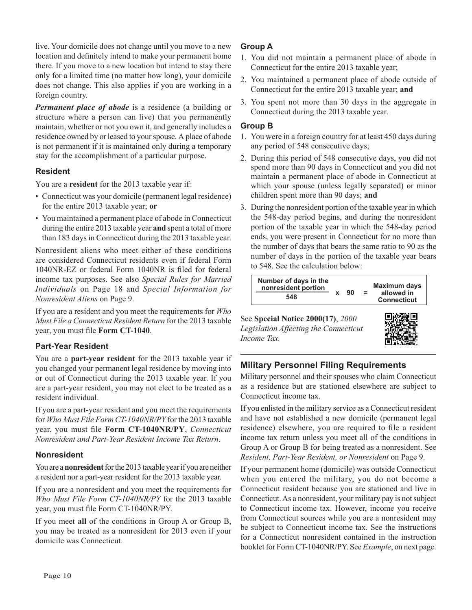live. Your domicile does not change until you move to a new location and definitely intend to make your permanent home there. If you move to a new location but intend to stay there only for a limited time (no matter how long), your domicile does not change. This also applies if you are working in a foreign country.

*Permanent place of abode* is a residence (a building or structure where a person can live) that you permanently maintain, whether or not you own it, and generally includes a residence owned by or leased to your spouse. A place of abode is not permanent if it is maintained only during a temporary stay for the accomplishment of a particular purpose.

#### **Resident**

You are a **resident** for the 2013 taxable year if:

- Connecticut was your domicile (permanent legal residence) for the entire 2013 taxable year; **or**
- You maintained a permanent place of abode in Connecticut during the entire 2013 taxable year **and** spent a total of more than 183 days in Connecticut during the 2013 taxable year.

Nonresident aliens who meet either of these conditions are considered Connecticut residents even if federal Form 1040NR-EZ or federal Form 1040NR is filed for federal income tax purposes. See also *Special Rules for Married Individuals* on Page 18 and *Special Information for Nonresident Aliens* on Page 9.

If you are a resident and you meet the requirements for *Who Must File a Connecticut Resident Return* for the 2013 taxable year, you must file **Form CT-1040**.

#### **Part-Year Resident**

You are a **part-year resident** for the 2013 taxable year if you changed your permanent legal residence by moving into or out of Connecticut during the 2013 taxable year. If you are a part-year resident, you may not elect to be treated as a resident individual.

If you are a part-year resident and you meet the requirements for *Who Must File Form CT-1040NR/PY* for the 2013 taxable year, you must file Form CT-1040NR/PY, *Connecticut Nonresident and Part-Year Resident Income Tax Return*.

#### **Nonresident**

You are a **nonresident** for the 2013 taxable year if you are neither a resident nor a part-year resident for the 2013 taxable year.

If you are a nonresident and you meet the requirements for *Who Must File Form CT-1040NR/PY* for the 2013 taxable year, you must file Form CT-1040NR/PY.

If you meet **all** of the conditions in Group A or Group B, you may be treated as a nonresident for 2013 even if your domicile was Connecticut.

#### **Group A**

- 1. You did not maintain a permanent place of abode in Connecticut for the entire 2013 taxable year;
- 2. You maintained a permanent place of abode outside of Connecticut for the entire 2013 taxable year; **and**
- 3. You spent not more than 30 days in the aggregate in Connecticut during the 2013 taxable year.

#### **Group B**

- 1. You were in a foreign country for at least 450 days during any period of 548 consecutive days;
- 2. During this period of 548 consecutive days, you did not spend more than 90 days in Connecticut and you did not maintain a permanent place of abode in Connecticut at which your spouse (unless legally separated) or minor children spent more than 90 days; **and**
- 3. During the nonresident portion of the taxable year in which the 548-day period begins, and during the nonresident portion of the taxable year in which the 548-day period ends, you were present in Connecticut for no more than the number of days that bears the same ratio to 90 as the number of days in the portion of the taxable year bears to 548. See the calculation below:



See **Special Notice 2000(17)**, *2000 Legislation Affecting the Connecticut Income Tax.*



#### **Military Personnel Filing Requirements**

Military personnel and their spouses who claim Connecticut as a residence but are stationed elsewhere are subject to Connecticut income tax.

If you enlisted in the military service as a Connecticut resident and have not established a new domicile (permanent legal residence) elsewhere, you are required to file a resident income tax return unless you meet all of the conditions in Group A or Group B for being treated as a nonresident. See *Resident, Part-Year Resident, or Nonresident* on Page 9.

If your permanent home (domicile) was outside Connecticut when you entered the military, you do not become a Connecticut resident because you are stationed and live in Connecticut. As a nonresident, your military pay is not subject to Connecticut income tax. However, income you receive from Connecticut sources while you are a nonresident may be subject to Connecticut income tax. See the instructions for a Connecticut nonresident contained in the instruction booklet for Form CT-1040NR/PY. See *Example*, on next page.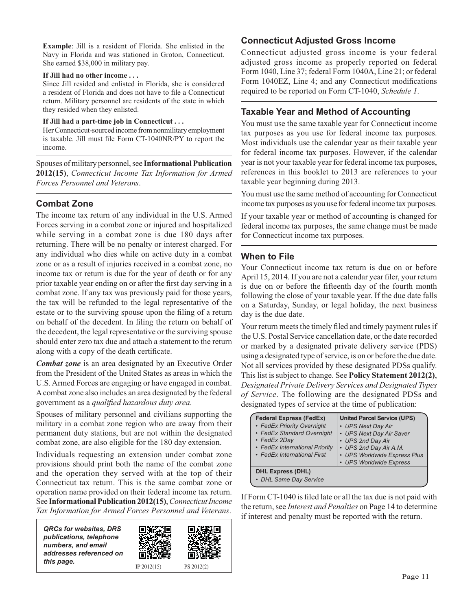**Example**: Jill is a resident of Florida. She enlisted in the Navy in Florida and was stationed in Groton, Connecticut. She earned \$38,000 in military pay.

#### **If Jill had no other income . . .**

Since Jill resided and enlisted in Florida, she is considered a resident of Florida and does not have to file a Connecticut return. Military personnel are residents of the state in which they resided when they enlisted.

#### **If Jill had a part-time job in Connecticut . . .**

Her Connecticut-sourced income from nonmilitary employment is taxable. Jill must file Form CT-1040NR/PY to report the income.

Spouses of military personnel, see **Informational Publication 2012(15)**, *Connecticut Income Tax Information for Armed Forces Personnel and Veterans*.

#### **Combat Zone**

The income tax return of any individual in the U.S. Armed Forces serving in a combat zone or injured and hospitalized while serving in a combat zone is due 180 days after returning. There will be no penalty or interest charged. For any individual who dies while on active duty in a combat zone or as a result of injuries received in a combat zone, no income tax or return is due for the year of death or for any prior taxable year ending on or after the first day serving in a combat zone. If any tax was previously paid for those years, the tax will be refunded to the legal representative of the estate or to the surviving spouse upon the filing of a return on behalf of the decedent. In filing the return on behalf of the decedent, the legal representative or the surviving spouse should enter zero tax due and attach a statement to the return along with a copy of the death certificate.

*Combat zone* is an area designated by an Executive Order from the President of the United States as areas in which the U.S. Armed Forces are engaging or have engaged in combat. A combat zone also includes an area designated by the federal government as a *qualified hazardous duty area*.

Spouses of military personnel and civilians supporting the military in a combat zone region who are away from their permanent duty stations, but are not within the designated combat zone, are also eligible for the 180 day extension.

Individuals requesting an extension under combat zone provisions should print both the name of the combat zone and the operation they served with at the top of their Connecticut tax return. This is the same combat zone or operation name provided on their federal income tax return. See **Informational Publication 2012(15)**, *Connecticut Income Tax Information for Armed Forces Personnel and Veterans*.

| <b>QRCs for websites, DRS</b> |
|-------------------------------|
| publications, telephone       |
| numbers, and email            |
| addresses referenced on       |
| this page.                    |



#### **Connecticut Adjusted Gross Income**

Connecticut adjusted gross income is your federal adjusted gross income as properly reported on federal Form 1040, Line 37; federal Form 1040A, Line 21; or federal Form 1040EZ, Line 4; and any Connecticut modifications required to be reported on Form CT-1040, *Schedule 1*.

#### **Taxable Year and Method of Accounting**

You must use the same taxable year for Connecticut income tax purposes as you use for federal income tax purposes. Most individuals use the calendar year as their taxable year for federal income tax purposes. However, if the calendar year is not your taxable year for federal income tax purposes, references in this booklet to 2013 are references to your taxable year beginning during 2013.

You must use the same method of accounting for Connecticut income tax purposes as you use for federal income tax purposes.

If your taxable year or method of accounting is changed for federal income tax purposes, the same change must be made for Connecticut income tax purposes.

#### **When to File**

Your Connecticut income tax return is due on or before April 15, 2014. If you are not a calendar year filer, your return is due on or before the fifteenth day of the fourth month following the close of your taxable year. If the due date falls on a Saturday, Sunday, or legal holiday, the next business day is the due date.

Your return meets the timely filed and timely payment rules if the U.S. Postal Service cancellation date, or the date recorded or marked by a designated private delivery service (PDS) using a designated type of service, is on or before the due date. Not all services provided by these designated PDSs qualify. This list is subject to change. See **Policy Statement 2012(2)**, *Designated Private Delivery Services and Designated Types of Service*. The following are the designated PDSs and designated types of service at the time of publication:

| <b>Federal Express (FedEx)</b><br>• FedEx Priority Overnight<br>• FedEx Standard Overnight<br>• FedEx 2Day<br>• FedEx International Priority<br>• FedEx International First | <b>United Parcel Service (UPS)</b><br>• UPS Next Day Air<br>• UPS Next Day Air Saver<br>• UPS 2nd Day Air<br>• UPS 2nd Day Air A.M.<br>• UPS Worldwide Express Plus<br>• UPS Worldwide Express |
|-----------------------------------------------------------------------------------------------------------------------------------------------------------------------------|------------------------------------------------------------------------------------------------------------------------------------------------------------------------------------------------|
| <b>DHL Express (DHL)</b><br>• DHL Same Day Service                                                                                                                          |                                                                                                                                                                                                |

If Form CT-1040 is filed late or all the tax due is not paid with the return, see *Interest and Penalties* on Page 14 to determine if interest and penalty must be reported with the return.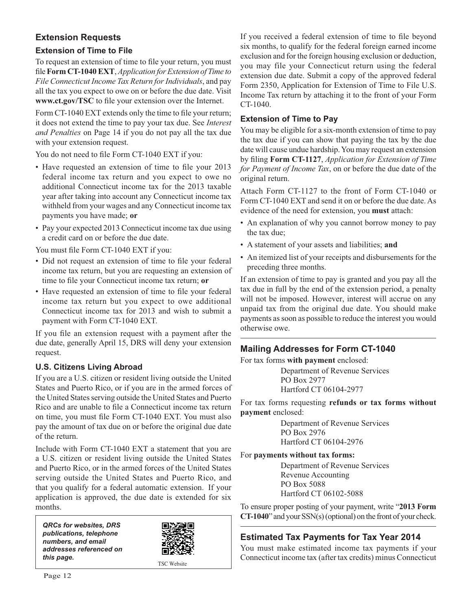#### **Extension Requests**

#### **Extension of Time to File**

To request an extension of time to file your return, you must file Form CT-1040 EXT, *Application for Extension of Time to File Connecticut Income Tax Return for Individuals*, and pay all the tax you expect to owe on or before the due date. Visit www.ct.gov/TSC to file your extension over the Internet.

Form CT-1040 EXT extends only the time to file your return; it does not extend the time to pay your tax due. See *Interest and Penalties* on Page 14 if you do not pay all the tax due with your extension request.

You do not need to file Form CT-1040 EXT if you:

- Have requested an extension of time to file your 2013 federal income tax return and you expect to owe no additional Connecticut income tax for the 2013 taxable year after taking into account any Connecticut income tax withheld from your wages and any Connecticut income tax payments you have made; **or**
- Pay your expected 2013 Connecticut income tax due using a credit card on or before the due date.

You must file Form CT-1040 EXT if you:

- Did not request an extension of time to file your federal income tax return, but you are requesting an extension of time to file your Connecticut income tax return; or
- Have requested an extension of time to file your federal income tax return but you expect to owe additional Connecticut income tax for 2013 and wish to submit a payment with Form CT-1040 EXT.

If you file an extension request with a payment after the due date, generally April 15, DRS will deny your extension request.

#### **U.S. Citizens Living Abroad**

If you are a U.S. citizen or resident living outside the United States and Puerto Rico, or if you are in the armed forces of the United States serving outside the United States and Puerto Rico and are unable to file a Connecticut income tax return on time, you must file Form CT-1040 EXT. You must also pay the amount of tax due on or before the original due date of the return.

Include with Form CT-1040 EXT a statement that you are a U.S. citizen or resident living outside the United States and Puerto Rico, or in the armed forces of the United States serving outside the United States and Puerto Rico, and that you qualify for a federal automatic extension. If your application is approved, the due date is extended for six months.

*QRCs for websites, DRS publications, telephone numbers, and email addresses referenced on this page.*



TSC Website

If you received a federal extension of time to file beyond six months, to qualify for the federal foreign earned income exclusion and for the foreign housing exclusion or deduction, you may file your Connecticut return using the federal extension due date. Submit a copy of the approved federal Form 2350, Application for Extension of Time to File U.S. Income Tax return by attaching it to the front of your Form CT-1040.

#### **Extension of Time to Pay**

You may be eligible for a six-month extension of time to pay the tax due if you can show that paying the tax by the due date will cause undue hardship. You may request an extension by filing Form CT-1127, *Application for Extension of Time for Payment of Income Tax*, on or before the due date of the original return.

Attach Form CT-1127 to the front of Form CT-1040 or Form CT-1040 EXT and send it on or before the due date. As evidence of the need for extension, you **must** attach:

- An explanation of why you cannot borrow money to pay the tax due;
- A statement of your assets and liabilities; **and**
- An itemized list of your receipts and disbursements for the preceding three months.

If an extension of time to pay is granted and you pay all the tax due in full by the end of the extension period, a penalty will not be imposed. However, interest will accrue on any unpaid tax from the original due date. You should make payments as soon as possible to reduce the interest you would otherwise owe.

#### **Mailing Addresses for Form CT-1040**

For tax forms **with payment** enclosed:

Department of Revenue Services PO Box 2977 Hartford CT 06104-2977

For tax forms requesting **refunds or tax forms without payment** enclosed:

> Department of Revenue Services PO Box 2976 Hartford CT 06104-2976

For **payments without tax forms:**

Department of Revenue Services Revenue Accounting PO Box 5088 Hartford CT 06102-5088

To ensure proper posting of your payment, write "**2013 Form CT-1040**" and your SSN(s) (optional) on the front of your check.

#### **Estimated Tax Payments for Tax Year 2014**

You must make estimated income tax payments if your Connecticut income tax (after tax credits) minus Connecticut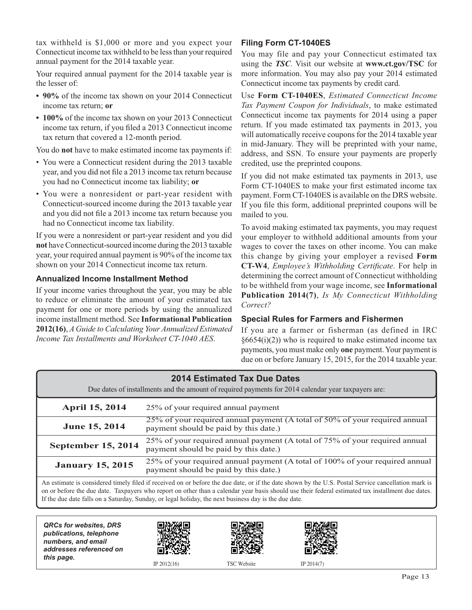tax withheld is \$1,000 or more and you expect your Connecticut income tax withheld to be less than your required annual payment for the 2014 taxable year.

Your required annual payment for the 2014 taxable year is the lesser of:

- **90%** of the income tax shown on your 2014 Connecticut income tax return; **or**
- **100%** of the income tax shown on your 2013 Connecticut income tax return, if you filed a 2013 Connecticut income tax return that covered a 12-month period.

You do **not** have to make estimated income tax payments if:

- You were a Connecticut resident during the 2013 taxable year, and you did not file a 2013 income tax return because you had no Connecticut income tax liability; **or**
- You were a nonresident or part-year resident with Connecticut-sourced income during the 2013 taxable year and you did not file a 2013 income tax return because you had no Connecticut income tax liability.

If you were a nonresident or part-year resident and you did **not** have Connecticut-sourced income during the 2013 taxable year, your required annual payment is 90% of the income tax shown on your 2014 Connecticut income tax return.

#### **Annualized Income Installment Method**

If your income varies throughout the year, you may be able to reduce or eliminate the amount of your estimated tax payment for one or more periods by using the annualized income installment method. See **Informational Publication 2012(16)**, *A Guide to Calculating Your Annualized Estimated Income Tax Installments and Worksheet CT-1040 AES*.

#### **Filing Form CT-1040ES**

You may file and pay your Connecticut estimated tax using the *TSC*. Visit our website at **www.ct.gov/TSC** for more information. You may also pay your 2014 estimated Connecticut income tax payments by credit card.

Use **Form CT-1040ES**, *Estimated Connecticut Income Tax Payment Coupon for Individuals*, to make estimated Connecticut income tax payments for 2014 using a paper return. If you made estimated tax payments in 2013, you will automatically receive coupons for the 2014 taxable year in mid-January. They will be preprinted with your name, address, and SSN. To ensure your payments are properly credited, use the preprinted coupons.

If you did not make estimated tax payments in 2013, use Form CT-1040ES to make your first estimated income tax payment. Form CT-1040ES is available on the DRS website. If you file this form, additional preprinted coupons will be mailed to you.

To avoid making estimated tax payments, you may request your employer to withhold additional amounts from your wages to cover the taxes on other income. You can make this change by giving your employer a revised **Form CT-W4**, *Employee's Withholding Certificate*. For help in determining the correct amount of Connecticut withholding to be withheld from your wage income, see **Informational Publication 2014(7)**, *Is My Connecticut Withholding Correct?*

#### **Special Rules for Farmers and Fishermen**

If you are a farmer or fisherman (as defined in IRC  $§6654(i)(2)$ ) who is required to make estimated income tax payments, you must make only **one** payment. Your payment is due on or before January 15, 2015, for the 2014 taxable year.

| <b>2014 Estimated Tax Due Dates</b><br>Due dates of installments and the amount of required payments for 2014 calendar year taxpayers are:                                                                                                                                                              |                                                                                                                       |  |  |
|---------------------------------------------------------------------------------------------------------------------------------------------------------------------------------------------------------------------------------------------------------------------------------------------------------|-----------------------------------------------------------------------------------------------------------------------|--|--|
| <b>April 15, 2014</b>                                                                                                                                                                                                                                                                                   | 25% of your required annual payment                                                                                   |  |  |
| June 15, 2014                                                                                                                                                                                                                                                                                           | 25% of your required annual payment (A total of 50% of your required annual<br>payment should be paid by this date.)  |  |  |
| <b>September 15, 2014</b>                                                                                                                                                                                                                                                                               | 25% of your required annual payment (A total of 75% of your required annual<br>payment should be paid by this date.)  |  |  |
| <b>January 15, 2015</b>                                                                                                                                                                                                                                                                                 | 25% of your required annual payment (A total of 100% of your required annual<br>payment should be paid by this date.) |  |  |
| An estimate is considered timely filed if received on or before the due date, or if the date shown by the U.S. Postal Service cancellation mark is<br>on or before the due date. Taxpayers who report on other than a calendar year basis should use their federal estimated tax installment due dates. |                                                                                                                       |  |  |

If the due date falls on a Saturday, Sunday, or legal holiday, the next business day is the due date.

*QRCs for websites, DRS publications, telephone numbers, and email addresses referenced on this page.* IP 2012(16) TSC Website IP 2014(7)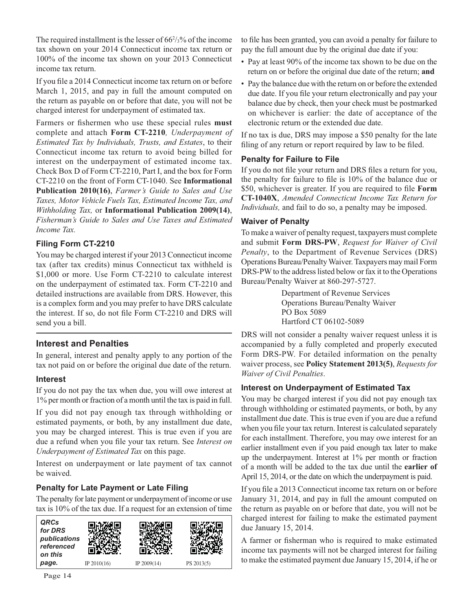The required installment is the lesser of  $66\frac{2}{3}\%$  of the income tax shown on your 2014 Connecticut income tax return or 100% of the income tax shown on your 2013 Connecticut income tax return.

If you file a 2014 Connecticut income tax return on or before March 1, 2015, and pay in full the amount computed on the return as payable on or before that date, you will not be charged interest for underpayment of estimated tax.

Farmers or fishermen who use these special rules must complete and attach **Form CT-2210***, Underpayment of Estimated Tax by Individuals, Trusts, and Estates*, to their Connecticut income tax return to avoid being billed for interest on the underpayment of estimated income tax. Check Box D of Form CT-2210, Part I, and the box for Form CT-2210 on the front of Form CT-1040. See **Informational Publication 2010(16)**, *Farmer's Guide to Sales and Use Taxes, Motor Vehicle Fuels Tax, Estimated Income Tax, and Withholding Tax,* or **Informational Publication 2009(14)**, *Fisherman's Guide to Sales and Use Taxes and Estimated Income Tax.*

#### **Filing Form CT-2210**

You may be charged interest if your 2013 Connecticut income tax (after tax credits) minus Connecticut tax withheld is \$1,000 or more. Use Form CT-2210 to calculate interest on the underpayment of estimated tax. Form CT-2210 and detailed instructions are available from DRS. However, this is a complex form and you may prefer to have DRS calculate the interest. If so, do not file Form CT-2210 and DRS will send you a bill.

#### **Interest and Penalties**

In general, interest and penalty apply to any portion of the tax not paid on or before the original due date of the return.

#### **Interest**

If you do not pay the tax when due, you will owe interest at 1% per month or fraction of a month until the tax is paid in full.

If you did not pay enough tax through withholding or estimated payments, or both, by any installment due date, you may be charged interest. This is true even if you are due a refund when you file your tax return. See *Interest on Underpayment of Estimated Tax* on this page.

Interest on underpayment or late payment of tax cannot be waived.

#### **Penalty for Late Payment or Late Filing**

The penalty for late payment or underpayment of income or use tax is 10% of the tax due. If a request for an extension of time



to file has been granted, you can avoid a penalty for failure to pay the full amount due by the original due date if you:

- Pay at least 90% of the income tax shown to be due on the return on or before the original due date of the return; **and**
- Pay the balance due with the return on or before the extended due date. If you file your return electronically and pay your balance due by check, then your check must be postmarked on whichever is earlier: the date of acceptance of the electronic return or the extended due date.

If no tax is due, DRS may impose a \$50 penalty for the late filing of any return or report required by law to be filed.

#### **Penalty for Failure to File**

If you do not file your return and DRS files a return for you, the penalty for failure to file is  $10\%$  of the balance due or \$50, whichever is greater. If you are required to file Form **CT-1040X**, *Amended Connecticut Income Tax Return for Individuals,* and fail to do so, a penalty may be imposed.

#### **Waiver of Penalty**

To make a waiver of penalty request, taxpayers must complete and submit **Form DRS-PW**, *Request for Waiver of Civil Penalty*, to the Department of Revenue Services (DRS) Operations Bureau/Penalty Waiver. Taxpayers may mail Form DRS-PW to the address listed below or fax it to the Operations Bureau/Penalty Waiver at 860-297-5727.

> Department of Revenue Services Operations Bureau/Penalty Waiver PO Box 5089 Hartford CT 06102-5089

DRS will not consider a penalty waiver request unless it is accompanied by a fully completed and properly executed Form DRS-PW. For detailed information on the penalty waiver process, see **Policy Statement 2013(5)**, *Requests for Waiver of Civil Penalties*.

#### **Interest on Underpayment of Estimated Tax**

You may be charged interest if you did not pay enough tax through withholding or estimated payments, or both, by any installment due date. This is true even if you are due a refund when you file your tax return. Interest is calculated separately for each installment. Therefore, you may owe interest for an earlier installment even if you paid enough tax later to make up the underpayment. Interest at 1% per month or fraction of a month will be added to the tax due until the **earlier of** April 15, 2014, or the date on which the underpayment is paid.

If you file a 2013 Connecticut income tax return on or before January 31, 2014, and pay in full the amount computed on the return as payable on or before that date, you will not be charged interest for failing to make the estimated payment due January 15, 2014.

A farmer or fisherman who is required to make estimated income tax payments will not be charged interest for failing to make the estimated payment due January 15, 2014, if he or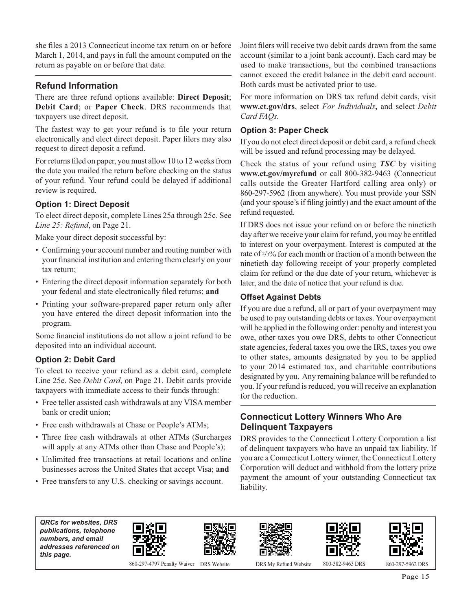she files a 2013 Connecticut income tax return on or before March 1, 2014, and pays in full the amount computed on the return as payable on or before that date.

#### **Refund Information**

There are three refund options available: **Direct Deposit**; **Debit Card**; or **Paper Check**. DRS recommends that taxpayers use direct deposit.

The fastest way to get your refund is to file your return electronically and elect direct deposit. Paper filers may also request to direct deposit a refund.

For returns filed on paper, you must allow 10 to 12 weeks from the date you mailed the return before checking on the status of your refund. Your refund could be delayed if additional review is required.

#### **Option 1: Direct Deposit**

To elect direct deposit, complete Lines 25a through 25c. See *Line 25: Refund*, on Page 21.

Make your direct deposit successful by:

- Confirming your account number and routing number with your financial institution and entering them clearly on your tax return;
- Entering the direct deposit information separately for both your federal and state electronically filed returns; and
- Printing your software-prepared paper return only after you have entered the direct deposit information into the program.

Some financial institutions do not allow a joint refund to be deposited into an individual account.

#### **Option 2: Debit Card**

To elect to receive your refund as a debit card, complete Line 25e. See *Debit Card*, on Page 21. Debit cards provide taxpayers with immediate access to their funds through:

- Free teller assisted cash withdrawals at any VISA member bank or credit union;
- Free cash withdrawals at Chase or People's ATMs;
- Three free cash withdrawals at other ATMs (Surcharges will apply at any ATMs other than Chase and People's);
- Unlimited free transactions at retail locations and online businesses across the United States that accept Visa; **and**
- Free transfers to any U.S. checking or savings account.

Joint filers will receive two debit cards drawn from the same account (similar to a joint bank account). Each card may be used to make transactions, but the combined transactions cannot exceed the credit balance in the debit card account. Both cards must be activated prior to use.

For more information on DRS tax refund debit cards, visit **www.ct.gov/drs**, select *For Individuals***,** and select *Debit Card FAQs.*

#### **Option 3: Paper Check**

If you do not elect direct deposit or debit card, a refund check will be issued and refund processing may be delayed.

Check the status of your refund using *TSC* by visiting **www.ct.gov/myrefund** or call 800-382-9463 (Connecticut calls outside the Greater Hartford calling area only) or 860-297-5962 (from anywhere). You must provide your SSN (and your spouse's if filing jointly) and the exact amount of the refund requested.

If DRS does not issue your refund on or before the ninetieth day after we receive your claim for refund, you may be entitled to interest on your overpayment. Interest is computed at the rate of 2/3% for each month or fraction of a month between the ninetieth day following receipt of your properly completed claim for refund or the due date of your return, whichever is later, and the date of notice that your refund is due.

#### **Offset Against Debts**

If you are due a refund, all or part of your overpayment may be used to pay outstanding debts or taxes. Your overpayment will be applied in the following order: penalty and interest you owe, other taxes you owe DRS, debts to other Connecticut state agencies, federal taxes you owe the IRS, taxes you owe to other states, amounts designated by you to be applied to your 2014 estimated tax, and charitable contributions designated by you. Any remaining balance will be refunded to you. If your refund is reduced, you will receive an explanation for the reduction.

#### **Connecticut Lottery Winners Who Are Delinquent Taxpayers**

DRS provides to the Connecticut Lottery Corporation a list of delinquent taxpayers who have an unpaid tax liability. If you are a Connecticut Lottery winner, the Connecticut Lottery Corporation will deduct and withhold from the lottery prize payment the amount of your outstanding Connecticut tax liability.

*QRCs for websites, DRS publications, telephone numbers, and email addresses referenced on this page.*



860-297-4797 Penalty Waiver DRS Website DRS My Refund Website 800-382-9463 DRS 860-297-5962 DRS



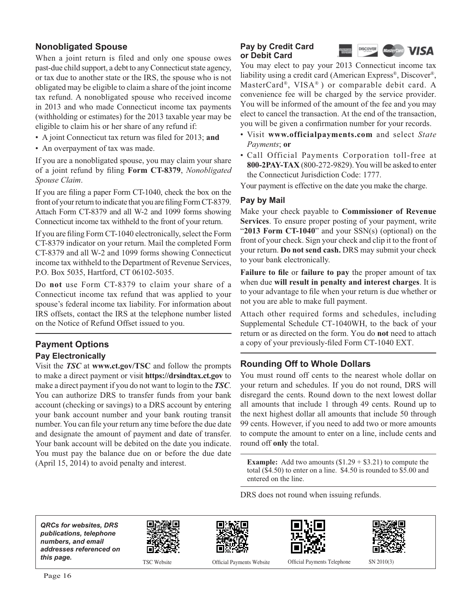#### **Nonobligated Spouse**

When a joint return is filed and only one spouse owes past-due child support, a debt to any Connecticut state agency, or tax due to another state or the IRS, the spouse who is not obligated may be eligible to claim a share of the joint income tax refund. A nonobligated spouse who received income in 2013 and who made Connecticut income tax payments (withholding or estimates) for the 2013 taxable year may be eligible to claim his or her share of any refund if:

- A joint Connecticut tax return was filed for 2013; and
- An overpayment of tax was made.

If you are a nonobligated spouse, you may claim your share of a joint refund by filing Form CT-8379, *Nonobligated Spouse Claim*.

If you are filing a paper Form CT-1040, check the box on the front of your return to indicate that you are filing Form CT-8379. Attach Form CT-8379 and all W-2 and 1099 forms showing Connecticut income tax withheld to the front of your return.

If you are filing Form CT-1040 electronically, select the Form CT-8379 indicator on your return. Mail the completed Form CT-8379 and all W-2 and 1099 forms showing Connecticut income tax withheld to the Department of Revenue Services, P.O. Box 5035, Hartford, CT 06102-5035.

Do **not** use Form CT-8379 to claim your share of a Connecticut income tax refund that was applied to your spouse's federal income tax liability. For information about IRS offsets, contact the IRS at the telephone number listed on the Notice of Refund Offset issued to you.

## **Payment Options**

#### **Pay Electronically**

Visit the *TSC* at **www.ct.gov/TSC** and follow the prompts to make a direct payment or visit **https://drsindtax.ct.gov** to make a direct payment if you do not want to login to the *TSC*. You can authorize DRS to transfer funds from your bank account (checking or savings) to a DRS account by entering your bank account number and your bank routing transit number. You can file your return any time before the due date and designate the amount of payment and date of transfer. Your bank account will be debited on the date you indicate. You must pay the balance due on or before the due date (April 15, 2014) to avoid penalty and interest.

#### **Pay by Credit Card or Debit Card**



You may elect to pay your 2013 Connecticut income tax liability using a credit card (American Express®, Discover®, MasterCard®, VISA® ) or comparable debit card. A convenience fee will be charged by the service provider. You will be informed of the amount of the fee and you may elect to cancel the transaction. At the end of the transaction, you will be given a confirmation number for your records.

- Visit **www.officialpayments.com** and select *State Payments*; **or**
- Call Official Payments Corporation toll-free at **800-2PAY-TAX** (800-272-9829). You will be asked to enter the Connecticut Jurisdiction Code: 1777.

Your payment is effective on the date you make the charge.

#### **Pay by Mail**

Make your check payable to **Commissioner of Revenue Services**. To ensure proper posting of your payment, write "**2013 Form CT-1040**" and your SSN(s) (optional) on the front of your check. Sign your check and clip it to the front of your return. **Do not send cash.** DRS may submit your check to your bank electronically.

**Failure to file or failure to pay** the proper amount of tax when due **will result in penalty and interest charges**. It is to your advantage to file when your return is due whether or not you are able to make full payment.

Attach other required forms and schedules, including Supplemental Schedule CT-1040WH, to the back of your return or as directed on the form. You do **not** need to attach a copy of your previously-filed Form CT-1040 EXT.

#### **Rounding Off to Whole Dollars**

You must round off cents to the nearest whole dollar on your return and schedules. If you do not round, DRS will disregard the cents. Round down to the next lowest dollar all amounts that include 1 through 49 cents. Round up to the next highest dollar all amounts that include 50 through 99 cents. However, if you need to add two or more amounts to compute the amount to enter on a line, include cents and round off **only** the total.

**Example:** Add two amounts  $(\$1.29 + \$3.21)$  to compute the total (\$4.50) to enter on a line. \$4.50 is rounded to \$5.00 and entered on the line.

DRS does not round when issuing refunds.

*QRCs for websites, DRS publications, telephone numbers, and email addresses referenced on*  **this page.** TSC Website Officer of  $T$ 









Official Payments Website

Official Payments Telephone SN 2010(3)

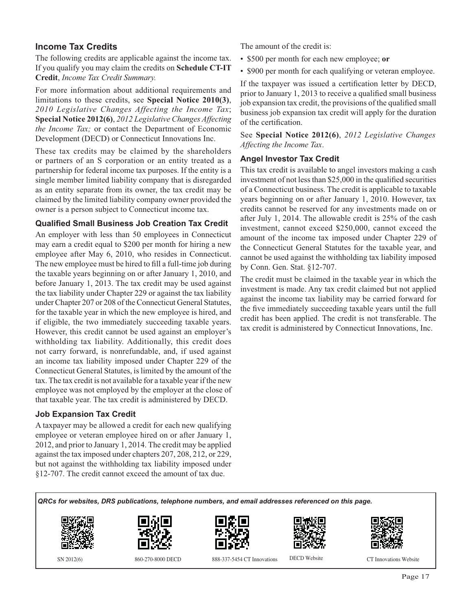#### **Income Tax Credits**

The following credits are applicable against the income tax. If you qualify you may claim the credits on **Schedule CT-IT Credit**, *Income Tax Credit Summary.*

For more information about additional requirements and limitations to these credits, see **Special Notice 2010(3)**, *2010 Legislative Changes Affecting the Income Tax*; **Special Notice 2012(6)**, *2012 Legislative Changes Affecting the Income Tax;* or contact the Department of Economic Development (DECD) or Connecticut Innovations Inc.

These tax credits may be claimed by the shareholders or partners of an S corporation or an entity treated as a partnership for federal income tax purposes. If the entity is a single member limited liability company that is disregarded as an entity separate from its owner, the tax credit may be claimed by the limited liability company owner provided the owner is a person subject to Connecticut income tax.

#### **Qualified Small Business Job Creation Tax Credit**

An employer with less than 50 employees in Connecticut may earn a credit equal to \$200 per month for hiring a new employee after May 6, 2010, who resides in Connecticut. The new employee must be hired to fill a full-time job during the taxable years beginning on or after January 1, 2010, and before January 1, 2013. The tax credit may be used against the tax liability under Chapter 229 or against the tax liability under Chapter 207 or 208 of the Connecticut General Statutes, for the taxable year in which the new employee is hired, and if eligible, the two immediately succeeding taxable years. However, this credit cannot be used against an employer's withholding tax liability. Additionally, this credit does not carry forward, is nonrefundable, and, if used against an income tax liability imposed under Chapter 229 of the Connecticut General Statutes, is limited by the amount of the tax. The tax credit is not available for a taxable year if the new employee was not employed by the employer at the close of that taxable year. The tax credit is administered by DECD.

#### **Job Expansion Tax Credit**

A taxpayer may be allowed a credit for each new qualifying employee or veteran employee hired on or after January 1, 2012, and prior to January 1, 2014. The credit may be applied against the tax imposed under chapters 207, 208, 212, or 229, but not against the withholding tax liability imposed under §12-707. The credit cannot exceed the amount of tax due.

The amount of the credit is:

• \$500 per month for each new employee; **or**

• \$900 per month for each qualifying or veteran employee.

If the taxpayer was issued a certification letter by DECD, prior to January 1, 2013 to receive a qualified small business job expansion tax credit, the provisions of the qualified small business job expansion tax credit will apply for the duration of the certification.

See **Special Notice 2012(6)**, *2012 Legislative Changes Affecting the Income Tax*.

#### **Angel Investor Tax Credit**

This tax credit is available to angel investors making a cash investment of not less than \$25,000 in the qualified securities of a Connecticut business. The credit is applicable to taxable years beginning on or after January 1, 2010. However, tax credits cannot be reserved for any investments made on or after July 1, 2014. The allowable credit is 25% of the cash investment, cannot exceed \$250,000, cannot exceed the amount of the income tax imposed under Chapter 229 of the Connecticut General Statutes for the taxable year, and cannot be used against the withholding tax liability imposed by Conn. Gen. Stat. §12-707.

The credit must be claimed in the taxable year in which the investment is made. Any tax credit claimed but not applied against the income tax liability may be carried forward for the five immediately succeeding taxable years until the full credit has been applied. The credit is not transferable. The tax credit is administered by Connecticut Innovations, Inc.

*QRCs for websites, DRS publications, telephone numbers, and email addresses referenced on this page.*











SN 2012(6) 860-270-8000 DECD 888-337-5454 CT Innovations DECD Website CT Innovations Website

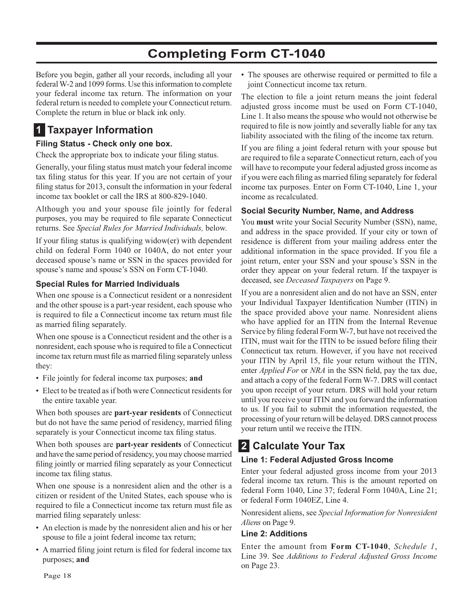## **Completing Form CT-1040**

Before you begin, gather all your records, including all your federal W-2 and 1099 forms. Use this information to complete your federal income tax return. The information on your federal return is needed to complete your Connecticut return. Complete the return in blue or black ink only.

## **1 Taxpayer Information**

#### **Filing Status - Check only one box.**

Check the appropriate box to indicate your filing status.

Generally, your filing status must match your federal income tax filing status for this year. If you are not certain of your filing status for 2013, consult the information in your federal income tax booklet or call the IRS at 800-829-1040.

Although you and your spouse file jointly for federal purposes, you may be required to file separate Connecticut returns. See *Special Rules for Married Individuals,* below.

If your filing status is qualifying widow(er) with dependent child on federal Form 1040 or 1040A, do not enter your deceased spouse's name or SSN in the spaces provided for spouse's name and spouse's SSN on Form CT-1040.

#### **Special Rules for Married Individuals**

When one spouse is a Connecticut resident or a nonresident and the other spouse is a part-year resident, each spouse who is required to file a Connecticut income tax return must file as married filing separately.

When one spouse is a Connecticut resident and the other is a nonresident, each spouse who is required to file a Connecticut income tax return must file as married filing separately unless they:

- File jointly for federal income tax purposes; **and**
- Elect to be treated as if both were Connecticut residents for the entire taxable year.

When both spouses are **part-year residents** of Connecticut but do not have the same period of residency, married filing separately is your Connecticut income tax filing status.

When both spouses are **part-year residents** of Connecticut and have the same period of residency, you may choose married filing jointly or married filing separately as your Connecticut income tax filing status.

When one spouse is a nonresident alien and the other is a citizen or resident of the United States, each spouse who is required to file a Connecticut income tax return must file as married filing separately unless:

- An election is made by the nonresident alien and his or her spouse to file a joint federal income tax return;
- A married filing joint return is filed for federal income tax purposes; **and**

• The spouses are otherwise required or permitted to file a joint Connecticut income tax return.

The election to file a joint return means the joint federal adjusted gross income must be used on Form CT-1040, Line 1. It also means the spouse who would not otherwise be required to file is now jointly and severally liable for any tax liability associated with the filing of the income tax return.

If you are filing a joint federal return with your spouse but are required to file a separate Connecticut return, each of you will have to recompute your federal adjusted gross income as if you were each filing as married filing separately for federal income tax purposes. Enter on Form CT-1040, Line 1, your income as recalculated.

#### **Social Security Number, Name, and Address**

You **must** write your Social Security Number (SSN), name, and address in the space provided. If your city or town of residence is different from your mailing address enter the additional information in the space provided. If you file a joint return, enter your SSN and your spouse's SSN in the order they appear on your federal return. If the taxpayer is deceased, see *Deceased Taxpayers* on Page 9.

If you are a nonresident alien and do not have an SSN, enter your Individual Taxpayer Identification Number (ITIN) in the space provided above your name. Nonresident aliens who have applied for an ITIN from the Internal Revenue Service by filing federal Form W-7, but have not received the ITIN, must wait for the ITIN to be issued before filing their Connecticut tax return. However, if you have not received your ITIN by April 15, file your return without the ITIN, enter *Applied For* or *NRA* in the SSN field, pay the tax due, and attach a copy of the federal Form W-7. DRS will contact you upon receipt of your return. DRS will hold your return until you receive your ITIN and you forward the information to us. If you fail to submit the information requested, the processing of your return will be delayed. DRS cannot process your return until we receive the ITIN.

## **2 Calculate Your Tax**

#### **Line 1: Federal Adjusted Gross Income**

Enter your federal adjusted gross income from your 2013 federal income tax return. This is the amount reported on federal Form 1040, Line 37; federal Form 1040A, Line 21; or federal Form 1040EZ, Line 4.

Nonresident aliens, see *Special Information for Nonresident Aliens* on Page 9.

#### **Line 2: Additions**

Enter the amount from **Form CT-1040**, *Schedule 1*, Line 39. See *Additions to Federal Adjusted Gross Income* on Page 23.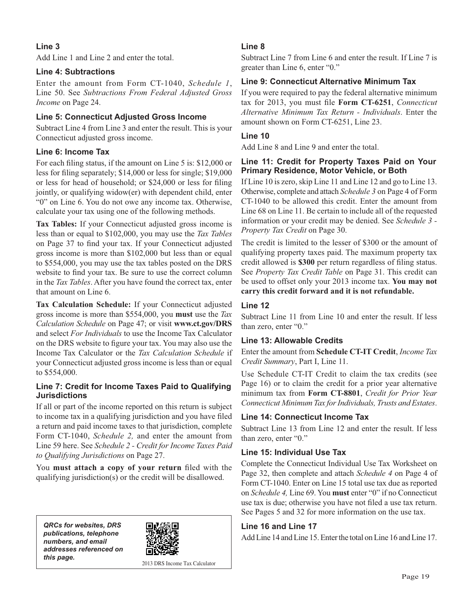#### **Line 3**

Add Line 1 and Line 2 and enter the total.

#### **Line 4: Subtractions**

Enter the amount from Form CT-1040, *Schedule 1*, Line 50. See *Subtractions From Federal Adjusted Gross Income* on Page 24.

#### **Line 5: Connecticut Adjusted Gross Income**

Subtract Line 4 from Line 3 and enter the result. This is your Connecticut adjusted gross income.

#### **Line 6: Income Tax**

For each filing status, if the amount on Line 5 is: \$12,000 or less for filing separately; \$14,000 or less for single; \$19,000 or less for head of household; or \$24,000 or less for filing jointly, or qualifying widow(er) with dependent child, enter "0" on Line 6. You do not owe any income tax. Otherwise, calculate your tax using one of the following methods.

**Tax Tables:** If your Connecticut adjusted gross income is less than or equal to \$102,000, you may use the *Tax Tables* on Page 37 to find your tax. If your Connecticut adjusted gross income is more than \$102,000 but less than or equal to \$554,000, you may use the tax tables posted on the DRS website to find your tax. Be sure to use the correct column in the *Tax Tables*. After you have found the correct tax, enter that amount on Line 6.

**Tax Calculation Schedule:** If your Connecticut adjusted gross income is more than \$554,000, you **must** use the *Tax Calculation Schedule* on Page 47; or visit **www.ct.gov/DRS**  and select *For Individuals* to use the Income Tax Calculator on the DRS website to figure your tax. You may also use the Income Tax Calculator or the *Tax Calculation Schedule* if your Connecticut adjusted gross income is less than or equal to \$554,000.

#### **Line 7: Credit for Income Taxes Paid to Qualifying Jurisdictions**

If all or part of the income reported on this return is subject to income tax in a qualifying jurisdiction and you have filed a return and paid income taxes to that jurisdiction, complete Form CT-1040, *Schedule 2,* and enter the amount from Line 59 here. See *Schedule 2 - Credit for Income Taxes Paid to Qualifying Jurisdictions* on Page 27.

You must attach a copy of your return filed with the qualifying jurisdiction(s) or the credit will be disallowed.

*QRCs for websites, DRS publications, telephone numbers, and email addresses referenced on*  **this page.** 2013 DRS Income Tax Calculator



#### **Line 8**

Subtract Line 7 from Line 6 and enter the result. If Line 7 is greater than Line 6, enter "0."

#### **Line 9: Connecticut Alternative Minimum Tax**

If you were required to pay the federal alternative minimum tax for 2013, you must file Form CT-6251, Connecticut *Alternative Minimum Tax Return - Individuals*. Enter the amount shown on Form CT-6251, Line 23.

#### **Line 10**

Add Line 8 and Line 9 and enter the total.

#### **Line 11: Credit for Property Taxes Paid on Your Primary Residence, Motor Vehicle, or Both**

If Line 10 is zero, skip Line 11 and Line 12 and go to Line 13. Otherwise, complete and attach *Schedule 3* on Page 4 of Form CT-1040 to be allowed this credit. Enter the amount from Line 68 on Line 11. Be certain to include all of the requested information or your credit may be denied. See *Schedule 3 - Property Tax Credit* on Page 30.

The credit is limited to the lesser of \$300 or the amount of qualifying property taxes paid. The maximum property tax credit allowed is \$300 per return regardless of filing status. See *Property Tax Credit Table* on Page 31. This credit can be used to offset only your 2013 income tax. **You may not carry this credit forward and it is not refundable.**

#### **Line 12**

Subtract Line 11 from Line 10 and enter the result. If less than zero, enter "0."

#### **Line 13: Allowable Credits**

Enter the amount from **Schedule CT-IT Credit**, *Income Tax Credit Summary*, Part I, Line 11.

Use Schedule CT-IT Credit to claim the tax credits (see Page 16) or to claim the credit for a prior year alternative minimum tax from **Form CT-8801**, *Credit for Prior Year Connecticut Minimum Tax for Individuals, Trusts and Estates*.

#### **Line 14: Connecticut Income Tax**

Subtract Line 13 from Line 12 and enter the result. If less than zero, enter "0."

#### **Line 15: Individual Use Tax**

Complete the Connecticut Individual Use Tax Worksheet on Page 32, then complete and attach *Schedule 4* on Page 4 of Form CT-1040. Enter on Line 15 total use tax due as reported on *Schedule 4,* Line 69. You **must** enter "0" if no Connecticut use tax is due; otherwise you have not filed a use tax return. See Pages 5 and 32 for more information on the use tax.

#### **Line 16 and Line 17**

Add Line 14 and Line 15. Enter the total on Line 16 and Line 17.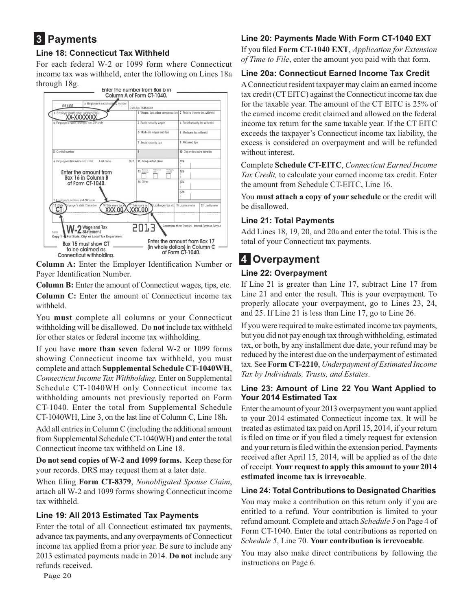## **3 Payments**

#### **Line 18: Connecticut Tax Withheld**

For each federal W-2 or 1099 form where Connecticut income tax was withheld, enter the following on Lines 18a through 18g.



**Column A:** Enter the Employer Identification Number or Payer Identification Number.

**Column B:** Enter the amount of Connecticut wages, tips, etc.

**Column C:** Enter the amount of Connecticut income tax withheld.

You **must** complete all columns or your Connecticut withholding will be disallowed. Do **not** include tax withheld for other states or federal income tax withholding.

If you have **more than seven** federal W-2 or 1099 forms showing Connecticut income tax withheld, you must complete and attach **Supplemental Schedule CT-1040WH**, *Connecticut Income Tax Withholding.* Enter on Supplemental Schedule CT-1040WH only Connecticut income tax withholding amounts not previously reported on Form CT-1040. Enter the total from Supplemental Schedule CT-1040WH, Line 3, on the last line of Column C, Line 18h.

Add all entries in Column C (including the additional amount from Supplemental Schedule CT-1040WH) and enter the total Connecticut income tax withheld on Line 18.

**Do not send copies of W-2 and 1099 forms.** Keep these for your records. DRS may request them at a later date.

When filing Form CT-8379, *Nonobligated Spouse Claim*, attach all W-2 and 1099 forms showing Connecticut income tax withheld.

#### **Line 19: All 2013 Estimated Tax Payments**

Enter the total of all Connecticut estimated tax payments, advance tax payments, and any overpayments of Connecticut income tax applied from a prior year. Be sure to include any 2013 estimated payments made in 2014. **Do not** include any refunds received.

#### **Line 20: Payments Made With Form CT-1040 EXT**

If you filed Form CT-1040 EXT, *Application for Extension of Time to File*, enter the amount you paid with that form.

#### **Line 20a: Connecticut Earned Income Tax Credit**

A Connecticut resident taxpayer may claim an earned income tax credit (CT EITC) against the Connecticut income tax due for the taxable year. The amount of the CT EITC is 25% of the earned income credit claimed and allowed on the federal income tax return for the same taxable year. If the CT EITC exceeds the taxpayer's Connecticut income tax liability, the excess is considered an overpayment and will be refunded without interest.

Complete **Schedule CT-EITC**, *Connecticut Earned Income Tax Credit,* to calculate your earned income tax credit. Enter the amount from Schedule CT-EITC, Line 16.

You **must attach a copy of your schedule** or the credit will be disallowed.

#### **Line 21: Total Payments**

Add Lines 18, 19, 20, and 20a and enter the total. This is the total of your Connecticut tax payments.

## **4 Overpayment**

#### **Line 22: Overpayment**

If Line 21 is greater than Line 17, subtract Line 17 from Line 21 and enter the result. This is your overpayment. To properly allocate your overpayment, go to Lines 23, 24, and 25. If Line 21 is less than Line 17, go to Line 26.

If you were required to make estimated income tax payments, but you did not pay enough tax through withholding, estimated tax, or both, by any installment due date, your refund may be reduced by the interest due on the underpayment of estimated tax. See **Form CT-2210**, *Underpayment of Estimated Income Tax by Individuals, Trusts, and Estates*.

#### **Line 23: Amount of Line 22 You Want Applied to Your 2014 Estimated Tax**

Enter the amount of your 2013 overpayment you want applied to your 2014 estimated Connecticut income tax. It will be treated as estimated tax paid on April 15, 2014, if your return is filed on time or if you filed a timely request for extension and your return is filed within the extension period. Payments received after April 15, 2014, will be applied as of the date of receipt. **Your request to apply this amount to your 2014 estimated income tax is irrevocable**.

#### **Line 24: Total Contributions to Designated Charities**

You may make a contribution on this return only if you are entitled to a refund. Your contribution is limited to your refund amount. Complete and attach *Schedule 5* on Page 4 of Form CT-1040. Enter the total contributions as reported on *Schedule 5*, Line 70. **Your contribution is irrevocable**.

You may also make direct contributions by following the instructions on Page 6.

Page 20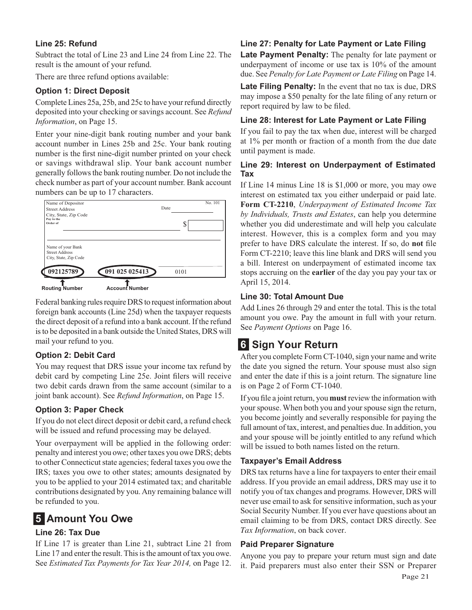#### **Line 25: Refund**

Subtract the total of Line 23 and Line 24 from Line 22. The result is the amount of your refund.

There are three refund options available:

#### **Option 1: Direct Deposit**

Complete Lines 25a, 25b, and 25c to have your refund directly deposited into your checking or savings account. See *Refund Information*, on Page 15.

Enter your nine-digit bank routing number and your bank account number in Lines 25b and 25c. Your bank routing number is the first nine-digit number printed on your check or savings withdrawal slip. Your bank account number generally follows the bank routing number. Do not include the check number as part of your account number. Bank account numbers can be up to 17 characters.



Federal banking rules require DRS to request information about foreign bank accounts (Line 25d) when the taxpayer requests the direct deposit of a refund into a bank account. If the refund is to be deposited in a bank outside the United States, DRS will mail your refund to you.

#### **Option 2: Debit Card**

You may request that DRS issue your income tax refund by debit card by competing Line 25e. Joint filers will receive two debit cards drawn from the same account (similar to a joint bank account). See *Refund Information*, on Page 15.

#### **Option 3: Paper Check**

If you do not elect direct deposit or debit card, a refund check will be issued and refund processing may be delayed.

Your overpayment will be applied in the following order: penalty and interest you owe; other taxes you owe DRS; debts to other Connecticut state agencies; federal taxes you owe the IRS; taxes you owe to other states; amounts designated by you to be applied to your 2014 estimated tax; and charitable contributions designated by you. Any remaining balance will be refunded to you.

## **5 Amount You Owe**

#### **Line 26: Tax Due**

If Line 17 is greater than Line 21, subtract Line 21 from Line 17 and enter the result. This is the amount of tax you owe. See *Estimated Tax Payments for Tax Year 2014,* on Page 12.

#### **Line 27: Penalty for Late Payment or Late Filing**

**Late Payment Penalty:** The penalty for late payment or underpayment of income or use tax is 10% of the amount due. See *Penalty for Late Payment or Late Filing* on Page 14.

**Late Filing Penalty:** In the event that no tax is due, DRS may impose a \$50 penalty for the late filing of any return or report required by law to be filed.

#### **Line 28: Interest for Late Payment or Late Filing**

If you fail to pay the tax when due, interest will be charged at 1% per month or fraction of a month from the due date until payment is made.

#### **Line 29: Interest on Underpayment of Estimated Tax**

If Line 14 minus Line 18 is \$1,000 or more, you may owe interest on estimated tax you either underpaid or paid late. **Form CT-2210**, *Underpayment of Estimated Income Tax by Individuals, Trusts and Estates*, can help you determine whether you did underestimate and will help you calculate interest. However, this is a complex form and you may prefer to have DRS calculate the interest. If so, do not file Form CT-2210; leave this line blank and DRS will send you a bill. Interest on underpayment of estimated income tax stops accruing on the **earlier** of the day you pay your tax or April 15, 2014.

#### **Line 30: Total Amount Due**

Add Lines 26 through 29 and enter the total. This is the total amount you owe. Pay the amount in full with your return. See *Payment Options* on Page 16.

## **6 Sign Your Return**

After you complete Form CT-1040, sign your name and write the date you signed the return. Your spouse must also sign and enter the date if this is a joint return. The signature line is on Page 2 of Form CT-1040.

If you file a joint return, you must review the information with your spouse. When both you and your spouse sign the return, you become jointly and severally responsible for paying the full amount of tax, interest, and penalties due. In addition, you and your spouse will be jointly entitled to any refund which will be issued to both names listed on the return.

#### **Taxpayer's Email Address**

DRS tax returns have a line for taxpayers to enter their email address. If you provide an email address, DRS may use it to notify you of tax changes and programs. However, DRS will never use email to ask for sensitive information, such as your Social Security Number. If you ever have questions about an email claiming to be from DRS, contact DRS directly. See *Tax Information*, on back cover.

#### **Paid Preparer Signature**

Anyone you pay to prepare your return must sign and date it. Paid preparers must also enter their SSN or Preparer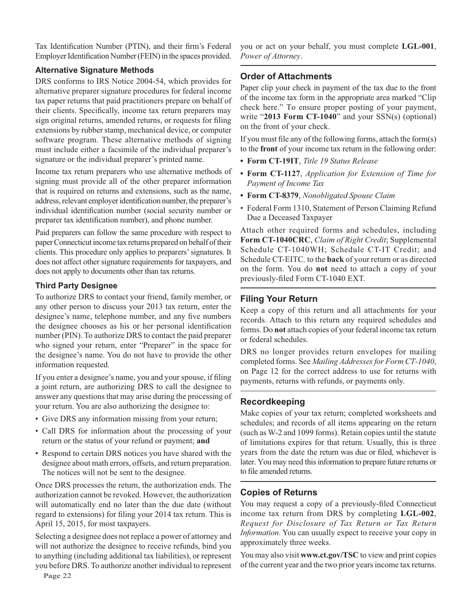Tax Identification Number (PTIN), and their firm's Federal Employer Identification Number (FEIN) in the spaces provided.

#### **Alternative Signature Methods**

DRS conforms to IRS Notice 2004-54, which provides for alternative preparer signature procedures for federal income tax paper returns that paid practitioners prepare on behalf of their clients. Specifically, income tax return preparers may sign original returns, amended returns, or requests for filing extensions by rubber stamp, mechanical device, or computer software program. These alternative methods of signing must include either a facsimile of the individual preparer's signature or the individual preparer's printed name.

Income tax return preparers who use alternative methods of signing must provide all of the other preparer information that is required on returns and extensions, such as the name, address, relevant employer identification number, the preparer's individual identification number (social security number or preparer tax identification number), and phone number.

Paid preparers can follow the same procedure with respect to paper Connecticut income tax returns prepared on behalf of their clients. This procedure only applies to preparers' signatures. It does not affect other signature requirements for taxpayers, and does not apply to documents other than tax returns.

#### **Third Party Designee**

To authorize DRS to contact your friend, family member, or any other person to discuss your 2013 tax return, enter the designee's name, telephone number, and any five numbers the designee chooses as his or her personal identification number (PIN). To authorize DRS to contact the paid preparer who signed your return, enter "Preparer" in the space for the designee's name. You do not have to provide the other information requested.

If you enter a designee's name, you and your spouse, if filing a joint return, are authorizing DRS to call the designee to answer any questions that may arise during the processing of your return. You are also authorizing the designee to:

- Give DRS any information missing from your return;
- Call DRS for information about the processing of your return or the status of your refund or payment; **and**
- Respond to certain DRS notices you have shared with the designee about math errors, offsets, and return preparation. The notices will not be sent to the designee.

Once DRS processes the return, the authorization ends. The authorization cannot be revoked. However, the authorization will automatically end no later than the due date (without regard to extensions) for filing your 2014 tax return. This is April 15, 2015, for most taxpayers.

Selecting a designee does not replace a power of attorney and will not authorize the designee to receive refunds, bind you to anything (including additional tax liabilities), or represent you before DRS. To authorize another individual to represent

you or act on your behalf, you must complete **LGL-001**, *Power of Attorney*.

#### **Order of Attachments**

Paper clip your check in payment of the tax due to the front of the income tax form in the appropriate area marked "Clip check here." To ensure proper posting of your payment, write "**2013 Form CT-1040**" and your SSN(s) (optional) on the front of your check.

If you must file any of the following forms, attach the form(s) to the **front** of your income tax return in the following order:

- **Form CT-19IT**, *Title 19 Status Release*
- **Form CT-1127**, *Application for Extension of Time for Payment of Income Tax*
- **Form CT-8379**, *Nonobligated Spouse Claim*
- Federal Form 1310, Statement of Person Claiming Refund Due a Deceased Taxpayer

Attach other required forms and schedules, including **Form CT-1040CRC**, *Claim of Right Credit*; Supplemental Schedule CT-1040WH; Schedule CT-IT Credit; and Schedule CT-EITC*,* to the **back** of your return or as directed on the form. You do **not** need to attach a copy of your previously-filed Form CT-1040 EXT.

#### **Filing Your Return**

Keep a copy of this return and all attachments for your records. Attach to this return any required schedules and forms. Do **not** attach copies of your federal income tax return or federal schedules.

DRS no longer provides return envelopes for mailing completed forms. See *Mailing Addresses for Form CT-1040*, on Page 12 for the correct address to use for returns with payments, returns with refunds, or payments only.

#### **Recordkeeping**

Make copies of your tax return; completed worksheets and schedules; and records of all items appearing on the return (such as W-2 and 1099 forms). Retain copies until the statute of limitations expires for that return. Usually, this is three years from the date the return was due or filed, whichever is later. You may need this information to prepare future returns or to file amended returns.

#### **Copies of Returns**

You may request a copy of a previously-filed Connecticut income tax return from DRS by completing **LGL-002**, *Request for Disclosure of Tax Return or Tax Return Information*. You can usually expect to receive your copy in approximately three weeks.

You may also visit **www.ct.gov/TSC** to view and print copies of the current year and the two prior years income tax returns.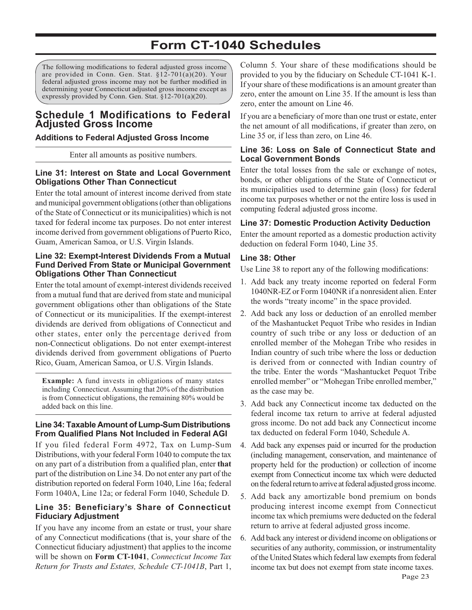## **Form CT-1040 Schedules**

The following modifications to federal adjusted gross income are provided in Conn. Gen. Stat. §12-701(a)(20). Your federal adjusted gross income may not be further modified in determining your Connecticut adjusted gross income except as expressly provided by Conn. Gen. Stat. §12-701(a)(20).

#### **Schedule 1 Modifications to Federal Adjusted Gross Income**

#### **Additions to Federal Adjusted Gross Income**

Enter all amounts as positive numbers.

#### **Line 31: Interest on State and Local Government Obligations Other Than Connecticut**

Enter the total amount of interest income derived from state and municipal government obligations (other than obligations of the State of Connecticut or its municipalities) which is not taxed for federal income tax purposes. Do not enter interest income derived from government obligations of Puerto Rico, Guam, American Samoa, or U.S. Virgin Islands.

#### **Line 32: Exempt-Interest Dividends From a Mutual Fund Derived From State or Municipal Government Obligations Other Than Connecticut**

Enter the total amount of exempt-interest dividends received from a mutual fund that are derived from state and municipal government obligations other than obligations of the State of Connecticut or its municipalities. If the exempt-interest dividends are derived from obligations of Connecticut and other states, enter only the percentage derived from non-Connecticut obligations. Do not enter exempt-interest dividends derived from government obligations of Puerto Rico, Guam, American Samoa, or U.S. Virgin Islands.

**Example:** A fund invests in obligations of many states including Connecticut. Assuming that 20% of the distribution is from Connecticut obligations, the remaining 80% would be added back on this line.

#### **Line 34: Taxable Amount of Lump-Sum Distributions From Qualified Plans Not Included in Federal AGI**

If you filed federal Form 4972, Tax on Lump-Sum Distributions, with your federal Form 1040 to compute the tax on any part of a distribution from a qualified plan, enter that part of the distribution on Line 34. Do not enter any part of the distribution reported on federal Form 1040, Line 16a; federal Form 1040A, Line 12a; or federal Form 1040, Schedule D.

#### **Line 35: Beneficiary's Share of Connecticut Fiduciary Adjustment**

If you have any income from an estate or trust, your share of any Connecticut modifications (that is, your share of the Connecticut fiduciary adjustment) that applies to the income will be shown on **Form CT-1041**, *Connecticut Income Tax Return for Trusts and Estates, Schedule CT-1041B*, Part 1, Column 5. Your share of these modifications should be provided to you by the fiduciary on Schedule CT-1041 K-1. If your share of these modifications is an amount greater than zero, enter the amount on Line 35. If the amount is less than zero, enter the amount on Line 46.

If you are a beneficiary of more than one trust or estate, enter the net amount of all modifications, if greater than zero, on Line 35 or, if less than zero, on Line 46.

#### **Line 36: Loss on Sale of Connecticut State and Local Government Bonds**

Enter the total losses from the sale or exchange of notes, bonds, or other obligations of the State of Connecticut or its municipalities used to determine gain (loss) for federal income tax purposes whether or not the entire loss is used in computing federal adjusted gross income.

#### **Line 37: Domestic Production Activity Deduction**

Enter the amount reported as a domestic production activity deduction on federal Form 1040, Line 35.

#### **Line 38: Other**

Use Line 38 to report any of the following modifications:

- 1. Add back any treaty income reported on federal Form 1040NR-EZ or Form 1040NR if a nonresident alien. Enter the words "treaty income" in the space provided.
- 2. Add back any loss or deduction of an enrolled member of the Mashantucket Pequot Tribe who resides in Indian country of such tribe or any loss or deduction of an enrolled member of the Mohegan Tribe who resides in Indian country of such tribe where the loss or deduction is derived from or connected with Indian country of the tribe. Enter the words "Mashantucket Pequot Tribe enrolled member" or "Mohegan Tribe enrolled member," as the case may be.
- 3. Add back any Connecticut income tax deducted on the federal income tax return to arrive at federal adjusted gross income. Do not add back any Connecticut income tax deducted on federal Form 1040, Schedule A.
- 4. Add back any expenses paid or incurred for the production (including management, conservation, and maintenance of property held for the production) or collection of income exempt from Connecticut income tax which were deducted on the federal return to arrive at federal adjusted gross income.
- 5. Add back any amortizable bond premium on bonds producing interest income exempt from Connecticut income tax which premiums were deducted on the federal return to arrive at federal adjusted gross income.
- 6. Add back any interest or dividend income on obligations or securities of any authority, commission, or instrumentality of the United States which federal law exempts from federal income tax but does not exempt from state income taxes.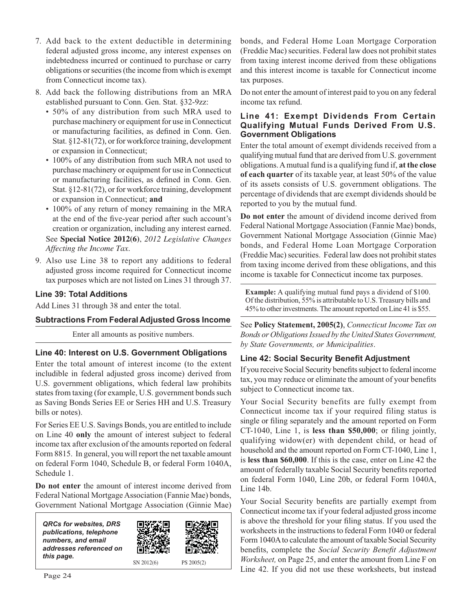- 7. Add back to the extent deductible in determining federal adjusted gross income, any interest expenses on indebtedness incurred or continued to purchase or carry obligations or securities (the income from which is exempt from Connecticut income tax).
- 8. Add back the following distributions from an MRA established pursuant to Conn. Gen. Stat. §32-9zz:
	- 50% of any distribution from such MRA used to purchase machinery or equipment for use in Connecticut or manufacturing facilities, as defined in Conn. Gen. Stat. §12-81(72), or for workforce training, development or expansion in Connecticut;
	- 100% of any distribution from such MRA not used to purchase machinery or equipment for use in Connecticut or manufacturing facilities, as defined in Conn. Gen. Stat. §12-81(72), or for workforce training, development or expansion in Connecticut; **and**
	- 100% of any return of money remaining in the MRA at the end of the five-year period after such account's creation or organization, including any interest earned. See **Special Notice 2012(6)**, *2012 Legislative Changes*

*Affecting the Income Tax*.

9. Also use Line 38 to report any additions to federal adjusted gross income required for Connecticut income tax purposes which are not listed on Lines 31 through 37.

#### **Line 39: Total Additions**

Add Lines 31 through 38 and enter the total.

#### **Subtractions From Federal Adjusted Gross Income**

Enter all amounts as positive numbers.

#### **Line 40: Interest on U.S. Government Obligations**

Enter the total amount of interest income (to the extent includible in federal adjusted gross income) derived from U.S. government obligations, which federal law prohibits states from taxing (for example, U.S. government bonds such as Saving Bonds Series EE or Series HH and U.S. Treasury bills or notes).

For Series EE U.S. Savings Bonds, you are entitled to include on Line 40 **only** the amount of interest subject to federal income tax after exclusion of the amounts reported on federal Form 8815. In general, you will report the net taxable amount on federal Form 1040, Schedule B, or federal Form 1040A, Schedule 1.

**Do not enter** the amount of interest income derived from Federal National Mortgage Association (Fannie Mae) bonds, Government National Mortgage Association (Ginnie Mae)



bonds, and Federal Home Loan Mortgage Corporation (Freddie Mac) securities. Federal law does not prohibit states from taxing interest income derived from these obligations and this interest income is taxable for Connecticut income tax purposes.

Do not enter the amount of interest paid to you on any federal income tax refund.

#### **Line 41: Exempt Dividends From Certain Qualifying Mutual Funds Derived From U.S. Government Obligations**

Enter the total amount of exempt dividends received from a qualifying mutual fund that are derived from U.S. government obligations. A mutual fund is a qualifying fund if, **at the close of each quarter** of its taxable year, at least 50% of the value of its assets consists of U.S. government obligations. The percentage of dividends that are exempt dividends should be reported to you by the mutual fund.

**Do not enter** the amount of dividend income derived from Federal National Mortgage Association (Fannie Mae) bonds, Government National Mortgage Association (Ginnie Mae) bonds, and Federal Home Loan Mortgage Corporation (Freddie Mac) securities. Federal law does not prohibit states from taxing income derived from these obligations, and this income is taxable for Connecticut income tax purposes.

**Example:** A qualifying mutual fund pays a dividend of \$100. Of the distribution, 55% is attributable to U.S. Treasury bills and 45% to other investments. The amount reported on Line 41 is \$55.

See **Policy Statement, 2005(2)**, *Connecticut Income Tax on Bonds or Obligations Issued by the United States Government, by State Governments, or Municipalities*.

#### **Line 42: Social Security Benefit Adjustment**

If you receive Social Security benefits subject to federal income tax, you may reduce or eliminate the amount of your benefits subject to Connecticut income tax.

Your Social Security benefits are fully exempt from Connecticut income tax if your required filing status is single or filing separately and the amount reported on Form  $CT-1040$ , Line 1, is less than  $$50,000$ ; or filing jointly, qualifying widow(er) with dependent child, or head of household and the amount reported on Form CT-1040, Line 1, is **less than \$60,000**. If this is the case, enter on Line 42 the amount of federally taxable Social Security benefits reported on federal Form 1040, Line 20b, or federal Form 1040A, Line 14b.

Your Social Security benefits are partially exempt from Connecticut income tax if your federal adjusted gross income is above the threshold for your filing status. If you used the worksheets in the instructions to federal Form 1040 or federal Form 1040A to calculate the amount of taxable Social Security benefits, complete the *Social Security Benefit Adjustment Worksheet,* on Page 25, and enter the amount from Line F on Line 42. If you did not use these worksheets, but instead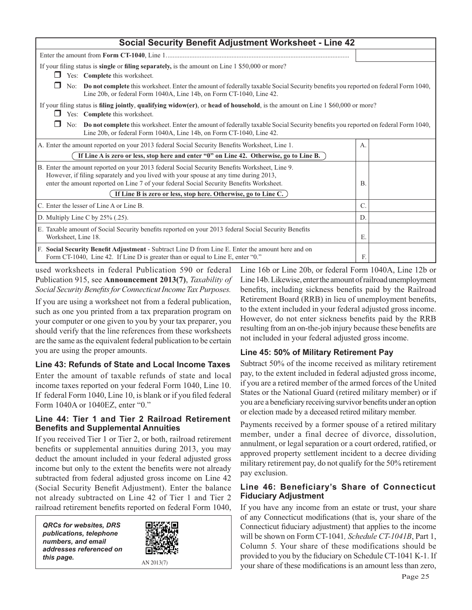| <b>Social Security Benefit Adjustment Worksheet - Line 42</b>                                                                                                                                                                                                                     |                                                                                                                                       |  |  |  |
|-----------------------------------------------------------------------------------------------------------------------------------------------------------------------------------------------------------------------------------------------------------------------------------|---------------------------------------------------------------------------------------------------------------------------------------|--|--|--|
|                                                                                                                                                                                                                                                                                   |                                                                                                                                       |  |  |  |
| If your filing status is single or filing separately, is the amount on Line 1 \$50,000 or more?<br>Yes: Complete this worksheet.                                                                                                                                                  |                                                                                                                                       |  |  |  |
| Line 20b, or federal Form 1040A, Line 14b, on Form CT-1040, Line 42.                                                                                                                                                                                                              | No: Do not complete this worksheet. Enter the amount of federally taxable Social Security benefits you reported on federal Form 1040, |  |  |  |
| Yes: Complete this worksheet.                                                                                                                                                                                                                                                     | If your filing status is filing jointly, qualifying widow(er), or head of household, is the amount on Line 1 \$60,000 or more?        |  |  |  |
| No: Do not complete this worksheet. Enter the amount of federally taxable Social Security benefits you reported on federal Form 1040,<br>Line 20b, or federal Form 1040A, Line 14b, on Form CT-1040, Line 42.                                                                     |                                                                                                                                       |  |  |  |
| A. Enter the amount reported on your 2013 federal Social Security Benefits Worksheet, Line 1.                                                                                                                                                                                     | А.                                                                                                                                    |  |  |  |
| If Line A is zero or less, stop here and enter "0" on Line 42. Otherwise, go to Line B.                                                                                                                                                                                           |                                                                                                                                       |  |  |  |
| B. Enter the amount reported on your 2013 federal Social Security Benefits Worksheet, Line 9.<br>However, if filing separately and you lived with your spouse at any time during 2013,<br>enter the amount reported on Line 7 of your federal Social Security Benefits Worksheet. |                                                                                                                                       |  |  |  |
| If Line B is zero or less, stop here. Otherwise, go to Line C.)                                                                                                                                                                                                                   |                                                                                                                                       |  |  |  |
| C. Enter the lesser of Line A or Line B.                                                                                                                                                                                                                                          |                                                                                                                                       |  |  |  |
| D. Multiply Line C by $25\%$ (.25).                                                                                                                                                                                                                                               |                                                                                                                                       |  |  |  |
| E. Taxable amount of Social Security benefits reported on your 2013 federal Social Security Benefits<br>Worksheet, Line 18.                                                                                                                                                       | Е.                                                                                                                                    |  |  |  |
| F. Social Security Benefit Adjustment - Subtract Line D from Line E. Enter the amount here and on<br>Form CT-1040, Line 42. If Line D is greater than or equal to Line E, enter "0."                                                                                              | F.                                                                                                                                    |  |  |  |

used worksheets in federal Publication 590 or federal Publication 915, see **Announcement 2013(7)**, *Taxability of*  Social Security Benefits for Connecticut Income Tax Purposes.

If you are using a worksheet not from a federal publication, such as one you printed from a tax preparation program on your computer or one given to you by your tax preparer, you should verify that the line references from these worksheets are the same as the equivalent federal publication to be certain you are using the proper amounts.

#### **Line 43: Refunds of State and Local Income Taxes**

Enter the amount of taxable refunds of state and local income taxes reported on your federal Form 1040, Line 10. If federal Form 1040, Line 10, is blank or if you filed federal Form 1040A or 1040EZ, enter "0."

#### **Line 44: Tier 1 and Tier 2 Railroad Retirement Benefits and Supplemental Annuities**

If you received Tier 1 or Tier 2, or both, railroad retirement benefits or supplemental annuities during 2013, you may deduct the amount included in your federal adjusted gross income but only to the extent the benefits were not already subtracted from federal adjusted gross income on Line 42 (Social Security Benefit Adjustment). Enter the balance not already subtracted on Line 42 of Tier 1 and Tier 2 railroad retirement benefits reported on federal Form 1040,

*QRCs for websites, DRS publications, telephone numbers, and email addresses referenced on this page.*



AN 2013(7)

Line 16b or Line 20b, or federal Form 1040A, Line 12b or Line 14b. Likewise, enter the amount of railroad unemployment benefits, including sickness benefits paid by the Railroad Retirement Board (RRB) in lieu of unemployment benefits, to the extent included in your federal adjusted gross income. However, do not enter sickness benefits paid by the RRB resulting from an on-the-job injury because these benefits are not included in your federal adjusted gross income.

#### **Line 45: 50% of Military Retirement Pay**

Subtract 50% of the income received as military retirement pay, to the extent included in federal adjusted gross income, if you are a retired member of the armed forces of the United States or the National Guard (retired military member) or if you are a beneficiary receiving survivor benefits under an option or election made by a deceased retired military member.

Payments received by a former spouse of a retired military member, under a final decree of divorce, dissolution, annulment, or legal separation or a court ordered, ratified, or approved property settlement incident to a decree dividing military retirement pay, do not qualify for the 50% retirement pay exclusion.

#### **Line 46: Beneficiary's Share of Connecticut Fiduciary Adjustment**

If you have any income from an estate or trust, your share of any Connecticut modifications (that is, your share of the Connecticut fiduciary adjustment) that applies to the income will be shown on Form CT-1041*, Schedule CT-1041B*, Part 1, Column 5*.* Your share of these modifications should be provided to you by the fiduciary on Schedule CT-1041 K-1. If your share of these modifications is an amount less than zero,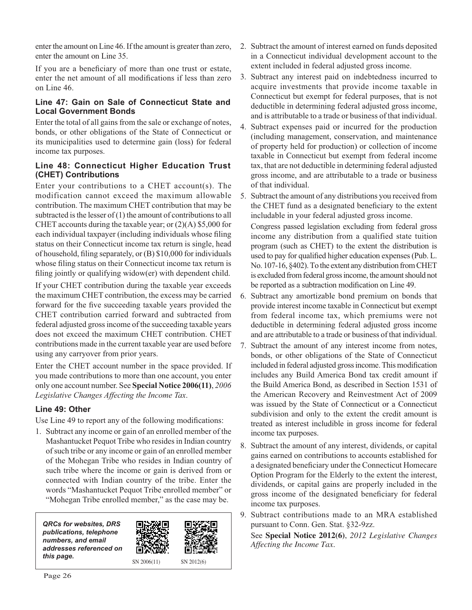enter the amount on Line 46. If the amount is greater than zero, enter the amount on Line 35.

If you are a beneficiary of more than one trust or estate, enter the net amount of all modifications if less than zero on Line 46.

#### **Line 47: Gain on Sale of Connecticut State and Local Government Bonds**

Enter the total of all gains from the sale or exchange of notes, bonds, or other obligations of the State of Connecticut or its municipalities used to determine gain (loss) for federal income tax purposes.

#### **Line 48: Connecticut Higher Education Trust (CHET) Contributions**

Enter your contributions to a CHET account(s). The modification cannot exceed the maximum allowable contribution. The maximum CHET contribution that may be subtracted is the lesser of  $(1)$  the amount of contributions to all CHET accounts during the taxable year; or (2)(A) \$5,000 for each individual taxpayer (including individuals whose filing status on their Connecticut income tax return is single, head of household, filing separately, or (B) \$10,000 for individuals whose filing status on their Connecticut income tax return is filing jointly or qualifying widow(er) with dependent child.

If your CHET contribution during the taxable year exceeds the maximum CHET contribution, the excess may be carried forward for the five succeeding taxable years provided the CHET contribution carried forward and subtracted from federal adjusted gross income of the succeeding taxable years does not exceed the maximum CHET contribution. CHET contributions made in the current taxable year are used before using any carryover from prior years.

Enter the CHET account number in the space provided. If you made contributions to more than one account, you enter only one account number. See **Special Notice 2006(11)**, *2006 Legislative Changes Affecting the Income Tax*.

#### **Line 49: Other**

Use Line 49 to report any of the following modifications:

1. Subtract any income or gain of an enrolled member of the Mashantucket Pequot Tribe who resides in Indian country of such tribe or any income or gain of an enrolled member of the Mohegan Tribe who resides in Indian country of such tribe where the income or gain is derived from or connected with Indian country of the tribe. Enter the words "Mashantucket Pequot Tribe enrolled member" or "Mohegan Tribe enrolled member," as the case may be.

SN 2012(6) *QRCs for websites, DRS publications, telephone numbers, and email addresses referenced on*  **this page.**  $\frac{1}{2}$  SN 2006(11)

- 2. Subtract the amount of interest earned on funds deposited in a Connecticut individual development account to the extent included in federal adjusted gross income.
- 3. Subtract any interest paid on indebtedness incurred to acquire investments that provide income taxable in Connecticut but exempt for federal purposes, that is not deductible in determining federal adjusted gross income, and is attributable to a trade or business of that individual.
- 4. Subtract expenses paid or incurred for the production (including management, conservation, and maintenance of property held for production) or collection of income taxable in Connecticut but exempt from federal income tax, that are not deductible in determining federal adjusted gross income, and are attributable to a trade or business of that individual.

5. Subtract the amount of any distributions you received from the CHET fund as a designated beneficiary to the extent includable in your federal adjusted gross income. Congress passed legislation excluding from federal gross income any distribution from a qualified state tuition

program (such as CHET) to the extent the distribution is used to pay for qualified higher education expenses (Pub. L. No. 107-16, §402). To the extent any distribution from CHET is excluded from federal gross income, the amount should not be reported as a subtraction modification on Line 49.

- 6. Subtract any amortizable bond premium on bonds that provide interest income taxable in Connecticut but exempt from federal income tax, which premiums were not deductible in determining federal adjusted gross income and are attributable to a trade or business of that individual.
- 7. Subtract the amount of any interest income from notes, bonds, or other obligations of the State of Connecticut included in federal adjusted gross income. This modification includes any Build America Bond tax credit amount if the Build America Bond, as described in Section 1531 of the American Recovery and Reinvestment Act of 2009 was issued by the State of Connecticut or a Connecticut subdivision and only to the extent the credit amount is treated as interest includible in gross income for federal income tax purposes.
- 8. Subtract the amount of any interest, dividends, or capital gains earned on contributions to accounts established for a designated beneficiary under the Connecticut Homecare Option Program for the Elderly to the extent the interest, dividends, or capital gains are properly included in the gross income of the designated beneficiary for federal income tax purposes.
- 9. Subtract contributions made to an MRA established pursuant to Conn. Gen. Stat. §32-9zz.

See **Special Notice 2012(6)**, *2012 Legislative Changes Affecting the Income Tax*.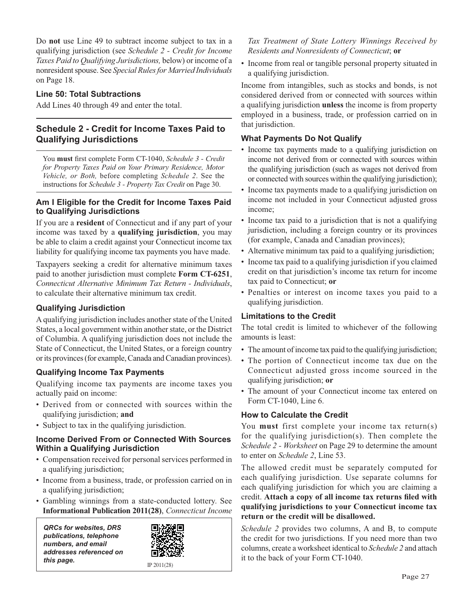Do **not** use Line 49 to subtract income subject to tax in a qualifying jurisdiction (see *Schedule 2 - Credit for Income Taxes Paid to Qualifying Jurisdictions,* below) or income of a nonresident spouse. See *Special Rules for Married Individuals* on Page 18.

#### **Line 50: Total Subtractions**

Add Lines 40 through 49 and enter the total.

#### **Schedule 2 - Credit for Income Taxes Paid to Qualifying Jurisdictions**

You must first complete Form CT-1040, Schedule 3 - Credit *for Property Taxes Paid on Your Primary Residence, Motor Vehicle, or Both,* before completing *Schedule 2*. See the instructions for *Schedule 3 - Property Tax Credit* on Page 30.

#### **Am I Eligible for the Credit for Income Taxes Paid to Qualifying Jurisdictions**

If you are a **resident** of Connecticut and if any part of your income was taxed by a **qualifying jurisdiction**, you may be able to claim a credit against your Connecticut income tax liability for qualifying income tax payments you have made.

Taxpayers seeking a credit for alternative minimum taxes paid to another jurisdiction must complete **Form CT-6251**, *Connecticut Alternative Minimum Tax Return - Individuals*, to calculate their alternative minimum tax credit.

#### **Qualifying Jurisdiction**

A qualifying jurisdiction includes another state of the United States, a local government within another state, or the District of Columbia. A qualifying jurisdiction does not include the State of Connecticut, the United States, or a foreign country or its provinces (for example, Canada and Canadian provinces).

#### **Qualifying Income Tax Payments**

Qualifying income tax payments are income taxes you actually paid on income:

- Derived from or connected with sources within the qualifying jurisdiction; **and**
- Subject to tax in the qualifying jurisdiction.

#### **Income Derived From or Connected With Sources Within a Qualifying Jurisdiction**

- Compensation received for personal services performed in a qualifying jurisdiction;
- Income from a business, trade, or profession carried on in a qualifying jurisdiction;
- Gambling winnings from a state-conducted lottery. See **Informational Publication 2011(28)**, *Connecticut Income*

*QRCs for websites, DRS publications, telephone numbers, and email addresses referenced on this page.* IP 2011(28)



*Tax Treatment of State Lottery Winnings Received by Residents and Nonresidents of Connecticut*; **or**

• Income from real or tangible personal property situated in a qualifying jurisdiction.

Income from intangibles, such as stocks and bonds, is not considered derived from or connected with sources within a qualifying jurisdiction **unless** the income is from property employed in a business, trade, or profession carried on in that jurisdiction.

#### **What Payments Do Not Qualify**

- Income tax payments made to a qualifying jurisdiction on income not derived from or connected with sources within the qualifying jurisdiction (such as wages not derived from or connected with sources within the qualifying jurisdiction);
- Income tax payments made to a qualifying jurisdiction on income not included in your Connecticut adjusted gross income;
- Income tax paid to a jurisdiction that is not a qualifying jurisdiction, including a foreign country or its provinces (for example, Canada and Canadian provinces);
- Alternative minimum tax paid to a qualifying jurisdiction;
- Income tax paid to a qualifying jurisdiction if you claimed credit on that jurisdiction's income tax return for income tax paid to Connecticut; **or**
- Penalties or interest on income taxes you paid to a qualifying jurisdiction.

#### **Limitations to the Credit**

The total credit is limited to whichever of the following amounts is least:

- The amount of income tax paid to the qualifying jurisdiction;
- The portion of Connecticut income tax due on the Connecticut adjusted gross income sourced in the qualifying jurisdiction; **or**
- The amount of your Connecticut income tax entered on Form CT-1040, Line 6.

#### **How to Calculate the Credit**

You **must** first complete your income tax return(s) for the qualifying jurisdiction(s). Then complete the *Schedule 2 - Worksheet* on Page 29 to determine the amount to enter on *Schedule 2*, Line 53.

The allowed credit must be separately computed for each qualifying jurisdiction. Use separate columns for each qualifying jurisdiction for which you are claiming a credit. Attach a copy of all income tax returns filed with **qualifying jurisdictions to your Connecticut income tax return or the credit will be disallowed.** 

*Schedule 2* provides two columns, A and B, to compute the credit for two jurisdictions. If you need more than two columns, create a worksheet identical to *Schedule 2* and attach it to the back of your Form CT-1040.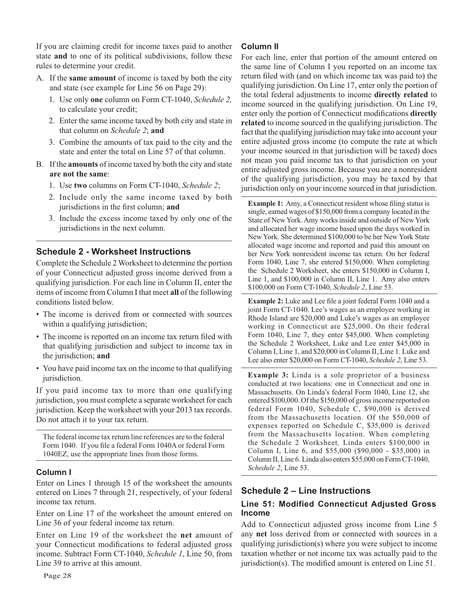If you are claiming credit for income taxes paid to another state **and** to one of its political subdivisions, follow these rules to determine your credit.

- A. If the **same amount** of income is taxed by both the city and state (see example for Line 56 on Page 29):
	- 1. Use only **one** column on Form CT-1040, *Schedule 2,* to calculate your credit;
	- 2. Enter the same income taxed by both city and state in that column on *Schedule 2*; **and**
	- 3. Combine the amounts of tax paid to the city and the state and enter the total on Line 57 of that column.
- B. If the **amounts** of income taxed by both the city and state **are not the same**:
	- 1. Use **two** columns on Form CT-1040, *Schedule 2*;
	- 2. Include only the same income taxed by both jurisdictions in the first column; and
	- 3. Include the excess income taxed by only one of the jurisdictions in the next column.

#### **Schedule 2 - Worksheet Instructions**

Complete the Schedule 2 Worksheet to determine the portion of your Connecticut adjusted gross income derived from a qualifying jurisdiction. For each line in Column II, enter the items of income from Column I that meet **all** of the following conditions listed below.

- The income is derived from or connected with sources within a qualifying jurisdiction;
- The income is reported on an income tax return filed with that qualifying jurisdiction and subject to income tax in the jurisdiction; **and**
- You have paid income tax on the income to that qualifying jurisdiction.

If you paid income tax to more than one qualifying jurisdiction, you must complete a separate worksheet for each jurisdiction. Keep the worksheet with your 2013 tax records. Do not attach it to your tax return.

The federal income tax return line references are to the federal Form 1040. If you file a federal Form 1040A or federal Form 1040EZ, use the appropriate lines from those forms.

#### **Column I**

Enter on Lines 1 through 15 of the worksheet the amounts entered on Lines 7 through 21, respectively, of your federal income tax return.

Enter on Line 17 of the worksheet the amount entered on Line 36 of your federal income tax return.

Enter on Line 19 of the worksheet the **net** amount of your Connecticut modifications to federal adjusted gross income. Subtract Form CT-1040, *Schedule 1*, Line 50, from Line 39 to arrive at this amount.

#### **Column II**

For each line, enter that portion of the amount entered on the same line of Column I you reported on an income tax return filed with (and on which income tax was paid to) the qualifying jurisdiction. On Line 17, enter only the portion of the total federal adjustments to income **directly related** to income sourced in the qualifying jurisdiction. On Line 19, enter only the portion of Connecticut modifications **directly related** to income sourced in the qualifying jurisdiction. The fact that the qualifying jurisdiction may take into account your entire adjusted gross income (to compute the rate at which your income sourced in that jurisdiction will be taxed) does not mean you paid income tax to that jurisdiction on your entire adjusted gross income. Because you are a nonresident of the qualifying jurisdiction, you may be taxed by that jurisdiction only on your income sourced in that jurisdiction.

**Example 1:** Amy, a Connecticut resident whose filing status is single, earned wages of \$150,000 from a company located in the State of New York. Amy works inside and outside of New York and allocated her wage income based upon the days worked in New York. She determined \$100,000 to be her New York State allocated wage income and reported and paid this amount on her New York nonresident income tax return. On her federal Form 1040, Line 7, she entered \$150,000. When completing the Schedule 2 Worksheet, she enters \$150,000 in Column I, Line 1, and \$100,000 in Column II, Line 1. Amy also enters \$100,000 on Form CT-1040, *Schedule 2*, Line 53.

**Example 2:** Luke and Lee file a joint federal Form 1040 and a joint Form CT-1040. Lee's wages as an employee working in Rhode Island are \$20,000 and Luke's wages as an employee working in Connecticut are \$25,000. On their federal Form 1040, Line 7, they enter \$45,000. When completing the Schedule 2 Worksheet, Luke and Lee enter \$45,000 in Column I, Line 1, and \$20,000 in Column II, Line 1. Luke and Lee also enter \$20,000 on Form CT-1040, *Schedule 2*, Line 53.

**Example 3:** Linda is a sole proprietor of a business conducted at two locations: one in Connecticut and one in Massachusetts. On Linda's federal Form 1040, Line 12, she entered \$100,000. Of the \$150,000 of gross income reported on federal Form 1040, Schedule C, \$90,000 is derived from the Massachusetts location. Of the \$50,000 of expenses reported on Schedule C, \$35,000 is derived from the Massachusetts location. When completing the Schedule 2 Worksheet*,* Linda enters \$100,000 in Column I, Line 6, and \$55,000 (\$90,000 - \$35,000) in Column II, Line 6. Linda also enters \$55,000 on Form CT-1040, *Schedule 2*, Line 53.

#### **Schedule 2 – Line Instructions**

#### **Line 51: Modified Connecticut Adjusted Gross Income**

Add to Connecticut adjusted gross income from Line 5 any **net** loss derived from or connected with sources in a qualifying jurisdiction(s) where you were subject to income taxation whether or not income tax was actually paid to the jurisdiction(s). The modified amount is entered on Line 51.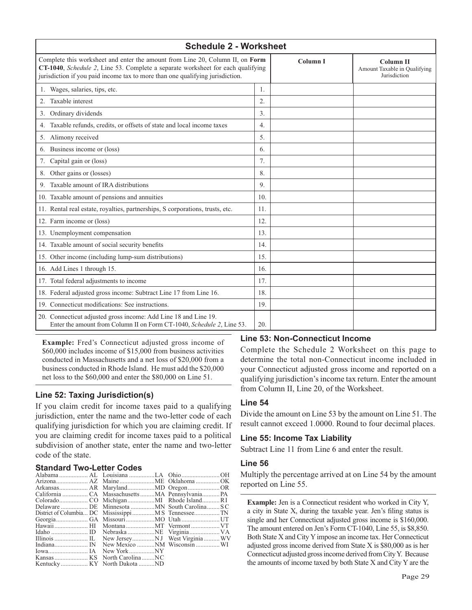| <b>Schedule 2 - Worksheet</b>                                                                                                                                                                                                                     |                  |          |                                                                  |  |
|---------------------------------------------------------------------------------------------------------------------------------------------------------------------------------------------------------------------------------------------------|------------------|----------|------------------------------------------------------------------|--|
| Complete this worksheet and enter the amount from Line 20, Column II, on Form<br>CT-1040, Schedule 2, Line 53. Complete a separate worksheet for each qualifying<br>jurisdiction if you paid income tax to more than one qualifying jurisdiction. |                  | Column I | <b>Column II</b><br>Amount Taxable in Qualifying<br>Jurisdiction |  |
| 1. Wages, salaries, tips, etc.                                                                                                                                                                                                                    | 1.               |          |                                                                  |  |
| Taxable interest<br>2.                                                                                                                                                                                                                            | 2.               |          |                                                                  |  |
| Ordinary dividends<br>3.                                                                                                                                                                                                                          | 3.               |          |                                                                  |  |
| Taxable refunds, credits, or offsets of state and local income taxes<br>4.                                                                                                                                                                        | $\overline{4}$ . |          |                                                                  |  |
| Alimony received<br>5.                                                                                                                                                                                                                            | 5.               |          |                                                                  |  |
| 6. Business income or (loss)                                                                                                                                                                                                                      | 6.               |          |                                                                  |  |
| Capital gain or (loss)<br>7.                                                                                                                                                                                                                      | 7.               |          |                                                                  |  |
| Other gains or (losses)<br>8.                                                                                                                                                                                                                     | 8.               |          |                                                                  |  |
| Taxable amount of IRA distributions<br>9.                                                                                                                                                                                                         | 9.               |          |                                                                  |  |
| 10. Taxable amount of pensions and annuities                                                                                                                                                                                                      | 10.              |          |                                                                  |  |
| 11. Rental real estate, royalties, partnerships, S corporations, trusts, etc.                                                                                                                                                                     | 11.              |          |                                                                  |  |
| 12. Farm income or (loss)                                                                                                                                                                                                                         | 12.              |          |                                                                  |  |
| 13. Unemployment compensation                                                                                                                                                                                                                     | 13.              |          |                                                                  |  |
| 14. Taxable amount of social security benefits                                                                                                                                                                                                    | 14.              |          |                                                                  |  |
| 15. Other income (including lump-sum distributions)                                                                                                                                                                                               | 15.              |          |                                                                  |  |
| 16. Add Lines 1 through 15.                                                                                                                                                                                                                       | 16.              |          |                                                                  |  |
| 17. Total federal adjustments to income                                                                                                                                                                                                           | 17.              |          |                                                                  |  |
| 18. Federal adjusted gross income: Subtract Line 17 from Line 16.                                                                                                                                                                                 | 18.              |          |                                                                  |  |
| 19. Connecticut modifications: See instructions.                                                                                                                                                                                                  | 19.              |          |                                                                  |  |
| 20. Connecticut adjusted gross income: Add Line 18 and Line 19.<br>Enter the amount from Column II on Form CT-1040, Schedule 2, Line 53.                                                                                                          | 20.              |          |                                                                  |  |

**Example:** Fred's Connecticut adjusted gross income of \$60,000 includes income of \$15,000 from business activities conducted in Massachusetts and a net loss of \$20,000 from a business conducted in Rhode Island. He must add the \$20,000 net loss to the \$60,000 and enter the \$80,000 on Line 51.

#### **Line 52: Taxing Jurisdiction(s)**

If you claim credit for income taxes paid to a qualifying jurisdiction, enter the name and the two-letter code of each qualifying jurisdiction for which you are claiming credit. If you are claiming credit for income taxes paid to a political subdivision of another state, enter the name and two-letter code of the state.

#### **Standard Two-Letter Codes**

| Delaware  DE Minnesota  MN South Carolina SC |  |
|----------------------------------------------|--|
|                                              |  |
|                                              |  |
|                                              |  |
|                                              |  |
|                                              |  |
|                                              |  |
|                                              |  |
|                                              |  |
|                                              |  |

#### **Line 53: Non-Connecticut Income**

Complete the Schedule 2 Worksheet on this page to determine the total non-Connecticut income included in your Connecticut adjusted gross income and reported on a qualifying jurisdiction's income tax return. Enter the amount from Column II, Line 20, of the Worksheet.

#### **Line 54**

Divide the amount on Line 53 by the amount on Line 51. The result cannot exceed 1.0000. Round to four decimal places.

#### **Line 55: Income Tax Liability**

Subtract Line 11 from Line 6 and enter the result.

#### **Line 56**

Multiply the percentage arrived at on Line 54 by the amount reported on Line 55.

**Example:** Jen is a Connecticut resident who worked in City Y, a city in State X, during the taxable year. Jen's filing status is single and her Connecticut adjusted gross income is \$160,000. The amount entered on Jen's Form CT-1040, Line 55, is \$8,850. Both State X and City Y impose an income tax. Her Connecticut adjusted gross income derived from State X is \$80,000 as is her Connecticut adjusted gross income derived from City Y. Because the amounts of income taxed by both State X and City Y are the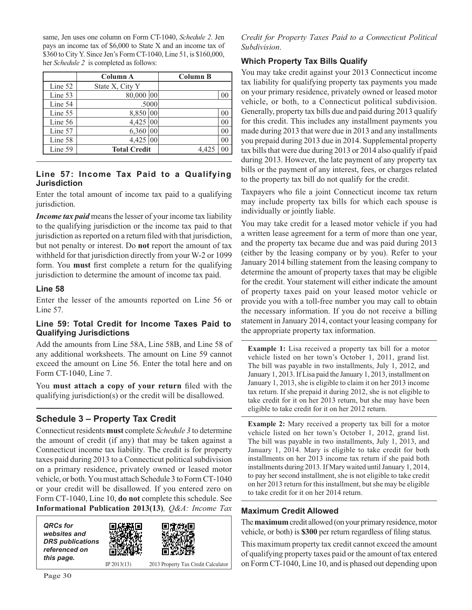same, Jen uses one column on Form CT-1040, *Schedule 2*. Jen pays an income tax of \$6,000 to State X and an income tax of \$360 to City Y. Since Jen's Form CT-1040, Line 51, is \$160,000, her *Schedule 2* is completed as follows:

|           | Column A                | <b>Column B</b> |
|-----------|-------------------------|-----------------|
| Line 52   | State X, City Y         |                 |
| Line 53   | 80,000 00               | 0 <sup>0</sup>  |
| Line 54   | .5000                   |                 |
| Line 55   | 8,850 00                | 0 <sup>0</sup>  |
| Line $56$ | 4,425<br>00             | 0 <sub>0</sub>  |
| Line 57   | 6,360<br>0 <sup>0</sup> | 00              |
| Line 58   | 4,425 00                | 0 <sub>0</sub>  |
| Line 59   | <b>Total Credit</b>     | 00<br>4.425     |

#### **Line 57: Income Tax Paid to a Qualifying Jurisdiction**

Enter the total amount of income tax paid to a qualifying jurisdiction.

*Income tax paid* means the lesser of your income tax liability to the qualifying jurisdiction or the income tax paid to that jurisdiction as reported on a return filed with that jurisdiction, but not penalty or interest. Do **not** report the amount of tax withheld for that jurisdiction directly from your W-2 or 1099 form. You must first complete a return for the qualifying jurisdiction to determine the amount of income tax paid.

#### **Line 58**

Enter the lesser of the amounts reported on Line 56 or Line 57.

#### **Line 59: Total Credit for Income Taxes Paid to Qualifying Jurisdictions**

Add the amounts from Line 58A, Line 58B, and Line 58 of any additional worksheets. The amount on Line 59 cannot exceed the amount on Line 56. Enter the total here and on Form CT-1040, Line 7.

You must attach a copy of your return filed with the qualifying jurisdiction(s) or the credit will be disallowed.

#### **Schedule 3 – Property Tax Credit**

Connecticut residents **must** complete *Schedule 3* to determine the amount of credit (if any) that may be taken against a Connecticut income tax liability. The credit is for property taxes paid during 2013 to a Connecticut political subdivision on a primary residence, privately owned or leased motor vehicle, or both. You must attach Schedule 3 to Form CT-1040 or your credit will be disallowed. If you entered zero on Form CT-1040, Line 10, **do not** complete this schedule. See **Informational Publication 2013(13)***, Q&A: Income Tax* 

| <b>QRCs</b> for<br>websites and<br><b>DRS</b> publications<br>referenced on<br>this page. |               |                                     |
|-------------------------------------------------------------------------------------------|---------------|-------------------------------------|
|                                                                                           | IP $2013(13)$ | 2013 Property Tax Credit Calculator |

*Credit for Property Taxes Paid to a Connecticut Political Subdivision*.

#### **Which Property Tax Bills Qualify**

You may take credit against your 2013 Connecticut income tax liability for qualifying property tax payments you made on your primary residence, privately owned or leased motor vehicle, or both, to a Connecticut political subdivision. Generally, property tax bills due and paid during 2013 qualify for this credit. This includes any installment payments you made during 2013 that were due in 2013 and any installments you prepaid during 2013 due in 2014. Supplemental property tax bills that were due during 2013 or 2014 also qualify if paid during 2013. However, the late payment of any property tax bills or the payment of any interest, fees, or charges related to the property tax bill do not qualify for the credit.

Taxpayers who file a joint Connecticut income tax return may include property tax bills for which each spouse is individually or jointly liable.

You may take credit for a leased motor vehicle if you had a written lease agreement for a term of more than one year, and the property tax became due and was paid during 2013 (either by the leasing company or by you). Refer to your January 2014 billing statement from the leasing company to determine the amount of property taxes that may be eligible for the credit. Your statement will either indicate the amount of property taxes paid on your leased motor vehicle or provide you with a toll-free number you may call to obtain the necessary information. If you do not receive a billing statement in January 2014, contact your leasing company for the appropriate property tax information.

**Example 1:** Lisa received a property tax bill for a motor vehicle listed on her town's October 1, 2011, grand list. The bill was payable in two installments, July 1, 2012, and January 1, 2013. If Lisa paid the January 1, 2013, installment on January 1, 2013, she is eligible to claim it on her 2013 income tax return. If she prepaid it during 2012, she is not eligible to take credit for it on her 2013 return, but she may have been eligible to take credit for it on her 2012 return.

**Example 2:** Mary received a property tax bill for a motor vehicle listed on her town's October 1, 2012, grand list. The bill was payable in two installments, July 1, 2013, and January 1, 2014. Mary is eligible to take credit for both installments on her 2013 income tax return if she paid both installments during 2013. If Mary waited until January 1, 2014, to pay her second installment, she is not eligible to take credit on her 2013 return for this installment, but she may be eligible to take credit for it on her 2014 return.

#### **Maximum Credit Allowed**

The **maximum** credit allowed (on your primary residence, motor vehicle, or both) is \$300 per return regardless of filing status.

This maximum property tax credit cannot exceed the amount of qualifying property taxes paid or the amount of tax entered on Form CT-1040, Line 10, and is phased out depending upon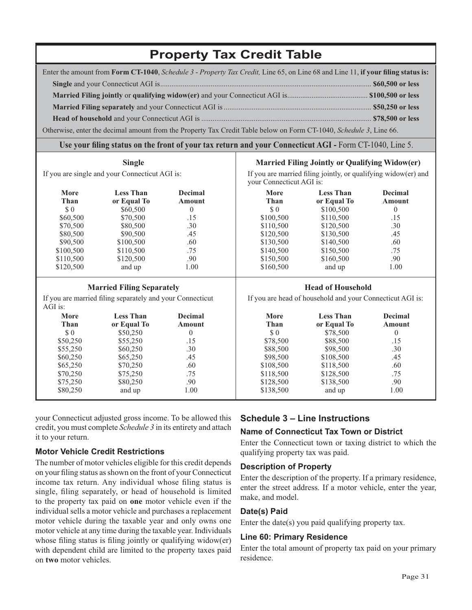## **Property Tax Credit Table**

| Enter the amount from Form CT-1040, Schedule 3 - Property Tax Credit, Line 65, on Line 68 and Line 11, if your filing status is: |  |
|----------------------------------------------------------------------------------------------------------------------------------|--|
|                                                                                                                                  |  |
|                                                                                                                                  |  |
|                                                                                                                                  |  |
|                                                                                                                                  |  |
| Otherwise, enter the decimal amount from the Property Tax Credit Table below on Form CT-1040, Schedule 3, Line 66.               |  |

#### **Use your filing status on the front of your tax return and your Connecticut AGI - Form CT-1040, Line 5.**

| If you are single and your Connecticut AGI is: |
|------------------------------------------------|

**Single**

#### **Married Filing Jointly or Qualifying Widow(er)**

If you are married filing jointly, or qualifying widow(er) and your Connecticut AGI is:

|             |                                                                     |                | your Connecticut AUI 15. |                                                           |                   |  |  |  |  |  |
|-------------|---------------------------------------------------------------------|----------------|--------------------------|-----------------------------------------------------------|-------------------|--|--|--|--|--|
| More        | <b>Less Than</b><br><b>Decimal</b><br>Than<br>or Equal To<br>Amount |                | More<br>Than             | <b>Less Than</b><br>or Equal To                           | Decimal<br>Amount |  |  |  |  |  |
| \$0         | \$60,500                                                            | $\Omega$       | \$0                      | \$100,500                                                 | $\Omega$          |  |  |  |  |  |
| \$60,500    | \$70,500                                                            | .15            | \$100,500                | \$110,500                                                 | .15               |  |  |  |  |  |
| \$70,500    | \$80,500                                                            | .30            | \$110,500                | \$120,500                                                 | .30               |  |  |  |  |  |
| \$80,500    | \$90,500                                                            | .45            | \$120,500                | \$130,500                                                 | .45               |  |  |  |  |  |
| \$90,500    | \$100,500                                                           | .60            | \$130,500                | \$140,500                                                 | .60               |  |  |  |  |  |
| \$100,500   | \$110,500                                                           | .75            | \$140,500                | \$150,500                                                 | .75               |  |  |  |  |  |
| \$110,500   | \$120,500                                                           | .90            | \$150,500                | \$160,500                                                 | .90               |  |  |  |  |  |
| \$120,500   | and up                                                              | 1.00           | \$160,500                | and up                                                    | 1.00              |  |  |  |  |  |
|             | <b>Married Filing Separately</b>                                    |                |                          | <b>Head of Household</b>                                  |                   |  |  |  |  |  |
| AGI is:     | If you are married filing separately and your Connecticut           |                |                          | If you are head of household and your Connecticut AGI is: |                   |  |  |  |  |  |
| <b>More</b> | <b>Less Than</b>                                                    | <b>Decimal</b> | More                     | <b>Less Than</b>                                          | <b>Decimal</b>    |  |  |  |  |  |
| Than        | or Equal To                                                         | <b>Amount</b>  | Than                     | or Equal To                                               | <b>Amount</b>     |  |  |  |  |  |
| \$0         | \$50,250                                                            | $\theta$       | \$0                      | \$78,500                                                  | $\theta$          |  |  |  |  |  |
| \$50,250    | \$55,250                                                            | .15            | \$78,500                 | \$88,500                                                  | .15               |  |  |  |  |  |
| \$55,250    | \$60,250                                                            | .30            | \$88,500                 | \$98,500                                                  | .30               |  |  |  |  |  |
| \$60,250    | \$65,250                                                            | .45            | \$98,500                 | \$108,500                                                 | .45               |  |  |  |  |  |
| \$65,250    | \$70,250                                                            | .60            | \$108,500                | \$118,500                                                 | .60               |  |  |  |  |  |
| \$70,250    | \$75,250                                                            | .75            | \$118,500                | \$128,500                                                 | .75               |  |  |  |  |  |
| \$75,250    | \$80,250                                                            | .90            | \$128,500                | \$138,500                                                 | .90               |  |  |  |  |  |
| \$80,250    | and up                                                              | 1.00           | \$138,500                | and up                                                    | 1.00              |  |  |  |  |  |
|             |                                                                     |                |                          |                                                           |                   |  |  |  |  |  |

your Connecticut adjusted gross income. To be allowed this credit, you must complete *Schedule 3* in its entirety and attach it to your return.

#### **Motor Vehicle Credit Restrictions**

The number of motor vehicles eligible for this credit depends on your filing status as shown on the front of your Connecticut income tax return. Any individual whose filing status is single, filing separately, or head of household is limited to the property tax paid on **one** motor vehicle even if the individual sells a motor vehicle and purchases a replacement motor vehicle during the taxable year and only owns one motor vehicle at any time during the taxable year. Individuals whose filing status is filing jointly or qualifying widow(er) with dependent child are limited to the property taxes paid on **two** motor vehicles.

#### **Schedule 3 – Line Instructions**

#### **Name of Connecticut Tax Town or District**

Enter the Connecticut town or taxing district to which the qualifying property tax was paid.

#### **Description of Property**

Enter the description of the property. If a primary residence, enter the street address. If a motor vehicle, enter the year, make, and model.

#### **Date(s) Paid**

Enter the date(s) you paid qualifying property tax.

#### **Line 60: Primary Residence**

Enter the total amount of property tax paid on your primary residence.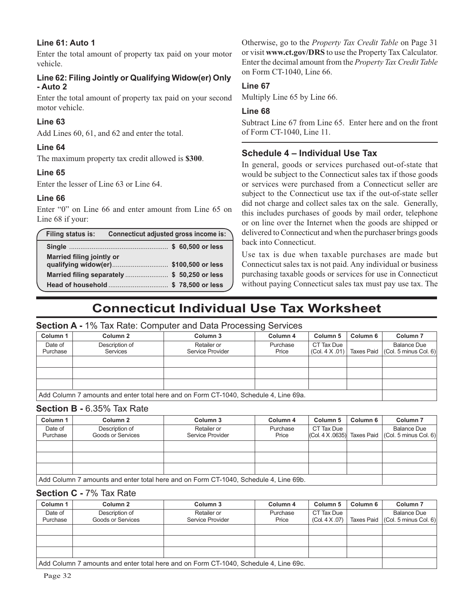#### **Line 61: Auto 1**

Enter the total amount of property tax paid on your motor vehicle.

#### **Line 62: Filing Jointly or Qualifying Widow(er) Only - Auto 2**

Enter the total amount of property tax paid on your second motor vehicle.

#### **Line 63**

Add Lines 60, 61, and 62 and enter the total.

#### **Line 64**

The maximum property tax credit allowed is **\$300**.

#### **Line 65**

Enter the lesser of Line 63 or Line 64.

#### **Line 66**

Enter "0" on Line 66 and enter amount from Line 65 on Line 68 if your:

| <b>Filing status is:</b>                                                   | Connecticut adjusted gross income is: |  |  |
|----------------------------------------------------------------------------|---------------------------------------|--|--|
|                                                                            |                                       |  |  |
| <b>Married filing jointly or</b><br>qualifying widow(er) \$100,500 or less |                                       |  |  |
| Married filing separately  \$ 50,250 or less                               |                                       |  |  |
| Head of household\$ 78,500 or less                                         |                                       |  |  |

Otherwise, go to the *Property Tax Credit Table* on Page 31 or visit **www.ct.gov/DRS** to use the Property Tax Calculator. Enter the decimal amount from the *Property Tax Credit Table* on Form CT-1040, Line 66.

#### **Line 67**

Multiply Line 65 by Line 66.

#### **Line 68**

Subtract Line 67 from Line 65. Enter here and on the front of Form CT-1040, Line 11.

#### **Schedule 4 – Individual Use Tax**

In general, goods or services purchased out-of-state that would be subject to the Connecticut sales tax if those goods or services were purchased from a Connecticut seller are subject to the Connecticut use tax if the out-of-state seller did not charge and collect sales tax on the sale. Generally, this includes purchases of goods by mail order, telephone or on line over the Internet when the goods are shipped or delivered to Connecticut and when the purchaser brings goods back into Connecticut.

Use tax is due when taxable purchases are made but Connecticut sales tax is not paid. Any individual or business purchasing taxable goods or services for use in Connecticut without paying Connecticut sales tax must pay use tax. The

## **Connecticut Individual Use Tax Worksheet**

#### **Section A -** 1% Tax Rate: Computer and Data Processing Services

| Column 1            | Column <sub>2</sub>                                                                  | Column 3                        | Column 4          | Column 5                    | Column 6          | Column <sub>7</sub>                                 |  |  |  |  |  |
|---------------------|--------------------------------------------------------------------------------------|---------------------------------|-------------------|-----------------------------|-------------------|-----------------------------------------------------|--|--|--|--|--|
| Date of<br>Purchase | Description of<br>Services                                                           | Retailer or<br>Service Provider | Purchase<br>Price | CT Tax Due<br>(Col. 4 X.01) | <b>Taxes Paid</b> | <b>Balance Due</b><br>$ $ (Col. 5 minus Col. 6) $ $ |  |  |  |  |  |
|                     |                                                                                      |                                 |                   |                             |                   |                                                     |  |  |  |  |  |
|                     |                                                                                      |                                 |                   |                             |                   |                                                     |  |  |  |  |  |
|                     |                                                                                      |                                 |                   |                             |                   |                                                     |  |  |  |  |  |
|                     | Add Column 7 amounts and enter total here and on Form CT-1040, Schedule 4, Line 69a. |                                 |                   |                             |                   |                                                     |  |  |  |  |  |

#### **Section B -** 6.35% Tax Rate

| Column 1            | Column 2                            | Column 3                                                                             | Column 4          | Column 5                     | Column 6   | Column <sub>7</sub>                      |  |  |  |  |  |  |  |
|---------------------|-------------------------------------|--------------------------------------------------------------------------------------|-------------------|------------------------------|------------|------------------------------------------|--|--|--|--|--|--|--|
| Date of<br>Purchase | Description of<br>Goods or Services | Retailer or<br>Service Provider                                                      | Purchase<br>Price | CT Tax Due<br> COI. 4 X.0635 | Taxes Paid | Balance Due<br>$ $ (Col. 5 minus Col. 6) |  |  |  |  |  |  |  |
|                     |                                     |                                                                                      |                   |                              |            |                                          |  |  |  |  |  |  |  |
|                     |                                     |                                                                                      |                   |                              |            |                                          |  |  |  |  |  |  |  |
|                     |                                     |                                                                                      |                   |                              |            |                                          |  |  |  |  |  |  |  |
|                     |                                     | Add Column 7 amounts and enter total here and on Form CT-1040, Schedule 4, Line 69b. |                   |                              |            |                                          |  |  |  |  |  |  |  |

#### **Section C -** 7% Tax Rate

| Column 1            | Column <sub>2</sub>                                                                  | Column 3                        | Column 4          | Column 5                    | Column 6          | Column <sub>7</sub>                                 |  |  |  |  |  |  |
|---------------------|--------------------------------------------------------------------------------------|---------------------------------|-------------------|-----------------------------|-------------------|-----------------------------------------------------|--|--|--|--|--|--|
| Date of<br>Purchase | Description of<br>Goods or Services                                                  | Retailer or<br>Service Provider | Purchase<br>Price | CT Tax Due<br>(Col. 4 X.07) | <b>Taxes Paid</b> | <b>Balance Due</b><br>$ $ (Col. 5 minus Col. 6) $ $ |  |  |  |  |  |  |
|                     |                                                                                      |                                 |                   |                             |                   |                                                     |  |  |  |  |  |  |
|                     |                                                                                      |                                 |                   |                             |                   |                                                     |  |  |  |  |  |  |
|                     |                                                                                      |                                 |                   |                             |                   |                                                     |  |  |  |  |  |  |
|                     | Add Column 7 amounts and enter total here and on Form CT-1040, Schedule 4, Line 69c. |                                 |                   |                             |                   |                                                     |  |  |  |  |  |  |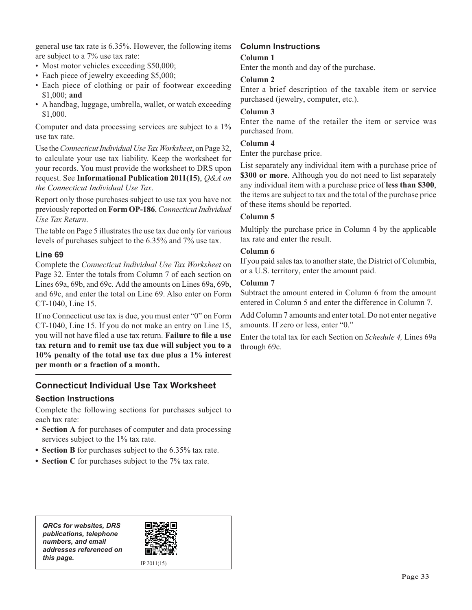general use tax rate is 6.35%. However, the following items are subject to a 7% use tax rate:

- Most motor vehicles exceeding \$50,000;
- Each piece of jewelry exceeding \$5,000;
- Each piece of clothing or pair of footwear exceeding \$1,000; **and**
- A handbag, luggage, umbrella, wallet, or watch exceeding \$1,000.

Computer and data processing services are subject to a 1% use tax rate.

Use the *Connecticut Individual Use Tax Worksheet*, on Page 32, to calculate your use tax liability. Keep the worksheet for your records. You must provide the worksheet to DRS upon request. See **Informational Publication 2011(15)**, *Q&A on the Connecticut Individual Use Tax*.

Report only those purchases subject to use tax you have not previously reported on **Form OP-186**, *Connecticut Individual Use Tax Return*.

The table on Page 5 illustrates the use tax due only for various levels of purchases subject to the 6.35% and 7% use tax.

#### **Line 69**

Complete the *Connecticut Individual Use Tax Worksheet* on Page 32. Enter the totals from Column 7 of each section on Lines 69a, 69b, and 69c. Add the amounts on Lines 69a, 69b, and 69c, and enter the total on Line 69. Also enter on Form CT-1040, Line 15.

If no Connecticut use tax is due, you must enter "0" on Form CT-1040, Line 15. If you do not make an entry on Line 15, you will not have filed a use tax return. Failure to file a use **tax return and to remit use tax due will subject you to a 10% penalty of the total use tax due plus a 1% interest per month or a fraction of a month.**

#### **Connecticut Individual Use Tax Worksheet**

#### **Section Instructions**

Complete the following sections for purchases subject to each tax rate:

- **Section A** for purchases of computer and data processing services subject to the 1% tax rate.
- **Section B** for purchases subject to the 6.35% tax rate.
- **Section C** for purchases subject to the 7% tax rate.

#### **Column Instructions**

#### **Column 1**

Enter the month and day of the purchase.

#### **Column 2**

Enter a brief description of the taxable item or service purchased (jewelry, computer, etc.).

#### **Column 3**

Enter the name of the retailer the item or service was purchased from.

#### **Column 4**

Enter the purchase price.

List separately any individual item with a purchase price of **\$300 or more**. Although you do not need to list separately any individual item with a purchase price of **less than \$300**, the items are subject to tax and the total of the purchase price of these items should be reported.

#### **Column 5**

Multiply the purchase price in Column 4 by the applicable tax rate and enter the result.

#### **Column 6**

If you paid sales tax to another state, the District of Columbia, or a U.S. territory, enter the amount paid.

#### **Column 7**

Subtract the amount entered in Column 6 from the amount entered in Column 5 and enter the difference in Column 7.

Add Column 7 amounts and enter total. Do not enter negative amounts. If zero or less, enter "0."

Enter the total tax for each Section on *Schedule 4,* Lines 69a through 69c.

*QRCs for websites, DRS publications, telephone numbers, and email addresses referenced on this page.* IP 2011(15)

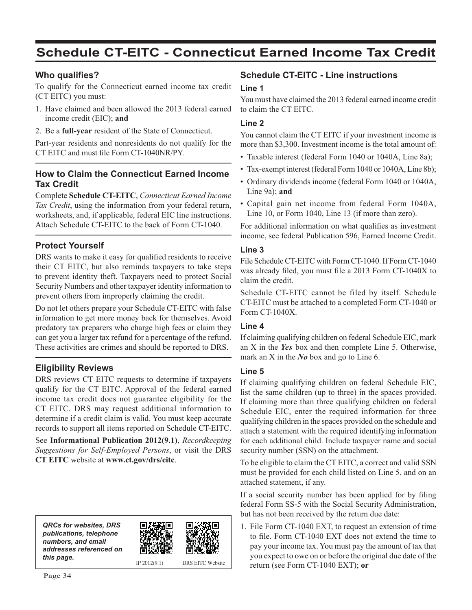## **Schedule CT-EITC - Connecticut Earned Income Tax Credit**

#### **Who qualifies?**

To qualify for the Connecticut earned income tax credit (CT EITC) you must:

- 1. Have claimed and been allowed the 2013 federal earned income credit (EIC); **and**
- 2. Be a **full-year** resident of the State of Connecticut.

Part-year residents and nonresidents do not qualify for the CT EITC and must file Form CT-1040NR/PY.

#### **How to Claim the Connecticut Earned Income Tax Credit**

Complete **Schedule CT-EITC**, *Connecticut Earned Income Tax Credit*, using the information from your federal return, worksheets, and, if applicable, federal EIC line instructions. Attach Schedule CT-EITC to the back of Form CT-1040.

#### **Protect Yourself**

DRS wants to make it easy for qualified residents to receive their CT EITC, but also reminds taxpayers to take steps to prevent identity theft. Taxpayers need to protect Social Security Numbers and other taxpayer identity information to prevent others from improperly claiming the credit.

Do not let others prepare your Schedule CT-EITC with false information to get more money back for themselves. Avoid predatory tax preparers who charge high fees or claim they can get you a larger tax refund for a percentage of the refund. These activities are crimes and should be reported to DRS.

#### **Eligibility Reviews**

DRS reviews CT EITC requests to determine if taxpayers qualify for the CT EITC. Approval of the federal earned income tax credit does not guarantee eligibility for the CT EITC. DRS may request additional information to determine if a credit claim is valid. You must keep accurate records to support all items reported on Schedule CT-EITC.

See **Informational Publication 2012(9.1)**, *Recordkeeping Suggestions for Self-Employed Persons*, or visit the DRS **CT EITC** website at **www.ct.gov/drs/eitc**.

| <b>QRCs for websites, DRS</b><br>publications, telephone<br>numbers, and email<br>addresses referenced on |                |                         |
|-----------------------------------------------------------------------------------------------------------|----------------|-------------------------|
| this page.                                                                                                | IP $2012(9.1)$ | <b>DRS EITC Website</b> |

#### **Schedule CT-EITC - Line instructions**

#### **Line 1**

You must have claimed the 2013 federal earned income credit to claim the CT EITC.

#### **Line 2**

You cannot claim the CT EITC if your investment income is more than \$3,300. Investment income is the total amount of:

- Taxable interest (federal Form 1040 or 1040A, Line 8a);
- Tax-exempt interest (federal Form 1040 or 1040A, Line 8b);
- Ordinary dividends income (federal Form 1040 or 1040A, Line 9a); **and**
- Capital gain net income from federal Form 1040A, Line 10, or Form 1040, Line 13 (if more than zero).

For additional information on what qualifies as investment income, see federal Publication 596, Earned Income Credit.

#### **Line 3**

File Schedule CT-EITC with Form CT-1040. If Form CT-1040 was already filed, you must file a 2013 Form CT-1040X to claim the credit.

Schedule CT-EITC cannot be filed by itself. Schedule CT-EITC must be attached to a completed Form CT-1040 or Form CT-1040X.

#### **Line 4**

If claiming qualifying children on federal Schedule EIC, mark an X in the *Yes* box and then complete Line 5. Otherwise, mark an X in the *No* box and go to Line 6.

#### **Line 5**

If claiming qualifying children on federal Schedule EIC, list the same children (up to three) in the spaces provided. If claiming more than three qualifying children on federal Schedule EIC, enter the required information for three qualifying children in the spaces provided on the schedule and attach a statement with the required identifying information for each additional child. Include taxpayer name and social security number (SSN) on the attachment.

To be eligible to claim the CT EITC, a correct and valid SSN must be provided for each child listed on Line 5, and on an attached statement, if any.

If a social security number has been applied for by filing federal Form SS-5 with the Social Security Administration, but has not been received by the return due date:

1. File Form CT-1040 EXT, to request an extension of time to file. Form CT-1040 EXT does not extend the time to pay your income tax. You must pay the amount of tax that you expect to owe on or before the original due date of the return (see Form CT-1040 EXT); **or**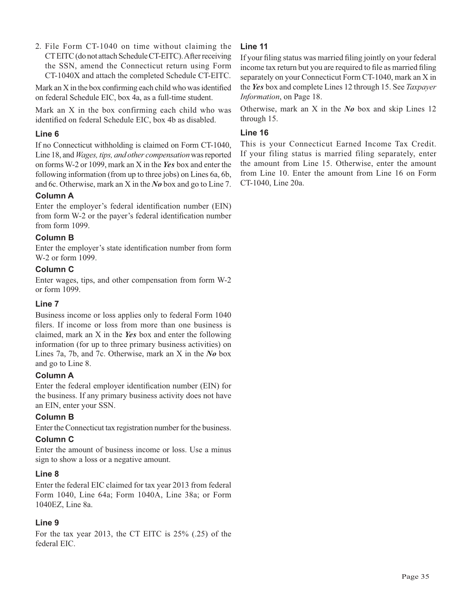2. File Form CT-1040 on time without claiming the CT EITC (do not attach Schedule CT-EITC). After receiving the SSN, amend the Connecticut return using Form CT-1040X and attach the completed Schedule CT-EITC.

Mark an  $X$  in the box confirming each child who was identified on federal Schedule EIC, box 4a, as a full-time student.

Mark an X in the box confirming each child who was identified on federal Schedule EIC, box 4b as disabled.

#### **Line 6**

If no Connecticut withholding is claimed on Form CT-1040, Line 18, and *Wages, tips, and other compensation* was reported on forms W-2 or 1099, mark an X in the *Yes* box and enter the following information (from up to three jobs) on Lines 6a, 6b, and 6c. Otherwise, mark an X in the *No* box and go to Line 7.

#### **Column A**

Enter the employer's federal identification number (EIN) from form W-2 or the payer's federal identification number from form 1099.

#### **Column B**

Enter the employer's state identification number from form W-2 or form 1099.

#### **Column C**

Enter wages, tips, and other compensation from form W-2 or form 1099.

#### **Line 7**

Business income or loss applies only to federal Form 1040 filers. If income or loss from more than one business is claimed, mark an X in the *Yes* box and enter the following information (for up to three primary business activities) on Lines 7a, 7b, and 7c. Otherwise, mark an X in the *No* box and go to Line 8.

#### **Column A**

Enter the federal employer identification number (EIN) for the business. If any primary business activity does not have an EIN, enter your SSN.

#### **Column B**

Enter the Connecticut tax registration number for the business.

#### **Column C**

Enter the amount of business income or loss. Use a minus sign to show a loss or a negative amount.

#### **Line 8**

Enter the federal EIC claimed for tax year 2013 from federal Form 1040, Line 64a; Form 1040A, Line 38a; or Form 1040EZ, Line 8a.

#### **Line 9**

For the tax year 2013, the CT EITC is 25% (.25) of the federal EIC.

#### **Line 11**

If your filing status was married filing jointly on your federal income tax return but you are required to file as married filing separately on your Connecticut Form CT-1040, mark an X in the *Yes* box and complete Lines 12 through 15. See *Taxpayer Information*, on Page 18.

Otherwise, mark an X in the *No* box and skip Lines 12 through 15.

#### **Line 16**

This is your Connecticut Earned Income Tax Credit. If your filing status is married filing separately, enter the amount from Line 15. Otherwise, enter the amount from Line 10. Enter the amount from Line 16 on Form CT-1040, Line 20a.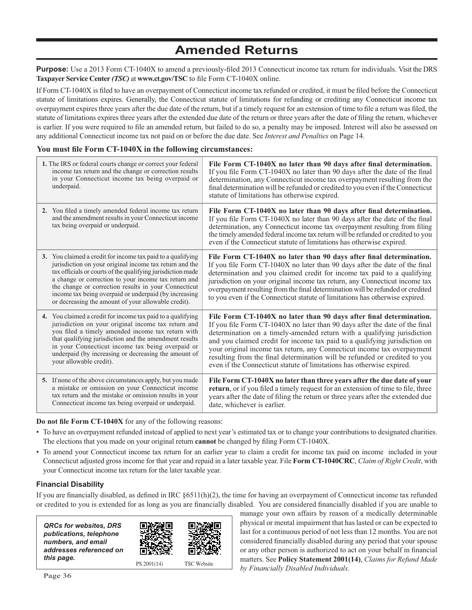## **Amended Returns**

**Purpose:** Use a 2013 Form CT-1040X to amend a previously-filed 2013 Connecticut income tax return for individuals. Visit the DRS Taxpayer Service Center *(TSC)* at www.ct.gov/TSC to file Form CT-1040X online.

If Form CT-1040X is filed to have an overpayment of Connecticut income tax refunded or credited, it must be filed before the Connecticut statute of limitations expires. Generally, the Connecticut statute of limitations for refunding or crediting any Connecticut income tax overpayment expires three years after the due date of the return, but if a timely request for an extension of time to file a return was filed, the statute of limitations expires three years after the extended due date of the return or three years after the date of filing the return, whichever is earlier. If you were required to file an amended return, but failed to do so, a penalty may be imposed. Interest will also be assessed on any additional Connecticut income tax not paid on or before the due date. See *Interest and Penalties* on Page 14.

#### You must file Form CT-1040X in the following circumstances:

| 1. The IRS or federal courts change or correct your federal<br>income tax return and the change or correction results<br>in your Connecticut income tax being overpaid or<br>underpaid.                                                                                                                                                                                                                               | File Form CT-1040X no later than 90 days after final determination.<br>If you file Form CT-1040X no later than 90 days after the date of the final<br>determination, any Connecticut income tax overpayment resulting from the<br>final determination will be refunded or credited to you even if the Connecticut<br>statute of limitations has otherwise expired.                                                                                                                                                                            |
|-----------------------------------------------------------------------------------------------------------------------------------------------------------------------------------------------------------------------------------------------------------------------------------------------------------------------------------------------------------------------------------------------------------------------|-----------------------------------------------------------------------------------------------------------------------------------------------------------------------------------------------------------------------------------------------------------------------------------------------------------------------------------------------------------------------------------------------------------------------------------------------------------------------------------------------------------------------------------------------|
| 2. You filed a timely amended federal income tax return<br>and the amendment results in your Connecticut income<br>tax being overpaid or underpaid.                                                                                                                                                                                                                                                                   | File Form CT-1040X no later than 90 days after final determination.<br>If you file Form CT-1040X no later than 90 days after the date of the final<br>determination, any Connecticut income tax overpayment resulting from filing<br>the timely amended federal income tax return will be refunded or credited to you<br>even if the Connecticut statute of limitations has otherwise expired.                                                                                                                                                |
| 3. You claimed a credit for income tax paid to a qualifying<br>jurisdiction on your original income tax return and the<br>tax officials or courts of the qualifying jurisdiction made<br>a change or correction to your income tax return and<br>the change or correction results in your Connecticut<br>income tax being overpaid or underpaid (by increasing<br>or decreasing the amount of your allowable credit). | File Form CT-1040X no later than 90 days after final determination.<br>If you file Form CT-1040X no later than 90 days after the date of the final<br>determination and you claimed credit for income tax paid to a qualifying<br>jurisdiction on your original income tax return, any Connecticut income tax<br>overpayment resulting from the final determination will be refunded or credited<br>to you even if the Connecticut statute of limitations has otherwise expired.                                                              |
| 4. You claimed a credit for income tax paid to a qualifying<br>jurisdiction on your original income tax return and<br>you filed a timely amended income tax return with<br>that qualifying jurisdiction and the amendment results<br>in your Connecticut income tax being overpaid or<br>underpaid (by increasing or decreasing the amount of<br>your allowable credit).                                              | File Form CT-1040X no later than 90 days after final determination.<br>If you file Form CT-1040X no later than 90 days after the date of the final<br>determination on a timely-amended return with a qualifying jurisdiction<br>and you claimed credit for income tax paid to a qualifying jurisdiction on<br>your original income tax return, any Connecticut income tax overpayment<br>resulting from the final determination will be refunded or credited to you<br>even if the Connecticut statute of limitations has otherwise expired. |
| 5. If none of the above circumstances apply, but you made<br>a mistake or omission on your Connecticut income<br>tax return and the mistake or omission results in your<br>Connecticut income tax being overpaid or underpaid.                                                                                                                                                                                        | File Form CT-1040X no later than three years after the due date of your<br>return, or if you filed a timely request for an extension of time to file, three<br>years after the date of filing the return or three years after the extended due<br>date, whichever is earlier.                                                                                                                                                                                                                                                                 |

**Do not file Form CT-1040X** for any of the following reasons:

- To have an overpayment refunded instead of applied to next year's estimated tax or to change your contributions to designated charities. The elections that you made on your original return **cannot** be changed by filing Form CT-1040X.
- To amend your Connecticut income tax return for an earlier year to claim a credit for income tax paid on income included in your Connecticut adjusted gross income for that year and repaid in a later taxable year. File **Form CT-1040CRC**, *Claim of Right Credit*, with your Connecticut income tax return for the later taxable year.

#### **Financial Disability**

If you are financially disabled, as defined in IRC  $§6511(h)(2)$ , the time for having an overpayment of Connecticut income tax refunded or credited to you is extended for as long as you are financially disabled. You are considered financially disabled if you are unable to

| <b>QRCs for websites, DRS</b><br>publications, telephone<br>numbers, and email<br>addresses referenced on<br>this page. |             |                    |
|-------------------------------------------------------------------------------------------------------------------------|-------------|--------------------|
|                                                                                                                         | PS 2001(14) | <b>TSC</b> Website |

manage your own affairs by reason of a medically determinable physical or mental impairment that has lasted or can be expected to last for a continuous period of not less than 12 months. You are not considered financially disabled during any period that your spouse or any other person is authorized to act on your behalf in financial matters. See **Policy Statement 2001(14)**, *Claims for Refund Made by Financially Disabled Individuals*.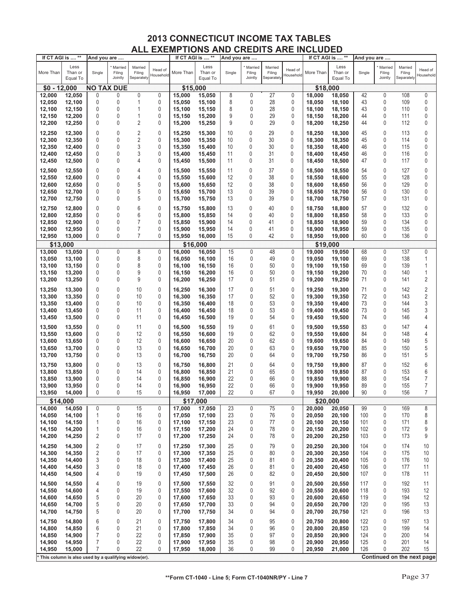| If CT AGI is  ** |                                                     | And you are       |                              | If CT AGI is  **                |                      | And you are |                             |        | If CT AGI is  **             |                                 | And you are          |           |                             |        |                              |                                 |                            |
|------------------|-----------------------------------------------------|-------------------|------------------------------|---------------------------------|----------------------|-------------|-----------------------------|--------|------------------------------|---------------------------------|----------------------|-----------|-----------------------------|--------|------------------------------|---------------------------------|----------------------------|
| More Than        | Less<br>Than or<br>Equal To                         | Single            | Married<br>Filing<br>Jointly | Married<br>Filing<br>Separately | Head of<br>Household | More Than   | Less<br>Than or<br>Equal To | Single | Married<br>Filing<br>Jointly | Married<br>Filing<br>Separately | Head of<br>Household | More Than | Less<br>Than or<br>Equal To | Single | Married<br>Filing<br>Jointly | Married<br>Filing<br>Separately | Head of<br>Household       |
| $$0 - 12,000$    |                                                     | <b>NO TAX DUE</b> |                              |                                 |                      | \$15,000    |                             |        |                              |                                 |                      | \$18,000  |                             |        |                              |                                 |                            |
| 12,000           | 12,050                                              | 0                 | 0                            | 0                               | 0                    | 15,000      | 15,050                      | 8      | 0                            | 27                              | 0                    | 18,000    | 18,050                      | 42     | 0                            | 108                             | 0                          |
| 12,050           | 12,100                                              | 0                 | 0                            | 1                               | 0                    | 15,050      | 15,100                      | 8      | 0                            | 28                              | 0                    | 18,050    | 18,100                      | 43     | 0                            | 109                             | 0                          |
| 12,100           | 12,150                                              | 0                 | 0                            | 1                               | 0                    | 15,100      | 15,150                      | 8      | 0                            | 28                              | 0                    | 18,100    | 18,150                      | 43     | 0                            | 110                             | 0                          |
| 12,150           | 12,200                                              | 0                 | 0                            | 1                               | 0                    | 15,150      | 15,200                      | 9      | 0                            | 29                              | 0                    | 18,150    | 18,200                      | 44     | 0                            | 111                             | 0                          |
| 12,200           | 12,250                                              | 0                 | 0                            | $\overline{2}$                  | 0                    | 15,200      | 15,250                      | 9      | 0                            | 29                              | 0                    | 18,200    | 18,250                      | 44     | 0                            | 112                             | 0                          |
|                  |                                                     |                   |                              |                                 |                      |             |                             |        |                              |                                 |                      |           |                             |        |                              |                                 |                            |
| 12,250           | 12,300                                              | 0                 | 0                            | $\sqrt{2}$                      | 0                    | 15,250      | 15,300                      | 10     | 0                            | 29                              | 0                    | 18,250    | 18,300                      | 45     | 0                            | 113                             | 0                          |
| 12,300           | 12,350                                              | 0                 | 0                            | $\overline{c}$                  | 0                    | 15,300      | 15,350                      | 10     | 0                            | 30                              | 0                    | 18,300    | 18,350                      | 45     | 0                            | 114                             | 0                          |
| 12,350           | 12,400                                              | 0                 | 0                            | 3                               | 0                    | 15,350      | 15,400                      | 10     | 0                            | 30                              | 0                    | 18,350    | 18,400                      | 46     | 0                            | 115                             | 0                          |
| 12,400           | 12,450                                              | 0                 | 0                            | 3                               | 0                    | 15,400      | 15,450                      | 11     | 0                            | 31                              | 0                    | 18,400    | 18,450                      | 46     | 0                            | 116                             | 0                          |
| 12,450           | 12,500                                              | 0                 | 0                            | 4                               | 0                    | 15,450      | 15,500                      | 11     | 0                            | 31                              | 0                    | 18,450    | 18,500                      | 47     | 0                            | 117                             | 0                          |
| 12,500           | 12,550                                              | 0                 | 0                            | $\overline{4}$                  | 0                    | 15,500      | 15,550                      | 11     | 0                            | 37                              | 0                    | 18,500    | 18,550                      | 54     | 0                            | 127                             | 0                          |
| 12,550           | 12,600                                              | 0                 | 0                            | $\overline{4}$                  | 0                    | 15,550      | 15,600                      | 12     | 0                            | 38                              | 0                    | 18,550    | 18,600                      | 55     | 0                            | 128                             | 0                          |
| 12,600           | 12,650                                              | 0                 | 0                            | 5                               | 0                    | 15,600      | 15,650                      | 12     | 0                            | 38                              | 0                    | 18,600    | 18,650                      | 56     | 0                            | 129                             | 0                          |
| 12,650           | 12,700                                              | 0                 | 0                            | 5                               | 0                    | 15,650      | 15,700                      | 13     | 0                            | 39                              | 0                    | 18,650    | 18,700                      | 56     | 0                            | 130                             | 0                          |
| 12,700           | 12,750                                              | 0                 | 0                            | 5                               | 0                    | 15,700      | 15,750                      | 13     | 0                            | 39                              | 0                    | 18,700    | 18,750                      | 57     | 0                            | 131                             | 0                          |
| 12,750           | 12,800                                              | 0                 | 0                            | 6                               | 0                    | 15,750      | 15,800                      | 13     | 0                            | 40                              | 0                    | 18.750    | 18,800                      | 57     | 0                            | 132                             | 0                          |
| 12,800           | 12,850                                              | 0                 | 0                            | 6                               | 0                    | 15,800      | 15,850                      | 14     | 0                            | 40                              | 0                    | 18,800    | 18,850                      | 58     | 0                            | 133                             | 0                          |
| 12,850           | 12,900                                              | 0                 | 0                            | $\overline{7}$                  | 0                    | 15,850      | 15,900                      | 14     | 0                            | 41                              | 0                    | 18,850    | 18,900                      | 59     | 0                            | 134                             | 0                          |
| 12,900           | 12,950                                              | 0                 | 0                            | $\overline{7}$                  | 0                    | 15,900      | 15,950                      | 14     | 0                            | 41                              | 0                    | 18,900    | 18,950                      | 59     | 0                            | 135                             | 0                          |
| 12,950           | 13,000                                              | 0                 | 0                            | $\overline{7}$                  | 0                    | 15,950      | 16,000                      | 15     | 0                            | 42                              | 0                    | 18,950    | 19,000                      | 60     | 0                            | 136                             | 0                          |
| \$13,000         |                                                     |                   |                              |                                 |                      | \$16,000    |                             |        |                              |                                 |                      | \$19,000  |                             |        |                              |                                 |                            |
| 13,000           | 13,050                                              | 0                 | 0                            | 8                               | 0                    | 16,000      | 16,050                      | 15     | 0                            | 48                              | 0                    | 19,000    | 19,050                      | 68     | 0                            | 137                             | 0                          |
| 13,050           | 13,100                                              | 0                 | 0                            | 8                               | 0                    | 16,050      | 16,100                      | 16     | $\pmb{0}$                    | 49                              | 0                    | 19,050    | 19,100                      | 69     | 0                            | 138                             | 1                          |
| 13,100           | 13,150                                              | 0                 | 0                            | 8                               | 0                    | 16,100      | 16,150                      | 16     | 0                            | 50                              | 0                    | 19,100    | 19,150                      | 69     | 0                            | 139                             | 1                          |
| 13,150           | 13,200                                              | 0                 | 0                            | 9                               | 0                    | 16,150      | 16,200                      | 16     | 0                            | 50                              | 0                    | 19,150    | 19,200                      | 70     | 0                            | 140                             | 1                          |
| 13,200           | 13,250                                              | 0                 | 0                            | 9                               | 0                    | 16,200      | 16,250                      | 17     | 0                            | 51                              | 0                    | 19,200    | 19,250                      | 71     | 0                            | 141                             | 2                          |
| 13,250           | 13,300                                              | 0                 | 0                            | 10                              | 0                    | 16,250      | 16,300                      | 17     | $\mathbf 0$                  | 51                              | 0                    | 19,250    | 19,300                      | 71     | 0                            | 142                             | 2                          |
| 13,300           | 13,350                                              | 0                 | 0                            | 10                              | 0                    | 16,300      | 16,350                      | 17     | 0                            | 52                              | 0                    | 19,300    | 19,350                      | 72     | 0                            | 143                             | 2                          |
| 13,350           | 13,400                                              | 0                 | 0                            | 10                              | 0                    | 16,350      | 16,400                      | 18     | 0                            | 53                              | 0                    | 19,350    | 19,400                      | 73     | 0                            | 144                             | 3                          |
| 13,400           | 13,450                                              | 0                 | 0                            | 11                              | 0                    | 16,400      | 16,450                      | 18     | 0                            | 53                              | 0                    | 19,400    | 19,450                      | 73     | 0                            | 145                             | 3                          |
| 13,450           | 13,500                                              | 0                 | 0                            | 11                              | 0                    | 16,450      | 16,500                      | 19     | 0                            | 54                              | 0                    | 19,450    | 19,500                      | 74     | 0                            | 146                             | 4                          |
| 13,500           | 13,550                                              | 0                 | 0                            | 11                              | 0                    | 16,500      | 16,550                      | 19     | $\mathbf{0}$                 | 61                              | 0                    | 19,500    | 19,550                      | 83     | 0                            | 147                             | 4                          |
| 13,550           | 13,600                                              | 0                 | 0                            | 12                              | 0                    | 16,550      | 16,600                      | 19     | 0                            | 62                              | 0                    | 19,550    | 19,600                      | 84     | 0                            | 148                             | 4                          |
| 13,600           | 13,650                                              | 0                 | 0                            | 12                              | 0                    | 16,600      | 16,650                      | 20     | 0                            | 62                              | 0                    | 19,600    | 19,650                      | 84     | 0                            | 149                             | 5                          |
| 13,650           | 13,700                                              | 0                 | 0                            | 13                              | 0                    | 16,650      | 16,700                      | 20     | 0                            | 63                              | 0                    | 19,650    | 19,700                      | 85     | 0                            | 150                             | 5                          |
| 13,700           | 13,750                                              | 0                 | 0                            | 13                              | 0                    | 16,700      | 16,750                      | 20     | 0                            | 64                              | 0                    | 19,700    | 19,750                      | 86     | 0                            | 151                             | 5                          |
| 13,750           | 13,800                                              | 0                 | 0                            | 13                              | 0                    | 16,750      | 16,800                      | 21     | $\mathbf 0$                  | 64                              | 0                    | 19,750    | 19,800                      | 87     | 0                            | 152                             | 6                          |
| 13,800           | 13,850                                              | 0                 | 0                            | 14                              | 0                    | 16,800      | 16,850                      | 21     | $\mathbf 0$                  | 65                              | 0                    | 19,800    | 19,850                      | 87     | 0                            | 153                             | 6                          |
| 13,850           | 13,900                                              | 0                 | 0                            | 14                              | 0                    | 16,850      | 16,900                      | 22     | 0                            | 66                              | 0                    | 19,850    | 19,900                      | 88     | 0                            | 154                             | 7                          |
| 13,900           | 13,950                                              | 0                 | 0                            | 14                              | 0                    | 16,900      | 16,950                      | 22     | 0                            | 66                              | 0                    | 19,900    | 19,950                      | 89     | $\mathbf{0}$                 | 155                             | 7                          |
| 13,950           | 14,000                                              | 0                 | 0                            | 15                              | 0                    | 16,950      | 17,000                      | 22     | 0                            | 67                              | 0                    | 19,950    | 20,000                      | 90     | 0                            | 156                             | $\overline{7}$             |
| \$14,000         |                                                     |                   |                              |                                 |                      | \$17,000    |                             |        |                              |                                 |                      | \$20,000  |                             |        |                              |                                 |                            |
| 14,000           | 14,050                                              | 0                 | 0                            | 15                              | 0                    | 17,000      | 17,050                      | 23     | 0                            | 75                              | 0                    | 20,000    | 20,050                      | 99     | 0                            | 169                             | 8                          |
| 14,050           | 14,100                                              | $\mathbf{1}$      | 0                            | 16                              | 0                    | 17,050      | 17,100                      | 23     | 0                            | 76                              | 0                    | 20,050    | 20,100                      | 100    | 0                            | 170                             | 8                          |
| 14,100           | 14,150                                              | 1                 | 0                            | 16                              | 0                    | 17,100      | 17,150                      | 23     | $\pmb{0}$                    | 77                              | 0                    | 20,100    | 20,150                      | 101    | 0                            | 171                             | 8                          |
| 14,150           | 14,200                                              | 1                 | 0                            | 16                              | 0                    | 17,150      | 17,200                      | 24     | 0                            | 78                              | 0                    | 20,150    | 20,200                      | 102    | 0                            | 172                             | 9                          |
| 14,200           | 14,250                                              | 2                 | 0                            | 17                              | 0                    | 17,200      | 17,250                      | 24     | $\pmb{0}$                    | 78                              | 0                    | 20,200    | 20,250                      | 103    | 0                            | 173                             | 9                          |
| 14,250           | 14,300                                              | $\overline{2}$    | 0                            | 17                              | 0                    | 17,250      | 17,300                      | 25     | $\pmb{0}$                    | 79                              | 0                    | 20,250    | 20,300                      | 104    | 0                            | 174                             | 10                         |
| 14,300           | 14,350                                              | 2                 | 0                            | 17                              | 0                    | 17,300      | 17,350                      | 25     | $\mathbf 0$                  | 80                              | 0                    | 20,300    | 20,350                      | 104    | 0                            | 175                             | 10                         |
| 14,350           | 14,400                                              | 3                 | 0                            | 18                              | 0                    | 17,350      | 17,400                      | 25     | $\mathbf 0$                  | 81                              | 0                    | 20,350    | 20,400                      | 105    | 0                            | 176                             | 10                         |
| 14,400           | 14,450                                              | 3                 | 0                            | 18                              | 0                    | 17,400      | 17,450                      | 26     | 0                            | 81                              | 0                    | 20,400    | 20,450                      | 106    | 0                            | 177                             | 11                         |
| 14,450           | 14,500                                              | 4                 | 0                            | 19                              | 0                    | 17,450      | 17,500                      | 26     | 0                            | 82                              | 0                    | 20,450    | 20,500                      | 107    | 0                            | 178                             | 11                         |
| 14,500           | 14,550                                              | 4                 | 0                            | 19                              | 0                    | 17,500      | 17,550                      | 32     | $\mathbf 0$                  | 91                              | 0                    | 20,500    | 20,550                      | 117    | 0                            | 192                             | 11                         |
| 14,550           | 14,600                                              | 4                 | 0                            | 19                              | 0                    | 17,550      | 17,600                      | 32     | $\mathbf 0$                  | 92                              | 0                    | 20,550    | 20,600                      | 118    | 0                            | 193                             | 12                         |
| 14,600           | 14,650                                              | 5                 | 0                            | 20                              | 0                    | 17,600      | 17,650                      | 33     | $\mathbf 0$                  | 93                              | 0                    | 20,600    | 20,650                      | 119    | 0                            | 194                             | 12                         |
| 14,650           | 14,700                                              | 5                 | 0                            | 20                              | 0                    | 17,650      | 17,700                      | 33     | $\mathbf 0$                  | 94                              | 0                    | 20,650    | 20,700                      | 120    | 0                            | 195                             | 13                         |
| 14,700           | 14,750                                              | 5                 | 0                            | 20                              | 0                    | 17,700      | 17,750                      | 34     | $\mathbf 0$                  | 94                              | 0                    | 20,700    | 20,750                      | 121    | 0                            | 196                             | 13                         |
| 14,750           | 14,800                                              | 6                 | 0                            | 21                              | 0                    | 17,750      | 17,800                      | 34     | $\pmb{0}$                    | 95                              | 0                    | 20,750    | 20,800                      | 122    | 0                            | 197                             | 13                         |
| 14,800           | 14,850                                              | 6                 | 0                            | 21                              | 0                    | 17,800      | 17,850                      | 34     | $\mathbf 0$                  | 96                              | 0                    | 20,800    | 20,850                      | 123    | 0                            | 199                             | 14                         |
| 14,850           | 14,900                                              | $\overline{7}$    | 0                            | 22                              | 0                    | 17,850      | 17,900                      | 35     | 0                            | 97                              | 0                    | 20,850    | 20,900                      | 124    | 0                            | 200                             | 14                         |
| 14,900           | 14,950                                              | $\overline{7}$    | 0                            | 22                              | 0                    | 17,900      | 17,950                      | 35     | $\pmb{0}$                    | 98                              | 0                    | 20,900    | 20,950                      | 125    | 0                            | 201                             | 14                         |
| 14,950           | 15,000                                              | 7                 | 0                            | 22                              | 0                    | 17,950      | 18,000                      | 36     | 0                            | 99                              | 0                    | 20,950    | 21,000                      | 126    | 0                            | 202                             | 15                         |
|                  | This column is also used by a qualifying widow(er). |                   |                              |                                 |                      |             |                             |        |                              |                                 |                      |           |                             |        |                              |                                 | Continued on the next page |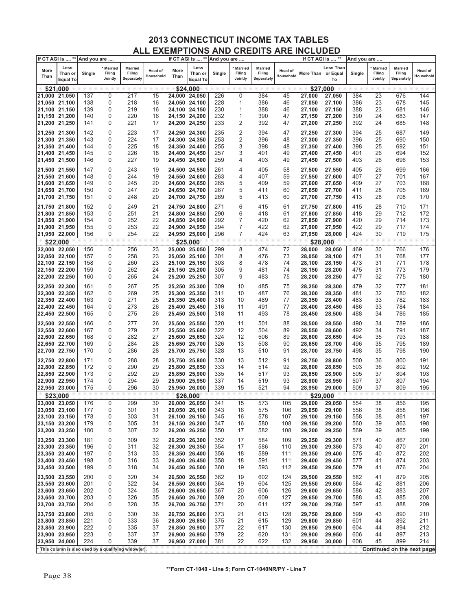|               | If CT AGI is  ** And you are       |        |                              |                                                     |                      | If CT AGI is  ** |                                    | And you are |                                     |                                        |                      | If CT AGI is  ** |                                    | And you are |                                     |                                 |                             |
|---------------|------------------------------------|--------|------------------------------|-----------------------------------------------------|----------------------|------------------|------------------------------------|-------------|-------------------------------------|----------------------------------------|----------------------|------------------|------------------------------------|-------------|-------------------------------------|---------------------------------|-----------------------------|
| More<br>Than  | Less<br>Than or<br><b>Equal To</b> | Single | Married<br>Filing<br>Jointly | <b>Married</b><br>Filing<br>Separately              | Head of<br>Household | More<br>Than     | Less<br>Than or<br><b>Equal To</b> | Single      | <b>Married</b><br>Filing<br>Jointly | <b>Married</b><br>Filing<br>Separately | Head of<br>Household | <b>More Than</b> | <b>Less Than</b><br>or Equal<br>To | Single      | <b>Married</b><br>Filing<br>Jointly | Married<br>Filing<br>Separately | <b>Head of</b><br>Household |
|               | \$21,000                           |        |                              |                                                     |                      |                  | \$24,000                           |             |                                     |                                        |                      |                  | \$27,000                           |             |                                     |                                 |                             |
| 21,000 21,050 |                                    | 137    | $\overline{0}$               | 217                                                 | 15                   | 24,000 24,050    |                                    | 226         | 0                                   | 384                                    | 45                   | 27,000           | 27,050                             | 384         | 23                                  | 676                             | 144                         |
| 21,050 21,100 |                                    | 138    | 0                            | 218                                                 | 16                   |                  |                                    | 228         | 1                                   | 386                                    |                      |                  |                                    | 386         | 23                                  | 678                             | 145                         |
|               |                                    |        |                              |                                                     |                      | 24,050 24,100    |                                    |             |                                     |                                        | 46                   | 27,050           | 27,100                             |             |                                     |                                 |                             |
| 21,100 21,150 |                                    | 139    | 0                            | 219                                                 | 16                   | 24,100 24,150    |                                    | 230         | 1                                   | 388                                    | 46                   | 27,100           | 27,150                             | 388         | 23                                  | 681                             | 146                         |
| 21,150 21,200 |                                    | 140    | 0                            | 220                                                 | 16                   | 24,150 24,200    |                                    | 232         | 1                                   | 390                                    | 47                   | 27,150           | 27,200                             | 390         | 24                                  | 683                             | 147                         |
| 21,200 21,250 |                                    | 141    | 0                            | 221                                                 | 17                   | 24,200 24,250    |                                    | 233         | 2                                   | 392                                    | 47                   | 27,200           | 27,250                             | 392         | 24                                  | 685                             | 148                         |
| 21,250 21,300 |                                    | 142    | 0                            | 223                                                 | 17                   | 24.250 24.300    |                                    | 235         | $\overline{2}$                      | 394                                    | 47                   | 27,250           | 27,300                             | 394         | 25                                  | 687                             | 149                         |
| 21,300 21,350 |                                    | 143    | 0                            | 224                                                 | 17                   | 24,300 24,350    |                                    | 253         | 2                                   | 396                                    | 48                   | 27,300           | 27,350                             | 396         | 25                                  | 690                             | 150                         |
| 21,350 21,400 |                                    | 144    | 0                            | 225                                                 | 18                   | 24,350 24,400    |                                    | 255         | 3                                   | 398                                    | 48                   | 27,350           | 27,400                             | 398         | 25                                  | 692                             | 151                         |
| 21,400 21,450 |                                    | 145    | 0                            | 226                                                 | 18                   | 24,400 24,450    |                                    | 257         | 3                                   | 401                                    | 49                   | 27,400           | 27,450                             | 401         | 26                                  | 694                             | 152                         |
| 21,450 21,500 |                                    | 146    | 0                            | 227                                                 | 19                   | 24,450 24,500    |                                    | 259         | 4                                   | 403                                    | 49                   | 27,450           | 27,500                             | 403         | 26                                  | 696                             | 153                         |
|               |                                    |        |                              |                                                     |                      |                  |                                    |             |                                     |                                        |                      |                  |                                    |             |                                     |                                 |                             |
| 21,500 21,550 |                                    | 147    | 0                            | 243                                                 | 19                   | 24,500 24,550    |                                    | 261         | 4                                   | 405                                    | 58                   | 27,500           | 27,550                             | 405         | 26                                  | 699                             | 166                         |
| 21,550 21,600 |                                    | 148    | 0                            | 244                                                 | 19                   | 24,550 24,600    |                                    | 263         | 4                                   | 407                                    | 59                   | 27,550           | 27,600                             | 407         | 27                                  | 701                             | 167                         |
| 21,600 21,650 |                                    | 149    | 0                            | 245                                                 | 20                   | 24,600 24,650    |                                    | 265         | 5                                   | 409                                    | 59                   | 27,600           | 27,650                             | 409         | 27                                  | 703                             | 168                         |
| 21,650 21,700 |                                    | 150    | 0                            | 247                                                 | 20                   | 24,650 24,700    |                                    | 267         | 5                                   | 411                                    | 60                   | 27,650           | 27,700                             | 411         | 28                                  | 705                             | 169                         |
| 21,700 21,750 |                                    | 151    | 0                            | 248                                                 | 20                   | 24,700 24,750    |                                    | 269         | 5                                   | 413                                    | 60                   | 27,700           | 27,750                             | 413         | 28                                  | 708                             | 170                         |
| 21,750 21,800 |                                    | 152    | 0                            | 249                                                 | 21                   | 24,750 24,800    |                                    | 271         | 6                                   | 415                                    | 61                   | 27,750           | 27,800                             | 415         | 28                                  | 710                             | 171                         |
| 21,800 21,850 |                                    | 153    | 0                            | 251                                                 | 21                   | 24,800 24,850    |                                    | 290         | 6                                   | 418                                    | 61                   | 27,800           | 27,850                             | 418         | 29                                  | 712                             | 172                         |
|               |                                    |        |                              |                                                     |                      |                  |                                    |             | 7                                   |                                        |                      |                  |                                    |             |                                     |                                 |                             |
| 21,850 21,900 |                                    | 154    | 0                            | 252                                                 | 22                   | 24,850 24,900    |                                    | 292         |                                     | 420                                    | 62                   | 27,850           | 27,900                             | 420         | 29                                  | 714                             | 173                         |
| 21,900 21,950 |                                    | 155    | 0                            | 253                                                 | 22                   | 24,900 24,950    |                                    | 294         | 7                                   | 422                                    | 62                   | 27,900           | 27,950                             | 422         | 29                                  | 717                             | 174                         |
| 21,950 22,000 |                                    | 156    | 0                            | 254                                                 | 22                   | 24,950 25,000    |                                    | 296         | $\overline{7}$                      | 424                                    | 63                   | 27,950           | 28,000                             | 424         | 30                                  | 719                             | 175                         |
|               | \$22,000                           |        |                              |                                                     |                      |                  | \$25,000                           |             |                                     |                                        |                      |                  | \$28,000                           |             |                                     |                                 |                             |
| 22,000 22,050 |                                    | 156    | $\mathbf 0$                  | 256                                                 | 23                   | 25.000 25.050    |                                    | 299         | 8                                   | 474                                    | 72                   | 28,000           | 28,050                             | 469         | 30                                  | 766                             | 176                         |
| 22,050 22,100 |                                    | 157    | 0                            | 258                                                 | 23                   | 25,050 25,100    |                                    | 301         | 8                                   | 476                                    | 73                   | 28,050           | 28,100                             | 471         | 31                                  | 768                             | 177                         |
| 22,100 22,150 |                                    | 158    | 0                            | 260                                                 | 23                   | 25,100 25,150    |                                    | 303         | 8                                   | 478                                    | 74                   | 28,100           | 28,150                             | 473         | 31                                  | 771                             | 178                         |
| 22,150 22,200 |                                    | 159    | 0                            | 262                                                 | 24                   | 25,150 25,200    |                                    | 305         | 9                                   | 481                                    | 74                   | 28,150           | 28,200                             | 475         | 31                                  | 773                             | 179                         |
| 22,200 22,250 |                                    | 160    | 0                            | 265                                                 | 24                   | 25,200 25,250    |                                    | 307         | 9                                   | 483                                    | 75                   | 28,200           | 28,250                             | 477         | 32                                  | 775                             | 180                         |
|               |                                    | 161    | 0                            | 267                                                 | 25                   | 25,250 25,300    |                                    | 309         | 10                                  | 485                                    | 75                   |                  |                                    | 479         | 32                                  | 777                             | 181                         |
| 22,250 22,300 |                                    |        |                              |                                                     |                      |                  |                                    |             |                                     |                                        |                      | 28,250           | 28,300                             |             |                                     |                                 |                             |
| 22,300 22,350 |                                    | 162    | 0                            | 269                                                 | 25                   | 25,300 25,350    |                                    | 311         | 10                                  | 487                                    | 76                   | 28,300           | 28,350                             | 481         | 32                                  | 780                             | 182                         |
| 22,350 22,400 |                                    | 163    | 0                            | 271                                                 | 25                   | 25,350 25,400    |                                    | 313         | 10                                  | 489                                    | 77                   | 28,350           | 28,400                             | 483         | 33                                  | 782                             | 183                         |
| 22,400 22,450 |                                    | 164    | 0                            | 273                                                 | 26                   | 25,400 25,450    |                                    | 316         | 11                                  | 491                                    | 77                   | 28,400           | 28,450                             | 486         | 33                                  | 784                             | 184                         |
| 22,450 22,500 |                                    | 165    | 0                            | 275                                                 | 26                   | 25,450 25,500    |                                    | 318         | 11                                  | 493                                    | 78                   | 28,450           | 28,500                             | 488         | 34                                  | 786                             | 185                         |
| 22,500 22,550 |                                    | 166    | 0                            | 277                                                 | 26                   | 25,500 25,550    |                                    | 320         | 11                                  | 501                                    | 88                   | 28,500           | 28,550                             | 490         | 34                                  | 789                             | 186                         |
| 22,550 22,600 |                                    | 167    | 0                            | 279                                                 | 27                   | 25,550 25,600    |                                    | 322         | 12                                  | 504                                    | 89                   | 28,550           | 28,600                             | 492         | 34                                  | 791                             | 187                         |
| 22,600 22,650 |                                    | 168    | 0                            | 282                                                 | 27                   | 25,600 25,650    |                                    | 324         | 12                                  | 506                                    | 89                   | 28,600           | 28,650                             | 494         | 35                                  | 793                             | 188                         |
| 22,650 22,700 |                                    | 169    | 0                            | 284                                                 | 28                   | 25,650 25,700    |                                    | 326         | 13                                  | 508                                    | 90                   | 28,650           | 28,700                             | 496         | 35                                  | 795                             | 189                         |
| 22,700 22,750 |                                    | 170    | 0                            | 286                                                 | 28                   | 25,700 25,750    |                                    | 328         | 13                                  | 510                                    | 91                   | 28,700           | 28,750                             | 498         | 35                                  | 798                             | 190                         |
|               |                                    |        |                              |                                                     |                      |                  |                                    |             |                                     |                                        |                      |                  |                                    |             |                                     |                                 |                             |
| 22,750 22,800 |                                    | 171    | 0                            | 288                                                 | 28                   | 25,750 25,800    |                                    | 330         | 13                                  | 512                                    | 91                   | 28,750           | 28,800                             | 500         | 36                                  | 800                             | 191                         |
| 22,800 22,850 |                                    | 172    | 0                            | 290                                                 | 29                   | 25,800 25,850    |                                    | 333         | 14                                  | 514                                    | 92                   | 28,800           | 28,850                             | 503         | 36                                  | 802                             | 192                         |
| 22,850 22,900 |                                    | 173    | 0                            | 292                                                 | 29                   | 25,850 25,900    |                                    | 335         | 14                                  | 517                                    | 93                   | 28,850           | 28,900                             | 505         | 37                                  | 804                             | 193                         |
| 22,900 22,950 |                                    | 174    | 0                            | 294                                                 | 29                   | 25,900 25,950    |                                    | 337         | 14                                  | 519                                    | 93                   | 28,900           | 28,950                             | 507         | 37                                  | 807                             | 194                         |
| 22,950 23,000 |                                    | 175    | 0                            | 296                                                 | 30                   | 25,950 26,000    |                                    | 339         | 15                                  | 521                                    | 94                   | 28,950           | 29,000                             | 509         | 37                                  | 809                             | 195                         |
|               | \$23,000                           |        |                              |                                                     |                      |                  | \$26,000                           |             |                                     |                                        |                      | \$29,000         |                                    |             |                                     |                                 |                             |
| 23,000 23,050 |                                    | 176    | 0                            | 299                                                 | 30                   | 26,000 26,050    |                                    | 341         | 15                                  | 573                                    | 105                  | 29,000           | 29,050                             | 554         | 38                                  | 856                             | 195                         |
| 23,050 23,100 |                                    | 177    | 0                            | 301                                                 | 31                   | 26,050 26,100    |                                    | 343         | 16                                  | 575                                    | 106                  | 29,050           | 29,100                             | 556         | 38                                  | 858                             | 196                         |
| 23,100 23,150 |                                    | 178    | 0                            | 303                                                 | 31                   | 26,100 26,150    |                                    | 345         | 16                                  | 578                                    | 107                  | 29,100           | 29,150                             | 558         | 38                                  | 861                             | 197                         |
| 23,150 23,200 |                                    | 179    | 0                            | 305                                                 | 31                   | 26,150 26,200    |                                    | 347         | 16                                  | 580                                    | 108                  | 29,150           | 29,200                             | 560         | 39                                  | 863                             | 198                         |
| 23,200 23,250 |                                    | 180    | 0                            | 307                                                 | 32                   | 26,200 26,250    |                                    | 350         | 17                                  | 582                                    | 108                  | 29,200           | 29,250                             | 569         | 39                                  | 865                             | 199                         |
|               |                                    |        |                              |                                                     |                      |                  |                                    |             |                                     |                                        |                      |                  |                                    |             |                                     |                                 |                             |
| 23,250 23,300 |                                    | 181    | 0                            | 309                                                 | 32                   | 26,250 26,300    |                                    | 352         | 17                                  | 584                                    | 109                  | 29,250           | 29,300                             | 571         | 40                                  | 867                             | 200                         |
| 23,300 23,350 |                                    | 196    | 0                            | 311                                                 | 32                   | 26,300 26,350    |                                    | 354         | 17                                  | 586                                    | 110                  | 29,300           | 29,350                             | 573         | 40                                  | 870                             | 201                         |
| 23,350 23,400 |                                    | 197    | 0                            | 313                                                 | 33                   | 26,350 26,400    |                                    | 356         | 18                                  | 589                                    | 111                  | 29,350           | 29,400                             | 575         | 40                                  | 872                             | 202                         |
| 23,400 23,450 |                                    | 198    | 0                            | 316                                                 | 33                   | 26,400 26,450    |                                    | 358         | 18                                  | 591                                    | 111                  | 29,400           | 29,450                             | 577         | 41                                  | 874                             | 203                         |
| 23,450 23,500 |                                    | 199    | 0                            | 318                                                 | 34                   | 26,450 26,500    |                                    | 360         | 19                                  | 593                                    | 112                  | 29,450           | 29,500                             | 579         | 41                                  | 876                             | 204                         |
| 23,500 23,550 |                                    | 200    | 0                            | 320                                                 | 34                   | 26,500 26,550    |                                    | 362         | 19                                  | 602                                    | 124                  | 29,500           |                                    | 582         | 41                                  | 879                             | 205                         |
|               |                                    |        | 0                            | 322                                                 | 34                   | 26,550 26,600    |                                    | 364         | 19                                  | 604                                    |                      |                  | 29,550                             | 584         | 42                                  | 881                             | 206                         |
| 23,550 23,600 |                                    | 201    |                              |                                                     |                      |                  |                                    |             |                                     |                                        | 125                  | 29,550           | 29,600                             |             |                                     |                                 |                             |
| 23,600 23,650 |                                    | 202    | 0                            | 324                                                 | 35                   | 26,600 26,650    |                                    | 367         | 20                                  | 606                                    | 126                  | 29,600           | 29,650                             | 586         | 42                                  | 883                             | 207                         |
| 23,650 23,700 |                                    | 203    | 0                            | 326                                                 | 35                   | 26,650 26,700    |                                    | 369         | 20                                  | 609                                    | 127                  | 29,650           | 29,700                             | 588         | 43                                  | 885                             | 208                         |
| 23,700 23,750 |                                    | 204    | 0                            | 328                                                 | 35                   | 26,700 26,750    |                                    | 371         | 20                                  | 611                                    | 127                  | 29,700           | 29,750                             | 597         | 43                                  | 888                             | 209                         |
| 23,750 23,800 |                                    | 205    | 0                            | 330                                                 | 36                   | 26,750 26,800    |                                    | 373         | 21                                  | 613                                    | 128                  | 29,750           | 29,800                             | 599         | 43                                  | 890                             | 210                         |
| 23,800 23,850 |                                    | 221    | 0                            | 333                                                 | 36                   | 26,800 26,850    |                                    | 375         | 21                                  | 615                                    | 129                  | 29,800           | 29,850                             | 601         | 44                                  | 892                             | 211                         |
| 23,850 23,900 |                                    | 222    | 0                            | 335                                                 | 37                   | 26,850 26,900    |                                    | 377         | 22                                  | 617                                    | 130                  | 29,850           | 29,900                             | 604         | 44                                  | 894                             | 212                         |
|               | 23,900 23,950                      | 223    | 0                            | 337                                                 | 37                   | 26,900 26,950    |                                    | 379         | 22                                  | 620                                    | 131                  | 29,900           | 29,950                             | 606         | 44                                  | 897                             | 213                         |
| 23,950 24,000 |                                    | 224    | 0                            | 339                                                 | 37                   | 26,950 27,000    |                                    | 381         | 22                                  | 622                                    | 132                  | 29,950           | 30,000                             | 608         | 45                                  | 899                             | 214                         |
|               |                                    |        |                              |                                                     |                      |                  |                                    |             |                                     |                                        |                      |                  |                                    |             |                                     |                                 |                             |
|               |                                    |        |                              | This column is also used by a qualifying widow(er). |                      |                  |                                    |             |                                     |                                        |                      |                  |                                    |             |                                     | Continued on the next page      |                             |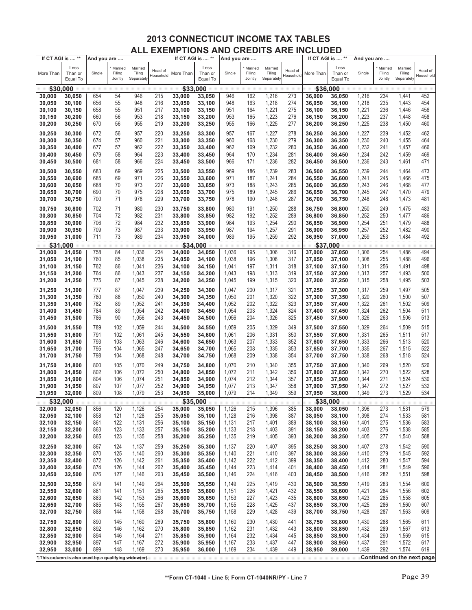| Less<br>Less<br>Less<br>Married<br>Married<br>Married<br>Married<br>Married<br>Married<br>Head of<br>Head of<br>Head of<br>More Than<br>Than or<br>Single<br>Filing<br>Filing<br>More Than<br>Than or<br>Single<br>Filing<br>Filing<br>More Than<br>Than or<br>Single<br>Filing<br>Filing<br>Household<br>Household<br>Household<br>Jointly<br>Separately<br>Jointly<br>Jointly<br>Separately<br>Separately<br>Equal To<br>Equal To<br>Equal To<br>\$30,000<br>\$33,000<br>\$36,000<br>654<br>54<br>946<br>215<br>946<br>162<br>1,216<br>273<br>1,216<br>234<br>1,441<br>452<br>30,000<br>30,050<br>33,000<br>33,050<br>36,000<br>36,050<br>656<br>163<br>1,218<br>274<br>1,218<br>235<br>454<br>30,050<br>55<br>948<br>216<br>33,050<br>33,100<br>948<br>36,050<br>36,100<br>1,443<br>30,100<br>658<br>164<br>1,221<br>275<br>1,221<br>236<br>30,100<br>55<br>951<br>217<br>33,100<br>33,150<br>951<br>36,100<br>36,150<br>1,446<br>456<br>30,150<br>660<br>953<br>1,223<br>1,223<br>237<br>30,150<br>30,200<br>56<br>218<br>33,150<br>33,200<br>953<br>165<br>276<br>36,150<br>36,200<br>1,448<br>458<br>1,225<br>277<br>1,225<br>238<br>1,450<br>30,200<br>670<br>56<br>955<br>219<br>33,200<br>955<br>166<br>36,200<br>460<br>30,250<br>33,250<br>36,250<br>672<br>957<br>167<br>1,227<br>1,227<br>462<br>30,250<br>30,300<br>56<br>957<br>220<br>33,250<br>33,300<br>278<br>36,250<br>36,300<br>239<br>1,452<br>1,230<br>36,300<br>1,230<br>30,300<br>30,350<br>674<br>57<br>960<br>221<br>33,300<br>33,350<br>960<br>168<br>279<br>36,350<br>240<br>1,455<br>464<br>1,232<br>30,350<br>677<br>57<br>962<br>222<br>33,350<br>33,400<br>962<br>169<br>1,232<br>280<br>36,350<br>241<br>1,457<br>466<br>30,400<br>36,400<br>30,400<br>30,450<br>679<br>58<br>964<br>223<br>33,400<br>964<br>170<br>1,234<br>281<br>36,400<br>1,234<br>242<br>1,459<br>469<br>33,450<br>36,450<br>30,450<br>58<br>966<br>224<br>966<br>171<br>1,236<br>282<br>1,236<br>243<br>1,461<br>471<br>30,500<br>681<br>33,450<br>33,500<br>36,450<br>36,500<br>683<br>69<br>969<br>225<br>969<br>186<br>1,239<br>283<br>36,500<br>1,239<br>244<br>1,464<br>473<br>30,500<br>30,550<br>33,500<br>33,550<br>36,550<br>685<br>971<br>226<br>971<br>187<br>1,241<br>284<br>1,241<br>245<br>1,466<br>475<br>30,550<br>30,600<br>69<br>33,550<br>33,600<br>36,550<br>36,600<br>688<br>973<br>227<br>973<br>188<br>1,243<br>285<br>1,243<br>477<br>30,600<br>70<br>33,600<br>36,600<br>246<br>1,468<br>30,650<br>33,650<br>36,650<br>690<br>975<br>228<br>975<br>1,245<br>1,245<br>479<br>30,650<br>70<br>33,700<br>189<br>286<br>36,650<br>247<br>1,470<br>30,700<br>33,650<br>36,700<br>978<br>30,700<br>700<br>71<br>229<br>978<br>190<br>1,248<br>287<br>1,248<br>248<br>1,473<br>481<br>30,750<br>33,700<br>33,750<br>36,700<br>36,750<br>702<br>71<br>980<br>230<br>980<br>191<br>1,250<br>288<br>1,250<br>483<br>30,750<br>30,800<br>33,750<br>33,800<br>36,750<br>36,800<br>249<br>1,475<br>72<br>982<br>231<br>982<br>192<br>1,252<br>289<br>1,252<br>250<br>1,477<br>486<br>30,800<br>704<br>33,800<br>33,850<br>36,800<br>36,850<br>30,850<br>72<br>232<br>193<br>1,254<br>1,479<br>30,850<br>706<br>984<br>33,850<br>33,900<br>984<br>290<br>36,850<br>1,254<br>251<br>488<br>30,900<br>36,900<br>233<br>1,257<br>1,257<br>252<br>1,482<br>30,900<br>709<br>73<br>987<br>33,900<br>987<br>194<br>291<br>36,900<br>490<br>30,950<br>33,950<br>36,950<br>989<br>1,259<br>253<br>30,950<br>711<br>73<br>234<br>33,950<br>989<br>195<br>292<br>36,950<br>1,259<br>1,484<br>492<br>31,000<br>34,000<br>37,000<br>\$31.000<br>\$34,000<br>\$37.000<br>1,036<br>234<br>195<br>1,306<br>254<br>1,486<br>494<br>31,000<br>758<br>84<br>34,000<br>34,050<br>1,036<br>316<br>37,000<br>37,050<br>1,306<br>31,050<br>760<br>235<br>255<br>85<br>1,038<br>34,050<br>34,100<br>1,038<br>196<br>1,308<br>317<br>1,308<br>1,488<br>496<br>31,050<br>31,100<br>37,050<br>37,100<br>31,150<br>762<br>86<br>1,041<br>236<br>34,100<br>34,150<br>1,041<br>197<br>1,311<br>318<br>1,311<br>256<br>1,491<br>498<br>31,100<br>37,100<br>37,150<br>764<br>86<br>1,043<br>237<br>198<br>1,313<br>257<br>1,493<br>500<br>31,150<br>31,200<br>34,150<br>34,200<br>1,043<br>319<br>37,150<br>37,200<br>1,313<br>775<br>87<br>1,045<br>238<br>199<br>1,315<br>320<br>1,315<br>258<br>1,495<br>503<br>31,200<br>31,250<br>34,200<br>34,250<br>1,045<br>37,200<br>37,250<br>31,250<br>777<br>87<br>1,047<br>239<br>34,250<br>34,300<br>1,047<br>200<br>1,317<br>321<br>37,250<br>1,317<br>259<br>1,497<br>505<br>31,300<br>37,300<br>780<br>1,050<br>201<br>1,320<br>322<br>37,300<br>1,320<br>260<br>1,500<br>507<br>31,300<br>88<br>240<br>34,300<br>34,350<br>1,050<br>37,350<br>31,350<br>782<br>1,052<br>202<br>1,322<br>323<br>1,322<br>1,502<br>509<br>31,350<br>89<br>241<br>34,350<br>34,400<br>1,052<br>37,350<br>261<br>31,400<br>37,400<br>1,054<br>203<br>1,324<br>262<br>1,504<br>31,400<br>784<br>89<br>242<br>1,054<br>324<br>37,400<br>1,324<br>511<br>31,450<br>34,400<br>34,450<br>37,450<br>1,056<br>1,326<br>325<br>1,326<br>263<br>1,506<br>31,450<br>786<br>90<br>243<br>1,056<br>204<br>37,450<br>513<br>31,500<br>34,450<br>34,500<br>37,500<br>1,059<br>1,329<br>1,329<br>515<br>31,500<br>31,550<br>789<br>102<br>244<br>34,500<br>34,550<br>1,059<br>205<br>349<br>37,500<br>37,550<br>264<br>1,509<br>31,550<br>31,600<br>791<br>102<br>1,061<br>245<br>34,550<br>34,600<br>1,061<br>206<br>1,331<br>350<br>37,550<br>1,331<br>265<br>1,511<br>517<br>37,600<br>31,600<br>793<br>103<br>1,063<br>246<br>34,600<br>1,063<br>207<br>1,333<br>352<br>37,600<br>1,333<br>266<br>1,513<br>520<br>31,650<br>34,650<br>37,650<br>31,650<br>31,700<br>795<br>104<br>1,065<br>247<br>34,650<br>1,065<br>208<br>1,335<br>353<br>37,650<br>1,335<br>267<br>1,515<br>522<br>34,700<br>37,700<br>31,700<br>798<br>104<br>1,068<br>248<br>34,700<br>1,068<br>209<br>1,338<br>354<br>1,338<br>268<br>1,518<br>524<br>31,750<br>34,750<br>37,700<br>37,750<br>800<br>1,070<br>249<br>1,070<br>210<br>1,340<br>355<br>1,340<br>269<br>1,520<br>526<br>31,750<br>31,800<br>105<br>34,750<br>34,800<br>37,750<br>37,800<br>1,072<br>250<br>1,342<br>1,342<br>270<br>1,522<br>528<br>31,800<br>802<br>106<br>34,800<br>34,850<br>1,072<br>211<br>356<br>37,800<br>31,850<br>37,850<br>804<br>1,074<br>251<br>271<br>1,524<br>530<br>31,850<br>106<br>34,850<br>1,074<br>212<br>1,344<br>357<br>1,344<br>31,900<br>34,900<br>37,850<br>37,900<br>807<br>1,077<br>252<br>213<br>1,347<br>272<br>1,527<br>532<br>31,900<br>107<br>34,900<br>1,077<br>1,347<br>358<br>37,900<br>31,950<br>34,950<br>37,950<br>809<br>108<br>1,079<br>253<br>273<br>1,529<br>534<br>31,950<br>34,950<br>1,079<br>214<br>1,349<br>359<br>1,349<br>32,000<br>35,000<br>37,950<br>38,000<br>\$32,000<br>\$35,000<br>\$38,000<br>32,000<br>856<br>120<br>1,126<br>254<br>35,000<br>35,050<br>1,126<br>215<br>1,396<br>385<br>38,000<br>1,396<br>273<br>1,531<br>579<br>32,050<br>38,050<br>1,398<br>1,398<br>32,050<br>32,100<br>858<br>121<br>1,128<br>255<br>35,050<br>35,100<br>1,128<br>216<br>387<br>38,050<br>38,100<br>274<br>1,533<br>581<br>1,131<br>1,401<br>1,536<br>32,100<br>32,150<br>861<br>122<br>256<br>35,100<br>35,150<br>1,131<br>217<br>389<br>38,100<br>38,150<br>1,401<br>275<br>583<br>32,150<br>32,200<br>863<br>123<br>1,133<br>257<br>35,200<br>1,133<br>218<br>1,403<br>391<br>38,150<br>38,200<br>1,403<br>276<br>1,538<br>585<br>35,150<br>32,200<br>32,250<br>865<br>123<br>1,135<br>258<br>35,200<br>35,250<br>1,135<br>219<br>1,405<br>393<br>38,200<br>1,405<br>277<br>1,540<br>588<br>38,250<br>32,250<br>1,407<br>32,300<br>867<br>124<br>1,137<br>259<br>35,250<br>35,300<br>1,137<br>220<br>395<br>38,250<br>38,300<br>1,407<br>278<br>1,542<br>590<br>592<br>32,300<br>870<br>125<br>1,140<br>260<br>35,300<br>35,350<br>221<br>1,410<br>397<br>38,300<br>279<br>1,545<br>32,350<br>1,140<br>38,350<br>1,410<br>1,412<br>32,350<br>872<br>1,142<br>261<br>35,350<br>1,142<br>222<br>399<br>38,350<br>1,412<br>280<br>1,547<br>594<br>32,400<br>126<br>35,400<br>38,400<br>874<br>1,144<br>223<br>1,414<br>1,549<br>596<br>32,400<br>32,450<br>126<br>262<br>35,400<br>35,450<br>1,144<br>401<br>38,400<br>38,450<br>1,414<br>281<br>876<br>1,146<br>263<br>224<br>1,416<br>282<br>1,551<br>598<br>32,450<br>32,500<br>127<br>35,450<br>35,500<br>1,146<br>403<br>38,450<br>38,500<br>1,416<br>32,500<br>1,419<br>32,550<br>879<br>141<br>1,149<br>264<br>35,500<br>35,550<br>1,149<br>225<br>430<br>38,500<br>38,550<br>1,419<br>283<br>1,554<br>600<br>1,421<br>32,550<br>881<br>141<br>1,151<br>265<br>35,550<br>35,600<br>1,151<br>226<br>432<br>38,550<br>1,421<br>284<br>1,556<br>602<br>32,600<br>38,600<br>1,423<br>32,600<br>883<br>142<br>1,153<br>266<br>35,600<br>35,650<br>1,153<br>227<br>435<br>38,600<br>1,423<br>285<br>1,558<br>605<br>32,650<br>38,650<br>1,425<br>32,650<br>885<br>143<br>1,155<br>267<br>228<br>437<br>38,650<br>1,425<br>286<br>1,560<br>607<br>32,700<br>35,650<br>35,700<br>1,155<br>38,700<br>32,700<br>888<br>144<br>1,158<br>268<br>1,158<br>229<br>1,428<br>439<br>38,700<br>1,428<br>287<br>1,563<br>609<br>32,750<br>35,700<br>35,750<br>38,750<br>32,750<br>32,800<br>890<br>1,160<br>269<br>35,800<br>1,160<br>1,430<br>441<br>38,750<br>38,800<br>1,430<br>288<br>1,565<br>611<br>145<br>35,750<br>230<br>32,800<br>32,850<br>892<br>1,162<br>270<br>35,800<br>35,850<br>1,162<br>231<br>1,432<br>443<br>38,800<br>1,432<br>289<br>1,567<br>613<br>146<br>38,850<br>32,850<br>894<br>1,164<br>271<br>35,850<br>35,900<br>1,164<br>232<br>1,434<br>445<br>38,850<br>1,434<br>290<br>1,569<br>615<br>32,900<br>146<br>38,900<br>32,900<br>897<br>35,900<br>1,167<br>233<br>1,437<br>447<br>38,900<br>1,437<br>291<br>1,572<br>617<br>32,950<br>147<br>1,167<br>272<br>35,950<br>38,950<br>32,950<br>899<br>1,169<br>273<br>1,169<br>234<br>1,439<br>449<br>38,950<br>39,000<br>1,439<br>292<br>1,574<br>619<br>33,000<br>148<br>35,950<br>36,000<br>Continued on the next page<br>This column is also used by a qualifying widow(er). | If CT AGI is  ** | And you are |  | If CT AGI is  ** | And you are |  | If CT AGI is  ** | And you are |  |  |
|------------------------------------------------------------------------------------------------------------------------------------------------------------------------------------------------------------------------------------------------------------------------------------------------------------------------------------------------------------------------------------------------------------------------------------------------------------------------------------------------------------------------------------------------------------------------------------------------------------------------------------------------------------------------------------------------------------------------------------------------------------------------------------------------------------------------------------------------------------------------------------------------------------------------------------------------------------------------------------------------------------------------------------------------------------------------------------------------------------------------------------------------------------------------------------------------------------------------------------------------------------------------------------------------------------------------------------------------------------------------------------------------------------------------------------------------------------------------------------------------------------------------------------------------------------------------------------------------------------------------------------------------------------------------------------------------------------------------------------------------------------------------------------------------------------------------------------------------------------------------------------------------------------------------------------------------------------------------------------------------------------------------------------------------------------------------------------------------------------------------------------------------------------------------------------------------------------------------------------------------------------------------------------------------------------------------------------------------------------------------------------------------------------------------------------------------------------------------------------------------------------------------------------------------------------------------------------------------------------------------------------------------------------------------------------------------------------------------------------------------------------------------------------------------------------------------------------------------------------------------------------------------------------------------------------------------------------------------------------------------------------------------------------------------------------------------------------------------------------------------------------------------------------------------------------------------------------------------------------------------------------------------------------------------------------------------------------------------------------------------------------------------------------------------------------------------------------------------------------------------------------------------------------------------------------------------------------------------------------------------------------------------------------------------------------------------------------------------------------------------------------------------------------------------------------------------------------------------------------------------------------------------------------------------------------------------------------------------------------------------------------------------------------------------------------------------------------------------------------------------------------------------------------------------------------------------------------------------------------------------------------------------------------------------------------------------------------------------------------------------------------------------------------------------------------------------------------------------------------------------------------------------------------------------------------------------------------------------------------------------------------------------------------------------------------------------------------------------------------------------------------------------------------------------------------------------------------------------------------------------------------------------------------------------------------------------------------------------------------------------------------------------------------------------------------------------------------------------------------------------------------------------------------------------------------------------------------------------------------------------------------------------------------------------------------------------------------------------------------------------------------------------------------------------------------------------------------------------------------------------------------------------------------------------------------------------------------------------------------------------------------------------------------------------------------------------------------------------------------------------------------------------------------------------------------------------------------------------------------------------------------------------------------------------------------------------------------------------------------------------------------------------------------------------------------------------------------------------------------------------------------------------------------------------------------------------------------------------------------------------------------------------------------------------------------------------------------------------------------------------------------------------------------------------------------------------------------------------------------------------------------------------------------------------------------------------------------------------------------------------------------------------------------------------------------------------------------------------------------------------------------------------------------------------------------------------------------------------------------------------------------------------------------------------------------------------------------------------------------------------------------------------------------------------------------------------------------------------------------------------------------------------------------------------------------------------------------------------------------------------------------------------------------------------------------------------------------------------------------------------------------------------------------------------------------------------------------------------------------------------------------------------------------------------------------------------------------------------------------------------------------------------------------------------------------------------------------------------------------------------------------------------------------------------------------------------------------------------------------------------------------------------------------------------------------------------------------------------------------------------------------------------------------------------------------------------------------------------------------------------------------------------------------------------------------------------------------------------------------------------------------------------------------------------------------------------------------------------------------------------------------------------------------------------------------------------------------------------------------------------------------------------------------------------------------------------------------------------------------------------------------------------------------------------------------------------------------------------------------------------------------------------------------------------------------------------------------------------------------------------------------------------------------------------------------------------------------------------------------------------------------------------------------------------------------------------------------------------------------------------------------------------------------------------------------------------------------------------------------------------------------------------------------------------------------------------------------------------------------------------------------------------------------------------------------------------------------------------------------------------------------------------------------------------------------------------------------------------------------------------------------------------------------------------------------------------------------------------------------------------------------------------------------------------------------------------------------------------------------------------------------------------------------------------------------------------------------------------------------------------------------------------------------------------------------------------------------------------------------------------------------------------------------|------------------|-------------|--|------------------|-------------|--|------------------|-------------|--|--|
|                                                                                                                                                                                                                                                                                                                                                                                                                                                                                                                                                                                                                                                                                                                                                                                                                                                                                                                                                                                                                                                                                                                                                                                                                                                                                                                                                                                                                                                                                                                                                                                                                                                                                                                                                                                                                                                                                                                                                                                                                                                                                                                                                                                                                                                                                                                                                                                                                                                                                                                                                                                                                                                                                                                                                                                                                                                                                                                                                                                                                                                                                                                                                                                                                                                                                                                                                                                                                                                                                                                                                                                                                                                                                                                                                                                                                                                                                                                                                                                                                                                                                                                                                                                                                                                                                                                                                                                                                                                                                                                                                                                                                                                                                                                                                                                                                                                                                                                                                                                                                                                                                                                                                                                                                                                                                                                                                                                                                                                                                                                                                                                                                                                                                                                                                                                                                                                                                                                                                                                                                                                                                                                                                                                                                                                                                                                                                                                                                                                                                                                                                                                                                                                                                                                                                                                                                                                                                                                                                                                                                                                                                                                                                                                                                                                                                                                                                                                                                                                                                                                                                                                                                                                                                                                                                                                                                                                                                                                                                                                                                                                                                                                                                                                                                                                                                                                                                                                                                                                                                                                                                                                                                                                                                                                                                                                                                                                                                                                                                                                                                                                                                                                                                                                                                                                                                                                                                                                                                                                                                                                                                                                                                                                                                                                                                                                                                                                                                                                                                                                                                                                                                                                                                            |                  |             |  |                  |             |  |                  |             |  |  |
|                                                                                                                                                                                                                                                                                                                                                                                                                                                                                                                                                                                                                                                                                                                                                                                                                                                                                                                                                                                                                                                                                                                                                                                                                                                                                                                                                                                                                                                                                                                                                                                                                                                                                                                                                                                                                                                                                                                                                                                                                                                                                                                                                                                                                                                                                                                                                                                                                                                                                                                                                                                                                                                                                                                                                                                                                                                                                                                                                                                                                                                                                                                                                                                                                                                                                                                                                                                                                                                                                                                                                                                                                                                                                                                                                                                                                                                                                                                                                                                                                                                                                                                                                                                                                                                                                                                                                                                                                                                                                                                                                                                                                                                                                                                                                                                                                                                                                                                                                                                                                                                                                                                                                                                                                                                                                                                                                                                                                                                                                                                                                                                                                                                                                                                                                                                                                                                                                                                                                                                                                                                                                                                                                                                                                                                                                                                                                                                                                                                                                                                                                                                                                                                                                                                                                                                                                                                                                                                                                                                                                                                                                                                                                                                                                                                                                                                                                                                                                                                                                                                                                                                                                                                                                                                                                                                                                                                                                                                                                                                                                                                                                                                                                                                                                                                                                                                                                                                                                                                                                                                                                                                                                                                                                                                                                                                                                                                                                                                                                                                                                                                                                                                                                                                                                                                                                                                                                                                                                                                                                                                                                                                                                                                                                                                                                                                                                                                                                                                                                                                                                                                                                                                                                            |                  |             |  |                  |             |  |                  |             |  |  |
|                                                                                                                                                                                                                                                                                                                                                                                                                                                                                                                                                                                                                                                                                                                                                                                                                                                                                                                                                                                                                                                                                                                                                                                                                                                                                                                                                                                                                                                                                                                                                                                                                                                                                                                                                                                                                                                                                                                                                                                                                                                                                                                                                                                                                                                                                                                                                                                                                                                                                                                                                                                                                                                                                                                                                                                                                                                                                                                                                                                                                                                                                                                                                                                                                                                                                                                                                                                                                                                                                                                                                                                                                                                                                                                                                                                                                                                                                                                                                                                                                                                                                                                                                                                                                                                                                                                                                                                                                                                                                                                                                                                                                                                                                                                                                                                                                                                                                                                                                                                                                                                                                                                                                                                                                                                                                                                                                                                                                                                                                                                                                                                                                                                                                                                                                                                                                                                                                                                                                                                                                                                                                                                                                                                                                                                                                                                                                                                                                                                                                                                                                                                                                                                                                                                                                                                                                                                                                                                                                                                                                                                                                                                                                                                                                                                                                                                                                                                                                                                                                                                                                                                                                                                                                                                                                                                                                                                                                                                                                                                                                                                                                                                                                                                                                                                                                                                                                                                                                                                                                                                                                                                                                                                                                                                                                                                                                                                                                                                                                                                                                                                                                                                                                                                                                                                                                                                                                                                                                                                                                                                                                                                                                                                                                                                                                                                                                                                                                                                                                                                                                                                                                                                                                            |                  |             |  |                  |             |  |                  |             |  |  |
|                                                                                                                                                                                                                                                                                                                                                                                                                                                                                                                                                                                                                                                                                                                                                                                                                                                                                                                                                                                                                                                                                                                                                                                                                                                                                                                                                                                                                                                                                                                                                                                                                                                                                                                                                                                                                                                                                                                                                                                                                                                                                                                                                                                                                                                                                                                                                                                                                                                                                                                                                                                                                                                                                                                                                                                                                                                                                                                                                                                                                                                                                                                                                                                                                                                                                                                                                                                                                                                                                                                                                                                                                                                                                                                                                                                                                                                                                                                                                                                                                                                                                                                                                                                                                                                                                                                                                                                                                                                                                                                                                                                                                                                                                                                                                                                                                                                                                                                                                                                                                                                                                                                                                                                                                                                                                                                                                                                                                                                                                                                                                                                                                                                                                                                                                                                                                                                                                                                                                                                                                                                                                                                                                                                                                                                                                                                                                                                                                                                                                                                                                                                                                                                                                                                                                                                                                                                                                                                                                                                                                                                                                                                                                                                                                                                                                                                                                                                                                                                                                                                                                                                                                                                                                                                                                                                                                                                                                                                                                                                                                                                                                                                                                                                                                                                                                                                                                                                                                                                                                                                                                                                                                                                                                                                                                                                                                                                                                                                                                                                                                                                                                                                                                                                                                                                                                                                                                                                                                                                                                                                                                                                                                                                                                                                                                                                                                                                                                                                                                                                                                                                                                                                                                            |                  |             |  |                  |             |  |                  |             |  |  |
|                                                                                                                                                                                                                                                                                                                                                                                                                                                                                                                                                                                                                                                                                                                                                                                                                                                                                                                                                                                                                                                                                                                                                                                                                                                                                                                                                                                                                                                                                                                                                                                                                                                                                                                                                                                                                                                                                                                                                                                                                                                                                                                                                                                                                                                                                                                                                                                                                                                                                                                                                                                                                                                                                                                                                                                                                                                                                                                                                                                                                                                                                                                                                                                                                                                                                                                                                                                                                                                                                                                                                                                                                                                                                                                                                                                                                                                                                                                                                                                                                                                                                                                                                                                                                                                                                                                                                                                                                                                                                                                                                                                                                                                                                                                                                                                                                                                                                                                                                                                                                                                                                                                                                                                                                                                                                                                                                                                                                                                                                                                                                                                                                                                                                                                                                                                                                                                                                                                                                                                                                                                                                                                                                                                                                                                                                                                                                                                                                                                                                                                                                                                                                                                                                                                                                                                                                                                                                                                                                                                                                                                                                                                                                                                                                                                                                                                                                                                                                                                                                                                                                                                                                                                                                                                                                                                                                                                                                                                                                                                                                                                                                                                                                                                                                                                                                                                                                                                                                                                                                                                                                                                                                                                                                                                                                                                                                                                                                                                                                                                                                                                                                                                                                                                                                                                                                                                                                                                                                                                                                                                                                                                                                                                                                                                                                                                                                                                                                                                                                                                                                                                                                                                                                            |                  |             |  |                  |             |  |                  |             |  |  |
|                                                                                                                                                                                                                                                                                                                                                                                                                                                                                                                                                                                                                                                                                                                                                                                                                                                                                                                                                                                                                                                                                                                                                                                                                                                                                                                                                                                                                                                                                                                                                                                                                                                                                                                                                                                                                                                                                                                                                                                                                                                                                                                                                                                                                                                                                                                                                                                                                                                                                                                                                                                                                                                                                                                                                                                                                                                                                                                                                                                                                                                                                                                                                                                                                                                                                                                                                                                                                                                                                                                                                                                                                                                                                                                                                                                                                                                                                                                                                                                                                                                                                                                                                                                                                                                                                                                                                                                                                                                                                                                                                                                                                                                                                                                                                                                                                                                                                                                                                                                                                                                                                                                                                                                                                                                                                                                                                                                                                                                                                                                                                                                                                                                                                                                                                                                                                                                                                                                                                                                                                                                                                                                                                                                                                                                                                                                                                                                                                                                                                                                                                                                                                                                                                                                                                                                                                                                                                                                                                                                                                                                                                                                                                                                                                                                                                                                                                                                                                                                                                                                                                                                                                                                                                                                                                                                                                                                                                                                                                                                                                                                                                                                                                                                                                                                                                                                                                                                                                                                                                                                                                                                                                                                                                                                                                                                                                                                                                                                                                                                                                                                                                                                                                                                                                                                                                                                                                                                                                                                                                                                                                                                                                                                                                                                                                                                                                                                                                                                                                                                                                                                                                                                                                            |                  |             |  |                  |             |  |                  |             |  |  |
|                                                                                                                                                                                                                                                                                                                                                                                                                                                                                                                                                                                                                                                                                                                                                                                                                                                                                                                                                                                                                                                                                                                                                                                                                                                                                                                                                                                                                                                                                                                                                                                                                                                                                                                                                                                                                                                                                                                                                                                                                                                                                                                                                                                                                                                                                                                                                                                                                                                                                                                                                                                                                                                                                                                                                                                                                                                                                                                                                                                                                                                                                                                                                                                                                                                                                                                                                                                                                                                                                                                                                                                                                                                                                                                                                                                                                                                                                                                                                                                                                                                                                                                                                                                                                                                                                                                                                                                                                                                                                                                                                                                                                                                                                                                                                                                                                                                                                                                                                                                                                                                                                                                                                                                                                                                                                                                                                                                                                                                                                                                                                                                                                                                                                                                                                                                                                                                                                                                                                                                                                                                                                                                                                                                                                                                                                                                                                                                                                                                                                                                                                                                                                                                                                                                                                                                                                                                                                                                                                                                                                                                                                                                                                                                                                                                                                                                                                                                                                                                                                                                                                                                                                                                                                                                                                                                                                                                                                                                                                                                                                                                                                                                                                                                                                                                                                                                                                                                                                                                                                                                                                                                                                                                                                                                                                                                                                                                                                                                                                                                                                                                                                                                                                                                                                                                                                                                                                                                                                                                                                                                                                                                                                                                                                                                                                                                                                                                                                                                                                                                                                                                                                                                                                            |                  |             |  |                  |             |  |                  |             |  |  |
|                                                                                                                                                                                                                                                                                                                                                                                                                                                                                                                                                                                                                                                                                                                                                                                                                                                                                                                                                                                                                                                                                                                                                                                                                                                                                                                                                                                                                                                                                                                                                                                                                                                                                                                                                                                                                                                                                                                                                                                                                                                                                                                                                                                                                                                                                                                                                                                                                                                                                                                                                                                                                                                                                                                                                                                                                                                                                                                                                                                                                                                                                                                                                                                                                                                                                                                                                                                                                                                                                                                                                                                                                                                                                                                                                                                                                                                                                                                                                                                                                                                                                                                                                                                                                                                                                                                                                                                                                                                                                                                                                                                                                                                                                                                                                                                                                                                                                                                                                                                                                                                                                                                                                                                                                                                                                                                                                                                                                                                                                                                                                                                                                                                                                                                                                                                                                                                                                                                                                                                                                                                                                                                                                                                                                                                                                                                                                                                                                                                                                                                                                                                                                                                                                                                                                                                                                                                                                                                                                                                                                                                                                                                                                                                                                                                                                                                                                                                                                                                                                                                                                                                                                                                                                                                                                                                                                                                                                                                                                                                                                                                                                                                                                                                                                                                                                                                                                                                                                                                                                                                                                                                                                                                                                                                                                                                                                                                                                                                                                                                                                                                                                                                                                                                                                                                                                                                                                                                                                                                                                                                                                                                                                                                                                                                                                                                                                                                                                                                                                                                                                                                                                                                                                            |                  |             |  |                  |             |  |                  |             |  |  |
|                                                                                                                                                                                                                                                                                                                                                                                                                                                                                                                                                                                                                                                                                                                                                                                                                                                                                                                                                                                                                                                                                                                                                                                                                                                                                                                                                                                                                                                                                                                                                                                                                                                                                                                                                                                                                                                                                                                                                                                                                                                                                                                                                                                                                                                                                                                                                                                                                                                                                                                                                                                                                                                                                                                                                                                                                                                                                                                                                                                                                                                                                                                                                                                                                                                                                                                                                                                                                                                                                                                                                                                                                                                                                                                                                                                                                                                                                                                                                                                                                                                                                                                                                                                                                                                                                                                                                                                                                                                                                                                                                                                                                                                                                                                                                                                                                                                                                                                                                                                                                                                                                                                                                                                                                                                                                                                                                                                                                                                                                                                                                                                                                                                                                                                                                                                                                                                                                                                                                                                                                                                                                                                                                                                                                                                                                                                                                                                                                                                                                                                                                                                                                                                                                                                                                                                                                                                                                                                                                                                                                                                                                                                                                                                                                                                                                                                                                                                                                                                                                                                                                                                                                                                                                                                                                                                                                                                                                                                                                                                                                                                                                                                                                                                                                                                                                                                                                                                                                                                                                                                                                                                                                                                                                                                                                                                                                                                                                                                                                                                                                                                                                                                                                                                                                                                                                                                                                                                                                                                                                                                                                                                                                                                                                                                                                                                                                                                                                                                                                                                                                                                                                                                                                            |                  |             |  |                  |             |  |                  |             |  |  |
|                                                                                                                                                                                                                                                                                                                                                                                                                                                                                                                                                                                                                                                                                                                                                                                                                                                                                                                                                                                                                                                                                                                                                                                                                                                                                                                                                                                                                                                                                                                                                                                                                                                                                                                                                                                                                                                                                                                                                                                                                                                                                                                                                                                                                                                                                                                                                                                                                                                                                                                                                                                                                                                                                                                                                                                                                                                                                                                                                                                                                                                                                                                                                                                                                                                                                                                                                                                                                                                                                                                                                                                                                                                                                                                                                                                                                                                                                                                                                                                                                                                                                                                                                                                                                                                                                                                                                                                                                                                                                                                                                                                                                                                                                                                                                                                                                                                                                                                                                                                                                                                                                                                                                                                                                                                                                                                                                                                                                                                                                                                                                                                                                                                                                                                                                                                                                                                                                                                                                                                                                                                                                                                                                                                                                                                                                                                                                                                                                                                                                                                                                                                                                                                                                                                                                                                                                                                                                                                                                                                                                                                                                                                                                                                                                                                                                                                                                                                                                                                                                                                                                                                                                                                                                                                                                                                                                                                                                                                                                                                                                                                                                                                                                                                                                                                                                                                                                                                                                                                                                                                                                                                                                                                                                                                                                                                                                                                                                                                                                                                                                                                                                                                                                                                                                                                                                                                                                                                                                                                                                                                                                                                                                                                                                                                                                                                                                                                                                                                                                                                                                                                                                                                                                            |                  |             |  |                  |             |  |                  |             |  |  |
|                                                                                                                                                                                                                                                                                                                                                                                                                                                                                                                                                                                                                                                                                                                                                                                                                                                                                                                                                                                                                                                                                                                                                                                                                                                                                                                                                                                                                                                                                                                                                                                                                                                                                                                                                                                                                                                                                                                                                                                                                                                                                                                                                                                                                                                                                                                                                                                                                                                                                                                                                                                                                                                                                                                                                                                                                                                                                                                                                                                                                                                                                                                                                                                                                                                                                                                                                                                                                                                                                                                                                                                                                                                                                                                                                                                                                                                                                                                                                                                                                                                                                                                                                                                                                                                                                                                                                                                                                                                                                                                                                                                                                                                                                                                                                                                                                                                                                                                                                                                                                                                                                                                                                                                                                                                                                                                                                                                                                                                                                                                                                                                                                                                                                                                                                                                                                                                                                                                                                                                                                                                                                                                                                                                                                                                                                                                                                                                                                                                                                                                                                                                                                                                                                                                                                                                                                                                                                                                                                                                                                                                                                                                                                                                                                                                                                                                                                                                                                                                                                                                                                                                                                                                                                                                                                                                                                                                                                                                                                                                                                                                                                                                                                                                                                                                                                                                                                                                                                                                                                                                                                                                                                                                                                                                                                                                                                                                                                                                                                                                                                                                                                                                                                                                                                                                                                                                                                                                                                                                                                                                                                                                                                                                                                                                                                                                                                                                                                                                                                                                                                                                                                                                                                            |                  |             |  |                  |             |  |                  |             |  |  |
|                                                                                                                                                                                                                                                                                                                                                                                                                                                                                                                                                                                                                                                                                                                                                                                                                                                                                                                                                                                                                                                                                                                                                                                                                                                                                                                                                                                                                                                                                                                                                                                                                                                                                                                                                                                                                                                                                                                                                                                                                                                                                                                                                                                                                                                                                                                                                                                                                                                                                                                                                                                                                                                                                                                                                                                                                                                                                                                                                                                                                                                                                                                                                                                                                                                                                                                                                                                                                                                                                                                                                                                                                                                                                                                                                                                                                                                                                                                                                                                                                                                                                                                                                                                                                                                                                                                                                                                                                                                                                                                                                                                                                                                                                                                                                                                                                                                                                                                                                                                                                                                                                                                                                                                                                                                                                                                                                                                                                                                                                                                                                                                                                                                                                                                                                                                                                                                                                                                                                                                                                                                                                                                                                                                                                                                                                                                                                                                                                                                                                                                                                                                                                                                                                                                                                                                                                                                                                                                                                                                                                                                                                                                                                                                                                                                                                                                                                                                                                                                                                                                                                                                                                                                                                                                                                                                                                                                                                                                                                                                                                                                                                                                                                                                                                                                                                                                                                                                                                                                                                                                                                                                                                                                                                                                                                                                                                                                                                                                                                                                                                                                                                                                                                                                                                                                                                                                                                                                                                                                                                                                                                                                                                                                                                                                                                                                                                                                                                                                                                                                                                                                                                                                                                            |                  |             |  |                  |             |  |                  |             |  |  |
|                                                                                                                                                                                                                                                                                                                                                                                                                                                                                                                                                                                                                                                                                                                                                                                                                                                                                                                                                                                                                                                                                                                                                                                                                                                                                                                                                                                                                                                                                                                                                                                                                                                                                                                                                                                                                                                                                                                                                                                                                                                                                                                                                                                                                                                                                                                                                                                                                                                                                                                                                                                                                                                                                                                                                                                                                                                                                                                                                                                                                                                                                                                                                                                                                                                                                                                                                                                                                                                                                                                                                                                                                                                                                                                                                                                                                                                                                                                                                                                                                                                                                                                                                                                                                                                                                                                                                                                                                                                                                                                                                                                                                                                                                                                                                                                                                                                                                                                                                                                                                                                                                                                                                                                                                                                                                                                                                                                                                                                                                                                                                                                                                                                                                                                                                                                                                                                                                                                                                                                                                                                                                                                                                                                                                                                                                                                                                                                                                                                                                                                                                                                                                                                                                                                                                                                                                                                                                                                                                                                                                                                                                                                                                                                                                                                                                                                                                                                                                                                                                                                                                                                                                                                                                                                                                                                                                                                                                                                                                                                                                                                                                                                                                                                                                                                                                                                                                                                                                                                                                                                                                                                                                                                                                                                                                                                                                                                                                                                                                                                                                                                                                                                                                                                                                                                                                                                                                                                                                                                                                                                                                                                                                                                                                                                                                                                                                                                                                                                                                                                                                                                                                                                                                            |                  |             |  |                  |             |  |                  |             |  |  |
|                                                                                                                                                                                                                                                                                                                                                                                                                                                                                                                                                                                                                                                                                                                                                                                                                                                                                                                                                                                                                                                                                                                                                                                                                                                                                                                                                                                                                                                                                                                                                                                                                                                                                                                                                                                                                                                                                                                                                                                                                                                                                                                                                                                                                                                                                                                                                                                                                                                                                                                                                                                                                                                                                                                                                                                                                                                                                                                                                                                                                                                                                                                                                                                                                                                                                                                                                                                                                                                                                                                                                                                                                                                                                                                                                                                                                                                                                                                                                                                                                                                                                                                                                                                                                                                                                                                                                                                                                                                                                                                                                                                                                                                                                                                                                                                                                                                                                                                                                                                                                                                                                                                                                                                                                                                                                                                                                                                                                                                                                                                                                                                                                                                                                                                                                                                                                                                                                                                                                                                                                                                                                                                                                                                                                                                                                                                                                                                                                                                                                                                                                                                                                                                                                                                                                                                                                                                                                                                                                                                                                                                                                                                                                                                                                                                                                                                                                                                                                                                                                                                                                                                                                                                                                                                                                                                                                                                                                                                                                                                                                                                                                                                                                                                                                                                                                                                                                                                                                                                                                                                                                                                                                                                                                                                                                                                                                                                                                                                                                                                                                                                                                                                                                                                                                                                                                                                                                                                                                                                                                                                                                                                                                                                                                                                                                                                                                                                                                                                                                                                                                                                                                                                                                            |                  |             |  |                  |             |  |                  |             |  |  |
|                                                                                                                                                                                                                                                                                                                                                                                                                                                                                                                                                                                                                                                                                                                                                                                                                                                                                                                                                                                                                                                                                                                                                                                                                                                                                                                                                                                                                                                                                                                                                                                                                                                                                                                                                                                                                                                                                                                                                                                                                                                                                                                                                                                                                                                                                                                                                                                                                                                                                                                                                                                                                                                                                                                                                                                                                                                                                                                                                                                                                                                                                                                                                                                                                                                                                                                                                                                                                                                                                                                                                                                                                                                                                                                                                                                                                                                                                                                                                                                                                                                                                                                                                                                                                                                                                                                                                                                                                                                                                                                                                                                                                                                                                                                                                                                                                                                                                                                                                                                                                                                                                                                                                                                                                                                                                                                                                                                                                                                                                                                                                                                                                                                                                                                                                                                                                                                                                                                                                                                                                                                                                                                                                                                                                                                                                                                                                                                                                                                                                                                                                                                                                                                                                                                                                                                                                                                                                                                                                                                                                                                                                                                                                                                                                                                                                                                                                                                                                                                                                                                                                                                                                                                                                                                                                                                                                                                                                                                                                                                                                                                                                                                                                                                                                                                                                                                                                                                                                                                                                                                                                                                                                                                                                                                                                                                                                                                                                                                                                                                                                                                                                                                                                                                                                                                                                                                                                                                                                                                                                                                                                                                                                                                                                                                                                                                                                                                                                                                                                                                                                                                                                                                                                            |                  |             |  |                  |             |  |                  |             |  |  |
|                                                                                                                                                                                                                                                                                                                                                                                                                                                                                                                                                                                                                                                                                                                                                                                                                                                                                                                                                                                                                                                                                                                                                                                                                                                                                                                                                                                                                                                                                                                                                                                                                                                                                                                                                                                                                                                                                                                                                                                                                                                                                                                                                                                                                                                                                                                                                                                                                                                                                                                                                                                                                                                                                                                                                                                                                                                                                                                                                                                                                                                                                                                                                                                                                                                                                                                                                                                                                                                                                                                                                                                                                                                                                                                                                                                                                                                                                                                                                                                                                                                                                                                                                                                                                                                                                                                                                                                                                                                                                                                                                                                                                                                                                                                                                                                                                                                                                                                                                                                                                                                                                                                                                                                                                                                                                                                                                                                                                                                                                                                                                                                                                                                                                                                                                                                                                                                                                                                                                                                                                                                                                                                                                                                                                                                                                                                                                                                                                                                                                                                                                                                                                                                                                                                                                                                                                                                                                                                                                                                                                                                                                                                                                                                                                                                                                                                                                                                                                                                                                                                                                                                                                                                                                                                                                                                                                                                                                                                                                                                                                                                                                                                                                                                                                                                                                                                                                                                                                                                                                                                                                                                                                                                                                                                                                                                                                                                                                                                                                                                                                                                                                                                                                                                                                                                                                                                                                                                                                                                                                                                                                                                                                                                                                                                                                                                                                                                                                                                                                                                                                                                                                                                                                            |                  |             |  |                  |             |  |                  |             |  |  |
|                                                                                                                                                                                                                                                                                                                                                                                                                                                                                                                                                                                                                                                                                                                                                                                                                                                                                                                                                                                                                                                                                                                                                                                                                                                                                                                                                                                                                                                                                                                                                                                                                                                                                                                                                                                                                                                                                                                                                                                                                                                                                                                                                                                                                                                                                                                                                                                                                                                                                                                                                                                                                                                                                                                                                                                                                                                                                                                                                                                                                                                                                                                                                                                                                                                                                                                                                                                                                                                                                                                                                                                                                                                                                                                                                                                                                                                                                                                                                                                                                                                                                                                                                                                                                                                                                                                                                                                                                                                                                                                                                                                                                                                                                                                                                                                                                                                                                                                                                                                                                                                                                                                                                                                                                                                                                                                                                                                                                                                                                                                                                                                                                                                                                                                                                                                                                                                                                                                                                                                                                                                                                                                                                                                                                                                                                                                                                                                                                                                                                                                                                                                                                                                                                                                                                                                                                                                                                                                                                                                                                                                                                                                                                                                                                                                                                                                                                                                                                                                                                                                                                                                                                                                                                                                                                                                                                                                                                                                                                                                                                                                                                                                                                                                                                                                                                                                                                                                                                                                                                                                                                                                                                                                                                                                                                                                                                                                                                                                                                                                                                                                                                                                                                                                                                                                                                                                                                                                                                                                                                                                                                                                                                                                                                                                                                                                                                                                                                                                                                                                                                                                                                                                                                            |                  |             |  |                  |             |  |                  |             |  |  |
|                                                                                                                                                                                                                                                                                                                                                                                                                                                                                                                                                                                                                                                                                                                                                                                                                                                                                                                                                                                                                                                                                                                                                                                                                                                                                                                                                                                                                                                                                                                                                                                                                                                                                                                                                                                                                                                                                                                                                                                                                                                                                                                                                                                                                                                                                                                                                                                                                                                                                                                                                                                                                                                                                                                                                                                                                                                                                                                                                                                                                                                                                                                                                                                                                                                                                                                                                                                                                                                                                                                                                                                                                                                                                                                                                                                                                                                                                                                                                                                                                                                                                                                                                                                                                                                                                                                                                                                                                                                                                                                                                                                                                                                                                                                                                                                                                                                                                                                                                                                                                                                                                                                                                                                                                                                                                                                                                                                                                                                                                                                                                                                                                                                                                                                                                                                                                                                                                                                                                                                                                                                                                                                                                                                                                                                                                                                                                                                                                                                                                                                                                                                                                                                                                                                                                                                                                                                                                                                                                                                                                                                                                                                                                                                                                                                                                                                                                                                                                                                                                                                                                                                                                                                                                                                                                                                                                                                                                                                                                                                                                                                                                                                                                                                                                                                                                                                                                                                                                                                                                                                                                                                                                                                                                                                                                                                                                                                                                                                                                                                                                                                                                                                                                                                                                                                                                                                                                                                                                                                                                                                                                                                                                                                                                                                                                                                                                                                                                                                                                                                                                                                                                                                                                            |                  |             |  |                  |             |  |                  |             |  |  |
|                                                                                                                                                                                                                                                                                                                                                                                                                                                                                                                                                                                                                                                                                                                                                                                                                                                                                                                                                                                                                                                                                                                                                                                                                                                                                                                                                                                                                                                                                                                                                                                                                                                                                                                                                                                                                                                                                                                                                                                                                                                                                                                                                                                                                                                                                                                                                                                                                                                                                                                                                                                                                                                                                                                                                                                                                                                                                                                                                                                                                                                                                                                                                                                                                                                                                                                                                                                                                                                                                                                                                                                                                                                                                                                                                                                                                                                                                                                                                                                                                                                                                                                                                                                                                                                                                                                                                                                                                                                                                                                                                                                                                                                                                                                                                                                                                                                                                                                                                                                                                                                                                                                                                                                                                                                                                                                                                                                                                                                                                                                                                                                                                                                                                                                                                                                                                                                                                                                                                                                                                                                                                                                                                                                                                                                                                                                                                                                                                                                                                                                                                                                                                                                                                                                                                                                                                                                                                                                                                                                                                                                                                                                                                                                                                                                                                                                                                                                                                                                                                                                                                                                                                                                                                                                                                                                                                                                                                                                                                                                                                                                                                                                                                                                                                                                                                                                                                                                                                                                                                                                                                                                                                                                                                                                                                                                                                                                                                                                                                                                                                                                                                                                                                                                                                                                                                                                                                                                                                                                                                                                                                                                                                                                                                                                                                                                                                                                                                                                                                                                                                                                                                                                                                            |                  |             |  |                  |             |  |                  |             |  |  |
|                                                                                                                                                                                                                                                                                                                                                                                                                                                                                                                                                                                                                                                                                                                                                                                                                                                                                                                                                                                                                                                                                                                                                                                                                                                                                                                                                                                                                                                                                                                                                                                                                                                                                                                                                                                                                                                                                                                                                                                                                                                                                                                                                                                                                                                                                                                                                                                                                                                                                                                                                                                                                                                                                                                                                                                                                                                                                                                                                                                                                                                                                                                                                                                                                                                                                                                                                                                                                                                                                                                                                                                                                                                                                                                                                                                                                                                                                                                                                                                                                                                                                                                                                                                                                                                                                                                                                                                                                                                                                                                                                                                                                                                                                                                                                                                                                                                                                                                                                                                                                                                                                                                                                                                                                                                                                                                                                                                                                                                                                                                                                                                                                                                                                                                                                                                                                                                                                                                                                                                                                                                                                                                                                                                                                                                                                                                                                                                                                                                                                                                                                                                                                                                                                                                                                                                                                                                                                                                                                                                                                                                                                                                                                                                                                                                                                                                                                                                                                                                                                                                                                                                                                                                                                                                                                                                                                                                                                                                                                                                                                                                                                                                                                                                                                                                                                                                                                                                                                                                                                                                                                                                                                                                                                                                                                                                                                                                                                                                                                                                                                                                                                                                                                                                                                                                                                                                                                                                                                                                                                                                                                                                                                                                                                                                                                                                                                                                                                                                                                                                                                                                                                                                                                            |                  |             |  |                  |             |  |                  |             |  |  |
|                                                                                                                                                                                                                                                                                                                                                                                                                                                                                                                                                                                                                                                                                                                                                                                                                                                                                                                                                                                                                                                                                                                                                                                                                                                                                                                                                                                                                                                                                                                                                                                                                                                                                                                                                                                                                                                                                                                                                                                                                                                                                                                                                                                                                                                                                                                                                                                                                                                                                                                                                                                                                                                                                                                                                                                                                                                                                                                                                                                                                                                                                                                                                                                                                                                                                                                                                                                                                                                                                                                                                                                                                                                                                                                                                                                                                                                                                                                                                                                                                                                                                                                                                                                                                                                                                                                                                                                                                                                                                                                                                                                                                                                                                                                                                                                                                                                                                                                                                                                                                                                                                                                                                                                                                                                                                                                                                                                                                                                                                                                                                                                                                                                                                                                                                                                                                                                                                                                                                                                                                                                                                                                                                                                                                                                                                                                                                                                                                                                                                                                                                                                                                                                                                                                                                                                                                                                                                                                                                                                                                                                                                                                                                                                                                                                                                                                                                                                                                                                                                                                                                                                                                                                                                                                                                                                                                                                                                                                                                                                                                                                                                                                                                                                                                                                                                                                                                                                                                                                                                                                                                                                                                                                                                                                                                                                                                                                                                                                                                                                                                                                                                                                                                                                                                                                                                                                                                                                                                                                                                                                                                                                                                                                                                                                                                                                                                                                                                                                                                                                                                                                                                                                                                            |                  |             |  |                  |             |  |                  |             |  |  |
|                                                                                                                                                                                                                                                                                                                                                                                                                                                                                                                                                                                                                                                                                                                                                                                                                                                                                                                                                                                                                                                                                                                                                                                                                                                                                                                                                                                                                                                                                                                                                                                                                                                                                                                                                                                                                                                                                                                                                                                                                                                                                                                                                                                                                                                                                                                                                                                                                                                                                                                                                                                                                                                                                                                                                                                                                                                                                                                                                                                                                                                                                                                                                                                                                                                                                                                                                                                                                                                                                                                                                                                                                                                                                                                                                                                                                                                                                                                                                                                                                                                                                                                                                                                                                                                                                                                                                                                                                                                                                                                                                                                                                                                                                                                                                                                                                                                                                                                                                                                                                                                                                                                                                                                                                                                                                                                                                                                                                                                                                                                                                                                                                                                                                                                                                                                                                                                                                                                                                                                                                                                                                                                                                                                                                                                                                                                                                                                                                                                                                                                                                                                                                                                                                                                                                                                                                                                                                                                                                                                                                                                                                                                                                                                                                                                                                                                                                                                                                                                                                                                                                                                                                                                                                                                                                                                                                                                                                                                                                                                                                                                                                                                                                                                                                                                                                                                                                                                                                                                                                                                                                                                                                                                                                                                                                                                                                                                                                                                                                                                                                                                                                                                                                                                                                                                                                                                                                                                                                                                                                                                                                                                                                                                                                                                                                                                                                                                                                                                                                                                                                                                                                                                                                            |                  |             |  |                  |             |  |                  |             |  |  |
|                                                                                                                                                                                                                                                                                                                                                                                                                                                                                                                                                                                                                                                                                                                                                                                                                                                                                                                                                                                                                                                                                                                                                                                                                                                                                                                                                                                                                                                                                                                                                                                                                                                                                                                                                                                                                                                                                                                                                                                                                                                                                                                                                                                                                                                                                                                                                                                                                                                                                                                                                                                                                                                                                                                                                                                                                                                                                                                                                                                                                                                                                                                                                                                                                                                                                                                                                                                                                                                                                                                                                                                                                                                                                                                                                                                                                                                                                                                                                                                                                                                                                                                                                                                                                                                                                                                                                                                                                                                                                                                                                                                                                                                                                                                                                                                                                                                                                                                                                                                                                                                                                                                                                                                                                                                                                                                                                                                                                                                                                                                                                                                                                                                                                                                                                                                                                                                                                                                                                                                                                                                                                                                                                                                                                                                                                                                                                                                                                                                                                                                                                                                                                                                                                                                                                                                                                                                                                                                                                                                                                                                                                                                                                                                                                                                                                                                                                                                                                                                                                                                                                                                                                                                                                                                                                                                                                                                                                                                                                                                                                                                                                                                                                                                                                                                                                                                                                                                                                                                                                                                                                                                                                                                                                                                                                                                                                                                                                                                                                                                                                                                                                                                                                                                                                                                                                                                                                                                                                                                                                                                                                                                                                                                                                                                                                                                                                                                                                                                                                                                                                                                                                                                                                            |                  |             |  |                  |             |  |                  |             |  |  |
|                                                                                                                                                                                                                                                                                                                                                                                                                                                                                                                                                                                                                                                                                                                                                                                                                                                                                                                                                                                                                                                                                                                                                                                                                                                                                                                                                                                                                                                                                                                                                                                                                                                                                                                                                                                                                                                                                                                                                                                                                                                                                                                                                                                                                                                                                                                                                                                                                                                                                                                                                                                                                                                                                                                                                                                                                                                                                                                                                                                                                                                                                                                                                                                                                                                                                                                                                                                                                                                                                                                                                                                                                                                                                                                                                                                                                                                                                                                                                                                                                                                                                                                                                                                                                                                                                                                                                                                                                                                                                                                                                                                                                                                                                                                                                                                                                                                                                                                                                                                                                                                                                                                                                                                                                                                                                                                                                                                                                                                                                                                                                                                                                                                                                                                                                                                                                                                                                                                                                                                                                                                                                                                                                                                                                                                                                                                                                                                                                                                                                                                                                                                                                                                                                                                                                                                                                                                                                                                                                                                                                                                                                                                                                                                                                                                                                                                                                                                                                                                                                                                                                                                                                                                                                                                                                                                                                                                                                                                                                                                                                                                                                                                                                                                                                                                                                                                                                                                                                                                                                                                                                                                                                                                                                                                                                                                                                                                                                                                                                                                                                                                                                                                                                                                                                                                                                                                                                                                                                                                                                                                                                                                                                                                                                                                                                                                                                                                                                                                                                                                                                                                                                                                                                            |                  |             |  |                  |             |  |                  |             |  |  |
|                                                                                                                                                                                                                                                                                                                                                                                                                                                                                                                                                                                                                                                                                                                                                                                                                                                                                                                                                                                                                                                                                                                                                                                                                                                                                                                                                                                                                                                                                                                                                                                                                                                                                                                                                                                                                                                                                                                                                                                                                                                                                                                                                                                                                                                                                                                                                                                                                                                                                                                                                                                                                                                                                                                                                                                                                                                                                                                                                                                                                                                                                                                                                                                                                                                                                                                                                                                                                                                                                                                                                                                                                                                                                                                                                                                                                                                                                                                                                                                                                                                                                                                                                                                                                                                                                                                                                                                                                                                                                                                                                                                                                                                                                                                                                                                                                                                                                                                                                                                                                                                                                                                                                                                                                                                                                                                                                                                                                                                                                                                                                                                                                                                                                                                                                                                                                                                                                                                                                                                                                                                                                                                                                                                                                                                                                                                                                                                                                                                                                                                                                                                                                                                                                                                                                                                                                                                                                                                                                                                                                                                                                                                                                                                                                                                                                                                                                                                                                                                                                                                                                                                                                                                                                                                                                                                                                                                                                                                                                                                                                                                                                                                                                                                                                                                                                                                                                                                                                                                                                                                                                                                                                                                                                                                                                                                                                                                                                                                                                                                                                                                                                                                                                                                                                                                                                                                                                                                                                                                                                                                                                                                                                                                                                                                                                                                                                                                                                                                                                                                                                                                                                                                                                            |                  |             |  |                  |             |  |                  |             |  |  |
|                                                                                                                                                                                                                                                                                                                                                                                                                                                                                                                                                                                                                                                                                                                                                                                                                                                                                                                                                                                                                                                                                                                                                                                                                                                                                                                                                                                                                                                                                                                                                                                                                                                                                                                                                                                                                                                                                                                                                                                                                                                                                                                                                                                                                                                                                                                                                                                                                                                                                                                                                                                                                                                                                                                                                                                                                                                                                                                                                                                                                                                                                                                                                                                                                                                                                                                                                                                                                                                                                                                                                                                                                                                                                                                                                                                                                                                                                                                                                                                                                                                                                                                                                                                                                                                                                                                                                                                                                                                                                                                                                                                                                                                                                                                                                                                                                                                                                                                                                                                                                                                                                                                                                                                                                                                                                                                                                                                                                                                                                                                                                                                                                                                                                                                                                                                                                                                                                                                                                                                                                                                                                                                                                                                                                                                                                                                                                                                                                                                                                                                                                                                                                                                                                                                                                                                                                                                                                                                                                                                                                                                                                                                                                                                                                                                                                                                                                                                                                                                                                                                                                                                                                                                                                                                                                                                                                                                                                                                                                                                                                                                                                                                                                                                                                                                                                                                                                                                                                                                                                                                                                                                                                                                                                                                                                                                                                                                                                                                                                                                                                                                                                                                                                                                                                                                                                                                                                                                                                                                                                                                                                                                                                                                                                                                                                                                                                                                                                                                                                                                                                                                                                                                                                            |                  |             |  |                  |             |  |                  |             |  |  |
|                                                                                                                                                                                                                                                                                                                                                                                                                                                                                                                                                                                                                                                                                                                                                                                                                                                                                                                                                                                                                                                                                                                                                                                                                                                                                                                                                                                                                                                                                                                                                                                                                                                                                                                                                                                                                                                                                                                                                                                                                                                                                                                                                                                                                                                                                                                                                                                                                                                                                                                                                                                                                                                                                                                                                                                                                                                                                                                                                                                                                                                                                                                                                                                                                                                                                                                                                                                                                                                                                                                                                                                                                                                                                                                                                                                                                                                                                                                                                                                                                                                                                                                                                                                                                                                                                                                                                                                                                                                                                                                                                                                                                                                                                                                                                                                                                                                                                                                                                                                                                                                                                                                                                                                                                                                                                                                                                                                                                                                                                                                                                                                                                                                                                                                                                                                                                                                                                                                                                                                                                                                                                                                                                                                                                                                                                                                                                                                                                                                                                                                                                                                                                                                                                                                                                                                                                                                                                                                                                                                                                                                                                                                                                                                                                                                                                                                                                                                                                                                                                                                                                                                                                                                                                                                                                                                                                                                                                                                                                                                                                                                                                                                                                                                                                                                                                                                                                                                                                                                                                                                                                                                                                                                                                                                                                                                                                                                                                                                                                                                                                                                                                                                                                                                                                                                                                                                                                                                                                                                                                                                                                                                                                                                                                                                                                                                                                                                                                                                                                                                                                                                                                                                                                            |                  |             |  |                  |             |  |                  |             |  |  |
|                                                                                                                                                                                                                                                                                                                                                                                                                                                                                                                                                                                                                                                                                                                                                                                                                                                                                                                                                                                                                                                                                                                                                                                                                                                                                                                                                                                                                                                                                                                                                                                                                                                                                                                                                                                                                                                                                                                                                                                                                                                                                                                                                                                                                                                                                                                                                                                                                                                                                                                                                                                                                                                                                                                                                                                                                                                                                                                                                                                                                                                                                                                                                                                                                                                                                                                                                                                                                                                                                                                                                                                                                                                                                                                                                                                                                                                                                                                                                                                                                                                                                                                                                                                                                                                                                                                                                                                                                                                                                                                                                                                                                                                                                                                                                                                                                                                                                                                                                                                                                                                                                                                                                                                                                                                                                                                                                                                                                                                                                                                                                                                                                                                                                                                                                                                                                                                                                                                                                                                                                                                                                                                                                                                                                                                                                                                                                                                                                                                                                                                                                                                                                                                                                                                                                                                                                                                                                                                                                                                                                                                                                                                                                                                                                                                                                                                                                                                                                                                                                                                                                                                                                                                                                                                                                                                                                                                                                                                                                                                                                                                                                                                                                                                                                                                                                                                                                                                                                                                                                                                                                                                                                                                                                                                                                                                                                                                                                                                                                                                                                                                                                                                                                                                                                                                                                                                                                                                                                                                                                                                                                                                                                                                                                                                                                                                                                                                                                                                                                                                                                                                                                                                                                            |                  |             |  |                  |             |  |                  |             |  |  |
|                                                                                                                                                                                                                                                                                                                                                                                                                                                                                                                                                                                                                                                                                                                                                                                                                                                                                                                                                                                                                                                                                                                                                                                                                                                                                                                                                                                                                                                                                                                                                                                                                                                                                                                                                                                                                                                                                                                                                                                                                                                                                                                                                                                                                                                                                                                                                                                                                                                                                                                                                                                                                                                                                                                                                                                                                                                                                                                                                                                                                                                                                                                                                                                                                                                                                                                                                                                                                                                                                                                                                                                                                                                                                                                                                                                                                                                                                                                                                                                                                                                                                                                                                                                                                                                                                                                                                                                                                                                                                                                                                                                                                                                                                                                                                                                                                                                                                                                                                                                                                                                                                                                                                                                                                                                                                                                                                                                                                                                                                                                                                                                                                                                                                                                                                                                                                                                                                                                                                                                                                                                                                                                                                                                                                                                                                                                                                                                                                                                                                                                                                                                                                                                                                                                                                                                                                                                                                                                                                                                                                                                                                                                                                                                                                                                                                                                                                                                                                                                                                                                                                                                                                                                                                                                                                                                                                                                                                                                                                                                                                                                                                                                                                                                                                                                                                                                                                                                                                                                                                                                                                                                                                                                                                                                                                                                                                                                                                                                                                                                                                                                                                                                                                                                                                                                                                                                                                                                                                                                                                                                                                                                                                                                                                                                                                                                                                                                                                                                                                                                                                                                                                                                                                            |                  |             |  |                  |             |  |                  |             |  |  |
|                                                                                                                                                                                                                                                                                                                                                                                                                                                                                                                                                                                                                                                                                                                                                                                                                                                                                                                                                                                                                                                                                                                                                                                                                                                                                                                                                                                                                                                                                                                                                                                                                                                                                                                                                                                                                                                                                                                                                                                                                                                                                                                                                                                                                                                                                                                                                                                                                                                                                                                                                                                                                                                                                                                                                                                                                                                                                                                                                                                                                                                                                                                                                                                                                                                                                                                                                                                                                                                                                                                                                                                                                                                                                                                                                                                                                                                                                                                                                                                                                                                                                                                                                                                                                                                                                                                                                                                                                                                                                                                                                                                                                                                                                                                                                                                                                                                                                                                                                                                                                                                                                                                                                                                                                                                                                                                                                                                                                                                                                                                                                                                                                                                                                                                                                                                                                                                                                                                                                                                                                                                                                                                                                                                                                                                                                                                                                                                                                                                                                                                                                                                                                                                                                                                                                                                                                                                                                                                                                                                                                                                                                                                                                                                                                                                                                                                                                                                                                                                                                                                                                                                                                                                                                                                                                                                                                                                                                                                                                                                                                                                                                                                                                                                                                                                                                                                                                                                                                                                                                                                                                                                                                                                                                                                                                                                                                                                                                                                                                                                                                                                                                                                                                                                                                                                                                                                                                                                                                                                                                                                                                                                                                                                                                                                                                                                                                                                                                                                                                                                                                                                                                                                                                            |                  |             |  |                  |             |  |                  |             |  |  |
|                                                                                                                                                                                                                                                                                                                                                                                                                                                                                                                                                                                                                                                                                                                                                                                                                                                                                                                                                                                                                                                                                                                                                                                                                                                                                                                                                                                                                                                                                                                                                                                                                                                                                                                                                                                                                                                                                                                                                                                                                                                                                                                                                                                                                                                                                                                                                                                                                                                                                                                                                                                                                                                                                                                                                                                                                                                                                                                                                                                                                                                                                                                                                                                                                                                                                                                                                                                                                                                                                                                                                                                                                                                                                                                                                                                                                                                                                                                                                                                                                                                                                                                                                                                                                                                                                                                                                                                                                                                                                                                                                                                                                                                                                                                                                                                                                                                                                                                                                                                                                                                                                                                                                                                                                                                                                                                                                                                                                                                                                                                                                                                                                                                                                                                                                                                                                                                                                                                                                                                                                                                                                                                                                                                                                                                                                                                                                                                                                                                                                                                                                                                                                                                                                                                                                                                                                                                                                                                                                                                                                                                                                                                                                                                                                                                                                                                                                                                                                                                                                                                                                                                                                                                                                                                                                                                                                                                                                                                                                                                                                                                                                                                                                                                                                                                                                                                                                                                                                                                                                                                                                                                                                                                                                                                                                                                                                                                                                                                                                                                                                                                                                                                                                                                                                                                                                                                                                                                                                                                                                                                                                                                                                                                                                                                                                                                                                                                                                                                                                                                                                                                                                                                                                            |                  |             |  |                  |             |  |                  |             |  |  |
|                                                                                                                                                                                                                                                                                                                                                                                                                                                                                                                                                                                                                                                                                                                                                                                                                                                                                                                                                                                                                                                                                                                                                                                                                                                                                                                                                                                                                                                                                                                                                                                                                                                                                                                                                                                                                                                                                                                                                                                                                                                                                                                                                                                                                                                                                                                                                                                                                                                                                                                                                                                                                                                                                                                                                                                                                                                                                                                                                                                                                                                                                                                                                                                                                                                                                                                                                                                                                                                                                                                                                                                                                                                                                                                                                                                                                                                                                                                                                                                                                                                                                                                                                                                                                                                                                                                                                                                                                                                                                                                                                                                                                                                                                                                                                                                                                                                                                                                                                                                                                                                                                                                                                                                                                                                                                                                                                                                                                                                                                                                                                                                                                                                                                                                                                                                                                                                                                                                                                                                                                                                                                                                                                                                                                                                                                                                                                                                                                                                                                                                                                                                                                                                                                                                                                                                                                                                                                                                                                                                                                                                                                                                                                                                                                                                                                                                                                                                                                                                                                                                                                                                                                                                                                                                                                                                                                                                                                                                                                                                                                                                                                                                                                                                                                                                                                                                                                                                                                                                                                                                                                                                                                                                                                                                                                                                                                                                                                                                                                                                                                                                                                                                                                                                                                                                                                                                                                                                                                                                                                                                                                                                                                                                                                                                                                                                                                                                                                                                                                                                                                                                                                                                                                            |                  |             |  |                  |             |  |                  |             |  |  |
|                                                                                                                                                                                                                                                                                                                                                                                                                                                                                                                                                                                                                                                                                                                                                                                                                                                                                                                                                                                                                                                                                                                                                                                                                                                                                                                                                                                                                                                                                                                                                                                                                                                                                                                                                                                                                                                                                                                                                                                                                                                                                                                                                                                                                                                                                                                                                                                                                                                                                                                                                                                                                                                                                                                                                                                                                                                                                                                                                                                                                                                                                                                                                                                                                                                                                                                                                                                                                                                                                                                                                                                                                                                                                                                                                                                                                                                                                                                                                                                                                                                                                                                                                                                                                                                                                                                                                                                                                                                                                                                                                                                                                                                                                                                                                                                                                                                                                                                                                                                                                                                                                                                                                                                                                                                                                                                                                                                                                                                                                                                                                                                                                                                                                                                                                                                                                                                                                                                                                                                                                                                                                                                                                                                                                                                                                                                                                                                                                                                                                                                                                                                                                                                                                                                                                                                                                                                                                                                                                                                                                                                                                                                                                                                                                                                                                                                                                                                                                                                                                                                                                                                                                                                                                                                                                                                                                                                                                                                                                                                                                                                                                                                                                                                                                                                                                                                                                                                                                                                                                                                                                                                                                                                                                                                                                                                                                                                                                                                                                                                                                                                                                                                                                                                                                                                                                                                                                                                                                                                                                                                                                                                                                                                                                                                                                                                                                                                                                                                                                                                                                                                                                                                                                            |                  |             |  |                  |             |  |                  |             |  |  |
|                                                                                                                                                                                                                                                                                                                                                                                                                                                                                                                                                                                                                                                                                                                                                                                                                                                                                                                                                                                                                                                                                                                                                                                                                                                                                                                                                                                                                                                                                                                                                                                                                                                                                                                                                                                                                                                                                                                                                                                                                                                                                                                                                                                                                                                                                                                                                                                                                                                                                                                                                                                                                                                                                                                                                                                                                                                                                                                                                                                                                                                                                                                                                                                                                                                                                                                                                                                                                                                                                                                                                                                                                                                                                                                                                                                                                                                                                                                                                                                                                                                                                                                                                                                                                                                                                                                                                                                                                                                                                                                                                                                                                                                                                                                                                                                                                                                                                                                                                                                                                                                                                                                                                                                                                                                                                                                                                                                                                                                                                                                                                                                                                                                                                                                                                                                                                                                                                                                                                                                                                                                                                                                                                                                                                                                                                                                                                                                                                                                                                                                                                                                                                                                                                                                                                                                                                                                                                                                                                                                                                                                                                                                                                                                                                                                                                                                                                                                                                                                                                                                                                                                                                                                                                                                                                                                                                                                                                                                                                                                                                                                                                                                                                                                                                                                                                                                                                                                                                                                                                                                                                                                                                                                                                                                                                                                                                                                                                                                                                                                                                                                                                                                                                                                                                                                                                                                                                                                                                                                                                                                                                                                                                                                                                                                                                                                                                                                                                                                                                                                                                                                                                                                                                            |                  |             |  |                  |             |  |                  |             |  |  |
|                                                                                                                                                                                                                                                                                                                                                                                                                                                                                                                                                                                                                                                                                                                                                                                                                                                                                                                                                                                                                                                                                                                                                                                                                                                                                                                                                                                                                                                                                                                                                                                                                                                                                                                                                                                                                                                                                                                                                                                                                                                                                                                                                                                                                                                                                                                                                                                                                                                                                                                                                                                                                                                                                                                                                                                                                                                                                                                                                                                                                                                                                                                                                                                                                                                                                                                                                                                                                                                                                                                                                                                                                                                                                                                                                                                                                                                                                                                                                                                                                                                                                                                                                                                                                                                                                                                                                                                                                                                                                                                                                                                                                                                                                                                                                                                                                                                                                                                                                                                                                                                                                                                                                                                                                                                                                                                                                                                                                                                                                                                                                                                                                                                                                                                                                                                                                                                                                                                                                                                                                                                                                                                                                                                                                                                                                                                                                                                                                                                                                                                                                                                                                                                                                                                                                                                                                                                                                                                                                                                                                                                                                                                                                                                                                                                                                                                                                                                                                                                                                                                                                                                                                                                                                                                                                                                                                                                                                                                                                                                                                                                                                                                                                                                                                                                                                                                                                                                                                                                                                                                                                                                                                                                                                                                                                                                                                                                                                                                                                                                                                                                                                                                                                                                                                                                                                                                                                                                                                                                                                                                                                                                                                                                                                                                                                                                                                                                                                                                                                                                                                                                                                                                                                            |                  |             |  |                  |             |  |                  |             |  |  |
|                                                                                                                                                                                                                                                                                                                                                                                                                                                                                                                                                                                                                                                                                                                                                                                                                                                                                                                                                                                                                                                                                                                                                                                                                                                                                                                                                                                                                                                                                                                                                                                                                                                                                                                                                                                                                                                                                                                                                                                                                                                                                                                                                                                                                                                                                                                                                                                                                                                                                                                                                                                                                                                                                                                                                                                                                                                                                                                                                                                                                                                                                                                                                                                                                                                                                                                                                                                                                                                                                                                                                                                                                                                                                                                                                                                                                                                                                                                                                                                                                                                                                                                                                                                                                                                                                                                                                                                                                                                                                                                                                                                                                                                                                                                                                                                                                                                                                                                                                                                                                                                                                                                                                                                                                                                                                                                                                                                                                                                                                                                                                                                                                                                                                                                                                                                                                                                                                                                                                                                                                                                                                                                                                                                                                                                                                                                                                                                                                                                                                                                                                                                                                                                                                                                                                                                                                                                                                                                                                                                                                                                                                                                                                                                                                                                                                                                                                                                                                                                                                                                                                                                                                                                                                                                                                                                                                                                                                                                                                                                                                                                                                                                                                                                                                                                                                                                                                                                                                                                                                                                                                                                                                                                                                                                                                                                                                                                                                                                                                                                                                                                                                                                                                                                                                                                                                                                                                                                                                                                                                                                                                                                                                                                                                                                                                                                                                                                                                                                                                                                                                                                                                                                                                            |                  |             |  |                  |             |  |                  |             |  |  |
|                                                                                                                                                                                                                                                                                                                                                                                                                                                                                                                                                                                                                                                                                                                                                                                                                                                                                                                                                                                                                                                                                                                                                                                                                                                                                                                                                                                                                                                                                                                                                                                                                                                                                                                                                                                                                                                                                                                                                                                                                                                                                                                                                                                                                                                                                                                                                                                                                                                                                                                                                                                                                                                                                                                                                                                                                                                                                                                                                                                                                                                                                                                                                                                                                                                                                                                                                                                                                                                                                                                                                                                                                                                                                                                                                                                                                                                                                                                                                                                                                                                                                                                                                                                                                                                                                                                                                                                                                                                                                                                                                                                                                                                                                                                                                                                                                                                                                                                                                                                                                                                                                                                                                                                                                                                                                                                                                                                                                                                                                                                                                                                                                                                                                                                                                                                                                                                                                                                                                                                                                                                                                                                                                                                                                                                                                                                                                                                                                                                                                                                                                                                                                                                                                                                                                                                                                                                                                                                                                                                                                                                                                                                                                                                                                                                                                                                                                                                                                                                                                                                                                                                                                                                                                                                                                                                                                                                                                                                                                                                                                                                                                                                                                                                                                                                                                                                                                                                                                                                                                                                                                                                                                                                                                                                                                                                                                                                                                                                                                                                                                                                                                                                                                                                                                                                                                                                                                                                                                                                                                                                                                                                                                                                                                                                                                                                                                                                                                                                                                                                                                                                                                                                                                            |                  |             |  |                  |             |  |                  |             |  |  |
|                                                                                                                                                                                                                                                                                                                                                                                                                                                                                                                                                                                                                                                                                                                                                                                                                                                                                                                                                                                                                                                                                                                                                                                                                                                                                                                                                                                                                                                                                                                                                                                                                                                                                                                                                                                                                                                                                                                                                                                                                                                                                                                                                                                                                                                                                                                                                                                                                                                                                                                                                                                                                                                                                                                                                                                                                                                                                                                                                                                                                                                                                                                                                                                                                                                                                                                                                                                                                                                                                                                                                                                                                                                                                                                                                                                                                                                                                                                                                                                                                                                                                                                                                                                                                                                                                                                                                                                                                                                                                                                                                                                                                                                                                                                                                                                                                                                                                                                                                                                                                                                                                                                                                                                                                                                                                                                                                                                                                                                                                                                                                                                                                                                                                                                                                                                                                                                                                                                                                                                                                                                                                                                                                                                                                                                                                                                                                                                                                                                                                                                                                                                                                                                                                                                                                                                                                                                                                                                                                                                                                                                                                                                                                                                                                                                                                                                                                                                                                                                                                                                                                                                                                                                                                                                                                                                                                                                                                                                                                                                                                                                                                                                                                                                                                                                                                                                                                                                                                                                                                                                                                                                                                                                                                                                                                                                                                                                                                                                                                                                                                                                                                                                                                                                                                                                                                                                                                                                                                                                                                                                                                                                                                                                                                                                                                                                                                                                                                                                                                                                                                                                                                                                                                            |                  |             |  |                  |             |  |                  |             |  |  |
|                                                                                                                                                                                                                                                                                                                                                                                                                                                                                                                                                                                                                                                                                                                                                                                                                                                                                                                                                                                                                                                                                                                                                                                                                                                                                                                                                                                                                                                                                                                                                                                                                                                                                                                                                                                                                                                                                                                                                                                                                                                                                                                                                                                                                                                                                                                                                                                                                                                                                                                                                                                                                                                                                                                                                                                                                                                                                                                                                                                                                                                                                                                                                                                                                                                                                                                                                                                                                                                                                                                                                                                                                                                                                                                                                                                                                                                                                                                                                                                                                                                                                                                                                                                                                                                                                                                                                                                                                                                                                                                                                                                                                                                                                                                                                                                                                                                                                                                                                                                                                                                                                                                                                                                                                                                                                                                                                                                                                                                                                                                                                                                                                                                                                                                                                                                                                                                                                                                                                                                                                                                                                                                                                                                                                                                                                                                                                                                                                                                                                                                                                                                                                                                                                                                                                                                                                                                                                                                                                                                                                                                                                                                                                                                                                                                                                                                                                                                                                                                                                                                                                                                                                                                                                                                                                                                                                                                                                                                                                                                                                                                                                                                                                                                                                                                                                                                                                                                                                                                                                                                                                                                                                                                                                                                                                                                                                                                                                                                                                                                                                                                                                                                                                                                                                                                                                                                                                                                                                                                                                                                                                                                                                                                                                                                                                                                                                                                                                                                                                                                                                                                                                                                                                            |                  |             |  |                  |             |  |                  |             |  |  |
|                                                                                                                                                                                                                                                                                                                                                                                                                                                                                                                                                                                                                                                                                                                                                                                                                                                                                                                                                                                                                                                                                                                                                                                                                                                                                                                                                                                                                                                                                                                                                                                                                                                                                                                                                                                                                                                                                                                                                                                                                                                                                                                                                                                                                                                                                                                                                                                                                                                                                                                                                                                                                                                                                                                                                                                                                                                                                                                                                                                                                                                                                                                                                                                                                                                                                                                                                                                                                                                                                                                                                                                                                                                                                                                                                                                                                                                                                                                                                                                                                                                                                                                                                                                                                                                                                                                                                                                                                                                                                                                                                                                                                                                                                                                                                                                                                                                                                                                                                                                                                                                                                                                                                                                                                                                                                                                                                                                                                                                                                                                                                                                                                                                                                                                                                                                                                                                                                                                                                                                                                                                                                                                                                                                                                                                                                                                                                                                                                                                                                                                                                                                                                                                                                                                                                                                                                                                                                                                                                                                                                                                                                                                                                                                                                                                                                                                                                                                                                                                                                                                                                                                                                                                                                                                                                                                                                                                                                                                                                                                                                                                                                                                                                                                                                                                                                                                                                                                                                                                                                                                                                                                                                                                                                                                                                                                                                                                                                                                                                                                                                                                                                                                                                                                                                                                                                                                                                                                                                                                                                                                                                                                                                                                                                                                                                                                                                                                                                                                                                                                                                                                                                                                                                            |                  |             |  |                  |             |  |                  |             |  |  |
|                                                                                                                                                                                                                                                                                                                                                                                                                                                                                                                                                                                                                                                                                                                                                                                                                                                                                                                                                                                                                                                                                                                                                                                                                                                                                                                                                                                                                                                                                                                                                                                                                                                                                                                                                                                                                                                                                                                                                                                                                                                                                                                                                                                                                                                                                                                                                                                                                                                                                                                                                                                                                                                                                                                                                                                                                                                                                                                                                                                                                                                                                                                                                                                                                                                                                                                                                                                                                                                                                                                                                                                                                                                                                                                                                                                                                                                                                                                                                                                                                                                                                                                                                                                                                                                                                                                                                                                                                                                                                                                                                                                                                                                                                                                                                                                                                                                                                                                                                                                                                                                                                                                                                                                                                                                                                                                                                                                                                                                                                                                                                                                                                                                                                                                                                                                                                                                                                                                                                                                                                                                                                                                                                                                                                                                                                                                                                                                                                                                                                                                                                                                                                                                                                                                                                                                                                                                                                                                                                                                                                                                                                                                                                                                                                                                                                                                                                                                                                                                                                                                                                                                                                                                                                                                                                                                                                                                                                                                                                                                                                                                                                                                                                                                                                                                                                                                                                                                                                                                                                                                                                                                                                                                                                                                                                                                                                                                                                                                                                                                                                                                                                                                                                                                                                                                                                                                                                                                                                                                                                                                                                                                                                                                                                                                                                                                                                                                                                                                                                                                                                                                                                                                                                            |                  |             |  |                  |             |  |                  |             |  |  |
|                                                                                                                                                                                                                                                                                                                                                                                                                                                                                                                                                                                                                                                                                                                                                                                                                                                                                                                                                                                                                                                                                                                                                                                                                                                                                                                                                                                                                                                                                                                                                                                                                                                                                                                                                                                                                                                                                                                                                                                                                                                                                                                                                                                                                                                                                                                                                                                                                                                                                                                                                                                                                                                                                                                                                                                                                                                                                                                                                                                                                                                                                                                                                                                                                                                                                                                                                                                                                                                                                                                                                                                                                                                                                                                                                                                                                                                                                                                                                                                                                                                                                                                                                                                                                                                                                                                                                                                                                                                                                                                                                                                                                                                                                                                                                                                                                                                                                                                                                                                                                                                                                                                                                                                                                                                                                                                                                                                                                                                                                                                                                                                                                                                                                                                                                                                                                                                                                                                                                                                                                                                                                                                                                                                                                                                                                                                                                                                                                                                                                                                                                                                                                                                                                                                                                                                                                                                                                                                                                                                                                                                                                                                                                                                                                                                                                                                                                                                                                                                                                                                                                                                                                                                                                                                                                                                                                                                                                                                                                                                                                                                                                                                                                                                                                                                                                                                                                                                                                                                                                                                                                                                                                                                                                                                                                                                                                                                                                                                                                                                                                                                                                                                                                                                                                                                                                                                                                                                                                                                                                                                                                                                                                                                                                                                                                                                                                                                                                                                                                                                                                                                                                                                                                            |                  |             |  |                  |             |  |                  |             |  |  |
|                                                                                                                                                                                                                                                                                                                                                                                                                                                                                                                                                                                                                                                                                                                                                                                                                                                                                                                                                                                                                                                                                                                                                                                                                                                                                                                                                                                                                                                                                                                                                                                                                                                                                                                                                                                                                                                                                                                                                                                                                                                                                                                                                                                                                                                                                                                                                                                                                                                                                                                                                                                                                                                                                                                                                                                                                                                                                                                                                                                                                                                                                                                                                                                                                                                                                                                                                                                                                                                                                                                                                                                                                                                                                                                                                                                                                                                                                                                                                                                                                                                                                                                                                                                                                                                                                                                                                                                                                                                                                                                                                                                                                                                                                                                                                                                                                                                                                                                                                                                                                                                                                                                                                                                                                                                                                                                                                                                                                                                                                                                                                                                                                                                                                                                                                                                                                                                                                                                                                                                                                                                                                                                                                                                                                                                                                                                                                                                                                                                                                                                                                                                                                                                                                                                                                                                                                                                                                                                                                                                                                                                                                                                                                                                                                                                                                                                                                                                                                                                                                                                                                                                                                                                                                                                                                                                                                                                                                                                                                                                                                                                                                                                                                                                                                                                                                                                                                                                                                                                                                                                                                                                                                                                                                                                                                                                                                                                                                                                                                                                                                                                                                                                                                                                                                                                                                                                                                                                                                                                                                                                                                                                                                                                                                                                                                                                                                                                                                                                                                                                                                                                                                                                                                            |                  |             |  |                  |             |  |                  |             |  |  |
|                                                                                                                                                                                                                                                                                                                                                                                                                                                                                                                                                                                                                                                                                                                                                                                                                                                                                                                                                                                                                                                                                                                                                                                                                                                                                                                                                                                                                                                                                                                                                                                                                                                                                                                                                                                                                                                                                                                                                                                                                                                                                                                                                                                                                                                                                                                                                                                                                                                                                                                                                                                                                                                                                                                                                                                                                                                                                                                                                                                                                                                                                                                                                                                                                                                                                                                                                                                                                                                                                                                                                                                                                                                                                                                                                                                                                                                                                                                                                                                                                                                                                                                                                                                                                                                                                                                                                                                                                                                                                                                                                                                                                                                                                                                                                                                                                                                                                                                                                                                                                                                                                                                                                                                                                                                                                                                                                                                                                                                                                                                                                                                                                                                                                                                                                                                                                                                                                                                                                                                                                                                                                                                                                                                                                                                                                                                                                                                                                                                                                                                                                                                                                                                                                                                                                                                                                                                                                                                                                                                                                                                                                                                                                                                                                                                                                                                                                                                                                                                                                                                                                                                                                                                                                                                                                                                                                                                                                                                                                                                                                                                                                                                                                                                                                                                                                                                                                                                                                                                                                                                                                                                                                                                                                                                                                                                                                                                                                                                                                                                                                                                                                                                                                                                                                                                                                                                                                                                                                                                                                                                                                                                                                                                                                                                                                                                                                                                                                                                                                                                                                                                                                                                                                            |                  |             |  |                  |             |  |                  |             |  |  |
|                                                                                                                                                                                                                                                                                                                                                                                                                                                                                                                                                                                                                                                                                                                                                                                                                                                                                                                                                                                                                                                                                                                                                                                                                                                                                                                                                                                                                                                                                                                                                                                                                                                                                                                                                                                                                                                                                                                                                                                                                                                                                                                                                                                                                                                                                                                                                                                                                                                                                                                                                                                                                                                                                                                                                                                                                                                                                                                                                                                                                                                                                                                                                                                                                                                                                                                                                                                                                                                                                                                                                                                                                                                                                                                                                                                                                                                                                                                                                                                                                                                                                                                                                                                                                                                                                                                                                                                                                                                                                                                                                                                                                                                                                                                                                                                                                                                                                                                                                                                                                                                                                                                                                                                                                                                                                                                                                                                                                                                                                                                                                                                                                                                                                                                                                                                                                                                                                                                                                                                                                                                                                                                                                                                                                                                                                                                                                                                                                                                                                                                                                                                                                                                                                                                                                                                                                                                                                                                                                                                                                                                                                                                                                                                                                                                                                                                                                                                                                                                                                                                                                                                                                                                                                                                                                                                                                                                                                                                                                                                                                                                                                                                                                                                                                                                                                                                                                                                                                                                                                                                                                                                                                                                                                                                                                                                                                                                                                                                                                                                                                                                                                                                                                                                                                                                                                                                                                                                                                                                                                                                                                                                                                                                                                                                                                                                                                                                                                                                                                                                                                                                                                                                                                            |                  |             |  |                  |             |  |                  |             |  |  |
|                                                                                                                                                                                                                                                                                                                                                                                                                                                                                                                                                                                                                                                                                                                                                                                                                                                                                                                                                                                                                                                                                                                                                                                                                                                                                                                                                                                                                                                                                                                                                                                                                                                                                                                                                                                                                                                                                                                                                                                                                                                                                                                                                                                                                                                                                                                                                                                                                                                                                                                                                                                                                                                                                                                                                                                                                                                                                                                                                                                                                                                                                                                                                                                                                                                                                                                                                                                                                                                                                                                                                                                                                                                                                                                                                                                                                                                                                                                                                                                                                                                                                                                                                                                                                                                                                                                                                                                                                                                                                                                                                                                                                                                                                                                                                                                                                                                                                                                                                                                                                                                                                                                                                                                                                                                                                                                                                                                                                                                                                                                                                                                                                                                                                                                                                                                                                                                                                                                                                                                                                                                                                                                                                                                                                                                                                                                                                                                                                                                                                                                                                                                                                                                                                                                                                                                                                                                                                                                                                                                                                                                                                                                                                                                                                                                                                                                                                                                                                                                                                                                                                                                                                                                                                                                                                                                                                                                                                                                                                                                                                                                                                                                                                                                                                                                                                                                                                                                                                                                                                                                                                                                                                                                                                                                                                                                                                                                                                                                                                                                                                                                                                                                                                                                                                                                                                                                                                                                                                                                                                                                                                                                                                                                                                                                                                                                                                                                                                                                                                                                                                                                                                                                                                            |                  |             |  |                  |             |  |                  |             |  |  |
|                                                                                                                                                                                                                                                                                                                                                                                                                                                                                                                                                                                                                                                                                                                                                                                                                                                                                                                                                                                                                                                                                                                                                                                                                                                                                                                                                                                                                                                                                                                                                                                                                                                                                                                                                                                                                                                                                                                                                                                                                                                                                                                                                                                                                                                                                                                                                                                                                                                                                                                                                                                                                                                                                                                                                                                                                                                                                                                                                                                                                                                                                                                                                                                                                                                                                                                                                                                                                                                                                                                                                                                                                                                                                                                                                                                                                                                                                                                                                                                                                                                                                                                                                                                                                                                                                                                                                                                                                                                                                                                                                                                                                                                                                                                                                                                                                                                                                                                                                                                                                                                                                                                                                                                                                                                                                                                                                                                                                                                                                                                                                                                                                                                                                                                                                                                                                                                                                                                                                                                                                                                                                                                                                                                                                                                                                                                                                                                                                                                                                                                                                                                                                                                                                                                                                                                                                                                                                                                                                                                                                                                                                                                                                                                                                                                                                                                                                                                                                                                                                                                                                                                                                                                                                                                                                                                                                                                                                                                                                                                                                                                                                                                                                                                                                                                                                                                                                                                                                                                                                                                                                                                                                                                                                                                                                                                                                                                                                                                                                                                                                                                                                                                                                                                                                                                                                                                                                                                                                                                                                                                                                                                                                                                                                                                                                                                                                                                                                                                                                                                                                                                                                                                                                            |                  |             |  |                  |             |  |                  |             |  |  |
|                                                                                                                                                                                                                                                                                                                                                                                                                                                                                                                                                                                                                                                                                                                                                                                                                                                                                                                                                                                                                                                                                                                                                                                                                                                                                                                                                                                                                                                                                                                                                                                                                                                                                                                                                                                                                                                                                                                                                                                                                                                                                                                                                                                                                                                                                                                                                                                                                                                                                                                                                                                                                                                                                                                                                                                                                                                                                                                                                                                                                                                                                                                                                                                                                                                                                                                                                                                                                                                                                                                                                                                                                                                                                                                                                                                                                                                                                                                                                                                                                                                                                                                                                                                                                                                                                                                                                                                                                                                                                                                                                                                                                                                                                                                                                                                                                                                                                                                                                                                                                                                                                                                                                                                                                                                                                                                                                                                                                                                                                                                                                                                                                                                                                                                                                                                                                                                                                                                                                                                                                                                                                                                                                                                                                                                                                                                                                                                                                                                                                                                                                                                                                                                                                                                                                                                                                                                                                                                                                                                                                                                                                                                                                                                                                                                                                                                                                                                                                                                                                                                                                                                                                                                                                                                                                                                                                                                                                                                                                                                                                                                                                                                                                                                                                                                                                                                                                                                                                                                                                                                                                                                                                                                                                                                                                                                                                                                                                                                                                                                                                                                                                                                                                                                                                                                                                                                                                                                                                                                                                                                                                                                                                                                                                                                                                                                                                                                                                                                                                                                                                                                                                                                                                            |                  |             |  |                  |             |  |                  |             |  |  |
|                                                                                                                                                                                                                                                                                                                                                                                                                                                                                                                                                                                                                                                                                                                                                                                                                                                                                                                                                                                                                                                                                                                                                                                                                                                                                                                                                                                                                                                                                                                                                                                                                                                                                                                                                                                                                                                                                                                                                                                                                                                                                                                                                                                                                                                                                                                                                                                                                                                                                                                                                                                                                                                                                                                                                                                                                                                                                                                                                                                                                                                                                                                                                                                                                                                                                                                                                                                                                                                                                                                                                                                                                                                                                                                                                                                                                                                                                                                                                                                                                                                                                                                                                                                                                                                                                                                                                                                                                                                                                                                                                                                                                                                                                                                                                                                                                                                                                                                                                                                                                                                                                                                                                                                                                                                                                                                                                                                                                                                                                                                                                                                                                                                                                                                                                                                                                                                                                                                                                                                                                                                                                                                                                                                                                                                                                                                                                                                                                                                                                                                                                                                                                                                                                                                                                                                                                                                                                                                                                                                                                                                                                                                                                                                                                                                                                                                                                                                                                                                                                                                                                                                                                                                                                                                                                                                                                                                                                                                                                                                                                                                                                                                                                                                                                                                                                                                                                                                                                                                                                                                                                                                                                                                                                                                                                                                                                                                                                                                                                                                                                                                                                                                                                                                                                                                                                                                                                                                                                                                                                                                                                                                                                                                                                                                                                                                                                                                                                                                                                                                                                                                                                                                                                            |                  |             |  |                  |             |  |                  |             |  |  |
|                                                                                                                                                                                                                                                                                                                                                                                                                                                                                                                                                                                                                                                                                                                                                                                                                                                                                                                                                                                                                                                                                                                                                                                                                                                                                                                                                                                                                                                                                                                                                                                                                                                                                                                                                                                                                                                                                                                                                                                                                                                                                                                                                                                                                                                                                                                                                                                                                                                                                                                                                                                                                                                                                                                                                                                                                                                                                                                                                                                                                                                                                                                                                                                                                                                                                                                                                                                                                                                                                                                                                                                                                                                                                                                                                                                                                                                                                                                                                                                                                                                                                                                                                                                                                                                                                                                                                                                                                                                                                                                                                                                                                                                                                                                                                                                                                                                                                                                                                                                                                                                                                                                                                                                                                                                                                                                                                                                                                                                                                                                                                                                                                                                                                                                                                                                                                                                                                                                                                                                                                                                                                                                                                                                                                                                                                                                                                                                                                                                                                                                                                                                                                                                                                                                                                                                                                                                                                                                                                                                                                                                                                                                                                                                                                                                                                                                                                                                                                                                                                                                                                                                                                                                                                                                                                                                                                                                                                                                                                                                                                                                                                                                                                                                                                                                                                                                                                                                                                                                                                                                                                                                                                                                                                                                                                                                                                                                                                                                                                                                                                                                                                                                                                                                                                                                                                                                                                                                                                                                                                                                                                                                                                                                                                                                                                                                                                                                                                                                                                                                                                                                                                                                                                            |                  |             |  |                  |             |  |                  |             |  |  |
|                                                                                                                                                                                                                                                                                                                                                                                                                                                                                                                                                                                                                                                                                                                                                                                                                                                                                                                                                                                                                                                                                                                                                                                                                                                                                                                                                                                                                                                                                                                                                                                                                                                                                                                                                                                                                                                                                                                                                                                                                                                                                                                                                                                                                                                                                                                                                                                                                                                                                                                                                                                                                                                                                                                                                                                                                                                                                                                                                                                                                                                                                                                                                                                                                                                                                                                                                                                                                                                                                                                                                                                                                                                                                                                                                                                                                                                                                                                                                                                                                                                                                                                                                                                                                                                                                                                                                                                                                                                                                                                                                                                                                                                                                                                                                                                                                                                                                                                                                                                                                                                                                                                                                                                                                                                                                                                                                                                                                                                                                                                                                                                                                                                                                                                                                                                                                                                                                                                                                                                                                                                                                                                                                                                                                                                                                                                                                                                                                                                                                                                                                                                                                                                                                                                                                                                                                                                                                                                                                                                                                                                                                                                                                                                                                                                                                                                                                                                                                                                                                                                                                                                                                                                                                                                                                                                                                                                                                                                                                                                                                                                                                                                                                                                                                                                                                                                                                                                                                                                                                                                                                                                                                                                                                                                                                                                                                                                                                                                                                                                                                                                                                                                                                                                                                                                                                                                                                                                                                                                                                                                                                                                                                                                                                                                                                                                                                                                                                                                                                                                                                                                                                                                                                            |                  |             |  |                  |             |  |                  |             |  |  |
|                                                                                                                                                                                                                                                                                                                                                                                                                                                                                                                                                                                                                                                                                                                                                                                                                                                                                                                                                                                                                                                                                                                                                                                                                                                                                                                                                                                                                                                                                                                                                                                                                                                                                                                                                                                                                                                                                                                                                                                                                                                                                                                                                                                                                                                                                                                                                                                                                                                                                                                                                                                                                                                                                                                                                                                                                                                                                                                                                                                                                                                                                                                                                                                                                                                                                                                                                                                                                                                                                                                                                                                                                                                                                                                                                                                                                                                                                                                                                                                                                                                                                                                                                                                                                                                                                                                                                                                                                                                                                                                                                                                                                                                                                                                                                                                                                                                                                                                                                                                                                                                                                                                                                                                                                                                                                                                                                                                                                                                                                                                                                                                                                                                                                                                                                                                                                                                                                                                                                                                                                                                                                                                                                                                                                                                                                                                                                                                                                                                                                                                                                                                                                                                                                                                                                                                                                                                                                                                                                                                                                                                                                                                                                                                                                                                                                                                                                                                                                                                                                                                                                                                                                                                                                                                                                                                                                                                                                                                                                                                                                                                                                                                                                                                                                                                                                                                                                                                                                                                                                                                                                                                                                                                                                                                                                                                                                                                                                                                                                                                                                                                                                                                                                                                                                                                                                                                                                                                                                                                                                                                                                                                                                                                                                                                                                                                                                                                                                                                                                                                                                                                                                                                                                            |                  |             |  |                  |             |  |                  |             |  |  |
|                                                                                                                                                                                                                                                                                                                                                                                                                                                                                                                                                                                                                                                                                                                                                                                                                                                                                                                                                                                                                                                                                                                                                                                                                                                                                                                                                                                                                                                                                                                                                                                                                                                                                                                                                                                                                                                                                                                                                                                                                                                                                                                                                                                                                                                                                                                                                                                                                                                                                                                                                                                                                                                                                                                                                                                                                                                                                                                                                                                                                                                                                                                                                                                                                                                                                                                                                                                                                                                                                                                                                                                                                                                                                                                                                                                                                                                                                                                                                                                                                                                                                                                                                                                                                                                                                                                                                                                                                                                                                                                                                                                                                                                                                                                                                                                                                                                                                                                                                                                                                                                                                                                                                                                                                                                                                                                                                                                                                                                                                                                                                                                                                                                                                                                                                                                                                                                                                                                                                                                                                                                                                                                                                                                                                                                                                                                                                                                                                                                                                                                                                                                                                                                                                                                                                                                                                                                                                                                                                                                                                                                                                                                                                                                                                                                                                                                                                                                                                                                                                                                                                                                                                                                                                                                                                                                                                                                                                                                                                                                                                                                                                                                                                                                                                                                                                                                                                                                                                                                                                                                                                                                                                                                                                                                                                                                                                                                                                                                                                                                                                                                                                                                                                                                                                                                                                                                                                                                                                                                                                                                                                                                                                                                                                                                                                                                                                                                                                                                                                                                                                                                                                                                                                            |                  |             |  |                  |             |  |                  |             |  |  |
|                                                                                                                                                                                                                                                                                                                                                                                                                                                                                                                                                                                                                                                                                                                                                                                                                                                                                                                                                                                                                                                                                                                                                                                                                                                                                                                                                                                                                                                                                                                                                                                                                                                                                                                                                                                                                                                                                                                                                                                                                                                                                                                                                                                                                                                                                                                                                                                                                                                                                                                                                                                                                                                                                                                                                                                                                                                                                                                                                                                                                                                                                                                                                                                                                                                                                                                                                                                                                                                                                                                                                                                                                                                                                                                                                                                                                                                                                                                                                                                                                                                                                                                                                                                                                                                                                                                                                                                                                                                                                                                                                                                                                                                                                                                                                                                                                                                                                                                                                                                                                                                                                                                                                                                                                                                                                                                                                                                                                                                                                                                                                                                                                                                                                                                                                                                                                                                                                                                                                                                                                                                                                                                                                                                                                                                                                                                                                                                                                                                                                                                                                                                                                                                                                                                                                                                                                                                                                                                                                                                                                                                                                                                                                                                                                                                                                                                                                                                                                                                                                                                                                                                                                                                                                                                                                                                                                                                                                                                                                                                                                                                                                                                                                                                                                                                                                                                                                                                                                                                                                                                                                                                                                                                                                                                                                                                                                                                                                                                                                                                                                                                                                                                                                                                                                                                                                                                                                                                                                                                                                                                                                                                                                                                                                                                                                                                                                                                                                                                                                                                                                                                                                                                                                            |                  |             |  |                  |             |  |                  |             |  |  |
|                                                                                                                                                                                                                                                                                                                                                                                                                                                                                                                                                                                                                                                                                                                                                                                                                                                                                                                                                                                                                                                                                                                                                                                                                                                                                                                                                                                                                                                                                                                                                                                                                                                                                                                                                                                                                                                                                                                                                                                                                                                                                                                                                                                                                                                                                                                                                                                                                                                                                                                                                                                                                                                                                                                                                                                                                                                                                                                                                                                                                                                                                                                                                                                                                                                                                                                                                                                                                                                                                                                                                                                                                                                                                                                                                                                                                                                                                                                                                                                                                                                                                                                                                                                                                                                                                                                                                                                                                                                                                                                                                                                                                                                                                                                                                                                                                                                                                                                                                                                                                                                                                                                                                                                                                                                                                                                                                                                                                                                                                                                                                                                                                                                                                                                                                                                                                                                                                                                                                                                                                                                                                                                                                                                                                                                                                                                                                                                                                                                                                                                                                                                                                                                                                                                                                                                                                                                                                                                                                                                                                                                                                                                                                                                                                                                                                                                                                                                                                                                                                                                                                                                                                                                                                                                                                                                                                                                                                                                                                                                                                                                                                                                                                                                                                                                                                                                                                                                                                                                                                                                                                                                                                                                                                                                                                                                                                                                                                                                                                                                                                                                                                                                                                                                                                                                                                                                                                                                                                                                                                                                                                                                                                                                                                                                                                                                                                                                                                                                                                                                                                                                                                                                                                            |                  |             |  |                  |             |  |                  |             |  |  |
|                                                                                                                                                                                                                                                                                                                                                                                                                                                                                                                                                                                                                                                                                                                                                                                                                                                                                                                                                                                                                                                                                                                                                                                                                                                                                                                                                                                                                                                                                                                                                                                                                                                                                                                                                                                                                                                                                                                                                                                                                                                                                                                                                                                                                                                                                                                                                                                                                                                                                                                                                                                                                                                                                                                                                                                                                                                                                                                                                                                                                                                                                                                                                                                                                                                                                                                                                                                                                                                                                                                                                                                                                                                                                                                                                                                                                                                                                                                                                                                                                                                                                                                                                                                                                                                                                                                                                                                                                                                                                                                                                                                                                                                                                                                                                                                                                                                                                                                                                                                                                                                                                                                                                                                                                                                                                                                                                                                                                                                                                                                                                                                                                                                                                                                                                                                                                                                                                                                                                                                                                                                                                                                                                                                                                                                                                                                                                                                                                                                                                                                                                                                                                                                                                                                                                                                                                                                                                                                                                                                                                                                                                                                                                                                                                                                                                                                                                                                                                                                                                                                                                                                                                                                                                                                                                                                                                                                                                                                                                                                                                                                                                                                                                                                                                                                                                                                                                                                                                                                                                                                                                                                                                                                                                                                                                                                                                                                                                                                                                                                                                                                                                                                                                                                                                                                                                                                                                                                                                                                                                                                                                                                                                                                                                                                                                                                                                                                                                                                                                                                                                                                                                                                                                            |                  |             |  |                  |             |  |                  |             |  |  |
|                                                                                                                                                                                                                                                                                                                                                                                                                                                                                                                                                                                                                                                                                                                                                                                                                                                                                                                                                                                                                                                                                                                                                                                                                                                                                                                                                                                                                                                                                                                                                                                                                                                                                                                                                                                                                                                                                                                                                                                                                                                                                                                                                                                                                                                                                                                                                                                                                                                                                                                                                                                                                                                                                                                                                                                                                                                                                                                                                                                                                                                                                                                                                                                                                                                                                                                                                                                                                                                                                                                                                                                                                                                                                                                                                                                                                                                                                                                                                                                                                                                                                                                                                                                                                                                                                                                                                                                                                                                                                                                                                                                                                                                                                                                                                                                                                                                                                                                                                                                                                                                                                                                                                                                                                                                                                                                                                                                                                                                                                                                                                                                                                                                                                                                                                                                                                                                                                                                                                                                                                                                                                                                                                                                                                                                                                                                                                                                                                                                                                                                                                                                                                                                                                                                                                                                                                                                                                                                                                                                                                                                                                                                                                                                                                                                                                                                                                                                                                                                                                                                                                                                                                                                                                                                                                                                                                                                                                                                                                                                                                                                                                                                                                                                                                                                                                                                                                                                                                                                                                                                                                                                                                                                                                                                                                                                                                                                                                                                                                                                                                                                                                                                                                                                                                                                                                                                                                                                                                                                                                                                                                                                                                                                                                                                                                                                                                                                                                                                                                                                                                                                                                                                                                            |                  |             |  |                  |             |  |                  |             |  |  |
|                                                                                                                                                                                                                                                                                                                                                                                                                                                                                                                                                                                                                                                                                                                                                                                                                                                                                                                                                                                                                                                                                                                                                                                                                                                                                                                                                                                                                                                                                                                                                                                                                                                                                                                                                                                                                                                                                                                                                                                                                                                                                                                                                                                                                                                                                                                                                                                                                                                                                                                                                                                                                                                                                                                                                                                                                                                                                                                                                                                                                                                                                                                                                                                                                                                                                                                                                                                                                                                                                                                                                                                                                                                                                                                                                                                                                                                                                                                                                                                                                                                                                                                                                                                                                                                                                                                                                                                                                                                                                                                                                                                                                                                                                                                                                                                                                                                                                                                                                                                                                                                                                                                                                                                                                                                                                                                                                                                                                                                                                                                                                                                                                                                                                                                                                                                                                                                                                                                                                                                                                                                                                                                                                                                                                                                                                                                                                                                                                                                                                                                                                                                                                                                                                                                                                                                                                                                                                                                                                                                                                                                                                                                                                                                                                                                                                                                                                                                                                                                                                                                                                                                                                                                                                                                                                                                                                                                                                                                                                                                                                                                                                                                                                                                                                                                                                                                                                                                                                                                                                                                                                                                                                                                                                                                                                                                                                                                                                                                                                                                                                                                                                                                                                                                                                                                                                                                                                                                                                                                                                                                                                                                                                                                                                                                                                                                                                                                                                                                                                                                                                                                                                                                                                            |                  |             |  |                  |             |  |                  |             |  |  |
|                                                                                                                                                                                                                                                                                                                                                                                                                                                                                                                                                                                                                                                                                                                                                                                                                                                                                                                                                                                                                                                                                                                                                                                                                                                                                                                                                                                                                                                                                                                                                                                                                                                                                                                                                                                                                                                                                                                                                                                                                                                                                                                                                                                                                                                                                                                                                                                                                                                                                                                                                                                                                                                                                                                                                                                                                                                                                                                                                                                                                                                                                                                                                                                                                                                                                                                                                                                                                                                                                                                                                                                                                                                                                                                                                                                                                                                                                                                                                                                                                                                                                                                                                                                                                                                                                                                                                                                                                                                                                                                                                                                                                                                                                                                                                                                                                                                                                                                                                                                                                                                                                                                                                                                                                                                                                                                                                                                                                                                                                                                                                                                                                                                                                                                                                                                                                                                                                                                                                                                                                                                                                                                                                                                                                                                                                                                                                                                                                                                                                                                                                                                                                                                                                                                                                                                                                                                                                                                                                                                                                                                                                                                                                                                                                                                                                                                                                                                                                                                                                                                                                                                                                                                                                                                                                                                                                                                                                                                                                                                                                                                                                                                                                                                                                                                                                                                                                                                                                                                                                                                                                                                                                                                                                                                                                                                                                                                                                                                                                                                                                                                                                                                                                                                                                                                                                                                                                                                                                                                                                                                                                                                                                                                                                                                                                                                                                                                                                                                                                                                                                                                                                                                                                            |                  |             |  |                  |             |  |                  |             |  |  |
|                                                                                                                                                                                                                                                                                                                                                                                                                                                                                                                                                                                                                                                                                                                                                                                                                                                                                                                                                                                                                                                                                                                                                                                                                                                                                                                                                                                                                                                                                                                                                                                                                                                                                                                                                                                                                                                                                                                                                                                                                                                                                                                                                                                                                                                                                                                                                                                                                                                                                                                                                                                                                                                                                                                                                                                                                                                                                                                                                                                                                                                                                                                                                                                                                                                                                                                                                                                                                                                                                                                                                                                                                                                                                                                                                                                                                                                                                                                                                                                                                                                                                                                                                                                                                                                                                                                                                                                                                                                                                                                                                                                                                                                                                                                                                                                                                                                                                                                                                                                                                                                                                                                                                                                                                                                                                                                                                                                                                                                                                                                                                                                                                                                                                                                                                                                                                                                                                                                                                                                                                                                                                                                                                                                                                                                                                                                                                                                                                                                                                                                                                                                                                                                                                                                                                                                                                                                                                                                                                                                                                                                                                                                                                                                                                                                                                                                                                                                                                                                                                                                                                                                                                                                                                                                                                                                                                                                                                                                                                                                                                                                                                                                                                                                                                                                                                                                                                                                                                                                                                                                                                                                                                                                                                                                                                                                                                                                                                                                                                                                                                                                                                                                                                                                                                                                                                                                                                                                                                                                                                                                                                                                                                                                                                                                                                                                                                                                                                                                                                                                                                                                                                                                                                            |                  |             |  |                  |             |  |                  |             |  |  |
|                                                                                                                                                                                                                                                                                                                                                                                                                                                                                                                                                                                                                                                                                                                                                                                                                                                                                                                                                                                                                                                                                                                                                                                                                                                                                                                                                                                                                                                                                                                                                                                                                                                                                                                                                                                                                                                                                                                                                                                                                                                                                                                                                                                                                                                                                                                                                                                                                                                                                                                                                                                                                                                                                                                                                                                                                                                                                                                                                                                                                                                                                                                                                                                                                                                                                                                                                                                                                                                                                                                                                                                                                                                                                                                                                                                                                                                                                                                                                                                                                                                                                                                                                                                                                                                                                                                                                                                                                                                                                                                                                                                                                                                                                                                                                                                                                                                                                                                                                                                                                                                                                                                                                                                                                                                                                                                                                                                                                                                                                                                                                                                                                                                                                                                                                                                                                                                                                                                                                                                                                                                                                                                                                                                                                                                                                                                                                                                                                                                                                                                                                                                                                                                                                                                                                                                                                                                                                                                                                                                                                                                                                                                                                                                                                                                                                                                                                                                                                                                                                                                                                                                                                                                                                                                                                                                                                                                                                                                                                                                                                                                                                                                                                                                                                                                                                                                                                                                                                                                                                                                                                                                                                                                                                                                                                                                                                                                                                                                                                                                                                                                                                                                                                                                                                                                                                                                                                                                                                                                                                                                                                                                                                                                                                                                                                                                                                                                                                                                                                                                                                                                                                                                                                            |                  |             |  |                  |             |  |                  |             |  |  |
|                                                                                                                                                                                                                                                                                                                                                                                                                                                                                                                                                                                                                                                                                                                                                                                                                                                                                                                                                                                                                                                                                                                                                                                                                                                                                                                                                                                                                                                                                                                                                                                                                                                                                                                                                                                                                                                                                                                                                                                                                                                                                                                                                                                                                                                                                                                                                                                                                                                                                                                                                                                                                                                                                                                                                                                                                                                                                                                                                                                                                                                                                                                                                                                                                                                                                                                                                                                                                                                                                                                                                                                                                                                                                                                                                                                                                                                                                                                                                                                                                                                                                                                                                                                                                                                                                                                                                                                                                                                                                                                                                                                                                                                                                                                                                                                                                                                                                                                                                                                                                                                                                                                                                                                                                                                                                                                                                                                                                                                                                                                                                                                                                                                                                                                                                                                                                                                                                                                                                                                                                                                                                                                                                                                                                                                                                                                                                                                                                                                                                                                                                                                                                                                                                                                                                                                                                                                                                                                                                                                                                                                                                                                                                                                                                                                                                                                                                                                                                                                                                                                                                                                                                                                                                                                                                                                                                                                                                                                                                                                                                                                                                                                                                                                                                                                                                                                                                                                                                                                                                                                                                                                                                                                                                                                                                                                                                                                                                                                                                                                                                                                                                                                                                                                                                                                                                                                                                                                                                                                                                                                                                                                                                                                                                                                                                                                                                                                                                                                                                                                                                                                                                                                                                            |                  |             |  |                  |             |  |                  |             |  |  |
|                                                                                                                                                                                                                                                                                                                                                                                                                                                                                                                                                                                                                                                                                                                                                                                                                                                                                                                                                                                                                                                                                                                                                                                                                                                                                                                                                                                                                                                                                                                                                                                                                                                                                                                                                                                                                                                                                                                                                                                                                                                                                                                                                                                                                                                                                                                                                                                                                                                                                                                                                                                                                                                                                                                                                                                                                                                                                                                                                                                                                                                                                                                                                                                                                                                                                                                                                                                                                                                                                                                                                                                                                                                                                                                                                                                                                                                                                                                                                                                                                                                                                                                                                                                                                                                                                                                                                                                                                                                                                                                                                                                                                                                                                                                                                                                                                                                                                                                                                                                                                                                                                                                                                                                                                                                                                                                                                                                                                                                                                                                                                                                                                                                                                                                                                                                                                                                                                                                                                                                                                                                                                                                                                                                                                                                                                                                                                                                                                                                                                                                                                                                                                                                                                                                                                                                                                                                                                                                                                                                                                                                                                                                                                                                                                                                                                                                                                                                                                                                                                                                                                                                                                                                                                                                                                                                                                                                                                                                                                                                                                                                                                                                                                                                                                                                                                                                                                                                                                                                                                                                                                                                                                                                                                                                                                                                                                                                                                                                                                                                                                                                                                                                                                                                                                                                                                                                                                                                                                                                                                                                                                                                                                                                                                                                                                                                                                                                                                                                                                                                                                                                                                                                                                            |                  |             |  |                  |             |  |                  |             |  |  |
|                                                                                                                                                                                                                                                                                                                                                                                                                                                                                                                                                                                                                                                                                                                                                                                                                                                                                                                                                                                                                                                                                                                                                                                                                                                                                                                                                                                                                                                                                                                                                                                                                                                                                                                                                                                                                                                                                                                                                                                                                                                                                                                                                                                                                                                                                                                                                                                                                                                                                                                                                                                                                                                                                                                                                                                                                                                                                                                                                                                                                                                                                                                                                                                                                                                                                                                                                                                                                                                                                                                                                                                                                                                                                                                                                                                                                                                                                                                                                                                                                                                                                                                                                                                                                                                                                                                                                                                                                                                                                                                                                                                                                                                                                                                                                                                                                                                                                                                                                                                                                                                                                                                                                                                                                                                                                                                                                                                                                                                                                                                                                                                                                                                                                                                                                                                                                                                                                                                                                                                                                                                                                                                                                                                                                                                                                                                                                                                                                                                                                                                                                                                                                                                                                                                                                                                                                                                                                                                                                                                                                                                                                                                                                                                                                                                                                                                                                                                                                                                                                                                                                                                                                                                                                                                                                                                                                                                                                                                                                                                                                                                                                                                                                                                                                                                                                                                                                                                                                                                                                                                                                                                                                                                                                                                                                                                                                                                                                                                                                                                                                                                                                                                                                                                                                                                                                                                                                                                                                                                                                                                                                                                                                                                                                                                                                                                                                                                                                                                                                                                                                                                                                                                                                            |                  |             |  |                  |             |  |                  |             |  |  |
|                                                                                                                                                                                                                                                                                                                                                                                                                                                                                                                                                                                                                                                                                                                                                                                                                                                                                                                                                                                                                                                                                                                                                                                                                                                                                                                                                                                                                                                                                                                                                                                                                                                                                                                                                                                                                                                                                                                                                                                                                                                                                                                                                                                                                                                                                                                                                                                                                                                                                                                                                                                                                                                                                                                                                                                                                                                                                                                                                                                                                                                                                                                                                                                                                                                                                                                                                                                                                                                                                                                                                                                                                                                                                                                                                                                                                                                                                                                                                                                                                                                                                                                                                                                                                                                                                                                                                                                                                                                                                                                                                                                                                                                                                                                                                                                                                                                                                                                                                                                                                                                                                                                                                                                                                                                                                                                                                                                                                                                                                                                                                                                                                                                                                                                                                                                                                                                                                                                                                                                                                                                                                                                                                                                                                                                                                                                                                                                                                                                                                                                                                                                                                                                                                                                                                                                                                                                                                                                                                                                                                                                                                                                                                                                                                                                                                                                                                                                                                                                                                                                                                                                                                                                                                                                                                                                                                                                                                                                                                                                                                                                                                                                                                                                                                                                                                                                                                                                                                                                                                                                                                                                                                                                                                                                                                                                                                                                                                                                                                                                                                                                                                                                                                                                                                                                                                                                                                                                                                                                                                                                                                                                                                                                                                                                                                                                                                                                                                                                                                                                                                                                                                                                                                            |                  |             |  |                  |             |  |                  |             |  |  |
|                                                                                                                                                                                                                                                                                                                                                                                                                                                                                                                                                                                                                                                                                                                                                                                                                                                                                                                                                                                                                                                                                                                                                                                                                                                                                                                                                                                                                                                                                                                                                                                                                                                                                                                                                                                                                                                                                                                                                                                                                                                                                                                                                                                                                                                                                                                                                                                                                                                                                                                                                                                                                                                                                                                                                                                                                                                                                                                                                                                                                                                                                                                                                                                                                                                                                                                                                                                                                                                                                                                                                                                                                                                                                                                                                                                                                                                                                                                                                                                                                                                                                                                                                                                                                                                                                                                                                                                                                                                                                                                                                                                                                                                                                                                                                                                                                                                                                                                                                                                                                                                                                                                                                                                                                                                                                                                                                                                                                                                                                                                                                                                                                                                                                                                                                                                                                                                                                                                                                                                                                                                                                                                                                                                                                                                                                                                                                                                                                                                                                                                                                                                                                                                                                                                                                                                                                                                                                                                                                                                                                                                                                                                                                                                                                                                                                                                                                                                                                                                                                                                                                                                                                                                                                                                                                                                                                                                                                                                                                                                                                                                                                                                                                                                                                                                                                                                                                                                                                                                                                                                                                                                                                                                                                                                                                                                                                                                                                                                                                                                                                                                                                                                                                                                                                                                                                                                                                                                                                                                                                                                                                                                                                                                                                                                                                                                                                                                                                                                                                                                                                                                                                                                                                            |                  |             |  |                  |             |  |                  |             |  |  |
|                                                                                                                                                                                                                                                                                                                                                                                                                                                                                                                                                                                                                                                                                                                                                                                                                                                                                                                                                                                                                                                                                                                                                                                                                                                                                                                                                                                                                                                                                                                                                                                                                                                                                                                                                                                                                                                                                                                                                                                                                                                                                                                                                                                                                                                                                                                                                                                                                                                                                                                                                                                                                                                                                                                                                                                                                                                                                                                                                                                                                                                                                                                                                                                                                                                                                                                                                                                                                                                                                                                                                                                                                                                                                                                                                                                                                                                                                                                                                                                                                                                                                                                                                                                                                                                                                                                                                                                                                                                                                                                                                                                                                                                                                                                                                                                                                                                                                                                                                                                                                                                                                                                                                                                                                                                                                                                                                                                                                                                                                                                                                                                                                                                                                                                                                                                                                                                                                                                                                                                                                                                                                                                                                                                                                                                                                                                                                                                                                                                                                                                                                                                                                                                                                                                                                                                                                                                                                                                                                                                                                                                                                                                                                                                                                                                                                                                                                                                                                                                                                                                                                                                                                                                                                                                                                                                                                                                                                                                                                                                                                                                                                                                                                                                                                                                                                                                                                                                                                                                                                                                                                                                                                                                                                                                                                                                                                                                                                                                                                                                                                                                                                                                                                                                                                                                                                                                                                                                                                                                                                                                                                                                                                                                                                                                                                                                                                                                                                                                                                                                                                                                                                                                                                            |                  |             |  |                  |             |  |                  |             |  |  |
|                                                                                                                                                                                                                                                                                                                                                                                                                                                                                                                                                                                                                                                                                                                                                                                                                                                                                                                                                                                                                                                                                                                                                                                                                                                                                                                                                                                                                                                                                                                                                                                                                                                                                                                                                                                                                                                                                                                                                                                                                                                                                                                                                                                                                                                                                                                                                                                                                                                                                                                                                                                                                                                                                                                                                                                                                                                                                                                                                                                                                                                                                                                                                                                                                                                                                                                                                                                                                                                                                                                                                                                                                                                                                                                                                                                                                                                                                                                                                                                                                                                                                                                                                                                                                                                                                                                                                                                                                                                                                                                                                                                                                                                                                                                                                                                                                                                                                                                                                                                                                                                                                                                                                                                                                                                                                                                                                                                                                                                                                                                                                                                                                                                                                                                                                                                                                                                                                                                                                                                                                                                                                                                                                                                                                                                                                                                                                                                                                                                                                                                                                                                                                                                                                                                                                                                                                                                                                                                                                                                                                                                                                                                                                                                                                                                                                                                                                                                                                                                                                                                                                                                                                                                                                                                                                                                                                                                                                                                                                                                                                                                                                                                                                                                                                                                                                                                                                                                                                                                                                                                                                                                                                                                                                                                                                                                                                                                                                                                                                                                                                                                                                                                                                                                                                                                                                                                                                                                                                                                                                                                                                                                                                                                                                                                                                                                                                                                                                                                                                                                                                                                                                                                                                            |                  |             |  |                  |             |  |                  |             |  |  |
|                                                                                                                                                                                                                                                                                                                                                                                                                                                                                                                                                                                                                                                                                                                                                                                                                                                                                                                                                                                                                                                                                                                                                                                                                                                                                                                                                                                                                                                                                                                                                                                                                                                                                                                                                                                                                                                                                                                                                                                                                                                                                                                                                                                                                                                                                                                                                                                                                                                                                                                                                                                                                                                                                                                                                                                                                                                                                                                                                                                                                                                                                                                                                                                                                                                                                                                                                                                                                                                                                                                                                                                                                                                                                                                                                                                                                                                                                                                                                                                                                                                                                                                                                                                                                                                                                                                                                                                                                                                                                                                                                                                                                                                                                                                                                                                                                                                                                                                                                                                                                                                                                                                                                                                                                                                                                                                                                                                                                                                                                                                                                                                                                                                                                                                                                                                                                                                                                                                                                                                                                                                                                                                                                                                                                                                                                                                                                                                                                                                                                                                                                                                                                                                                                                                                                                                                                                                                                                                                                                                                                                                                                                                                                                                                                                                                                                                                                                                                                                                                                                                                                                                                                                                                                                                                                                                                                                                                                                                                                                                                                                                                                                                                                                                                                                                                                                                                                                                                                                                                                                                                                                                                                                                                                                                                                                                                                                                                                                                                                                                                                                                                                                                                                                                                                                                                                                                                                                                                                                                                                                                                                                                                                                                                                                                                                                                                                                                                                                                                                                                                                                                                                                                                                            |                  |             |  |                  |             |  |                  |             |  |  |
|                                                                                                                                                                                                                                                                                                                                                                                                                                                                                                                                                                                                                                                                                                                                                                                                                                                                                                                                                                                                                                                                                                                                                                                                                                                                                                                                                                                                                                                                                                                                                                                                                                                                                                                                                                                                                                                                                                                                                                                                                                                                                                                                                                                                                                                                                                                                                                                                                                                                                                                                                                                                                                                                                                                                                                                                                                                                                                                                                                                                                                                                                                                                                                                                                                                                                                                                                                                                                                                                                                                                                                                                                                                                                                                                                                                                                                                                                                                                                                                                                                                                                                                                                                                                                                                                                                                                                                                                                                                                                                                                                                                                                                                                                                                                                                                                                                                                                                                                                                                                                                                                                                                                                                                                                                                                                                                                                                                                                                                                                                                                                                                                                                                                                                                                                                                                                                                                                                                                                                                                                                                                                                                                                                                                                                                                                                                                                                                                                                                                                                                                                                                                                                                                                                                                                                                                                                                                                                                                                                                                                                                                                                                                                                                                                                                                                                                                                                                                                                                                                                                                                                                                                                                                                                                                                                                                                                                                                                                                                                                                                                                                                                                                                                                                                                                                                                                                                                                                                                                                                                                                                                                                                                                                                                                                                                                                                                                                                                                                                                                                                                                                                                                                                                                                                                                                                                                                                                                                                                                                                                                                                                                                                                                                                                                                                                                                                                                                                                                                                                                                                                                                                                                                                            |                  |             |  |                  |             |  |                  |             |  |  |
|                                                                                                                                                                                                                                                                                                                                                                                                                                                                                                                                                                                                                                                                                                                                                                                                                                                                                                                                                                                                                                                                                                                                                                                                                                                                                                                                                                                                                                                                                                                                                                                                                                                                                                                                                                                                                                                                                                                                                                                                                                                                                                                                                                                                                                                                                                                                                                                                                                                                                                                                                                                                                                                                                                                                                                                                                                                                                                                                                                                                                                                                                                                                                                                                                                                                                                                                                                                                                                                                                                                                                                                                                                                                                                                                                                                                                                                                                                                                                                                                                                                                                                                                                                                                                                                                                                                                                                                                                                                                                                                                                                                                                                                                                                                                                                                                                                                                                                                                                                                                                                                                                                                                                                                                                                                                                                                                                                                                                                                                                                                                                                                                                                                                                                                                                                                                                                                                                                                                                                                                                                                                                                                                                                                                                                                                                                                                                                                                                                                                                                                                                                                                                                                                                                                                                                                                                                                                                                                                                                                                                                                                                                                                                                                                                                                                                                                                                                                                                                                                                                                                                                                                                                                                                                                                                                                                                                                                                                                                                                                                                                                                                                                                                                                                                                                                                                                                                                                                                                                                                                                                                                                                                                                                                                                                                                                                                                                                                                                                                                                                                                                                                                                                                                                                                                                                                                                                                                                                                                                                                                                                                                                                                                                                                                                                                                                                                                                                                                                                                                                                                                                                                                                                                            |                  |             |  |                  |             |  |                  |             |  |  |
|                                                                                                                                                                                                                                                                                                                                                                                                                                                                                                                                                                                                                                                                                                                                                                                                                                                                                                                                                                                                                                                                                                                                                                                                                                                                                                                                                                                                                                                                                                                                                                                                                                                                                                                                                                                                                                                                                                                                                                                                                                                                                                                                                                                                                                                                                                                                                                                                                                                                                                                                                                                                                                                                                                                                                                                                                                                                                                                                                                                                                                                                                                                                                                                                                                                                                                                                                                                                                                                                                                                                                                                                                                                                                                                                                                                                                                                                                                                                                                                                                                                                                                                                                                                                                                                                                                                                                                                                                                                                                                                                                                                                                                                                                                                                                                                                                                                                                                                                                                                                                                                                                                                                                                                                                                                                                                                                                                                                                                                                                                                                                                                                                                                                                                                                                                                                                                                                                                                                                                                                                                                                                                                                                                                                                                                                                                                                                                                                                                                                                                                                                                                                                                                                                                                                                                                                                                                                                                                                                                                                                                                                                                                                                                                                                                                                                                                                                                                                                                                                                                                                                                                                                                                                                                                                                                                                                                                                                                                                                                                                                                                                                                                                                                                                                                                                                                                                                                                                                                                                                                                                                                                                                                                                                                                                                                                                                                                                                                                                                                                                                                                                                                                                                                                                                                                                                                                                                                                                                                                                                                                                                                                                                                                                                                                                                                                                                                                                                                                                                                                                                                                                                                                                                            |                  |             |  |                  |             |  |                  |             |  |  |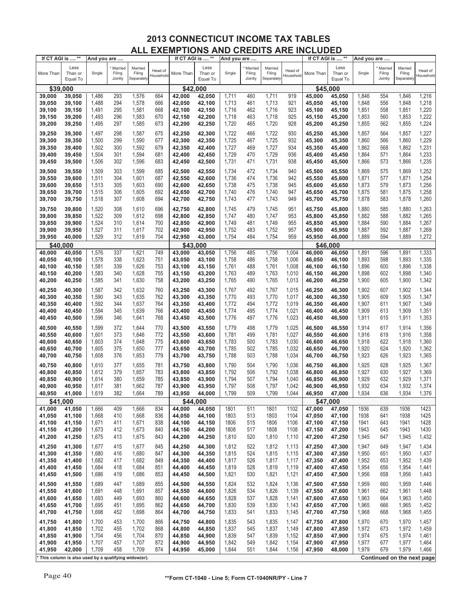| If CT AGI is  **                                    |                             | And you are |                              |                                 |                      | If CT AGI is  ** |                             | And you are |                              |                                 |                      |           | If CT AGI is  **            | And you are  |                              |                                 |                            |
|-----------------------------------------------------|-----------------------------|-------------|------------------------------|---------------------------------|----------------------|------------------|-----------------------------|-------------|------------------------------|---------------------------------|----------------------|-----------|-----------------------------|--------------|------------------------------|---------------------------------|----------------------------|
| More Than                                           | Less<br>Than or<br>Equal To | Single      | Married<br>Filing<br>Jointly | Married<br>Filing<br>Separately | Head of<br>Household | More Than        | Less<br>Than or<br>Equal To | Single      | Married<br>Filing<br>Jointly | Married<br>Filing<br>Separately | Head of<br>Household | More Than | Less<br>Than or<br>Equal To | Single       | Married<br>Filing<br>Jointly | Married<br>Filing<br>Separately | Head of<br>Household       |
| \$39,000                                            |                             |             |                              |                                 |                      | \$42,000         |                             |             |                              |                                 |                      |           | \$45,000                    |              |                              |                                 |                            |
| 39,000                                              | 39,050                      | 1,486       | 293                          | 1,576                           | 664                  | 42,000           | 42,050                      | 1,711       | 460                          | 1,711                           | 919                  | 45,000    | 45,050                      | 1,846        | 554                          | 1,846                           | 1,216                      |
| 39,050                                              | 39,100                      | 1,488       | 294                          | 1,578                           | 666                  | 42,050           | 42,100                      | 1,713       | 461                          | 1,713                           | 921                  | 45,050    | 45,100                      | 1,848        | 556                          | 1,848                           | 1,218                      |
|                                                     |                             |             |                              |                                 |                      |                  |                             |             |                              |                                 |                      |           |                             |              |                              |                                 |                            |
| 39,100                                              | 39,150                      | 1,491       | 295                          | 1,581                           | 668                  | 42,100           | 42,150                      | 1,716       | 462                          | 1,716                           | 923                  | 45,100    | 45,150                      | 1,851        | 558                          | 1,851                           | 1,220                      |
| 39,150                                              | 39,200                      | 1,493       | 296                          | 1,583                           | 670                  | 42,150           | 42,200                      | 1,718       | 463                          | 1,718                           | 925                  | 45,150    | 45,200                      | 1,853        | 560                          | 1,853                           | 1,222                      |
| 39,200                                              | 39,250                      | 1,495       | 297                          | 1,585                           | 673                  | 42,200           | 42,250                      | 1,720       | 465                          | 1,720                           | 928                  | 45,200    | 45,250                      | 1,855        | 562                          | 1,855                           | 1,224                      |
| 39,250                                              | 39,300                      | 1,497       | 298                          | 1,587                           | 675                  | 42,250           | 42,300                      | 1,722       | 466                          | 1,722                           | 930                  | 45,250    | 45,300                      | 1,857        | 564                          | 1,857                           | 1,227                      |
| 39,300                                              | 39,350                      | 1,500       | 299                          | 1,590                           | 677                  | 42,300           | 42,350                      | 1,725       | 467                          | 1,725                           | 932                  | 45,300    | 45,350                      | 1,860        | 566                          | 1,860                           | 1,229                      |
| 39,350                                              | 39,400                      | 1,502       | 300                          | 1,592                           | 679                  | 42,350           | 42,400                      | 1,727       | 469                          | 1,727                           | 934                  | 45,350    | 45,400                      | 1,862        | 568                          | 1,862                           | 1,231                      |
| 39,400                                              | 39,450                      | 1,504       | 301                          | 1,594                           | 681                  | 42,400           | 42,450                      | 1,729       | 470                          | 1,729                           | 936                  | 45,400    | 45,450                      | 1,864        | 571                          | 1,864                           | 1,233                      |
| 39,450                                              | 39,500                      | 1,506       | 302                          | 1,596                           | 683                  | 42,450           | 42,500                      | 1,731       | 471                          | 1,731                           | 938                  | 45,450    | 45,500                      | 1,866        | 573                          | 1,866                           | 1,235                      |
|                                                     |                             |             |                              |                                 |                      |                  |                             |             |                              |                                 |                      |           |                             |              |                              |                                 |                            |
| 39,500                                              | 39,550                      | 1,509       | 303                          | 1,599                           | 685                  | 42,500           | 42,550                      | 1,734       | 472                          | 1,734                           | 940                  | 45,500    | 45,550                      | 1,869        | 575                          | 1,869                           | 1,252                      |
| 39,550                                              | 39,600                      | 1,511       | 304                          | 1,601                           | 687                  | 42,550           | 42,600                      | 1,736       | 474                          | 1,736                           | 942                  | 45,550    | 45,600                      | 1,871        | 577                          | 1,871                           | 1,254                      |
| 39,600                                              | 39,650                      | 1,513       | 305                          | 1,603                           | 690                  | 42,600           | 42,650                      | 1,738       | 475                          | 1,738                           | 945                  | 45,600    | 45,650                      | 1,873        | 579                          | 1,873                           | 1,256                      |
| 39,650                                              | 39,700                      | 1,515       | 306                          | 1,605                           | 692                  | 42,650           | 42,700                      | 1,740       | 476                          | 1,740                           | 947                  | 45,650    | 45,700                      | 1,875        | 581                          | 1,875                           | 1,258                      |
| 39,700                                              | 39,750                      | 1,518       | 307                          | 1,608                           | 694                  | 42,700           | 42,750                      | 1,743       | 477                          | 1,743                           | 949                  | 45,700    | 45,750                      | 1,878        | 583                          | 1,878                           | 1,260                      |
| 39,750                                              | 39,800                      | 1,520       | 308                          | 1,610                           | 696                  | 42,750           | 42,800                      | 1,745       | 479                          | 1,745                           | 951                  | 45,750    | 45,800                      | 1,880        | 585                          | 1,880                           | 1,263                      |
| 39,800                                              | 39,850                      | 1,522       | 309                          | 1,612                           | 698                  | 42,800           | 42,850                      | 1,747       | 480                          | 1,747                           | 953                  | 45,800    | 45,850                      | 1,882        | 588                          | 1,882                           | 1,265                      |
| 39,850                                              | 39,900                      | 1,524       | 310                          | 1,614                           | 700                  | 42,850           | 42,900                      | 1,749       | 481                          | 1,749                           | 955                  | 45,850    | 45,900                      | 1,884        | 590                          | 1,884                           | 1,267                      |
| 39,900                                              | 39,950                      | 1,527       | 311                          | 1,617                           | 702                  | 42,900           | 42,950                      | 1,752       | 483                          | 1,752                           | 957                  | 45,900    | 45,950                      | 1,887        | 592                          | 1,887                           | 1,269                      |
|                                                     |                             |             |                              |                                 | 704                  |                  |                             |             | 484                          |                                 | 959                  |           |                             |              | 594                          |                                 |                            |
| 39,950                                              | 40,000                      | 1,529       | 312                          | 1,619                           |                      | 42,950           | 43,000                      | 1,754       |                              | 1,754                           |                      | 45,950    | 46,000                      | 1,889        |                              | 1,889                           | 1,272                      |
| \$40,000                                            |                             |             |                              |                                 |                      | \$43,000         |                             |             |                              |                                 |                      |           | \$46,000                    |              |                              |                                 |                            |
| 40,000                                              | 40,050                      | 1,576       | 337                          | 1,621                           | 749                  | 43,000           | 43,050                      | 1,756       | 485                          | 1,756                           | 1,004                | 46,000    | 46,050                      | 1,891        | 596                          | 1,891                           | 1,333                      |
| 40,050                                              | 40,100                      | 1,578       | 338                          | 1,623                           | 751                  | 43,050           | 43,100                      | 1,758       | 486                          | 1,758                           | 1,006                | 46,050    | 46,100                      | 1,893        | 598                          | 1,893                           | 1,335                      |
| 40,100                                              | 40,150                      | 1,581       | 339                          | 1,626                           | 753                  | 43,100           | 43,150                      | 1,761       | 488                          | 1,761                           | 1,008                | 46,100    | 46,150                      | 1,896        | 600                          | 1,896                           | 1,338                      |
| 40,150                                              | 40,200                      | 1,583       | 340                          | 1,628                           | 755                  | 43,150           | 43,200                      | 1,763       | 489                          | 1,763                           | 1,010                | 46,150    | 46,200                      | 1,898        | 602                          | 1,898                           | 1,340                      |
| 40,200                                              | 40,250                      | 1,585       | 341                          | 1,630                           | 758                  | 43,200           | 43,250                      | 1,765       | 490                          | 1,765                           | 1,013                | 46,200    | 46,250                      | 1,900        | 605                          | 1,900                           | 1,342                      |
| 40,250                                              | 40,300                      | 1,587       | 342                          | 1,632                           | 760                  | 43,250           | 43,300                      | 1,767       | 492                          | 1,767                           | 1,015                | 46,250    | 46,300                      | 1,902        | 607                          | 1,902                           | 1,344                      |
| 40,300                                              | 40,350                      | 1,590       | 343                          | 1,635                           | 762                  | 43,300           | 43,350                      | 1,770       | 493                          | 1,770                           | 1,017                | 46,300    | 46,350                      | 1,905        | 609                          | 1,905                           | 1,347                      |
| 40,350                                              | 40,400                      | 1,592       | 344                          | 1,637                           | 764                  | 43,350           | 43,400                      | 1,772       | 494                          | 1,772                           | 1,019                | 46,350    | 46,400                      | 1,907        | 611                          | 1,907                           | 1,349                      |
| 40,400                                              | 40,450                      | 1,594       | 345                          | 1,639                           | 766                  | 43,400           | 43,450                      | 1,774       | 495                          | 1,774                           | 1,021                | 46,400    | 46,450                      | 1,909        | 613                          | 1,909                           | 1,351                      |
| 40,450                                              | 40,500                      | 1,596       | 346                          | 1,641                           | 768                  | 43,450           | 43,500                      | 1,776       | 497                          | 1,776                           | 1,023                | 46,450    | 46,500                      | 1,911        | 615                          | 1,911                           | 1,353                      |
|                                                     |                             |             |                              |                                 |                      |                  |                             |             |                              |                                 |                      |           |                             |              |                              |                                 |                            |
| 40,500                                              | 40,550                      | 1,599       | 372                          | 1,644                           | 770                  | 43,500           | 43,550                      | 1,779       | 498                          | 1,779                           | 1,025                | 46,500    | 46,550                      | 1,914        | 617                          | 1,914                           | 1,356                      |
| 40,550                                              | 40,600                      | 1,601       | 373                          | 1,646                           | 772                  | 43,550           | 43,600                      | 1,781       | 499                          | 1,781                           | 1,027                | 46,550    | 46,600                      | 1,916        | 619                          | 1,916                           | 1,358                      |
| 40,600                                              | 40,650                      | 1,603       | 374                          | 1,648                           | 775                  | 43,600           | 43,650                      | 1,783       | 500                          | 1,783                           | 1,030                | 46,600    | 46,650                      | 1,918        | 622                          | 1,918                           | 1,360                      |
| 40,650                                              | 40,700                      | 1,605       | 375                          | 1,650                           | 777                  | 43,650           | 43,700                      | 1,785       | 502                          | 1,785                           | 1,032                | 46,650    | 46,700                      | 1,920        | 624                          | 1,920                           | 1,362                      |
| 40,700                                              | 40,750                      | 1,608       | 376                          | 1,653                           | 779                  | 43,700           | 43,750                      | 1,788       | 503                          | 1,788                           | 1,034                | 46,700    | 46,750                      | 1,923        | 626                          | 1,923                           | 1,365                      |
| 40,750                                              | 40,800                      | 1,610       | 377                          | 1,655                           | 781                  | 43,750           | 43,800                      | 1,790       | 504                          | 1,790                           | 1,036                | 46,750    | 46,800                      | 1,925        | 628                          | 1,925                           | 1,367                      |
| 40,800                                              | 40,850                      | 1,612       | 379                          | 1,657                           | 783                  | 43,800           | 43,850                      | 1,792       | 506                          | 1,792                           | 1,038                | 46,800    | 46,850                      | 1,927        | 630                          | 1,927                           | 1,369                      |
| 40,850                                              | 40,900                      | 1,614       | 380                          | 1,659                           | 785                  | 43,850           | 43,900                      | 1,794       | 507                          | 1,794                           | 1,040                | 46,850    | 46,900                      | 1,929        | 632                          | 1,929                           | 1,371                      |
| 40,900                                              | 40,950                      | 1,617       | 381                          | 1,662                           | 787                  | 43,900           | 43,950                      | 1,797       | 508                          | 1,797                           | 1,042                | 46,900    | 46,950                      | 1,932        | 634                          | 1,932                           | 1,374                      |
| 40,950                                              | 41,000                      | 1,619       | 382                          | 1,664                           | 789                  | 43,950           | 44,000                      | 1,799       | 509                          | 1,799                           | 1,044                | 46,950    | 47,000                      | 1,934        | 636                          | 1,934                           | 1,376                      |
| \$41,000                                            |                             |             |                              |                                 |                      | \$44,000         |                             |             |                              |                                 |                      |           | \$47,000                    |              |                              |                                 |                            |
|                                                     |                             |             |                              |                                 |                      |                  |                             |             |                              |                                 |                      | 47,000    |                             |              |                              |                                 | 1423                       |
| 41,000                                              | 41,050                      | 1,666       | 409                          | 1,666                           | 834                  | 44,000           | 44,050                      | 1801        | 511                          | 1801<br>1803                    | 1102                 |           | 47,050                      | 1936<br>1938 | 639                          | 1936                            |                            |
| 41,050                                              | 41,100                      | 1,668       | 410                          | 1,668                           | 836                  | 44,050           | 44,100                      | 1803        | 513                          |                                 | 1104                 | 47,050    | 47,100                      |              | 641                          | 1938                            | 1425                       |
| 41,100                                              | 41,150                      | 1,671       | 411                          | 1,671                           | 838                  | 44,100           | 44,150                      | 1806        | 515                          | 1806                            | 1106                 | 47,100    | 47,150                      | 1941         | 643                          | 1941                            | 1428                       |
| 41,150                                              | 41,200                      | 1,673       | 412                          | 1,673                           | 840                  | 44,150           | 44,200                      | 1808        | 517                          | 1808                            | 1108                 | 47,150    | 47,200                      | 1943         | 645                          | 1943                            | 1430                       |
| 41,200                                              | 41,250                      | 1,675       | 413                          | 1,675                           | 843                  | 44,200           | 44,250                      | 1,810       | 520                          | 1,810                           | 1,110                | 47,200    | 47,250                      | 1,945        | 647                          | 1,945                           | 1,432                      |
| 41,250                                              | 41,300                      | 1,677       | 415                          | 1,677                           | 845                  | 44,250           | 44,300                      | 1,812       | 522                          | 1,812                           | 1,113                | 47,250    | 47,300                      | 1,947        | 649                          | 1,947                           | 1,434                      |
| 41,300                                              | 41,350                      | 1,680       | 416                          | 1,680                           | 847                  | 44,300           | 44,350                      | 1,815       | 524                          | 1,815                           | 1,115                | 47,300    | 47,350                      | 1,950        | 651                          | 1,950                           | 1,437                      |
| 41,350                                              | 41,400                      | 1,682       | 417                          | 1,682                           | 849                  | 44,350           | 44,400                      | 1,817       | 526                          | 1,817                           | 1,117                | 47,350    | 47,400                      | 1,952        | 653                          | 1,952                           | 1,439                      |
| 41,400                                              | 41,450                      | 1,684       | 418                          | 1,684                           | 851                  | 44,400           | 44,450                      | 1,819       | 528                          | 1,819                           | 1,119                | 47,400    | 47,450                      | 1,954        | 656                          | 1,954                           | 1,441                      |
| 41,450                                              | 41,500                      | 1,686       | 419                          | 1,686                           | 853                  | 44,450           | 44,500                      | 1,821       | 530                          | 1,821                           | 1,121                | 47,450    | 47,500                      | 1,956        | 658                          | 1,956                           | 1,443                      |
| 41,500                                              | 41,550                      | 1,689       | 447                          | 1,689                           | 855                  | 44,500           | 44,550                      | 1,824       | 532                          | 1,824                           | 1,136                | 47,500    | 47,550                      | 1,959        | 660                          | 1,959                           | 1,446                      |
| 41,550                                              | 41,600                      | 1,691       | 448                          | 1,691                           | 857                  | 44,550           | 44,600                      | 1,826       | 534                          | 1,826                           | 1,139                | 47,550    | 47,600                      | 1,961        | 662                          | 1,961                           | 1,448                      |
| 41,600                                              | 41,650                      | 1,693       | 449                          | 1,693                           | 860                  | 44,600           | 44,650                      | 1,828       | 537                          | 1,828                           | 1,141                | 47,600    | 47,650                      | 1,963        | 664                          | 1,963                           | 1,450                      |
|                                                     |                             |             |                              |                                 |                      |                  |                             |             |                              |                                 |                      |           |                             |              |                              |                                 |                            |
| 41,650                                              | 41,700                      | 1,695       | 451                          | 1,695                           | 862                  | 44,650           | 44,700                      | 1,830       | 539                          | 1,830                           | 1,143                | 47,650    | 47,700                      | 1,965        | 666                          | 1,965                           | 1,452                      |
| 41,700                                              | 41,750                      | 1,698       | 452                          | 1,698                           | 864                  | 44,700           | 44,750                      | 1,833       | 541                          | 1,833                           | 1,145                | 47,700    | 47,750                      | 1,968        | 668                          | 1,968                           | 1,455                      |
| 41,750                                              | 41,800                      | 1,700       | 453                          | 1,700                           | 866                  | 44,750           | 44,800                      | 1,835       | 543                          | 1,835                           | 1,147                | 47,750    | 47,800                      | 1,970        | 670                          | 1,970                           | 1,457                      |
| 41,800                                              | 41,850                      | 1,702       | 455                          | 1,702                           | 868                  | 44,800           | 44,850                      | 1,837       | 545                          | 1,837                           | 1,149                | 47,800    | 47,850                      | 1,972        | 673                          | 1,972                           | 1,459                      |
| 41,850                                              | 41,900                      | 1,704       | 456                          | 1,704                           | 870                  | 44,850           | 44,900                      | 1,839       | 547                          | 1,839                           | 1,152                | 47,850    | 47,900                      | 1,974        | 675                          | 1,974                           | 1,461                      |
| 41,900                                              | 41,950                      | 1,707       | 457                          | 1,707                           | 872                  | 44,900           | 44,950                      | 1,842       | 549                          | 1,842                           | 1,154                | 47,900    | 47,950                      | 1,977        | 677                          | 1,977                           | 1,464                      |
| 41,950                                              | 42,000                      | 1,709       | 458                          | 1,709                           | 874                  | 44,950           | 45,000                      | 1,844       | 551                          | 1,844                           | 1,156                | 47,950    | 48,000                      | 1,979        | 679                          | 1,979                           | 1,466                      |
| This column is also used by a qualifying widow(er). |                             |             |                              |                                 |                      |                  |                             |             |                              |                                 |                      |           |                             |              |                              |                                 | Continued on the next page |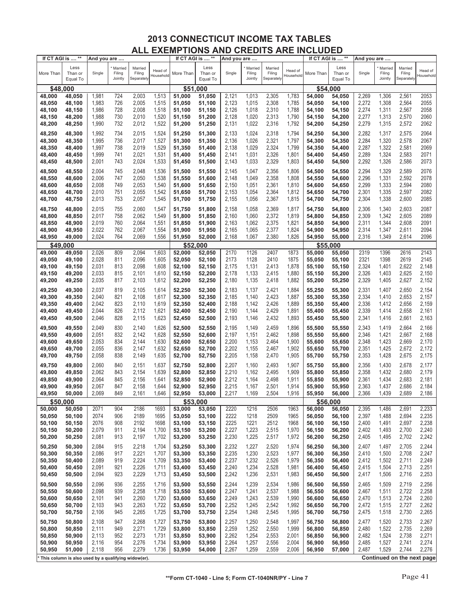| If CT AGI is  ** |                                                     | And you are    |                              |                                 |                      | If CT AGI is  ** |                             | And you are    |                              |                                 |                      | If CT AGI is  ** |                             | And you are    |                              |                                 |                            |
|------------------|-----------------------------------------------------|----------------|------------------------------|---------------------------------|----------------------|------------------|-----------------------------|----------------|------------------------------|---------------------------------|----------------------|------------------|-----------------------------|----------------|------------------------------|---------------------------------|----------------------------|
| More Than        | Less<br>Than or<br>Equal To                         | Single         | Married<br>Filing<br>Jointly | Married<br>Filing<br>Separately | Head of<br>Household | More Than        | Less<br>Than or<br>Equal To | Single         | Married<br>Filing<br>Jointly | Married<br>Filing<br>Separately | Head of<br>Household | More Than        | Less<br>Than or<br>Equal To | Single         | Married<br>Filing<br>Jointly | Married<br>Filing<br>Separately | Head of<br>Household       |
| \$48,000         |                                                     |                |                              |                                 |                      | \$51,000         |                             |                |                              |                                 |                      | \$54,000         |                             |                |                              |                                 |                            |
| 48,000           | 48,050                                              | 1,981          | 724                          | 2,003                           | 1,513                | 51.000           | 51,050                      | 2,121          | 1,013                        | 2,305                           | 1,783                | 54,000           | 54,050                      | 2,269          | 1,306                        | 2,561                           | 2053                       |
| 48,050           | 48,100                                              | 1,983          | 726                          | 2,005                           | 1,515                | 51,050           | 51,100                      | 2,123          | 1,015                        | 2,308                           | 1,785                | 54,050           | 54,100                      | 2,272          | 1,308                        | 2,564                           | 2055                       |
| 48,100           | 48,150                                              | 1,986          | 728                          | 2,008                           | 1,518                | 51,100           | 51,150                      | 2,126          | 1,018                        | 2,310                           | 1,788                | 54,100           | 54,150                      | 2,274          | 1,311                        | 2,567                           | 2058                       |
| 48,150           | 48,200                                              | 1,988          | 730                          | 2,010                           | 1,520                | 51,150           | 51,200                      | 2,128          | 1,020                        | 2,313                           | 1,790                | 54,150           | 54,200                      | 2,277          | 1,313                        | 2,570                           | 2060                       |
| 48,200           | 48,250                                              | 1,990          | 732                          | 2,012                           | 1,522                | 51,200           | 51,250                      | 2,131          | 1,022                        | 2,316                           | 1,792                | 54,200           | 54,250                      | 2,279          | 1,315                        | 2,572                           | 2062                       |
| 48,250           | 48,300                                              | 1,992          | 734                          | 2,015                           | 1,524                | 51,250           | 51,300                      | 2,133          | 1,024                        | 2,318                           | 1,794                | 54,250           | 54,300                      | 2,282          | 1,317                        | 2,575                           | 2064                       |
| 48,300           | 48,350                                              | 1,995          | 736                          | 2,017                           | 1,527                | 51,300           | 51,350                      | 2,136          | 1,026                        | 2,321                           | 1,797                | 54,300           | 54,350                      | 2,284          | 1,320                        | 2,578                           | 2067                       |
| 48,350           | 48,400                                              | 1,997          | 738                          | 2,019                           | 1,529                | 51,350           | 51,400                      | 2,138          | 1,029                        | 2,324                           | 1,799                | 54,350           | 54,400                      | 2,287          | 1,322                        | 2,581                           | 2069                       |
| 48,400           | 48,450                                              | 1,999          | 741                          | 2,021                           | 1,531                | 51,400           | 51,450                      | 2,141          | 1,031                        | 2,326                           | 1,801                | 54,400           | 54,450                      | 2,289          | 1,324                        | 2,583                           | 2071                       |
| 48,450           | 48,500                                              | 2,001          | 743                          | 2,024                           | 1,533                | 51,450           | 51,500                      | 2,143          | 1,033                        | 2,329                           | 1,803                | 54,450           | 54,500                      | 2,292          | 1,326                        | 2,586                           | 2073                       |
| 48,500           | 48,550                                              | 2,004          | 745                          | 2,048                           | 1,536                | 51,500           | 51,550                      | 2,145          | 1,047                        | 2,356                           | 1,806                | 54,500           | 54,550                      | 2,294          | 1,329                        | 2,589                           | 2076                       |
| 48,550           | 48,600                                              | 2,006          | 747                          | 2,050                           | 1,538                | 51,550           | 51,600                      | 2,148          | 1,049                        | 2,358                           | 1,808                | 54,550           | 54,600                      | 2,296          | 1,331                        | 2,592                           | 2078                       |
| 48,600           | 48,650                                              | 2,008          | 749                          | 2,053                           | 1,540                | 51,600           | 51,650                      | 2,150          | 1,051                        | 2,361                           | 1,810                | 54,600           | 54,650                      | 2,299          | 1,333                        | 2,594                           | 2080                       |
| 48,650           | 48,700                                              | 2,010          | 751                          | 2,055                           | 1,542                | 51,650           | 51,700                      | 2,153          | 1,054                        | 2,364                           | 1,812                | 54,650           | 54,700                      | 2,301          | 1,335                        | 2,597                           | 2082                       |
| 48,700           | 48,750                                              | 2,013          | 753                          | 2,057                           | 1,545                | 51,700           | 51,750                      | 2,155          | 1,056                        | 2,367                           | 1,815                | 54,700           | 54,750                      | 2,304          | 1,338                        | 2,600                           | 2085                       |
| 48,750           | 48,800                                              | 2,015          | 755                          | 2,060                           | 1,547                | 51,750           | 51,800                      | 2,158          | 1,058                        | 2,369                           | 1,817                | 54,750           | 54,800                      | 2,306          | 1,340                        | 2,603                           | 2087                       |
| 48,800           | 48,850                                              | 2,017          | 758                          | 2,062                           | 1,549                | 51,800           | 51,850                      | 2,160          | 1,060                        | 2,372                           | 1,819                | 54,800           | 54,850                      | 2,309          | 1,342                        | 2,605                           | 2089                       |
| 48,850           | 48,900                                              | 2,019          | 760                          | 2,064                           | 1,551                | 51,850           | 51,900                      | 2,163          | 1,062                        | 2,375                           | 1,821                | 54,850           | 54,900                      | 2,311          | 1,344                        | 2,608                           | 2091                       |
| 48,900           | 48,950                                              | 2,022          | 762                          | 2,067                           | 1,554                | 51,900           | 51,950                      | 2,165          | 1,065                        | 2,377                           | 1,824                | 54,900           | 54,950                      | 2,314          | 1,347                        | 2,611                           | 2094                       |
| 48,950           | 49,000                                              | 2,024          | 764                          | 2,069                           | 1,556                | 51,950           | 52,000                      | 2,168          | 1,067                        | 2,380                           | 1,826                | 54,950           | 55,000                      | 2,316          | 1,349                        | 2,614                           | 2096                       |
| \$49,000         |                                                     |                |                              |                                 |                      | \$52,000         |                             |                |                              |                                 |                      | \$55,000         |                             |                |                              |                                 |                            |
| 49,000           | 49,050                                              | 2,026          | 809                          | 2,094                           | 1,603                | 52,000           | 52,050                      | 2170           | 1126                         | 2407                            | 1873                 | 55,000           | 55,050                      | 2319           | 1396                         | 2616                            | 2143                       |
| 49,050           | 49,100                                              | 2,028          | 811                          | 2,096                           | 1,605                | 52,050           | 52,100                      | 2173           | 1128                         | 2410                            | 1875                 | 55,050           | 55,100                      | 2321           | 1398                         | 2619                            | 2145                       |
| 49.100           | 49,150                                              | 2,031          | 813                          | 2,098                           | 1,608                | 52,100           | 52,150                      | 2,175          | 1,131                        | 2,413                           | 1,878                | 55,100           | 55,150                      | 2,324          | 1,401                        | 2,622                           | 2,148                      |
| 49,150           | 49,200                                              | 2,033          | 815                          | 2,101                           | 1,610                | 52,150           | 52,200                      | 2,178          | 1,133                        | 2,415                           | 1,880                | 55,150           | 55,200                      | 2,326          | 1,403                        | 2,625                           | 2,150                      |
| 49,200           | 49,250                                              | 2,035          | 817                          | 2,103                           | 1,612                | 52,200           | 52,250                      | 2,180          | 1,135                        | 2,418                           | 1,882                | 55,200           | 55,250                      | 2,329          | 1,405                        | 2,627                           | 2,152                      |
| 49,250           | 49,300                                              | 2,037          | 819                          | 2,105                           | 1,614                | 52,250           | 52,300                      | 2,183          | 1,137                        | 2,421                           | 1,884                | 55,250           | 55,300                      | 2,331          | 1,407                        | 2,650                           | 2,154                      |
| 49,300           | 49,350                                              | 2,040          | 821                          | 2,108                           | 1,617                | 52,300           | 52,350                      | 2,185          | 1,140                        | 2,423                           | 1,887                | 55,300           | 55,350                      | 2,334          | 1,410                        | 2,653                           | 2,157                      |
| 49,350           | 49,400                                              | 2,042          | 823                          | 2,110                           | 1,619                | 52,350           | 52,400                      | 2,188          | 1,142                        | 2,426                           | 1,889                | 55,350           | 55,400                      | 2,336          | 1,412                        | 2,656<br>2,658                  | 2,159                      |
| 49,400<br>49,450 | 49,450<br>49,500                                    | 2,044<br>2,046 | 826<br>828                   | 2,112<br>2,115                  | 1,621<br>1,623       | 52,400<br>52,450 | 52,450<br>52,500            | 2,190<br>2,193 | 1,144<br>1,146               | 2,429<br>2,432                  | 1,891<br>1,893       | 55,400<br>55,450 | 55,450<br>55,500            | 2,339<br>2,341 | 1,414<br>1,416               | 2,661                           | 2,161<br>2,163             |
|                  |                                                     |                |                              |                                 |                      |                  |                             |                |                              |                                 |                      |                  |                             |                |                              |                                 |                            |
| 49,500           | 49,550                                              | 2,049          | 830<br>832                   | 2,140                           | 1,626<br>1,628       | 52,500           | 52,550                      | 2,195          | 1,149                        | 2,459<br>2,462                  | 1,896<br>1,898       | 55,500           | 55,550                      | 2,343          | 1,419                        | 2,664                           | 2,166                      |
| 49,550<br>49,600 | 49,600<br>49,650                                    | 2,051<br>2,053 | 834                          | 2,142<br>2,144                  | 1,630                | 52,550<br>52,600 | 52,600<br>52,650            | 2,197<br>2,200 | 1,151<br>1,153               | 2,464                           | 1,900                | 55,550<br>55,600 | 55,600<br>55,650            | 2,346<br>2,348 | 1,421<br>1,423               | 2,667<br>2,669                  | 2,168<br>2,170             |
| 49,650           | 49,700                                              | 2,055          | 836                          | 2,147                           | 1,632                | 52,650           | 52,700                      | 2,202          | 1,155                        | 2,467                           | 1,902                | 55,650           | 55,700                      | 2,351          | 1,425                        | 2,672                           | 2,172                      |
| 49,700           | 49,750                                              | 2,058          | 838                          | 2,149                           | 1,635                | 52,700           | 52,750                      | 2,205          | 1,158                        | 2,470                           | 1,905                | 55,700           | 55,750                      | 2,353          | 1,428                        | 2,675                           | 2,175                      |
|                  |                                                     |                |                              |                                 |                      |                  |                             |                |                              |                                 |                      | 55,750           |                             |                |                              |                                 |                            |
| 49,750<br>49,800 | 49,800<br>49,850                                    | 2,060<br>2,062 | 840<br>843                   | 2,151<br>2,154                  | 1,637<br>1,639       | 52,750<br>52,800 | 52,800<br>52,850            | 2,207<br>2,210 | 1,160<br>1,162               | 2,493<br>2,495                  | 1,907<br>1,909       | 55,800           | 55,800<br>55,850            | 2,356<br>2,358 | 1,430<br>1,432               | 2,678<br>2,680                  | 2,177<br>2,179             |
| 49,850           | 49,900                                              | 2,064          | 845                          | 2,156                           | 1,641                | 52,850           | 52,900                      | 2,212          | 1,164                        | 2,498                           | 1,911                | 55,850           | 55,900                      | 2,361          | 1,434                        | 2,683                           | 2,181                      |
| 49,900           | 49,950                                              | 2,067          | 847                          | 2,158                           | 1,644                | 52,900           | 52,950                      | 2,215          | 1,167                        | 2,501                           | 1,914                | 55,900           | 55,950                      | 2,363          | 1,437                        | 2,686                           | 2,184                      |
| 49,950           | 50,000                                              | 2,069          | 849                          | 2,161                           | 1,646                | 52,950           | 53,000                      | 2,217          | 1,169                        | 2,504                           | 1,916                | 55,950           | 56,000                      | 2,366          | 1,439                        | 2,689                           | 2,186                      |
| \$50,000         |                                                     |                |                              |                                 |                      | \$53,000         |                             |                |                              |                                 |                      | \$56,000         |                             |                |                              |                                 |                            |
| 50,000           | 50,050                                              | 2071           | 904                          | 2186                            | 1693                 | 53,000           | 53,050                      | 2220           | 1216                         | 2506                            | 1963                 | 56,000           | 56,050                      | 2,395          | 1,486                        | 2,691                           | 2,233                      |
| 50,050           | 50,100                                              | 2074           | 906                          | 2189                            | 1695                 | 53,050           | 53,100                      | 2222           | 1218                         | 2509                            | 1965                 | 56,050           | 56,100                      | 2,397          | 1,488                        | 2,694                           | 2,235                      |
| 50,100           | 50,150                                              | 2076           | 908                          | 2192                            | 1698                 | 53,100           | 53,150                      | 2225           | 1221                         | 2512                            | 1968                 | 56,100           | 56,150                      | 2,400          | 1,491                        | 2,697                           | 2,238                      |
| 50,150           | 50,200                                              | 2,079          | 911                          | 2,194                           | 1,700                | 53,150           | 53,200                      | 2,227          | 1,223                        | 2,515                           | 1,970                | 56,150           | 56,200                      | 2,402          | 1,493                        | 2,700                           | 2,240                      |
| 50,200           | 50,250                                              | 2,081          | 913                          | 2,197                           | 1,702                | 53,200           | 53,250                      | 2,230          | 1,225                        | 2,517                           | 1,972                | 56,200           | 56,250                      | 2,405          | 1,495                        | 2,702                           | 2,242                      |
| 50,250           | 50,300                                              | 2,084          | 915                          | 2,218                           | 1,704                | 53,250           | 53,300                      | 2,232          | 1,227                        | 2,520                           | 1,974                | 56,250           | 56,300                      | 2,407          | 1,497                        | 2,705                           | 2,244                      |
| 50,300           | 50,350                                              | 2,086          | 917                          | 2,221                           | 1,707                | 53,300           | 53,350                      | 2,235          | 1,230                        | 2,523                           | 1,977                | 56,300           | 56,350                      | 2,410          | 1,500                        | 2,708                           | 2,247<br>2,249             |
| 50,350<br>50,400 | 50,400                                              | 2,089<br>2,091 | 919<br>921                   | 2,224                           | 1,709                | 53,350           | 53,400                      | 2,237<br>2,240 | 1,232<br>1,234               | 2,526<br>2,528                  | 1,979                | 56,350<br>56,400 | 56,400                      | 2,412          | 1,502<br>1,504               | 2,711<br>2,713                  | 2,251                      |
| 50,450           | 50,450<br>50,500                                    | 2,094          | 923                          | 2,226<br>2,229                  | 1,711<br>1,713       | 53,400<br>53,450 | 53,450<br>53,500            | 2,242          | 1,236                        | 2,531                           | 1,981<br>1,983       | 56,450           | 56,450<br>56,500            | 2,415<br>2,417 | 1,506                        | 2,716                           | 2,253                      |
|                  |                                                     |                |                              |                                 |                      |                  |                             |                |                              |                                 |                      |                  |                             |                |                              |                                 |                            |
| 50,500<br>50,550 | 50,550<br>50,600                                    | 2,096<br>2,098 | 936<br>939                   | 2,255<br>2,258                  | 1,716<br>1,718       | 53,500<br>53,550 | 53,550<br>53,600            | 2,244<br>2,247 | 1,239<br>1,241               | 2,534<br>2,537                  | 1,986<br>1,988       | 56,500<br>56,550 | 56,550<br>56,600            | 2,465<br>2,467 | 1,509<br>1,511               | 2,719<br>2,722                  | 2,256<br>2,258             |
| 50,600           | 50,650                                              | 2,101          | 941                          | 2,260                           | 1,720                | 53,600           | 53,650                      | 2,249          | 1,243                        | 2,539                           | 1,990                | 56,600           | 56,650                      | 2,470          | 1,513                        | 2,724                           | 2,260                      |
| 50,650           | 50,700                                              | 2,103          | 943                          | 2,263                           | 1,722                | 53,650           | 53,700                      | 2,252          | 1,245                        | 2,542                           | 1,992                | 56,650           | 56,700                      | 2,472          | 1,515                        | 2,727                           | 2,262                      |
| 50,700           | 50,750                                              | 2,106          | 945                          | 2,265                           | 1,725                | 53,700           | 53,750                      | 2,254          | 1,248                        | 2,545                           | 1,995                | 56,700           | 56,750                      | 2,475          | 1,518                        | 2,730                           | 2,265                      |
| 50,750           | 50,800                                              | 2,108          | 947                          | 2,268                           | 1,727                | 53,750           | 53,800                      | 2,257          | 1,250                        | 2,548                           | 1,997                | 56,750           |                             | 2,477          | 1,520                        | 2,733                           | 2,267                      |
| 50,800           | 50,850                                              | 2,111          | 949                          | 2,271                           | 1,729                | 53,800           | 53,850                      | 2,259          | 1,252                        | 2,550                           | 1,999                | 56,800           | 56,800<br>56,850            | 2,480          | 1,522                        | 2,735                           | 2,269                      |
| 50,850           | 50,900                                              | 2,113          | 952                          | 2,273                           | 1,731                | 53,850           | 53,900                      | 2,262          | 1,254                        | 2,553                           | 2,001                | 56,850           | 56,900                      | 2,482          | 1,524                        | 2,738                           | 2,271                      |
| 50,900           | 50,950                                              | 2,116          | 954                          | 2,276                           | 1,734                | 53,900           | 53,950                      | 2,264          | 1,257                        | 2,556                           | 2,004                | 56,900           | 56,950                      | 2,485          | 1,527                        | 2,741                           | 2,274                      |
| 50,950           | 51,000                                              | 2,118          | 956                          | 2,279                           | 1,736                | 53,950           | 54,000                      | 2,267          | 1,259                        | 2,559                           | 2,006                | 56,950           | 57,000                      | 2,487          | 1,529                        | 2,744                           | 2,276                      |
|                  | This column is also used by a qualifying widow(er). |                |                              |                                 |                      |                  |                             |                |                              |                                 |                      |                  |                             |                |                              |                                 | Continued on the next page |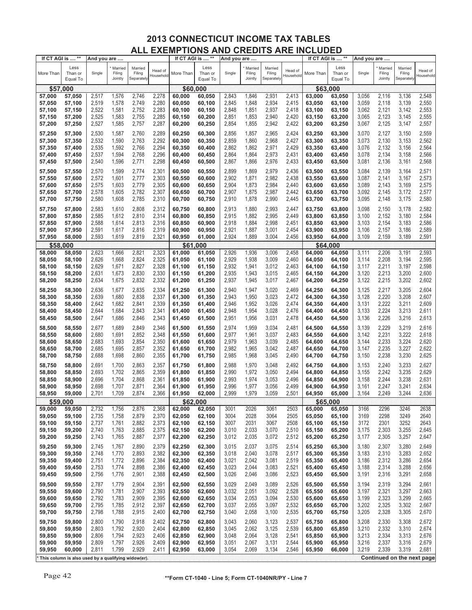| If CT AGI is  ** |                                                     | And you are |                              |                                 |                             | If CT AGI is  ** |                             | And you are |                              |                                 |                      |           | If CT AGI is  **            | And you are |                              |                                 |                            |
|------------------|-----------------------------------------------------|-------------|------------------------------|---------------------------------|-----------------------------|------------------|-----------------------------|-------------|------------------------------|---------------------------------|----------------------|-----------|-----------------------------|-------------|------------------------------|---------------------------------|----------------------------|
| More Than        | Less<br>Than or<br>Equal To                         | Single      | Married<br>Filing<br>Jointly | Married<br>Filing<br>Separately | Head of<br><b>Household</b> | More Than        | Less<br>Than or<br>Equal To | Single      | Married<br>Filing<br>Jointly | Married<br>Filing<br>Separately | Head of<br>Household | More Than | Less<br>Than or<br>Equal To | Single      | Married<br>Filing<br>Jointly | Married<br>Filing<br>Separately | Head of<br>Household       |
| \$57,000         |                                                     |             |                              |                                 |                             | \$60,000         |                             |             |                              |                                 |                      |           | \$63,000                    |             |                              |                                 |                            |
| 57,000           | 57,050                                              | 2,517       | 1,576                        | 2,746                           | 2,278                       | 60,000           | 60,050                      | 2,843       | 1,846                        | 2,931                           | 2,413                | 63,000    | 63,050                      | 3,056       | 2,116                        | 3,136                           | 2,548                      |
| 57,050           | 57,100                                              | 2,519       | 1,578                        | 2,749                           | 2,280                       |                  | 60,100                      | 2,845       | 1,848                        | 2,934                           | 2,415                | 63,050    |                             | 3,059       | 2,118                        | 3,139                           | 2,550                      |
|                  |                                                     |             |                              |                                 |                             | 60,050           |                             |             |                              |                                 |                      |           | 63,100                      |             |                              |                                 |                            |
| 57,100           | 57,150                                              | 2,522       | 1,581                        | 2,752                           | 2,283                       | 60,100           | 60,150                      | 2,848       | 1,851                        | 2,937                           | 2,418                | 63,100    | 63,150                      | 3,062       | 2,121                        | 3,142                           | 2,553                      |
| 57,150           | 57,200                                              | 2,525       | 1,583                        | 2,755                           | 2,285                       | 60,150           | 60,200                      | 2,851       | 1,853                        | 2,940                           | 2,420                | 63,150    | 63,200                      | 3,065       | 2,123                        | 3,145                           | 2,555                      |
| 57,200           | 57,250                                              | 2,527       | 1,585                        | 2,757                           | 2,287                       | 60,200           | 60,250                      | 2,854       | 1,855                        | 2,942                           | 2,422                | 63,200    | 63,250                      | 3,067       | 2,125                        | 3,147                           | 2,557                      |
| 57,250           | 57,300                                              | 2,530       | 1,587                        | 2,760                           | 2,289                       | 60,250           | 60,300                      | 2,856       | 1,857                        | 2,965                           | 2,424                | 63,250    | 63,300                      | 3,070       | 2,127                        | 3,150                           | 2,559                      |
| 57,300           | 57,350                                              | 2,532       | 1,590                        | 2,763                           | 2,292                       | 60,300           | 60,350                      | 2,859       | 1,860                        | 2,968                           | 2,427                | 63,300    | 63,350                      | 3,073       | 2,130                        | 3,153                           | 2,562                      |
| 57,350           | 57,400                                              | 2,535       | 1,592                        | 2,766                           | 2,294                       | 60,350           | 60,400                      | 2,862       | 1,862                        | 2,971                           | 2,429                | 63,350    | 63,400                      | 3,076       | 2,132                        | 3,156                           | 2,564                      |
| 57,400           | 57,450                                              | 2,537       | 1,594                        | 2,768                           | 2,296                       | 60,400           | 60,450                      | 2,864       | 1,864                        | 2,973                           | 2,431                | 63,400    | 63,450                      | 3,078       | 2,134                        | 3,158                           | 2,566                      |
| 57,450           | 57,500                                              | 2,540       | 1,596                        | 2,771                           | 2,298                       | 60,450           | 60,500                      | 2,867       | 1,866                        | 2,976                           | 2,433                | 63,450    | 63,500                      | 3,081       | 2,136                        | 3,161                           | 2,568                      |
|                  |                                                     |             |                              |                                 |                             |                  |                             |             |                              |                                 |                      |           |                             |             |                              |                                 |                            |
| 57,500           | 57,550                                              | 2,570       | 1,599                        | 2,774                           | 2,301                       | 60,500           | 60,550                      | 2,899       | 1,869                        | 2,979                           | 2,436                | 63,500    | 63,550                      | 3,084       | 2,139                        | 3,164                           | 2,571                      |
| 57,550           | 57,600                                              | 2,572       | 1,601                        | 2,777                           | 2,303                       | 60,550           | 60,600                      | 2,902       | 1,871                        | 2,982                           | 2,438                | 63,550    | 63,600                      | 3,087       | 2,141                        | 3,167                           | 2,573                      |
| 57,600           | 57,650                                              | 2,575       | 1,603                        | 2,779                           | 2,305                       | 60,600           | 60,650                      | 2,904       | 1,873                        | 2,984                           | 2,440                | 63,600    | 63,650                      | 3,089       | 2,143                        | 3,169                           | 2,575                      |
| 57,650           | 57,700                                              | 2,578       | 1,605                        | 2,782                           | 2,307                       | 60,650           | 60,700                      | 2,907       | 1,875                        | 2,987                           | 2,442                | 63,650    | 63,700                      | 3,092       | 2,145                        | 3,172                           | 2,577                      |
| 57,700           | 57,750                                              | 2,580       | 1,608                        | 2,785                           | 2,310                       | 60,700           | 60,750                      | 2,910       | 1,878                        | 2,990                           | 2,445                | 63,700    | 63,750                      | 3,095       | 2,148                        | 3,175                           | 2,580                      |
| 57,750           | 57,800                                              | 2,583       | 1,610                        | 2,808                           | 2,312                       | 60,750           | 60,800                      | 2,913       | 1,880                        | 2,993                           | 2,447                | 63,750    | 63,800                      | 3,098       | 2,150                        | 3,178                           | 2,582                      |
| 57,800           | 57,850                                              | 2,585       | 1,612                        | 2,810                           | 2,314                       | 60,800           | 60,850                      | 2,915       | 1,882                        | 2,995                           | 2,449                | 63,800    | 63,850                      | 3,100       | 2,152                        | 3,180                           | 2,584                      |
| 57,850           | 57,900                                              | 2,588       | 1,614                        | 2,813                           | 2,316                       | 60,850           | 60,900                      | 2,918       | 1,884                        | 2,998                           | 2,451                | 63,850    | 63,900                      | 3,103       | 2,154                        | 3,183                           | 2,586                      |
| 57,900           | 57,950                                              | 2,591       | 1,617                        | 2,816                           | 2,319                       | 60,900           | 60,950                      | 2,921       | 1,887                        | 3,001                           | 2,454                | 63,900    | 63,950                      | 3,106       | 2,157                        | 3,186                           | 2,589                      |
| 57,950           |                                                     | 2,593       | 1,619                        | 2,819                           | 2,321                       | 60,950           |                             | 2,924       | 1,889                        | 3,004                           | 2,456                | 63,950    |                             | 3,109       | 2,159                        | 3,189                           | 2,591                      |
|                  | 58,000                                              |             |                              |                                 |                             |                  | 61,000                      |             |                              |                                 |                      |           | 64,000                      |             |                              |                                 |                            |
| \$58,000         |                                                     |             |                              |                                 |                             | \$61             | 000                         |             |                              |                                 |                      |           | \$64,000                    |             |                              |                                 |                            |
| 58,000           | 58,050                                              | 2,623       | 1,666                        | 2,821                           | 2,323                       | 61,000           | 61,050                      | 2,926       | 1,936                        | 3,006                           | 2,458                | 64,000    | 64,050                      | 3,111       | 2,206                        | 3,191                           | 2,593                      |
| 58,050           | 58,100                                              | 2,626       | 1,668                        | 2,824                           | 2,325                       | 61,050           | 61,100                      | 2,929       | 1,938                        | 3,009                           | 2,460                | 64,050    | 64,100                      | 3,114       | 2,208                        | 3,194                           | 2,595                      |
| 58,100           | 58,150                                              | 2,629       | 1,671                        | 2,827                           | 2,328                       | 61,100           | 61,150                      | 2,932       | 1,941                        | 3,012                           | 2,463                | 64,100    | 64,150                      | 3,117       | 2,211                        | 3,197                           | 2,598                      |
| 58,150           | 58,200                                              | 2,631       | 1,673                        | 2,830                           | 2,330                       | 61,150           | 61,200                      | 2,935       | 1,943                        | 3,015                           | 2,465                | 64,150    | 64,200                      | 3,120       | 2,213                        | 3,200                           | 2,600                      |
| 58,200           | 58,250                                              | 2,634       | 1,675                        | 2,832                           | 2,332                       | 61,200           | 61,250                      | 2,937       | 1,945                        | 3,017                           | 2,467                | 64,200    | 64,250                      | 3,122       | 2,215                        | 3,202                           | 2,602                      |
| 58,250           | 58,300                                              | 2,636       | 1,677                        | 2,835                           | 2,334                       | 61,250           | 61,300                      | 2,940       | 1,947                        | 3,020                           | 2,469                | 64,250    | 64,300                      | 3,125       | 2,217                        | 3,205                           | 2,604                      |
| 58,300           | 58,350                                              | 2,639       | 1,680                        | 2,838                           | 2,337                       | 61,300           | 61,350                      | 2,943       | 1,950                        | 3,023                           | 2,472                | 64,300    | 64,350                      | 3,128       | 2,220                        | 3,208                           | 2,607                      |
| 58,350           | 58,400                                              | 2,642       | 1,682                        | 2,841                           | 2,339                       | 61,350           | 61,400                      | 2,946       | 1,952                        | 3,026                           | 2,474                | 64,350    | 64,400                      | 3,131       | 2,222                        | 3,211                           | 2,609                      |
| 58,400           | 58,450                                              | 2,644       | 1,684                        | 2,843                           | 2,341                       | 61,400           | 61,450                      | 2,948       | 1,954                        | 3,028                           | 2,476                | 64,400    | 64,450                      | 3,133       | 2,224                        | 3,213                           | 2,611                      |
| 58,450           | 58,500                                              | 2,647       | 1,686                        | 2,846                           | 2,343                       | 61,450           | 61,500                      | 2,951       | 1,956                        | 3,031                           | 2,478                | 64,450    | 64,500                      | 3,136       | 2,226                        | 3,216                           | 2,613                      |
|                  |                                                     |             |                              |                                 |                             |                  |                             |             |                              |                                 |                      |           |                             |             |                              |                                 |                            |
| 58,500           | 58,550                                              | 2,677       | 1,689                        | 2,849                           | 2,346                       | 61,500           | 61,550                      | 2,974       | 1,959                        | 3,034                           | 2,481                | 64,500    | 64,550                      | 3,139       | 2,229                        | 3,219                           | 2,616                      |
| 58,550           | 58,600                                              | 2,680       | 1,691                        | 2,852                           | 2,348                       | 61,550           | 61,600                      | 2,977       | 1,961                        | 3,037                           | 2,483                | 64,550    | 64,600                      | 3,142       | 2,231                        | 3,222                           | 2,618                      |
| 58,600           | 58,650                                              | 2,683       | 1,693                        | 2,854                           | 2,350                       | 61,600           | 61,650                      | 2,979       | 1,963                        | 3,039                           | 2,485                | 64,600    | 64,650                      | 3,144       | 2,233                        | 3,224                           | 2,620                      |
| 58,650           | 58,700                                              | 2,685       | 1,695                        | 2,857                           | 2,352                       | 61,650           | 61,700                      | 2,982       | 1,965                        | 3,042                           | 2,487                | 64,650    | 64,700                      | 3,147       | 2,235                        | 3,227                           | 2,622                      |
| 58,700           | 58,750                                              | 2,688       | 1,698                        | 2,860                           | 2,355                       | 61,700           | 61,750                      | 2,985       | 1,968                        | 3,045                           | 2,490                | 64,700    | 64,750                      | 3,150       | 2,238                        | 3,230                           | 2,625                      |
| 58,750           | 58,800                                              | 2,691       | 1,700                        | 2,863                           | 2,357                       | 61,750           | 61,800                      | 2,988       | 1,970                        | 3,048                           | 2,492                | 64,750    | 64,800                      | 3,153       | 2,240                        | 3,233                           | 2,627                      |
| 58,800           | 58,850                                              | 2,693       | 1,702                        | 2,865                           | 2,359                       | 61,800           | 61,850                      | 2,990       | 1,972                        | 3,050                           | 2,494                | 64,800    | 64,850                      | 3,155       | 2,242                        | 3,235                           | 2,629                      |
| 58,850           | 58,900                                              | 2,696       | 1,704                        | 2,868                           | 2,361                       | 61,850           | 61,900                      | 2,993       | 1,974                        | 3,053                           | 2,496                | 64,850    | 64,900                      | 3,158       | 2,244                        | 3,238                           | 2,631                      |
| 58,900           | 58,950                                              | 2,698       | 1,707                        | 2,871                           | 2,364                       | 61,900           | 61,950                      | 2,996       | 1,977                        | 3,056                           | 2,499                | 64,900    | 64,950                      | 3,161       | 2,247                        | 3,241                           | 2,634                      |
| 58,950           | 59,000                                              | 2,701       | 1,709                        | 2,874                           | 2,366                       | 61,950           | 62,000                      | 2,999       | 1,979                        | 3,059                           | 2,501                | 64,950    | 65,000                      | 3,164       | 2,249                        | 3,244                           | 2,636                      |
| \$59,000         |                                                     |             |                              |                                 |                             | \$62,000         |                             |             |                              |                                 |                      |           | \$65,000                    |             |                              |                                 |                            |
| 59,000           | 59,050                                              | 2,732       | 1,756                        | 2,876                           | 2,368                       | 62,000           | 62,050                      | 3001        | 2026                         | 3061                            | 2503                 | 65,000    | 65,050                      | 3166        | 2296                         | 3246                            | 2638                       |
| 59,050           | 59,100                                              | 2,735       | 1,758                        | 2,879                           | 2,370                       | 62,050           | 62,100                      | 3004        | 2028                         | 3064                            | 2505                 | 65,050    | 65,100                      | 3169        | 2298                         | 3249                            | 2640                       |
| 59,100           | 59,150                                              | 2,737       | 1,761                        | 2,882                           | 2,373                       | 62,100           | 62,150                      | 3007        | 2031                         | 3067                            | 2508                 | 65,100    | 65,150                      | 3172        | 2301                         | 3252                            | 2643                       |
| 59,150           | 59,200                                              | 2,740       | 1,763                        | 2,885                           | 2,375                       | 62,150           | 62,200                      | 3,010       | 2,033                        | 3,070                           | 2,510                | 65,150    | 65,200                      | 3,175       | 2,303                        | 3,255                           | 2,645                      |
| 59,200           | 59,250                                              | 2,743       | 1,765                        | 2,887                           | 2,377                       | 62,200           | 62,250                      | 3,012       | 2,035                        | 3,072                           | 2,512                | 65,200    | 65,250                      | 3,177       | 2,305                        | 3,257                           | 2,647                      |
|                  |                                                     |             |                              |                                 |                             |                  |                             |             |                              |                                 |                      |           |                             |             |                              |                                 |                            |
| 59,250           | 59,300                                              | 2,745       | 1,767                        | 2,890                           | 2,379                       | 62,250           | 62,300                      | 3,015       | 2,037                        | 3,075                           | 2,514                | 65,250    | 65,300                      | 3,180       | 2,307                        | 3,280                           | 2,649                      |
| 59,300           | 59,350                                              | 2,748       | 1,770                        | 2,893                           | 2,382                       | 62,300           | 62,350                      | 3,018       | 2,040                        | 3,078                           | 2,517                | 65,300    | 65,350                      | 3,183       | 2,310                        | 3,283                           | 2,652                      |
| 59,350           | 59,400                                              | 2,751       | 1,772                        | 2,896                           | 2,384                       | 62,350           | 62,400                      | 3,021       | 2,042                        | 3,081                           | 2,519                | 65,350    | 65,400                      | 3,186       | 2,312                        | 3,286                           | 2,654                      |
| 59,400           | 59,450                                              | 2,753       | 1,774                        | 2,898                           | 2,386                       | 62,400           | 62,450                      | 3,023       | 2,044                        | 3,083                           | 2,521                | 65,400    | 65,450                      | 3,188       | 2,314                        | 3,288                           | 2,656                      |
| 59,450           | 59,500                                              | 2,756       | 1,776                        | 2,901                           | 2,388                       | 62,450           | 62,500                      | 3,026       | 2,046                        | 3,086                           | 2,523                | 65,450    | 65,500                      | 3,191       | 2,316                        | 3,291                           | 2,658                      |
| 59,500           | 59,550                                              | 2,787       | 1,779                        | 2,904                           | 2,391                       | 62,500           | 62,550                      | 3,029       | 2,049                        | 3,089                           | 2,526                | 65,500    | 65,550                      | 3,194       | 2,319                        | 3,294                           | 2,661                      |
| 59,550           | 59,600                                              | 2,790       | 1,781                        | 2,907                           | 2,393                       | 62,550           | 62,600                      | 3,032       | 2,051                        | 3,092                           | 2,528                | 65,550    | 65,600                      | 3,197       | 2,321                        | 3,297                           | 2,663                      |
| 59,600           | 59,650                                              | 2,792       | 1,783                        | 2,909                           | 2,395                       | 62,600           | 62,650                      | 3,034       | 2,053                        | 3,094                           | 2,530                | 65,600    | 65,650                      | 3,199       | 2,323                        | 3,299                           | 2,665                      |
| 59,650           | 59,700                                              | 2,795       | 1,785                        | 2,912                           | 2,397                       | 62,650           | 62,700                      | 3,037       | 2,055                        | 3,097                           | 2,532                | 65,650    | 65,700                      | 3,202       | 2,325                        | 3,302                           | 2,667                      |
| 59,700           | 59,750                                              | 2,798       | 1,788                        | 2,915                           | 2,400                       | 62,700           | 62,750                      | 3,040       | 2,058                        | 3,100                           | 2,535                | 65,700    | 65,750                      | 3,205       | 2,328                        | 3,305                           | 2,670                      |
|                  |                                                     |             |                              |                                 |                             |                  |                             |             |                              |                                 |                      |           |                             |             |                              |                                 |                            |
| 59,750           | 59,800                                              | 2,800       | 1,790                        | 2,918                           | 2,402                       | 62,750           | 62,800                      | 3,043       | 2,060                        | 3,123                           | 2,537                | 65,750    | 65,800                      | 3,208       | 2,330                        | 3,308                           | 2,672                      |
| 59,800           | 59,850                                              | 2,803       | 1,792                        | 2,920                           | 2,404                       | 62,800           | 62,850                      | 3,045       | 2,062                        | 3,125                           | 2,539                | 65,800    | 65,850                      | 3,210       | 2,332                        | 3,310                           | 2,674                      |
| 59,850           | 59,900                                              | 2,806       | 1,794                        | 2,923                           | 2,406                       | 62,850           | 62,900                      | 3,048       | 2,064                        | 3,128                           | 2,541                | 65,850    | 65,900                      | 3,213       | 2,334                        | 3,313                           | 2,676                      |
| 59,900           | 59,950                                              | 2,809       | 1,797                        | 2,926                           | 2,409                       | 62,900           | 62,950                      | 3,051       | 2,067                        | 3,131                           | 2,544                | 65,900    | 65,950                      | 3,216       | 2,337                        | 3,316                           | 2,679                      |
| 59,950           | 60,000                                              | 2,811       | 1,799                        | 2,929                           | 2,411                       | 62,950           | 63,000                      | 3,054       | 2,069                        | 3,134                           | 2,546                | 65,950    | 66,000                      | 3,219       | 2,339                        | 3,319                           | 2,681                      |
|                  | This column is also used by a qualifying widow(er). |             |                              |                                 |                             |                  |                             |             |                              |                                 |                      |           |                             |             |                              |                                 | Continued on the next page |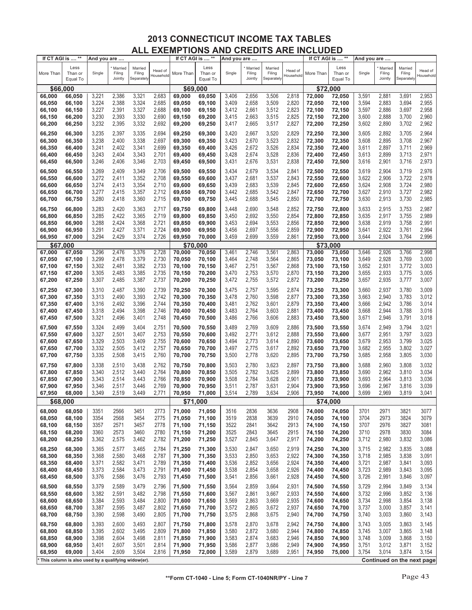| If CT AGI is  ** |                                                     | And you are |                              |                                 |                      | If CT AGI is  ** |                             | And you are |                              |                                 |                      | If CT AGI is  ** |                             | And you are |                              |                                 |                            |
|------------------|-----------------------------------------------------|-------------|------------------------------|---------------------------------|----------------------|------------------|-----------------------------|-------------|------------------------------|---------------------------------|----------------------|------------------|-----------------------------|-------------|------------------------------|---------------------------------|----------------------------|
| More Than        | Less<br>Than or<br>Equal To                         | Single      | Married<br>Filing<br>Jointly | Married<br>Filing<br>Separately | Head of<br>Household | More Than        | Less<br>Than or<br>Equal To | Single      | Married<br>Filing<br>Jointly | Married<br>Filing<br>Separately | Head of<br>Household | More Than        | Less<br>Than or<br>Equal To | Single      | Married<br>Filing<br>Jointly | Married<br>Filing<br>Separately | Head of<br>Household       |
| \$66,000         |                                                     |             |                              |                                 |                      | \$69,000         |                             |             |                              |                                 |                      | \$72,000         |                             |             |                              |                                 |                            |
| 66,000           | 66,050                                              | 3,221       | 2,386                        | 3,321                           | 2,683                | 69,000           | 69,050                      | 3,406       | 2,656                        | 3,506                           | 2,818                | 72,000           | 72,050                      | 3,591       | 2,881                        | 3,691                           | 2,953                      |
|                  |                                                     |             |                              | 3,324                           |                      |                  |                             |             |                              | 3,509                           |                      |                  |                             |             |                              |                                 | 2,955                      |
| 66,050           | 66,100                                              | 3,224       | 2,388                        |                                 | 2,685                | 69,050           | 69,100                      | 3,409       | 2,658                        |                                 | 2,820                | 72,050           | 72,100                      | 3,594       | 2,883                        | 3,694                           |                            |
| 66,100           | 66,150                                              | 3,227       | 2,391                        | 3,327                           | 2,688                | 69,100           | 69,150                      | 3,412       | 2,661                        | 3,512                           | 2,823                | 72,100           | 72,150                      | 3,597       | 2,886                        | 3,697                           | 2,958                      |
| 66,150           | 66,200                                              | 3,230       | 2,393                        | 3,330                           | 2,690                | 69,150           | 69,200                      | 3,415       | 2,663                        | 3,515                           | 2,825                | 72,150           | 72,200                      | 3,600       | 2,888                        | 3,700                           | 2,960                      |
| 66,200           | 66,250                                              | 3,232       | 2,395                        | 3,332                           | 2,692                | 69,200           | 69,250                      | 3,417       | 2,665                        | 3,517                           | 2,827                | 72,200           | 72,250                      | 3,602       | 2,890                        | 3,702                           | 2,962                      |
| 66,250           | 66,300                                              | 3,235       | 2,397                        | 3,335                           | 2,694                | 69,250           | 69,300                      | 3,420       | 2,667                        | 3,520                           | 2,829                | 72,250           | 72,300                      | 3,605       | 2,892                        | 3,705                           | 2,964                      |
|                  |                                                     |             |                              |                                 |                      |                  |                             |             |                              |                                 |                      |                  |                             |             |                              |                                 |                            |
| 66,300           | 66,350                                              | 3,238       | 2,400                        | 3,338                           | 2,697                | 69,300           | 69,350                      | 3,423       | 2,670                        | 3,523                           | 2,832                | 72,300           | 72,350                      | 3,608       | 2,895                        | 3,708                           | 2,967                      |
| 66,350           | 66,400                                              | 3,241       | 2,402                        | 3,341                           | 2,699                | 69,350           | 69,400                      | 3,426       | 2,672                        | 3,526                           | 2,834                | 72,350           | 72,400                      | 3,611       | 2,897                        | 3,711                           | 2,969                      |
| 66,400           | 66,450                                              | 3,243       | 2,404                        | 3,343                           | 2,701                | 69,400           | 69,450                      | 3,428       | 2,674                        | 3,528                           | 2,836                | 72,400           | 72,450                      | 3,613       | 2,899                        | 3,713                           | 2,971                      |
| 66,450           | 66,500                                              | 3,246       | 2,406                        | 3,346                           | 2,703                | 69,450           | 69,500                      | 3,431       | 2,676                        | 3,531                           | 2,838                | 72,450           | 72,500                      | 3,616       | 2,901                        | 3,716                           | 2,973                      |
| 66,500           | 66,550                                              | 3,269       | 2,409                        | 3,349                           | 2,706                | 69,500           | 69,550                      | 3,434       | 2,679                        | 3,534                           | 2,841                | 72,500           | 72,550                      | 3,619       | 2,904                        | 3,719                           | 2,976                      |
|                  |                                                     |             |                              |                                 |                      |                  |                             |             |                              |                                 |                      |                  |                             |             |                              |                                 | 2,978                      |
| 66,550           | 66,600                                              | 3,272       | 2,411                        | 3,352                           | 2,708                | 69,550           | 69,600                      | 3,437       | 2,681                        | 3,537                           | 2,843                | 72,550           | 72,600                      | 3,622       | 2,906                        | 3,722                           |                            |
| 66,600           | 66,650                                              | 3,274       | 2,413                        | 3,354                           | 2,710                | 69,600           | 69,650                      | 3,439       | 2,683                        | 3,539                           | 2,845                | 72,600           | 72,650                      | 3,624       | 2,908                        | 3,724                           | 2,980                      |
| 66,650           | 66,700                                              | 3,277       | 2,415                        | 3,357                           | 2,712                | 69,650           | 69,700                      | 3,442       | 2,685                        | 3,542                           | 2,847                | 72,650           | 72,700                      | 3,627       | 2,910                        | 3,727                           | 2,982                      |
| 66,700           | 66,750                                              | 3,280       | 2,418                        | 3,360                           | 2,715                | 69,700           | 69,750                      | 3,445       | 2,688                        | 3,545                           | 2,850                | 72,700           | 72,750                      | 3,630       | 2,913                        | 3,730                           | 2,985                      |
| 66,750           | 66,800                                              | 3,283       | 2,420                        | 3,363                           | 2,717                | 69,750           | 69,800                      | 3,448       | 2,690                        | 3,548                           | 2,852                | 72,750           | 72,800                      | 3,633       | 2,915                        | 3,753                           | 2,987                      |
| 66,800           | 66,850                                              | 3,285       | 2,422                        | 3,365                           | 2,719                | 69,800           | 69,850                      | 3,450       | 2,692                        | 3,550                           | 2,854                | 72,800           | 72,850                      | 3,635       | 2,917                        | 3,755                           | 2,989                      |
| 66,850           | 66,900                                              | 3,288       | 2,424                        | 3,368                           | 2,721                | 69,850           | 69,900                      | 3,453       | 2,694                        | 3,553                           | 2,856                | 72,850           | 72,900                      | 3,638       | 2,919                        | 3,758                           | 2,991                      |
| 66,900           | 66,950                                              | 3,291       | 2,427                        | 3,371                           | 2,724                | 69,900           | 69,950                      | 3,456       | 2,697                        | 3,556                           | 2,859                | 72,900           | 72,950                      | 3,641       | 2,922                        | 3,761                           | 2,994                      |
| 66,950           |                                                     | 3,294       | 2,429                        | 3,374                           | 2,726                | 69,950           |                             | 3,459       | 2,699                        | 3,559                           | 2,861                | 72,950           | 73,000                      | 3,644       | 2,924                        | 3,764                           | 2,996                      |
|                  | 67,000                                              |             |                              |                                 |                      |                  | 70,000                      |             |                              |                                 |                      |                  |                             |             |                              |                                 |                            |
| \$67,000         |                                                     |             |                              |                                 |                      | \$70,000         |                             |             |                              |                                 |                      | \$73             | .000                        |             |                              |                                 |                            |
| 67,000           | 67,050                                              | 3,296       | 2,476                        | 3,376                           | 2,728                | 70,000           | 70,050                      | 3,461       | 2,746                        | 3,561                           | 2,863                | 73.000           | 73,050                      | 3,646       | 2,926                        | 3,766                           | 2,998                      |
| 67,050           | 67,100                                              | 3,299       | 2,478                        | 3,379                           | 2,730                | 70,050           | 70,100                      | 3,464       | 2,748                        | 3,564                           | 2,865                | 73,050           | 73,100                      | 3,649       | 2,928                        | 3,769                           | 3,000                      |
| 67,100           | 67,150                                              | 3,302       | 2,481                        | 3,382                           | 2,733                | 70,100           | 70,150                      | 3,467       | 2,751                        | 3,567                           | 2,868                | 73,100           | 73,150                      | 3,652       | 2,931                        | 3,772                           | 3,003                      |
| 67,150           | 67,200                                              | 3,305       | 2,483                        | 3,385                           | 2,735                | 70,150           | 70,200                      | 3,470       | 2,753                        | 3,570                           | 2,870                | 73,150           | 73,200                      | 3,655       | 2,933                        | 3,775                           | 3,005                      |
| 67,200           | 67,250                                              | 3,307       | 2,485                        | 3,387                           | 2,737                | 70,200           | 70,250                      | 3,472       | 2,755                        | 3,572                           | 2,872                | 73,200           | 73,250                      | 3,657       | 2,935                        | 3,777                           | 3,007                      |
| 67,250           | 67,300                                              | 3,310       | 2,487                        | 3,390                           | 2,739                | 70,250           | 70,300                      | 3,475       | 2,757                        | 3,595                           | 2,874                | 73,250           | 73,300                      | 3,660       | 2,937                        | 3,780                           | 3,009                      |
| 67,300           | 67,350                                              | 3,313       | 2,490                        | 3,393                           | 2,742                | 70,300           | 70,350                      | 3,478       | 2,760                        | 3,598                           | 2,877                | 73,300           |                             | 3,663       | 2,940                        | 3,783                           | 3,012                      |
|                  |                                                     |             |                              |                                 |                      |                  |                             |             |                              |                                 |                      |                  | 73,350                      |             |                              |                                 |                            |
| 67,350           | 67,400                                              | 3,316       | 2,492                        | 3,396                           | 2,744                | 70,350           | 70,400                      | 3,481       | 2,762                        | 3,601                           | 2,879                | 73,350           | 73,400                      | 3,666       | 2,942                        | 3,786                           | 3,014                      |
| 67,400           | 67,450                                              | 3,318       | 2,494                        | 3,398                           | 2,746                | 70,400           | 70,450                      | 3,483       | 2,764                        | 3,603                           | 2,881                | 73,400           | 73,450                      | 3,668       | 2,944                        | 3,788                           | 3,016                      |
| 67,450           | 67,500                                              | 3,321       | 2,496                        | 3,401                           | 2,748                | 70,450           | 70,500                      | 3,486       | 2,766                        | 3,606                           | 2,883                | 73,450           | 73,500                      | 3,671       | 2,946                        | 3,791                           | 3,018                      |
| 67,500           | 67,550                                              | 3,324       | 2,499                        | 3,404                           | 2,751                | 70,500           | 70,550                      | 3,489       | 2,769                        | 3,609                           | 2,886                | 73,500           | 73,550                      | 3,674       | 2,949                        | 3,794                           | 3,021                      |
| 67,550           | 67,600                                              | 3,327       | 2,501                        | 3,407                           | 2,753                | 70,550           | 70,600                      | 3,492       | 2,771                        | 3,612                           | 2,888                | 73,550           | 73,600                      | 3,677       | 2,951                        | 3,797                           | 3,023                      |
| 67,600           | 67,650                                              | 3,329       | 2,503                        | 3,409                           | 2,755                | 70,600           | 70,650                      | 3,494       | 2,773                        | 3,614                           | 2,890                | 73,600           | 73,650                      | 3,679       | 2,953                        | 3,799                           | 3,025                      |
| 67,650           | 67,700                                              | 3,332       | 2,505                        | 3,412                           | 2,757                | 70,650           | 70,700                      | 3,497       | 2,775                        | 3,617                           | 2,892                | 73,650           | 73,700                      | 3,682       | 2,955                        | 3,802                           | 3,027                      |
| 67,700           | 67,750                                              | 3,335       | 2,508                        | 3,415                           | 2,760                | 70,700           | 70,750                      | 3,500       | 2,778                        | 3,620                           | 2,895                | 73,700           | 73,750                      | 3,685       | 2,958                        | 3,805                           | 3,030                      |
|                  |                                                     |             |                              |                                 |                      |                  |                             |             |                              |                                 |                      |                  |                             |             |                              |                                 |                            |
| 67,750           | 67,800                                              | 3,338       | 2,510                        | 3,438                           | 2,762                | 70,750           | 70,800                      | 3,503       | 2,780                        | 3,623                           | 2,897                | 73,750           | 73,800                      | 3,688       | 2,960                        | 3,808                           | 3,032                      |
| 67,800           | 67,850                                              | 3,340       | 2,512                        | 3,440                           | 2,764                | 70,800           | 70,850                      | 3,505       | 2,782                        | 3,625                           | 2,899                | 73,800           | 73,850                      | 3,690       | 2,962                        | 3,810                           | 3,034                      |
| 67,850           | 67,900                                              | 3,343       | 2,514                        | 3,443                           | 2,766                | 70,850           | 70,900                      | 3,508       | 2,784                        | 3,628                           | 2,901                | 73,850           | 73,900                      | 3,693       | 2,964                        | 3,813                           | 3,036                      |
| 67,900           | 67,950                                              | 3,346       | 2,517                        | 3,446                           | 2,769                | 70,900           | 70,950                      | 3,511       | 2,787                        | 3,631                           | 2,904                | 73,900           | 73,950                      | 3,696       | 2,967                        | 3,816                           | 3,039                      |
| 67,950           | 68,000                                              | 3,349       | 2,519                        | 3,449                           | 2,771                | 70,950           | 71,000                      | 3,514       | 2,789                        | 3,634                           | 2,906                | 73,950           | 74,000                      | 3,699       | 2,969                        | 3,819                           | 3,041                      |
| \$68,000         |                                                     |             |                              |                                 |                      | \$71,000         |                             |             |                              |                                 |                      | \$74,000         |                             |             |                              |                                 |                            |
| 68,000           | 68,050                                              | 3351        | 2566                         | 3451                            | 2773                 | 71,000           | 71,050                      | 3516        | 2836                         | 3636                            | 2908                 | 74,000           | 74,050                      | 3701        | 2971                         | 3821                            | 3077                       |
| 68,050           | 68,100                                              | 3354        | 2568                         | 3454                            | 2775                 | 71,050           | 71,100                      | 3519        | 2838                         | 3639                            | 2910                 | 74,050           | 74,100                      | 3704        | 2973                         | 3824                            | 3079                       |
|                  |                                                     | 3357        |                              | 3457                            |                      |                  | 71,150                      | 3522        | 2841                         | 3642                            | 2913                 |                  |                             |             | 2976                         | 3827                            | 3081                       |
| 68,100           | 68,150                                              |             | 2571                         |                                 | 2778                 | 71,100           |                             |             |                              |                                 |                      | 74,100           | 74,150                      | 3707        |                              |                                 |                            |
| 68,150           | 68,200                                              | 3360        | 2573                         | 3460                            | 2780                 | 71,150           | 71,200                      | 3525        | 2843                         | 3645                            | 2915                 | 74,150           | 74,200                      | 3710        | 2978                         | 3830                            | 3084                       |
| 68,200           | 68,250                                              | 3,362       | 2,575                        | 3,462                           | 2,782                | 71,200           | 71,250                      | 3,527       | 2,845                        | 3,647                           | 2,917                | 74,200           | 74,250                      | 3,712       | 2,980                        | 3,832                           | 3,086                      |
| 68,250           | 68,300                                              | 3,365       | 2,577                        | 3,465                           | 2,784                | 71,250           | 71,300                      | 3,530       | 2,847                        | 3,650                           | 2,919                | 74,250           | 74,300                      | 3,715       | 2,982                        | 3,835                           | 3,088                      |
| 68,300           | 68,350                                              | 3,368       | 2,580                        | 3,468                           | 2,787                | 71,300           | 71,350                      | 3,533       | 2,850                        | 3,653                           | 2,922                | 74,300           | 74,350                      | 3,718       | 2,985                        | 3,838                           | 3,091                      |
| 68,350           | 68,400                                              | 3,371       | 2,582                        | 3,471                           | 2,789                | 71,350           | 71,400                      | 3,536       | 2,852                        | 3,656                           | 2,924                | 74,350           | 74,400                      | 3,721       | 2,987                        | 3,841                           | 3,093                      |
| 68,400           | 68,450                                              | 3,373       | 2,584                        | 3,473                           | 2,791                | 71,400           | 71,450                      | 3,538       | 2,854                        | 3,658                           | 2,926                | 74,400           | 74,450                      | 3,723       | 2,989                        | 3,843                           | 3,095                      |
| 68,450           | 68,500                                              | 3,376       | 2,586                        | 3,476                           | 2,793                | 71,450           | 71,500                      | 3,541       | 2,856                        | 3,661                           | 2,928                | 74,450           | 74,500                      | 3,726       | 2,991                        | 3,846                           | 3,097                      |
|                  |                                                     |             |                              |                                 |                      |                  |                             |             |                              |                                 |                      |                  |                             |             |                              |                                 |                            |
| 68,500           | 68,550                                              | 3,379       | 2,589                        | 3,479                           | 2,796                | 71,500           | 71,550                      | 3,564       | 2,859                        | 3,664                           | 2,931                | 74,500           | 74,550                      | 3,729       | 2,994                        | 3,849                           | 3,134                      |
| 68,550           | 68,600                                              | 3,382       | 2,591                        | 3,482                           | 2,798                | 71,550           | 71,600                      | 3,567       | 2,861                        | 3,667                           | 2,933                | 74,550           | 74,600                      | 3,732       | 2,996                        | 3,852                           | 3,136                      |
| 68,600           | 68,650                                              | 3,384       | 2,593                        | 3,484                           | 2,800                | 71,600           | 71,650                      | 3,569       | 2,863                        | 3,669                           | 2,935                | 74,600           | 74,650                      | 3,734       | 2,998                        | 3,854                           | 3,138                      |
| 68,650           | 68,700                                              | 3,387       | 2,595                        | 3,487                           | 2,802                | 71,650           | 71,700                      | 3,572       | 2,865                        | 3,672                           | 2,937                | 74,650           | 74,700                      | 3,737       | 3,000                        | 3,857                           | 3,141                      |
| 68,700           | 68,750                                              | 3,390       | 2,598                        | 3,490                           | 2,805                | 71,700           | 71,750                      | 3,575       | 2,868                        | 3,675                           | 2,940                | 74,700           | 74,750                      | 3,740       | 3,003                        | 3,860                           | 3,143                      |
| 68,750           | 68,800                                              | 3,393       | 2,600                        | 3,493                           | 2,807                | 71,750           | 71,800                      | 3,578       | 2,870                        | 3,678                           | 2,942                | 74,750           | 74,800                      | 3,743       | 3,005                        | 3,863                           | 3,145                      |
| 68,800           | 68,850                                              | 3,395       | 2,602                        | 3,495                           | 2,809                | 71,800           | 71,850                      | 3,580       | 2,872                        | 3,680                           | 2,944                | 74,800           | 74,850                      | 3,745       | 3,007                        | 3,865                           | 3,148                      |
| 68,850           | 68,900                                              | 3,398       | 2,604                        | 3,498                           | 2,811                | 71,850           | 71,900                      | 3,583       | 2,874                        | 3,683                           | 2,946                | 74,850           | 74,900                      | 3,748       | 3,009                        | 3,868                           | 3,150                      |
|                  |                                                     |             |                              |                                 |                      |                  |                             |             |                              |                                 |                      |                  |                             |             |                              |                                 |                            |
| 68,900           | 68,950                                              | 3,401       | 2,607                        | 3,501                           | 2,814                | 71,900           | 71,950                      | 3,586       | 2,877                        | 3,686                           | 2,949                | 74,900           | 74,950                      | 3,751       | 3,012                        | 3,871                           | 3,152                      |
| 68,950           | 69,000                                              | 3,404       | 2,609                        | 3,504                           | 2,816                | 71,950           | 72,000                      | 3,589       | 2,879                        | 3,689                           | 2,951                | 74,950           | 75,000                      | 3,754       | 3,014                        | 3,874                           | 3,154                      |
|                  | This column is also used by a qualifying widow(er). |             |                              |                                 |                      |                  |                             |             |                              |                                 |                      |                  |                             |             |                              |                                 | Continued on the next page |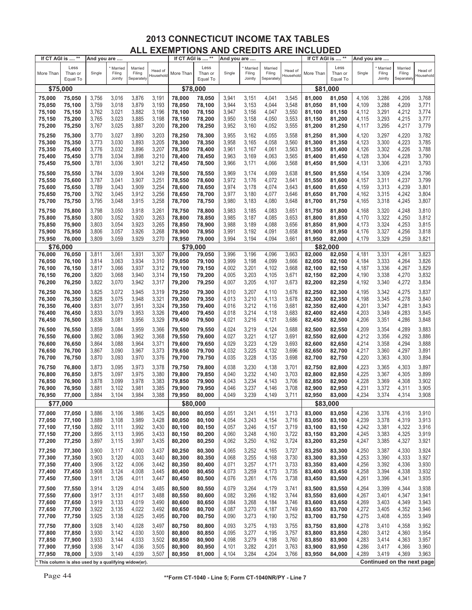| If CT AGI is  **                                    |                             | And you are |                              |                                 |                      | If CT AGI is  ** |                             | And you are |                              |                                 |                      |           | If CT AGI is  **            | And you are |                              |                                 |                             |
|-----------------------------------------------------|-----------------------------|-------------|------------------------------|---------------------------------|----------------------|------------------|-----------------------------|-------------|------------------------------|---------------------------------|----------------------|-----------|-----------------------------|-------------|------------------------------|---------------------------------|-----------------------------|
| More Than                                           | Less<br>Than or<br>Equal To | Single      | Married<br>Filing<br>Jointly | Married<br>Filing<br>Separately | Head of<br>Household | More Than        | Less<br>Than or<br>Equal To | Single      | Married<br>Filing<br>Jointly | Married<br>Filing<br>Separately | Head of<br>Household | More Than | Less<br>Than or<br>Equal To | Single      | Married<br>Filing<br>Jointly | Married<br>Filing<br>Separately | Head of<br><b>Household</b> |
| \$75,000                                            |                             |             |                              |                                 |                      | \$78,000         |                             |             |                              |                                 |                      |           | \$81,000                    |             |                              |                                 |                             |
| 75,000                                              |                             | 3,756       | 3,016                        | 3,876                           | 3,191                | 78,000           | 78,050                      | 3,941       | 3,151                        | 4,041                           | 3,545                | 81,000    |                             | 4,106       | 3,286                        | 4,206                           | 3,768                       |
|                                                     | 75,050                      |             |                              |                                 |                      |                  |                             |             |                              |                                 |                      |           | 81,050                      |             |                              |                                 |                             |
| 75,050                                              | 75,100                      | 3,759       | 3,018                        | 3,879                           | 3,193                | 78,050           | 78,100                      | 3,944       | 3,153                        | 4,044                           | 3,548                | 81,050    | 81,100                      | 4,109       | 3,288                        | 4,209                           | 3,771                       |
| 75,100                                              | 75,150                      | 3,762       | 3,021                        | 3,882                           | 3,196                | 78,100           | 78,150                      | 3,947       | 3,156                        | 4,047                           | 3,550                | 81,100    | 81,150                      | 4,112       | 3,291                        | 4,212                           | 3,774                       |
| 75,150                                              | 75,200                      | 3,765       | 3,023                        | 3,885                           | 3,198                | 78,150           | 78,200                      | 3,950       | 3,158                        | 4,050                           | 3,553                | 81,150    | 81,200                      | 4,115       | 3,293                        | 4,215                           | 3,777                       |
| 75,200                                              | 75,250                      | 3,767       | 3,025                        | 3,887                           | 3,200                | 78,200           | 78,250                      | 3,952       | 3,160                        | 4,052                           | 3,555                | 81,200    | 81,250                      | 4,117       | 3,295                        | 4,217                           | 3,779                       |
|                                                     |                             |             |                              |                                 |                      |                  |                             |             |                              |                                 |                      |           |                             |             |                              |                                 |                             |
| 75,250                                              | 75,300                      | 3,770       | 3,027                        | 3,890                           | 3,203                | 78,250           | 78,300                      | 3,955       | 3,162                        | 4,055                           | 3,558                | 81,250    | 81,300                      | 4,120       | 3,297                        | 4,220                           | 3,782                       |
| 75,300                                              | 75,350                      | 3,773       | 3,030                        | 3,893                           | 3,205                | 78,300           | 78,350                      | 3,958       | 3,165                        | 4,058                           | 3,560                | 81,300    | 81,350                      | 4,123       | 3,300                        | 4,223                           | 3,785                       |
| 75,350                                              | 75,400                      | 3,776       | 3,032                        | 3,896                           | 3,207                | 78,350           | 78,400                      | 3,961       | 3,167                        | 4,061                           | 3,563                | 81,350    | 81,400                      | 4,126       | 3,302                        | 4,226                           | 3,788                       |
| 75,400                                              | 75,450                      | 3,778       | 3,034                        | 3,898                           | 3,210                | 78,400           | 78,450                      | 3,963       | 3,169                        | 4,063                           | 3,565                | 81,400    | 81,450                      | 4,128       | 3,304                        | 4,228                           | 3,790                       |
| 75,450                                              | 75,500                      | 3,781       | 3,036                        | 3,901                           | 3,212                | 78,450           | 78,500                      | 3,966       | 3,171                        | 4,066                           | 3,568                | 81,450    | 81,500                      | 4,131       | 3,306                        | 4,231                           | 3,793                       |
|                                                     |                             |             |                              |                                 |                      |                  |                             |             |                              |                                 |                      |           |                             |             |                              |                                 |                             |
| 75,500                                              | 75,550                      | 3,784       | 3,039                        | 3,904                           | 3,249                | 78,500           | 78,550                      | 3,969       | 3,174                        | 4,069                           | 3,638                | 81,500    | 81,550                      | 4,154       | 3,309                        | 4,234                           | 3,796                       |
| 75,550                                              | 75,600                      | 3,787       | 3,041                        | 3,907                           | 3,251                | 78,550           | 78,600                      | 3,972       | 3,176                        | 4,072                           | 3,641                | 81,550    | 81,600                      | 4,157       | 3,311                        | 4,237                           | 3,799                       |
| 75,600                                              | 75,650                      | 3,789       | 3,043                        | 3,909                           | 3,254                | 78,600           | 78,650                      | 3,974       | 3,178                        | 4,074                           | 3,643                | 81,600    | 81,650                      | 4,159       | 3,313                        | 4,239                           | 3,801                       |
| 75,650                                              | 75,700                      | 3,792       | 3,045                        | 3,912                           | 3,256                | 78,650           | 78,700                      | 3,977       | 3,180                        | 4,077                           | 3,646                | 81,650    | 81,700                      | 4,162       | 3,315                        | 4,242                           | 3,804                       |
| 75,700                                              | 75,750                      | 3,795       | 3,048                        | 3,915                           | 3,258                | 78,700           | 78,750                      | 3,980       | 3,183                        | 4,080                           | 3,648                | 81,700    | 81,750                      | 4,165       | 3,318                        | 4,245                           | 3,807                       |
|                                                     |                             |             |                              |                                 |                      |                  |                             |             |                              |                                 |                      |           |                             |             |                              |                                 |                             |
| 75,750                                              | 75,800                      | 3,798       | 3,050                        | 3,918                           | 3,261                | 78,750           | 78,800                      | 3,983       | 3,185                        | 4,083                           | 3,651                | 81,750    | 81,800                      | 4,168       | 3,320                        | 4,248                           | 3,810                       |
| 75,800                                              | 75,850                      | 3,800       | 3,052                        | 3,920                           | 3,263                | 78,800           | 78,850                      | 3,985       | 3,187                        | 4,085                           | 3,653                | 81,800    | 81,850                      | 4,170       | 3,322                        | 4,250                           | 3,812                       |
| 75,850                                              | 75,900                      | 3,803       | 3,054                        | 3,923                           | 3,265                | 78,850           | 78,900                      | 3,988       | 3,189                        | 4,088                           | 3,656                | 81,850    | 81,900                      | 4,173       | 3,324                        | 4,253                           | 3,815                       |
| 75,900                                              | 75,950                      | 3,806       | 3,057                        | 3,926                           | 3,268                | 78,900           | 78,950                      | 3,991       | 3,192                        | 4,091                           | 3,658                | 81,900    | 81,950                      | 4,176       | 3,327                        | 4,256                           | 3,818                       |
| 75,950                                              | 76,000                      | 3,809       | 3,059                        | 3,929                           | 3,270                | 78,950           | 79,000                      | 3,994       | 3,194                        | 4,094                           | 3,661                | 81,950    | 82,000                      | 4,179       | 3,329                        | 4,259                           | 3,821                       |
| \$76,000                                            |                             |             |                              |                                 |                      | \$79,000         |                             |             |                              |                                 |                      |           | \$82,000                    |             |                              |                                 |                             |
| 76,000                                              | 76,050                      | 3,811       | 3,061                        | 3,931                           | 3,307                | 79,000           | 79,050                      | 3,996       | 3,196                        | 4,096                           | 3,663                | 82,000    | 82,050                      | 4,181       | 3,331                        | 4,261                           | 3,823                       |
| 76,050                                              | 76,100                      | 3,814       | 3,063                        | 3,934                           | 3,310                | 79,050           | 79,100                      | 3,999       | 3,198                        | 4,099                           | 3,666                | 82,050    | 82,100                      | 4,184       | 3,333                        | 4,264                           | 3,826                       |
|                                                     |                             |             |                              |                                 |                      |                  |                             |             |                              |                                 |                      |           |                             |             |                              |                                 |                             |
| 76,100                                              | 76,150                      | 3,817       | 3,066                        | 3,937                           | 3,312                | 79,100           | 79,150                      | 4,002       | 3,201                        | 4,102                           | 3,668                | 82,100    | 82,150                      | 4,187       | 3,336                        | 4,267                           | 3,829                       |
| 76,150                                              | 76,200                      | 3,820       | 3,068                        | 3,940                           | 3,314                | 79,150           | 79,200                      | 4,005       | 3,203                        | 4,105                           | 3,671                | 82,150    | 82,200                      | 4,190       | 3,338                        | 4,270                           | 3,832                       |
| 76,200                                              | 76,250                      | 3,822       | 3,070                        | 3,942                           | 3,317                | 79,200           | 79,250                      | 4,007       | 3,205                        | 4,107                           | 3,673                | 82,200    | 82,250                      | 4,192       | 3,340                        | 4,272                           | 3,834                       |
| 76,250                                              | 76,300                      | 3,825       | 3,072                        | 3,945                           | 3,319                | 79,250           | 79,300                      | 4,010       | 3,207                        | 4,110                           | 3,676                | 82,250    | 82,300                      | 4,195       | 3,342                        | 4,275                           | 3,837                       |
| 76,300                                              | 76,350                      | 3,828       | 3,075                        | 3,948                           | 3,321                | 79,300           | 79,350                      | 4,013       | 3,210                        | 4,113                           | 3,678                | 82,300    | 82,350                      | 4,198       | 3,345                        | 4,278                           | 3,840                       |
|                                                     |                             |             |                              |                                 |                      |                  |                             |             |                              |                                 |                      |           |                             |             |                              |                                 | 3,843                       |
| 76,350                                              | 76,400                      | 3,831       | 3,077                        | 3,951                           | 3,324                | 79,350           | 79,400                      | 4,016       | 3,212                        | 4,116                           | 3,681                | 82,350    | 82,400                      | 4,201       | 3,347                        | 4,281                           |                             |
| 76,400                                              | 76,450                      | 3,833       | 3,079                        | 3,953                           | 3,326                | 79,400           | 79,450                      | 4,018       | 3,214                        | 4,118                           | 3,683                | 82,400    | 82,450                      | 4,203       | 3,349                        | 4,283                           | 3,845                       |
| 76,450                                              | 76,500                      | 3,836       | 3,081                        | 3,956                           | 3,329                | 79,450           | 79,500                      | 4,021       | 3,216                        | 4,121                           | 3,686                | 82,450    | 82,500                      | 4,206       | 3,351                        | 4,286                           | 3,848                       |
| 76,500                                              | 76,550                      | 3,859       | 3,084                        | 3,959                           | 3,366                | 79,500           | 79,550                      | 4,024       | 3,219                        | 4,124                           | 3,688                | 82,500    | 82,550                      | 4,209       | 3,354                        | 4,289                           | 3,883                       |
| 76,550                                              | 76,600                      | 3,862       | 3,086                        | 3,962                           | 3,368                | 79,550           | 79,600                      | 4,027       | 3,221                        | 4,127                           | 3,691                | 82,550    | 82,600                      | 4,212       | 3,356                        | 4,292                           | 3,886                       |
| 76,600                                              | 76,650                      | 3,864       | 3,088                        | 3,964                           | 3,371                | 79,600           | 79,650                      | 4,029       | 3,223                        | 4,129                           | 3,693                | 82,600    | 82,650                      | 4,214       | 3,358                        | 4,294                           | 3,888                       |
| 76,650                                              | 76,700                      | 3,867       | 3,090                        | 3,967                           | 3,373                | 79,650           | 79,700                      | 4,032       | 3,225                        | 4,132                           | 3,696                | 82,650    | 82,700                      | 4,217       | 3,360                        | 4,297                           | 3,891                       |
|                                                     |                             |             |                              |                                 |                      |                  |                             |             |                              |                                 |                      |           |                             |             |                              |                                 |                             |
| 76,700                                              | 76,750                      | 3,870       | 3,093                        | 3,970                           | 3,376                | 79,700           | 79,750                      | 4,035       | 3,228                        | 4,135                           | 3,698                | 82,700    | 82,750                      | 4,220       | 3,363                        | 4,300                           | 3,894                       |
| 76,750                                              | 76,800                      | 3,873       | 3,095                        | 3,973                           | 3,378                | 79,750           | 79,800                      | 4,038       | 3,230                        | 4,138                           | 3,701                | 82,750    | 82,800                      | 4,223       | 3,365                        | 4,303                           | 3,897                       |
| 76,800                                              | 76,850                      | 3,875       | 3,097                        | 3,975                           | 3,380                | 79,800           | 79,850                      | 4,040       | 3,232                        | 4,140                           | 3,703                | 82,800    | 82,850                      | 4,225       | 3,367                        | 4,305                           | 3,899                       |
| 76,850                                              | 76,900                      | 3,878       | 3,099                        | 3,978                           | 3,383                | 79,850           | 79,900                      | 4,043       | 3,234                        | 4,143                           | 3,706                | 82,850    | 82,900                      | 4,228       | 3,369                        | 4,308                           | 3,902                       |
| 76,900                                              | 76,950                      | 3,881       | 3,102                        | 3,981                           | 3,385                | 79,900           | 79,950                      | 4,046       | 3,237                        | 4,146                           | 3,708                | 82,900    | 82,950                      | 4,231       | 3,372                        | 4,311                           | 3,905                       |
| 76,950                                              | 77,000                      | 3,884       | 3,104                        | 3,984                           | 3,388                | 79,950           | 80,000                      | 4,049       | 3,239                        | 4,149                           | 3,711                | 82,950    | 83,000                      | 4,234       | 3,374                        | 4,314                           | 3,908                       |
|                                                     |                             |             |                              |                                 |                      |                  |                             |             |                              |                                 |                      |           |                             |             |                              |                                 |                             |
| \$77,000                                            |                             |             |                              |                                 |                      | \$80,000         |                             |             |                              |                                 |                      |           | \$83,000                    |             |                              |                                 |                             |
| 77,000                                              | 77,050                      | 3,886       | 3,106                        | 3,986                           | 3,425                | 80,000           | 80,050                      | 4,051       | 3,241                        | 4,151                           | 3,713                | 83,000    | 83,050                      | 4,236       | 3,376                        | 4,316                           | 3,910                       |
| 77,050                                              | 77,100                      | 3,889       | 3,108                        | 3,989                           | 3,428                | 80,050           | 80,100                      | 4,054       | 3,243                        | 4,154                           | 3,716                | 83,050    | 83,100                      | 4,239       | 3,378                        | 4,319                           | 3,913                       |
| 77,100                                              | 77,150                      | 3,892       | 3,111                        | 3,992                           | 3,430                | 80,100           | 80,150                      | 4,057       | 3,246                        | 4,157                           | 3,719                | 83,100    | 83,150                      | 4,242       | 3,381                        | 4,322                           | 3,916                       |
| 77,150                                              | 77,200                      | 3,895       | 3,113                        | 3,995                           | 3,433                | 80,150           | 80,200                      | 4,060       | 3,248                        | 4,160                           | 3,722                | 83,150    | 83,200                      | 4,245       | 3,383                        | 4,325                           | 3,919                       |
| 77,200                                              | 77,250                      | 3,897       | 3,115                        | 3,997                           | 3,435                | 80,200           | 80,250                      | 4,062       | 3,250                        | 4,162                           | 3,724                | 83,200    | 83,250                      | 4,247       | 3,385                        | 4,327                           | 3,921                       |
|                                                     |                             |             |                              |                                 |                      |                  |                             |             |                              |                                 |                      |           |                             |             |                              |                                 |                             |
| 77,250                                              | 77,300                      | 3,900       | 3,117                        | 4,000                           | 3,437                | 80,250           | 80,300                      | 4,065       | 3,252                        | 4,165                           | 3,727                | 83,250    | 83,300                      | 4,250       | 3,387                        | 4,330                           | 3,924                       |
| 77,300                                              | 77,350                      | 3,903       | 3,120                        | 4,003                           | 3,440                | 80,300           | 80,350                      | 4,068       | 3,255                        | 4,168                           | 3,730                | 83,300    | 83,350                      | 4,253       | 3,390                        | 4,333                           | 3,927                       |
| 77,350                                              | 77,400                      | 3,906       | 3,122                        | 4,006                           | 3,442                | 80,350           | 80,400                      | 4,071       | 3,257                        | 4,171                           | 3,733                | 83,350    | 83,400                      | 4,256       | 3,392                        | 4,336                           | 3,930                       |
| 77,400                                              | 77,450                      | 3,908       | 3,124                        | 4,008                           | 3,445                | 80,400           | 80,450                      | 4,073       | 3,259                        | 4,173                           | 3,735                | 83,400    | 83,450                      | 4,258       | 3,394                        | 4,338                           | 3,932                       |
| 77,450                                              | 77,500                      | 3,911       | 3,126                        | 4,011                           | 3,447                | 80,450           | 80,500                      | 4,076       | 3,261                        | 4,176                           | 3,738                | 83,450    | 83,500                      | 4,261       | 3,396                        | 4,341                           | 3,935                       |
| 77,500                                              | 77,550                      | 3,914       | 3,129                        | 4,014                           | 3,485                | 80,500           | 80,550                      | 4,079       | 3,264                        | 4,179                           | 3,741                | 83,500    |                             | 4,264       | 3,399                        | 4,344                           | 3,938                       |
|                                                     |                             |             |                              |                                 |                      |                  |                             |             |                              |                                 |                      |           | 83,550                      |             |                              |                                 |                             |
| 77,550                                              | 77,600                      | 3,917       | 3,131                        | 4,017                           | 3,488                | 80,550           | 80,600                      | 4,082       | 3,266                        | 4,182                           | 3,744                | 83,550    | 83,600                      | 4,267       | 3,401                        | 4,347                           | 3,941                       |
| 77,600                                              | 77,650                      | 3,919       | 3,133                        | 4,019                           | 3,490                | 80,600           | 80,650                      | 4,084       | 3,268                        | 4,184                           | 3,746                | 83,600    | 83,650                      | 4,269       | 3,403                        | 4,349                           | 3,943                       |
| 77,650                                              | 77,700                      | 3,922       | 3,135                        | 4,022                           | 3,492                | 80,650           | 80,700                      | 4,087       | 3,270                        | 4,187                           | 3,749                | 83,650    | 83,700                      | 4,272       | 3,405                        | 4,352                           | 3,946                       |
| 77,700                                              | 77,750                      | 3,925       | 3,138                        | 4,025                           | 3,495                | 80,700           | 80,750                      | 4,090       | 3,273                        | 4,190                           | 3,752                | 83,700    | 83,750                      | 4,275       | 3,408                        | 4,355                           | 3,949                       |
| 77,750                                              | 77,800                      | 3,928       | 3,140                        | 4,028                           | 3,497                | 80,750           | 80,800                      | 4,093       | 3,275                        | 4,193                           | 3,755                | 83,750    | 83,800                      | 4,278       | 3,410                        | 4,358                           | 3,952                       |
|                                                     |                             |             |                              |                                 |                      |                  |                             |             |                              |                                 |                      |           |                             |             |                              |                                 |                             |
| 77,800                                              | 77,850                      | 3,930       | 3,142                        | 4,030                           | 3,500                | 80,800           | 80,850                      | 4,095       | 3,277                        | 4,195                           | 3,757                | 83,800    | 83,850                      | 4,280       | 3,412                        | 4,360                           | 3,954                       |
| 77,850                                              | 77,900                      | 3,933       | 3,144                        | 4,033                           | 3,502                | 80,850           | 80,900                      | 4,098       | 3,279                        | 4,198                           | 3,760                | 83,850    | 83,900                      | 4,283       | 3,414                        | 4,363                           | 3,957                       |
| 77,900                                              | 77,950                      | 3,936       | 3,147                        | 4,036                           | 3,505                | 80,900           | 80,950                      | 4,101       | 3,282                        | 4,201                           | 3,763                | 83,900    | 83,950                      | 4,286       | 3,417                        | 4,366                           | 3,960                       |
| 77,950                                              | 78,000                      | 3,939       | 3,149                        | 4,039                           | 3,507                | 80,950           | 81,000                      | 4,104       | 3,284                        | 4,204                           | 3,766                | 83,950    | 84,000                      | 4,289       | 3,419                        | 4,369                           | 3,963                       |
| This column is also used by a qualifying widow(er). |                             |             |                              |                                 |                      |                  |                             |             |                              |                                 |                      |           |                             |             |                              |                                 | Continued on the next page  |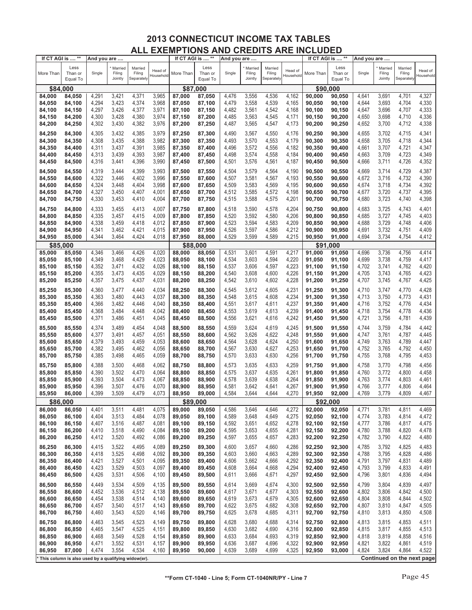| If CT AGI is  **                                    |                             | And you are |                              |                                 |                      | If CT AGI is  ** |                             | And you are    |                              |                                 |                      | If CT AGI is  ** |                             | And you are |                              |                                 |                                   |
|-----------------------------------------------------|-----------------------------|-------------|------------------------------|---------------------------------|----------------------|------------------|-----------------------------|----------------|------------------------------|---------------------------------|----------------------|------------------|-----------------------------|-------------|------------------------------|---------------------------------|-----------------------------------|
| More Than                                           | Less<br>Than or<br>Equal To | Single      | Married<br>Filing<br>Jointly | Married<br>Filing<br>Separately | Head of<br>Household | More Than        | Less<br>Than or<br>Equal To | Single         | Married<br>Filing<br>Jointly | Married<br>Filing<br>Separately | Head of<br>Household | More Than        | Less<br>Than or<br>Equal To | Single      | Married<br>Filing<br>Jointly | Married<br>Filing<br>Separately | Head of<br>Household              |
| \$84,000                                            |                             |             |                              |                                 |                      | \$87,000         |                             |                |                              |                                 |                      |                  | \$90,000                    |             |                              |                                 |                                   |
| 84,000                                              | 84,050                      | 4,291       | 3,421                        | 4,371                           | 3,965                | 87,000           | 87,050                      | 4,476          | 3,556                        | 4,536                           | 4,162                | 90,000           | 90,050                      | 4,641       | 3,691                        | 4,701                           | 4,327                             |
| 84,050                                              | 84,100                      | 4,294       | 3,423                        | 4,374                           | 3,968                | 87,050           | 87,100                      | 4,479          | 3,558                        | 4,539                           | 4,165                | 90,050           | 90,100                      | 4,644       | 3,693                        | 4,704                           | 4,330                             |
| 84,100                                              |                             | 4,297       | 3,426                        | 4,377                           | 3,971                | 87,100           | 87,150                      | 4,482          | 3,561                        | 4,542                           | 4,168                | 90,100           | 90,150                      | 4,647       | 3,696                        | 4,707                           | 4,333                             |
|                                                     | 84,150                      |             |                              |                                 |                      |                  |                             |                |                              |                                 |                      |                  |                             |             |                              |                                 |                                   |
| 84,150                                              | 84,200                      | 4,300       | 3,428                        | 4,380                           | 3,974                | 87,150           | 87,200                      | 4,485          | 3,563                        | 4,545                           | 4,171                | 90,150           | 90,200                      | 4,650       | 3,698                        | 4,710                           | 4,336                             |
| 84,200                                              | 84,250                      | 4,302       | 3,430                        | 4,382                           | 3,976                | 87,200           | 87,250                      | 4,487          | 3,565                        | 4,547                           | 4,173                | 90,200           | 90,250                      | 4,652       | 3,700                        | 4,712                           | 4,338                             |
| 84,250                                              | 84,300                      | 4,305       | 3,432                        | 4,385                           | 3,979                | 87,250           | 87,300                      | 4,490          | 3,567                        | 4,550                           | 4,176                | 90,250           | 90,300                      | 4,655       | 3,702                        | 4,715                           | 4,341                             |
| 84,300                                              | 84,350                      | 4,308       | 3,435                        | 4,388                           | 3,982                | 87,300           | 87,350                      | 4,493          | 3,570                        | 4,553                           | 4,179                | 90,300           | 90,350                      | 4,658       | 3,705                        | 4,718                           | 4,344                             |
| 84,350                                              | 84,400                      | 4,311       | 3,437                        | 4,391                           | 3,985                | 87,350           | 87,400                      | 4,496          | 3,572                        | 4,556                           | 4,182                | 90,350           | 90,400                      | 4,661       | 3,707                        | 4,721                           | 4,347                             |
| 84,400                                              | 84,450                      | 4,313       | 3,439                        | 4,393                           | 3,987                | 87,400           | 87,450                      | 4,498          | 3,574                        | 4,558                           | 4,184                | 90,400           | 90,450                      | 4,663       | 3,709                        | 4,723                           | 4,349                             |
| 84,450                                              | 84,500                      | 4,316       | 3,441                        | 4,396                           | 3,990                | 87,450           | 87,500                      | 4,501          | 3,576                        | 4,561                           | 4,187                | 90,450           | 90,500                      | 4,666       | 3,711                        | 4,726                           | 4,352                             |
|                                                     |                             |             |                              |                                 |                      |                  |                             |                |                              |                                 |                      |                  |                             |             |                              |                                 |                                   |
| 84,500                                              | 84,550                      | 4,319       | 3,444                        | 4,399                           | 3,993                | 87,500           | 87,550                      | 4,504          | 3,579                        | 4,564                           | 4,190                | 90,500           | 90,550                      | 4,669       | 3,714                        | 4,729                           | 4,387                             |
| 84,550                                              | 84,600                      | 4,322       | 3,446                        | 4,402                           | 3,996                | 87,550           | 87,600                      | 4,507          | 3,581                        | 4,567                           | 4,193                | 90,550           | 90,600                      | 4,672       | 3,716                        | 4,732                           | 4,390                             |
| 84,600                                              | 84,650                      | 4,324       | 3,448                        | 4,404                           | 3,998                | 87,600           | 87,650                      | 4,509          | 3,583                        | 4,569                           | 4,195                | 90,600           | 90,650                      | 4,674       | 3,718                        | 4,734                           | 4,392                             |
| 84,650                                              | 84,700                      | 4,327       | 3,450                        | 4,407                           | 4,001                | 87,650           | 87,700                      | 4,512          | 3,585                        | 4,572                           | 4,198                | 90,650           | 90,700                      | 4,677       | 3,720                        | 4,737                           | 4,395                             |
| 84,700                                              | 84,750                      | 4,330       | 3,453                        | 4,410                           | 4,004                | 87,700           | 87,750                      | 4,515          | 3,588                        | 4,575                           | 4,201                | 90,700           | 90,750                      | 4,680       | 3,723                        | 4,740                           | 4,398                             |
| 84,750                                              | 84,800                      | 4,333       | 3,455                        | 4,413                           | 4,007                | 87,750           | 87,800                      | 4,518          | 3,590                        | 4,578                           | 4,204                | 90,750           | 90,800                      | 4,683       | 3,725                        | 4,743                           | 4,401                             |
| 84,800                                              | 84,850                      | 4,335       | 3,457                        | 4,415                           | 4,009                | 87,800           | 87,850                      | 4,520          | 3,592                        | 4,580                           | 4,206                | 90,800           | 90,850                      | 4,685       | 3,727                        | 4,745                           | 4,403                             |
| 84,850                                              | 84,900                      | 4,338       | 3,459                        | 4,418                           | 4,012                | 87,850           | 87,900                      | 4,523          | 3,594                        | 4,583                           | 4,209                | 90,850           | 90,900                      | 4,688       | 3,729                        | 4,748                           | 4,406                             |
| 84,900                                              | 84,950                      | 4,341       | 3,462                        | 4,421                           | 4,015                | 87,900           | 87,950                      | 4,526          | 3,597                        | 4,586                           | 4,212                | 90,900           | 90,950                      | 4,691       | 3,732                        | 4,751                           | 4,409                             |
| 84,950                                              | 85,000                      | 4,344       | 3,464                        | 4,424                           | 4,018                | 87,950           | 88,000                      | 4,529          | 3,599                        | 4,589                           | 4,215                | 90,950           | 91,000                      | 4,694       | 3,734                        | 4,754                           | 4,412                             |
| \$85,000                                            |                             |             |                              |                                 |                      | \$88,000         |                             |                |                              |                                 |                      | \$91             | ,000                        |             |                              |                                 |                                   |
| 85,000                                              | 85,050                      | 4,346       | 3,466                        | 4,426                           | 4,020                | 88,000           | 88,050                      | 4,531          | 3,601                        | 4,591                           | 4,217                | 91,000           | 91,050                      | 4,696       | 3,736                        | 4,756                           | 4,414                             |
| 85,050                                              | 85,100                      | 4,349       | 3,468                        | 4,429                           | 4,023                | 88,050           | 88,100                      | 4,534          | 3,603                        | 4,594                           | 4,220                | 91,050           | 91,100                      | 4,699       | 3,738                        | 4,759                           | 4,417                             |
| 85,100                                              | 85,150                      | 4,352       | 3,471                        | 4,432                           | 4,026                | 88,100           | 88,150                      | 4,537          | 3,606                        | 4,597                           | 4,223                | 91,100           | 91,150                      | 4,702       | 3,741                        | 4,762                           | 4,420                             |
| 85,150                                              | 85,200                      | 4,355       | 3,473                        | 4,435                           | 4,029                | 88,150           | 88,200                      | 4,540          | 3,608                        | 4,600                           | 4,226                | 91,150           | 91,200                      | 4,705       | 3,743                        | 4,765                           | 4,423                             |
| 85,200                                              | 85,250                      | 4,357       | 3,475                        | 4,437                           | 4,031                | 88,200           | 88,250                      | 4,542          | 3,610                        | 4,602                           | 4,228                | 91,200           | 91,250                      | 4,707       | 3,745                        | 4,767                           | 4,425                             |
|                                                     |                             |             |                              |                                 |                      |                  |                             |                |                              |                                 |                      |                  |                             |             |                              |                                 |                                   |
| 85,250                                              | 85,300                      | 4,360       | 3,477                        | 4,440                           | 4,034                | 88,250           | 88,300                      | 4,545          | 3,612                        | 4,605                           | 4,231                | 91,250           | 91,300                      | 4,710       | 3,747                        | 4,770                           | 4,428                             |
| 85,300                                              | 85,350                      | 4,363       | 3,480                        | 4,443                           | 4,037                | 88,300           | 88,350                      | 4,548          | 3,615                        | 4,608                           | 4,234                | 91,300           | 91,350                      | 4,713       | 3,750                        | 4,773                           | 4,431                             |
| 85,350                                              | 85,400                      | 4,366       | 3,482                        | 4,446                           | 4,040                | 88,350           | 88,400                      | 4,551          | 3,617                        | 4,611                           | 4,237                | 91,350           | 91,400                      | 4,716       | 3,752                        | 4,776                           | 4,434                             |
| 85,400                                              | 85,450                      | 4,368       | 3,484                        | 4,448                           | 4,042                | 88,400           | 88,450                      | 4,553          | 3,619                        | 4,613                           | 4,239                | 91,400           | 91,450                      | 4,718       | 3,754                        | 4,778                           | 4,436                             |
| 85,450                                              | 85,500                      | 4,371       | 3,486                        | 4,451                           | 4,045                | 88,450           | 88,500                      | 4,556          | 3,621                        | 4,616                           | 4,242                | 91,450           | 91,500                      | 4,721       | 3,756                        | 4,781                           | 4,439                             |
| 85,500                                              | 85,550                      | 4,374       | 3,489                        | 4,454                           | 4,048                | 88,500           | 88,550                      | 4,559          | 3,624                        | 4,619                           | 4,245                | 91,500           | 91,550                      | 4,744       | 3,759                        | 4,784                           | 4,442                             |
| 85,550                                              | 85,600                      | 4,377       | 3,491                        | 4,457                           | 4,051                | 88,550           | 88,600                      | 4,562          | 3,626                        | 4,622                           | 4,248                | 91,550           | 91,600                      | 4,747       | 3,761                        | 4,787                           | 4,445                             |
| 85,600                                              | 85,650                      | 4,379       | 3,493                        | 4,459                           | 4,053                | 88,600           | 88,650                      | 4,564          | 3,628                        | 4,624                           | 4,250                | 91,600           | 91,650                      | 4,749       | 3,763                        | 4,789                           | 4,447                             |
| 85,650                                              | 85,700                      | 4,382       | 3,495                        | 4,462                           | 4,056                | 88,650           | 88,700                      | 4,567          | 3,630                        | 4,627                           | 4,253                | 91,650           | 91,700                      | 4,752       | 3,765                        | 4,792                           | 4,450                             |
| 85,700                                              | 85,750                      | 4,385       | 3,498                        | 4,465                           | 4,059                | 88,700           | 88,750                      | 4,570          | 3,633                        | 4,630                           | 4,256                | 91,700           | 91,750                      | 4,755       | 3,768                        | 4,795                           | 4,453                             |
|                                                     |                             | 4,388       |                              |                                 | 4,062                |                  |                             | 4,573          |                              | 4,633                           | 4,259                |                  |                             | 4,758       |                              |                                 | 4,456                             |
| 85,750                                              | 85,800                      |             | 3,500<br>3,502               | 4,468<br>4,470                  |                      | 88,750           | 88,800                      |                | 3,635                        |                                 | 4,261                | 91,750           | 91,800                      |             | 3,770<br>3,772               | 4,798                           | 4,458                             |
| 85,800                                              | 85,850                      | 4,390       |                              |                                 | 4,064                | 88,800           | 88,850                      | 4,575          | 3,637                        | 4,635                           |                      | 91,800           | 91,850                      | 4,760       |                              | 4,800                           |                                   |
| 85,850                                              | 85,900                      | 4,393       | 3,504<br>3,507               | 4,473<br>4,476                  | 4,067                | 88,850           | 88,900                      | 4,578          | 3,639                        | 4,638                           | 4,264                | 91,850           | 91,900                      | 4,763       | 3,774<br>3,777               | 4,803                           | 4,461                             |
| 85,900                                              | 85,950                      | 4,396       |                              |                                 | 4,070                | 88,900<br>88.950 | 88,950                      | 4,581<br>4,584 | 3,642                        | 4,641                           | 4,267                | 91,900           | 91,950                      | 4,766       |                              | 4,806                           | 4,464                             |
| 85,950                                              | 86,000                      | 4,399       | 3,509                        | 4,479                           | 4,073                |                  | 89,000                      |                | 3,644                        | 4,644                           | 4,270                | 91,950           | 92,000                      | 4,769       | 3,779                        | 4,809                           | 4,467                             |
| \$86,000                                            |                             |             |                              |                                 |                      | \$89,000         |                             |                |                              |                                 |                      |                  | \$92,000                    |             |                              |                                 |                                   |
| 86,000                                              | 86,050                      | 4,401       | 3,511                        | 4,481                           | 4,075                | 89,000           | 89,050                      | 4,586          | 3,646                        | 4,646                           | 4,272                | 92,000           | 92,050                      | 4,771       | 3,781                        | 4,811                           | 4,469<br>4,472                    |
| 86,050                                              | 86,100                      | 4,404       | 3,513                        | 4,484                           | 4,078                | 89,050           | 89,100                      | 4,589          | 3,648                        | 4,649                           | 4,275                | 92,050           | 92,100                      | 4,774       | 3,783                        | 4,814                           |                                   |
| 86,100                                              | 86,150                      | 4,407       | 3,516                        | 4,487                           | 4,081                | 89,100           | 89,150                      | 4,592          | 3,651                        | 4,652                           | 4,278                | 92,100           | 92,150                      | 4,777       | 3,786                        | 4,817                           | 4,475                             |
| 86,150                                              | 86,200                      | 4,410       | 3,518                        | 4,490                           | 4,084                | 89,150           | 89,200                      | 4,595          | 3,653                        | 4,655                           | 4,281                | 92,150           | 92,200                      | 4,780       | 3,788                        | 4,820                           | 4,478                             |
| 86,200                                              | 86,250                      | 4,412       | 3,520                        | 4,492                           | 4,086                | 89,200           | 89,250                      | 4,597          | 3,655                        | 4,657                           | 4,283                | 92,200           | 92,250                      | 4,782       | 3,790                        | 4,822                           | 4,480                             |
| 86,250                                              | 86,300                      | 4,415       | 3,522                        | 4,495                           | 4,089                | 89,250           | 89,300                      | 4,600          | 3,657                        | 4,660                           | 4,286                | 92,250           | 92,300                      | 4,785       | 3,792                        | 4,825                           | 4,483                             |
| 86,300                                              | 86,350                      | 4,418       | 3,525                        | 4,498                           | 4,092                | 89,300           | 89,350                      | 4,603          | 3,660                        | 4,663                           | 4,289                | 92,300           | 92,350                      | 4,788       | 3,795                        | 4,828                           | 4,486                             |
| 86,350                                              | 86,400                      | 4,421       | 3,527                        | 4,501                           | 4,095                | 89,350           | 89,400                      | 4,606          | 3,662                        | 4,666                           | 4,292                | 92,350           | 92,400                      | 4,791       | 3,797                        | 4,831                           | 4,489                             |
| 86,400                                              | 86,450                      | 4,423       | 3,529                        | 4,503                           | 4,097                | 89,400           | 89,450                      | 4,608          | 3,664                        | 4,668                           | 4,294                | 92,400           | 92,450                      | 4,793       | 3,799                        | 4,833                           | 4,491                             |
| 86,450                                              | 86,500                      | 4,426       | 3,531                        | 4,506                           | 4,100                | 89,450           | 89,500                      | 4,611          | 3,666                        | 4,671                           | 4,297                | 92,450           | 92,500                      | 4,796       | 3,801                        | 4,836                           | 4,494                             |
| 86,500                                              | 86,550                      | 4,449       | 3,534                        | 4,509                           | 4,135                | 89,500           | 89,550                      | 4,614          | 3,669                        | 4,674                           | 4,300                | 92,500           | 92,550                      | 4,799       | 3,804                        | 4,839                           | 4,497                             |
| 86,550                                              | 86,600                      | 4,452       | 3,536                        | 4,512                           | 4,138                | 89,550           | 89,600                      | 4,617          | 3,671                        | 4,677                           | 4,303                | 92,550           | 92,600                      | 4,802       | 3,806                        | 4,842                           | 4,500                             |
| 86,600                                              | 86,650                      | 4,454       | 3,538                        | 4,514                           | 4,140                | 89,600           | 89,650                      | 4,619          | 3,673                        | 4,679                           | 4,305                | 92,600           | 92,650                      | 4,804       | 3,808                        | 4,844                           | 4,502                             |
| 86,650                                              | 86,700                      | 4,457       | 3,540                        | 4,517                           | 4,143                | 89,650           | 89,700                      | 4,622          | 3,675                        | 4,682                           | 4,308                | 92,650           | 92,700                      | 4,807       | 3,810                        | 4,847                           | 4,505                             |
| 86,700                                              | 86,750                      | 4,460       | 3,543                        | 4,520                           | 4,146                | 89,700           | 89,750                      | 4,625          | 3,678                        | 4,685                           | 4,311                | 92,700           | 92,750                      | 4,810       | 3,813                        | 4,850                           | 4,508                             |
|                                                     |                             |             |                              |                                 |                      |                  |                             |                |                              |                                 |                      |                  |                             |             |                              |                                 |                                   |
| 86,750                                              | 86,800                      | 4,463       | 3,545                        | 4,523                           | 4,149                | 89,750           | 89,800                      | 4,628          | 3,680                        | 4,688                           | 4,314                | 92,750           | 92,800                      | 4,813       | 3,815                        | 4,853                           | 4,511                             |
| 86,800                                              | 86,850                      | 4,465       | 3,547                        | 4,525                           | 4,151                | 89,800           | 89,850                      | 4,630          | 3,682                        | 4,690                           | 4,316                | 92,800           | 92,850                      | 4,815       | 3,817                        | 4,855                           | 4,513                             |
| 86,850                                              | 86,900                      | 4,468       | 3,549                        | 4,528                           | 4,154                | 89,850           | 89,900                      | 4,633          | 3,684                        | 4,693                           | 4,319                | 92,850           | 92,900                      | 4,818       | 3,819                        | 4,858                           | 4,516                             |
| 86,900                                              | 86,950                      | 4,471       | 3,552                        | 4,531                           | 4,157                | 89,900           | 89,950                      | 4,636          | 3,687                        | 4,696                           | 4,322                | 92,900           | 92,950                      | 4,821       | 3,822                        | 4,861                           | 4,519                             |
| 86,950                                              | 87,000                      | 4,474       | 3,554                        | 4,534                           | 4,160                | 89,950           | 90,000                      | 4,639          | 3,689                        | 4,699                           | 4,325                | 92,950           | 93,000                      | 4,824       | 3,824                        | 4,864                           | 4,522                             |
| This column is also used by a qualifying widow(er). |                             |             |                              |                                 |                      |                  |                             |                |                              |                                 |                      |                  |                             |             |                              |                                 | <b>Continued on the next page</b> |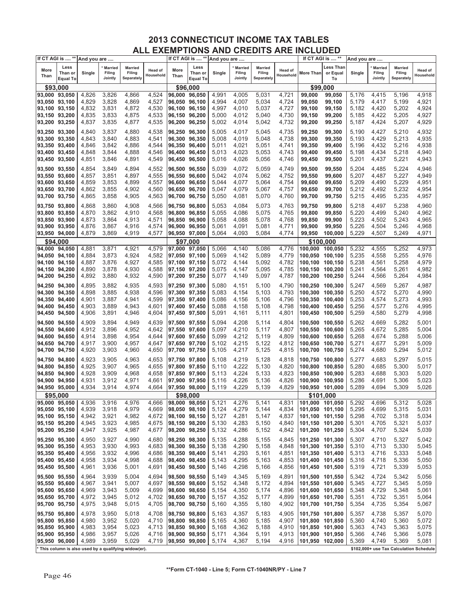|               | If CT AGI is  **                   | And you are |                                     |                                                       |                      |               | If CT AGI is  **                   | And you are |                                     |                                        |                      | If CT AGI is  ** |                             | And you are |                                     |                                         |                      |
|---------------|------------------------------------|-------------|-------------------------------------|-------------------------------------------------------|----------------------|---------------|------------------------------------|-------------|-------------------------------------|----------------------------------------|----------------------|------------------|-----------------------------|-------------|-------------------------------------|-----------------------------------------|----------------------|
| More<br>Than  | Less<br>Than or<br><b>Equal To</b> | Single      | <b>Married</b><br>Filing<br>Jointly | <b>Married</b><br>Filing<br>Separately                | Head of<br>Household | More<br>Than  | Less<br>Than or<br><b>Equal To</b> | Single      | <b>Married</b><br>Filing<br>Jointly | <b>Married</b><br>Filing<br>Separately | Head of<br>Household | More Than        | Less Than<br>or Equal<br>To | Single      | <b>Married</b><br>Filing<br>Jointly | <b>Married</b><br>Filing<br>Separately  | Head of<br>Household |
|               | \$93,000                           |             |                                     |                                                       |                      |               | \$96,000                           |             |                                     |                                        |                      | \$99,000         |                             |             |                                     |                                         |                      |
| 93,000        | 93,050                             | 4,826       | 3,826                               | 4,866                                                 | 4,524                | 96,000        | 96,050                             | 4,991       | 4,005                               | 5,031                                  | 4,721                | 99,000           | 99,050                      | 5,176       | 4,415                               | 5,196                                   | 4,918                |
| 93,050        | 93,100                             | 4,829       | 3,828                               | 4,869                                                 | 4,527                | 96,050        | 96.100                             | 4,994       | 4,007                               | 5,034                                  | 4,724                | 99,050           | 99,100                      | 5,179       | 4,417                               | 5,199                                   | 4,921                |
| 93,100        | 93,150                             | 4,832       | 3,831                               | 4,872                                                 | 4,530                | 96,100        | 96,150                             | 4,997       | 4,010                               | 5,037                                  | 4,727                | 99,100           | 99,150                      | 5,182       | 4,420                               | 5,202                                   | 4,924                |
|               |                                    |             |                                     |                                                       |                      |               |                                    |             |                                     |                                        |                      |                  |                             |             |                                     | 5,205                                   |                      |
| 93,150 93,200 |                                    | 4,835       | 3,833                               | 4,875                                                 | 4,533                | 96,150        | 96,200                             | 5,000       | 4,012                               | 5,040                                  | 4,730                | 99,150           | 99,200                      | 5,185       | 4,422                               |                                         | 4,927                |
| 93,200        | 93,250                             | 4,837       | 3,835                               | 4,877                                                 | 4,535                | 96,200 96,250 |                                    | 5,002       | 4,014                               | 5,042                                  | 4,732                | 99,200           | 99,250                      | 5,187       | 4,424                               | 5,207                                   | 4,929                |
| 93,250 93,300 |                                    | 4,840       | 3,837                               | 4,880                                                 | 4,538                | 96,250 96,300 |                                    | 5,005       | 4,017                               | 5,045                                  | 4,735                | 99,250           | 99,300                      | 5,190       | 4,427                               | 5,210                                   | 4,932                |
| 93,300 93,350 |                                    | 4,843       | 3,840                               | 4,883                                                 | 4,541                | 96,300        | 96,350                             | 5,008       | 4,019                               | 5,048                                  | 4,738                | 99,300           | 99,350                      | 5,193       | 4,429                               | 5,213                                   | 4,935                |
| 93,350 93,400 |                                    | 4,846       | 3,842                               | 4,886                                                 | 4,544                | 96,350 96,400 |                                    | 5,011       | 4,021                               | 5,051                                  | 4,741                | 99,350           | 99,400                      | 5,196       | 4,432                               | 5,216                                   | 4,938                |
| 93,400 93,450 |                                    | 4,848       | 3,844                               | 4,888                                                 | 4,546                | 96,400        | 96,450                             | 5,013       | 4,023                               | 5,053                                  | 4,743                | 99,400           | 99,450                      | 5,198       | 4,434                               | 5,218                                   | 4,940                |
| 93,450 93,500 |                                    | 4,851       | 3,846                               | 4,891                                                 | 4,549                | 96,450        | 96,500                             | 5,016       | 4,026                               | 5,056                                  | 4,746                | 99,450           | 99,500                      | 5,201       | 4,437                               | 5,221                                   | 4,943                |
| 93,500 93,550 |                                    | 4,854       | 3,849                               | 4,894                                                 | 4,552                | 96,500 96,550 |                                    | 5,039       | 4,072                               | 5,059                                  | 4,749                | 99,500           | 99,550                      | 5,204       | 4,485                               | 5,224                                   | 4,946                |
| 93,550 93,600 |                                    | 4,857       | 3,851                               | 4,897                                                 | 4,555                | 96,550        | 96,600                             | 5,042       | 4,074                               | 5,062                                  | 4,752                | 99,550           | 99,600                      | 5,207       | 4,487                               | 5,227                                   | 4,949                |
| 93,600        | 93,650                             | 4,859       | 3,853                               | 4,899                                                 | 4,557                | 96,600 96,650 |                                    | 5,044       | 4,077                               | 5,064                                  | 4,754                | 99,600           | 99,650                      | 5,209       | 4,490                               | 5,229                                   | 4,951                |
| 93,650 93,700 |                                    | 4,862       | 3,855                               | 4,902                                                 | 4,560                | 96,650        | 96,700                             | 5,047       | 4,079                               | 5,067                                  | 4,757                | 99,650           | 99,700                      | 5,212       | 4,492                               | 5,232                                   | 4,954                |
| 93,700 93,750 |                                    | 4,865       | 3,858                               | 4,905                                                 | 4,563                | 96,700        | 96,750                             | 5,050       | 4,081                               | 5,070                                  | 4,760                | 99,700           | 99,750                      | 5,215       | 4,495                               | 5,235                                   | 4,957                |
|               |                                    |             |                                     |                                                       |                      |               |                                    |             |                                     |                                        |                      |                  |                             |             |                                     |                                         |                      |
| 93,750 93,800 |                                    | 4,868       | 3,860                               | 4,908                                                 | 4,566                | 96,750 96,800 |                                    | 5,053       | 4,084                               | 5,073                                  | 4,763                | 99,750           | 99,800                      | 5,218       | 4,497                               | 5,238                                   | 4,960                |
| 93,800        | 93,850                             | 4,870       | 3,862                               | 4,910                                                 | 4,568                | 96,800        | 96,850                             | 5,055       | 4,086                               | 5,075                                  | 4,765                | 99,800           | 99,850                      | 5,220       | 4,499                               | 5,240                                   | 4,962                |
| 93,850        | 93,900                             | 4,873       | 3,864                               | 4,913                                                 | 4,571                | 96,850 96,900 |                                    | 5,058       | 4,088                               | 5,078                                  | 4,768                | 99,850           | 99,900                      | 5,223       | 4,502                               | 5,243                                   | 4,965                |
| 93,900 93,950 |                                    | 4,876       | 3,867                               | 4,916                                                 | 4,574                | 96,900 96,950 |                                    | 5,061       | 4,091                               | 5,081                                  | 4,771                | 99,900           | 99,950                      | 5,226       | 4,504                               | 5,246                                   | 4,968                |
| 93,950        | 94,000                             | 4,879       | 3,869                               | 4,919                                                 | 4,577                | 96,950 97,000 |                                    | 5,064       | 4,093                               | 5,084                                  | 4,774                | 99,950           | 100,000                     | 5,229       | 4,507                               | 5,249                                   | 4,971                |
|               | \$94.000                           |             |                                     |                                                       |                      |               | \$97,000                           |             |                                     |                                        |                      | \$100,000        |                             |             |                                     |                                         |                      |
| 94,000        | 94,050                             | 4,881       | 3,871                               | 4,921                                                 | 4,579                | 97.000        | 97,050                             | 5,066       | 4,140                               | 5,086                                  | 4,776                | 100,000          | 100.050                     | 5,232       | 4,555                               | 5,252                                   | 4,973                |
| 94,050        | 94,100                             | 4,884       | 3,873                               | 4,924                                                 | 4,582                | 97,050 97,100 |                                    | 5,069       | 4,142                               | 5,089                                  | 4,779                | 100,050          | 100,100                     | 5,235       | 4,558                               | 5,255                                   | 4,976                |
| 94,100        | 94,150                             | 4,887       | 3,876                               | 4,927                                                 | 4,585                | 97,100 97,150 |                                    | 5,072       | 4,144                               | 5,092                                  | 4,782                | 100.100          | 100,150                     | 5,238       | 4,561                               | 5,258                                   | 4,979                |
| 94,150        | 94,200                             | 4,890       | 3,878                               | 4,930                                                 | 4,588                | 97,150 97,200 |                                    | 5,075       | 4,147                               | 5,095                                  | 4,785                | 100,150 100,200  |                             | 5,241       | 4,564                               | 5,261                                   | 4,982                |
| 94,200        | 94,250                             | 4,892       | 3,880                               | 4,932                                                 | 4,590                | 97,200 97,250 |                                    | 5,077       | 4,149                               | 5,097                                  | 4,787                | 100,200          | 100,250                     | 5,244       | 4,566                               | 5,264                                   | 4,984                |
| 94,250 94,300 |                                    | 4,895       | 3,882                               | 4,935                                                 | 4,593                | 97,250 97,300 |                                    | 5,080       | 4,151                               | 5,100                                  | 4,790                | 100,250 100,300  |                             | 5,247       | 4,569                               | 5,267                                   | 4,987                |
| 94,300 94,350 |                                    | 4,898       | 3,885                               | 4,938                                                 | 4,596                | 97,300 97,350 |                                    | 5,083       | 4,154                               | 5,103                                  | 4,793                | 100,300 100,350  |                             | 5,250       | 4,572                               | 5,270                                   | 4,990                |
| 94,350        | 94,400                             | 4,901       | 3,887                               | 4,941                                                 | 4,599                | 97,350 97,400 |                                    | 5,086       | 4,156                               | 5,106                                  | 4,796                | 100,350 100,400  |                             | 5,253       | 4,574                               | 5,273                                   | 4,993                |
| 94,400        | 94,450                             | 4,903       | 3,889                               | 4,943                                                 | 4,601                | 97,400 97,450 |                                    | 5,088       | 4,158                               | 5,108                                  | 4,798                | 100,400 100,450  |                             | 5,256       | 4,577                               | 5,276                                   | 4,995                |
| 94,450        | 94,500                             | 4,906       | 3,891                               | 4,946                                                 | 4,604                | 97,450 97,500 |                                    | 5,091       | 4,161                               | 5,111                                  | 4,801                | 100,450          | 100,500                     | 5,259       | 4,580                               | 5,279                                   | 4,998                |
| 94,500 94,550 |                                    | 4,909       | 3,894                               | 4,949                                                 | 4,639                | 97,500 97,550 |                                    | 5,094       | 4,208                               | 5,114                                  | 4,804                | 100,500 100,550  |                             | 5,262       | 4,669                               | 5,282                                   | 5,001                |
| 94,550 94,600 |                                    | 4,912       | 3,896                               | 4,952                                                 | 4,642                | 97,550 97,600 |                                    | 5,097       | 4,210                               | 5,117                                  | 4,807                | 100,550 100,600  |                             | 5,265       | 4,672                               | 5,285                                   | 5,004                |
| 94,600        | 94,650                             | 4,914       | 3,898                               | 4,954                                                 | 4,644                | 97,600 97,650 |                                    | 5,099       | 4,212                               | 5,119                                  | 4,809                | 100,600          | 100,650                     | 5,268       | 4,674                               | 5,288                                   | 5,006                |
| 94,650        | 94,700                             | 4,917       | 3,900                               | 4,957                                                 | 4,647                | 97,650 97,700 |                                    | 5,102       | 4,215                               | 5,122                                  | 4,812                | 100,650 100,700  |                             | 5,271       | 4,677                               | 5,291                                   | 5,009                |
| 94,700        | 94,750                             | 4,920       | 3,903                               | 4,960                                                 | 4,650                | 97,700 97,750 |                                    | 5,105       | 4,217                               | 5,125                                  | 4,815                | 100,700 100,750  |                             | 5,274       | 4,680                               | 5,294                                   | 5,012                |
|               |                                    |             |                                     |                                                       |                      |               |                                    |             |                                     |                                        |                      |                  |                             |             |                                     |                                         |                      |
| 94,750 94,800 |                                    | 4,923       | 3,905                               | 4,963                                                 | 4,653                | 97,750 97,800 |                                    | 5,108       | 4,219                               | 5,128                                  | 4,818                | 100,750 100,800  |                             | 5,277       | 4,683                               | 5,297                                   | 5,015                |
| 94,800 94,850 |                                    | 4,925       | 3,907                               | 4,965                                                 | 4,655                | 97,800 97,850 |                                    | 5,110       | 4,222                               | 5,130                                  | 4,820                | 100,800 100,850  |                             | 5,280       | 4,685                               | 5,300                                   | 5,017                |
| 94,850        | 94,900                             | 4,928       | 3,909                               | 4,968                                                 | 4,658                | 97,850 97,900 |                                    | 5,113       | 4,224                               | 5,133                                  | 4,823                | 100,850 100,900  |                             | 5,283       | 4,688                               | 5,303                                   | 5,020                |
| 94,900        | 94,950                             | 4,931       | 3,912                               | 4,971                                                 | 4,661                | 97,900 97,950 |                                    | 5,116       | 4,226                               | 5,136                                  | 4,826                | 100,900 100,950  |                             | 5,286       | 4,691                               | 5,306                                   | 5,023                |
| 94,950 95,000 |                                    | 4,934       | 3,914                               | 4,974                                                 | 4,664                | 97,950 98,000 |                                    | 5,119       | 4,229                               | 5,139                                  | 4,829                | 100,950 101,000  |                             | 5,289       | 4,694                               | 5,309                                   | 5,026                |
|               | \$95,000                           |             |                                     |                                                       |                      |               | \$98,000                           |             |                                     |                                        |                      | \$101,000        |                             |             |                                     |                                         |                      |
| 95,000 95,050 |                                    | 4,936       | 3,916                               | 4,976                                                 | 4,666                | 98,000 98,050 |                                    | 5,121       | 4,276                               | 5,141                                  | 4,831                | 101,000 101,050  |                             | 5,292       | 4,696                               | 5,312                                   | 5,028                |
| 95,050 95,100 |                                    | 4,939       | 3,918                               | 4,979                                                 | 4,669                | 98,050 98,100 |                                    | 5,124       | 4,279                               | 5,144                                  | 4,834                | 101,050 101,100  |                             | 5,295       | 4,699                               | 5,315                                   | 5,031                |
| 95,100 95,150 |                                    | 4,942       | 3,921                               | 4,982                                                 | 4,672                | 98,100 98,150 |                                    | 5,127       | 4,281                               | 5,147                                  | 4,837                | 101,100 101,150  |                             | 5,298       | 4,702                               | 5,318                                   | 5,034                |
| 95,150 95,200 |                                    | 4,945       | 3,923                               | 4,985                                                 | 4,675                | 98,150 98,200 |                                    | 5,130       | 4,283                               | 5,150                                  | 4,840                | 101,150 101,200  |                             | 5,301       | 4,705                               | 5,321                                   | 5,037                |
| 95,200 95,250 |                                    | 4,947       | 3,925                               | 4,987                                                 | 4,677                | 98,200 98,250 |                                    | 5,132       | 4,286                               | 5,152                                  | 4,842                | 101,200 101,250  |                             | 5,304       | 4,707                               | 5,324                                   | 5,039                |
| 95,250 95,300 |                                    | 4,950       | 3,927                               | 4,990                                                 | 4,680                | 98,250 98,300 |                                    | 5,135       | 4,288                               | 5,155                                  | 4,845                | 101,250 101,300  |                             | 5,307       | 4,710                               | 5,327                                   | 5,042                |
| 95,300 95,350 |                                    | 4,953       | 3,930                               | 4,993                                                 | 4,683                | 98,300 98,350 |                                    | 5,138       | 4,290                               | 5,158                                  | 4,848                | 101,300 101,350  |                             | 5,310       | 4,713                               | 5,330                                   | 5,045                |
| 95,350 95,400 |                                    | 4,956       | 3,932                               | 4,996                                                 | 4,686                | 98,350 98,400 |                                    | 5,141       | 4,293                               | 5,161                                  | 4,851                | 101,350 101,400  |                             | 5,313       | 4,716                               | 5,333                                   | 5,048                |
| 95,400 95,450 |                                    | 4,958       | 3,934                               | 4,998                                                 | 4,688                | 98,400 98,450 |                                    | 5,143       | 4,295                               | 5,163                                  | 4,853                | 101,400 101,450  |                             | 5,316       | 4,718                               | 5,336                                   | 5,050                |
| 95,450 95,500 |                                    | 4,961       | 3,936                               | 5,001                                                 | 4,691                | 98,450 98,500 |                                    | 5,146       | 4,298                               | 5,166                                  | 4,856                | 101,450 101,500  |                             | 5,319       | 4,721                               | 5,339                                   | 5,053                |
| 95,500 95,550 |                                    | 4,964       | 3,939                               | 5,004                                                 | 4,694                | 98,500 98,550 |                                    | 5,149       | 4,345                               | 5,169                                  | 4,891                | 101,500 101,550  |                             | 5,342       | 4,724                               | 5,342                                   | 5,056                |
| 95,550 95,600 |                                    | 4,967       | 3,941                               | 5,007                                                 | 4,697                | 98,550 98,600 |                                    | 5,152       | 4,348                               | 5,172                                  | 4,894                | 101,550 101,600  |                             | 5,345       | 4,727                               | 5,345                                   | 5,059                |
| 95,600 95,650 |                                    | 4,969       | 3,943                               | 5,009                                                 | 4,699                | 98,600 98,650 |                                    | 5,154       | 4,350                               | 5,174                                  | 4,896                | 101,600 101,650  |                             | 5,348       | 4,729                               | 5,348                                   | 5,061                |
| 95,650 95,700 |                                    | 4,972       | 3,945                               | 5,012                                                 | 4,702                | 98,650 98,700 |                                    | 5,157       | 4,352                               | 5,177                                  | 4,899                | 101,650 101,700  |                             | 5,351       | 4,732                               | 5,351                                   | 5,064                |
| 95,700 95,750 |                                    | 4,975       | 3,948                               | 5,015                                                 | 4,705                | 98,700 98,750 |                                    | 5,160       | 4,355                               | 5,180                                  | 4,902                | 101,700 101,750  |                             | 5,354       | 4,735                               | 5,354                                   | 5,067                |
| 95,750 95,800 |                                    | 4,978       | 3,950                               | 5,018                                                 | 4,708                | 98,750 98,800 |                                    | 5,163       | 4,357                               | 5,183                                  | 4,905                | 101,750 101,800  |                             | 5,357       | 4,738                               | 5,357                                   | 5,070                |
| 95,800 95,850 |                                    | 4,980       | 3,952                               | 5,020                                                 | 4,710                | 98,800 98,850 |                                    | 5,165       | 4,360                               | 5,185                                  | 4,907                | 101,800 101,850  |                             | 5,360       | 4,740                               | 5,360                                   | 5,072                |
| 95,850 95,900 |                                    | 4,983       | 3,954                               | 5,023                                                 | 4,713                | 98,850 98,900 |                                    | 5,168       | 4,362                               | 5,188                                  | 4,910                | 101,850 101,900  |                             | 5,363       | 4,743                               | 5,363                                   | 5,075                |
| 95,900 95,950 |                                    | 4,986       | 3,957                               | 5,026                                                 | 4,716                | 98,900 98,950 |                                    | 5,171       | 4,364                               | 5,191                                  | 4,913                | 101,900 101,950  |                             | 5,366       | 4,746                               | 5,366                                   | 5,078                |
| 95,950 96,000 |                                    | 4,989       | 3,959                               | 5,029                                                 | 4,719                | 98,950 99,000 |                                    | 5,174       | 4,367                               | 5,194                                  | 4,916                | 101,950 102,000  |                             | 5,369       | 4,749                               | 5,369                                   | 5,081                |
|               |                                    |             |                                     | * This column is also used by a qualifying widow(er). |                      |               |                                    |             |                                     |                                        |                      |                  |                             |             |                                     | \$102,000+ use Tax Calculation Schedule |                      |
|               |                                    |             |                                     |                                                       |                      |               |                                    |             |                                     |                                        |                      |                  |                             |             |                                     |                                         |                      |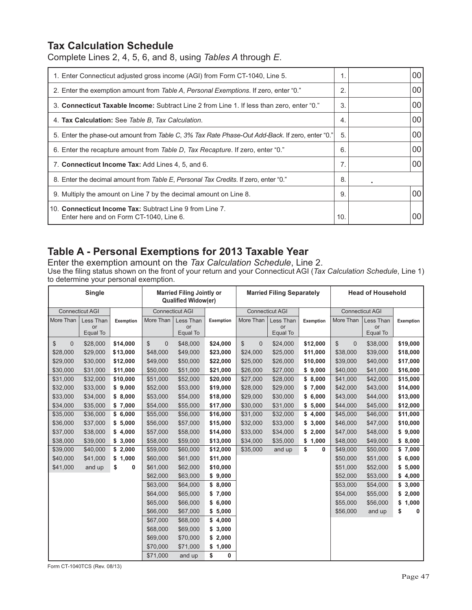### **Tax Calculation Schedule**

Complete Lines 2, 4, 5, 6, and 8, using *Tables A* through *E*.

| 1. Enter Connecticut adjusted gross income (AGI) from Form CT-1040, Line 5.                         |              | 00 |
|-----------------------------------------------------------------------------------------------------|--------------|----|
| 2. Enter the exemption amount from Table A, Personal Exemptions. If zero, enter "0."                | $\mathbf{2}$ | 00 |
| 3. Connecticut Taxable Income: Subtract Line 2 from Line 1. If less than zero, enter "0."           | 3.           | 00 |
| 4. Tax Calculation: See Table B, Tax Calculation.                                                   | 4.           | 00 |
| 5. Enter the phase-out amount from Table C, 3% Tax Rate Phase-Out Add-Back. If zero, enter "0."     | 5.           | 00 |
| 6. Enter the recapture amount from Table D, Tax Recapture. If zero, enter "0."                      | 6.           | 00 |
| 7. Connecticut Income Tax: Add Lines 4, 5, and 6.                                                   | 7.           | 00 |
| 8. Enter the decimal amount from Table E, Personal Tax Credits. If zero, enter "0."                 | 8.           |    |
| 9. Multiply the amount on Line 7 by the decimal amount on Line 8.                                   | 9.           | 00 |
| 10. Connecticut Income Tax: Subtract Line 9 from Line 7.<br>Enter here and on Form CT-1040, Line 6. | 10.          | 00 |

## **Table A - Personal Exemptions for 2013 Taxable Year**

Enter the exemption amount on the *Tax Calculation Schedule*, Line 2. Use the filing status shown on the front of your return and your Connecticut AGI (*Tax Calculation Schedule*, Line 1) to determine your personal exemption.

|                      | Single                 |           |                                | <b>Married Filing Jointly or</b><br><b>Qualified Widow(er)</b> |           |                              | <b>Married Filing Separately</b> |                  |                      | <b>Head of Household</b> |           |
|----------------------|------------------------|-----------|--------------------------------|----------------------------------------------------------------|-----------|------------------------------|----------------------------------|------------------|----------------------|--------------------------|-----------|
|                      | <b>Connecticut AGI</b> |           |                                | <b>Connecticut AGI</b>                                         |           |                              | <b>Connecticut AGI</b>           |                  |                      | <b>Connecticut AGI</b>   |           |
| More Than            | Less Than              | Exemption | More Than                      | Less Than                                                      | Exemption | More Than                    | Less Than                        | <b>Exemption</b> | More Than            | Less Than                | Exemption |
|                      | or<br>Equal To         |           |                                | or<br>Equal To                                                 |           |                              | or<br>Equal To                   |                  |                      | or<br>Equal To           |           |
| \$<br>$\overline{0}$ | \$28,000               | \$14,000  | $\mathbb{S}$<br>$\overline{0}$ | \$48,000                                                       | \$24,000  | $\mathbb{S}$<br>$\mathbf{0}$ | \$24,000                         | \$12,000         | \$<br>$\overline{0}$ | \$38,000                 | \$19,000  |
| \$28,000             | \$29,000               | \$13,000  | \$48,000                       | \$49,000                                                       | \$23,000  | \$24,000                     | \$25,000                         | \$11,000         | \$38,000             | \$39,000                 | \$18,000  |
| \$29,000             | \$30,000               | \$12,000  | \$49,000                       | \$50,000                                                       | \$22,000  | \$25,000                     | \$26,000                         | \$10,000         | \$39,000             | \$40,000                 | \$17,000  |
| \$30,000             | \$31,000               | \$11,000  | \$50,000                       | \$51,000                                                       | \$21,000  | \$26,000                     | \$27,000                         | \$9,000          | \$40,000             | \$41,000                 | \$16,000  |
| \$31,000             | \$32,000               | \$10,000  | \$51,000                       | \$52,000                                                       | \$20,000  | \$27,000                     | \$28,000                         | \$8,000          | \$41,000             | \$42,000                 | \$15,000  |
| \$32,000             | \$33,000               | \$9,000   | \$52,000                       | \$53,000                                                       | \$19,000  | \$28,000                     | \$29,000                         | \$7,000          | \$42,000             | \$43,000                 | \$14,000  |
| \$33,000             | \$34,000               | \$8,000   | \$53,000                       | \$54,000                                                       | \$18,000  | \$29,000                     | \$30,000                         | \$6,000          | \$43,000             | \$44,000                 | \$13,000  |
| \$34,000             | \$35,000               | \$7,000   | \$54,000                       | \$55,000                                                       | \$17,000  | \$30,000                     | \$31,000                         | \$5,000          | \$44,000             | \$45,000                 | \$12,000  |
| \$35,000             | \$36,000               | \$6,000   | \$55,000                       | \$56,000                                                       | \$16,000  | \$31,000                     | \$32,000                         | \$4,000          | \$45,000             | \$46,000                 | \$11,000  |
| \$36,000             | \$37,000               | \$5,000   | \$56,000                       | \$57,000                                                       | \$15,000  | \$32,000                     | \$33,000                         | \$3,000          | \$46,000             | \$47,000                 | \$10,000  |
| \$37,000             | \$38,000               | \$4,000   | \$57,000                       | \$58,000                                                       | \$14,000  | \$33,000                     | \$34,000                         | \$2,000          | \$47,000             | \$48,000                 | \$9,000   |
| \$38,000             | \$39,000               | \$3,000   | \$58,000                       | \$59,000                                                       | \$13,000  | \$34,000                     | \$35,000                         | \$1,000          | \$48,000             | \$49,000                 | \$8,000   |
| \$39,000             | \$40,000               | \$2,000   | \$59,000                       | \$60,000                                                       | \$12,000  | \$35,000                     | and up                           | \$<br>0          | \$49,000             | \$50,000                 | \$7,000   |
| \$40,000             | \$41,000               | \$1,000   | \$60,000                       | \$61,000                                                       | \$11,000  |                              |                                  |                  | \$50,000             | \$51,000                 | \$6,000   |
| \$41,000             | and up                 | \$<br>0   | \$61,000                       | \$62,000                                                       | \$10,000  |                              |                                  |                  | \$51,000             | \$52,000                 | \$5,000   |
|                      |                        |           | \$62,000                       | \$63,000                                                       | \$9,000   |                              |                                  |                  | \$52,000             | \$53,000                 | \$4,000   |
|                      |                        |           | \$63,000                       | \$64,000                                                       | \$8,000   |                              |                                  |                  | \$53,000             | \$54,000                 | \$3,000   |
|                      |                        |           | \$64,000                       | \$65,000                                                       | \$7,000   |                              |                                  |                  | \$54,000             | \$55,000                 | \$2,000   |
|                      |                        |           | \$65,000                       | \$66,000                                                       | \$6,000   |                              |                                  |                  | \$55,000             | \$56,000                 | \$1,000   |
|                      |                        |           | \$66,000                       | \$67,000                                                       | \$5,000   |                              |                                  |                  | \$56,000             | and up                   | \$<br>0   |
|                      |                        |           | \$67,000                       | \$68,000                                                       | \$4,000   |                              |                                  |                  |                      |                          |           |
|                      |                        |           | \$68,000                       | \$69,000                                                       | \$3,000   |                              |                                  |                  |                      |                          |           |
|                      |                        |           | \$69,000                       | \$70,000                                                       | \$2,000   |                              |                                  |                  |                      |                          |           |
|                      |                        |           | \$70,000                       | \$71,000                                                       | \$1,000   |                              |                                  |                  |                      |                          |           |
|                      |                        |           | \$71,000                       | and up                                                         | \$<br>0   |                              |                                  |                  |                      |                          |           |

Form CT-1040TCS (Rev. 08/13)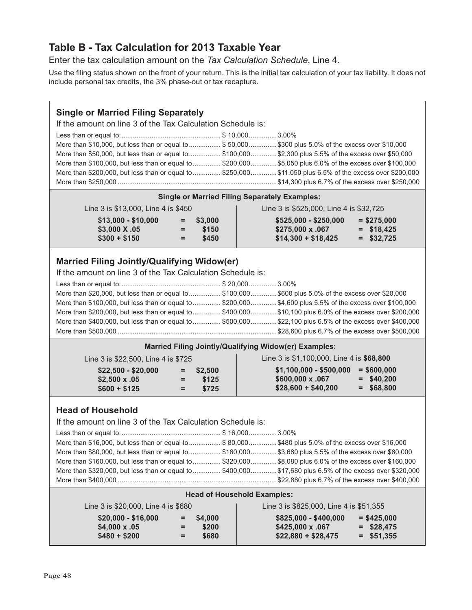## **Table B - Tax Calculation for 2013 Taxable Year**

Enter the tax calculation amount on the *Tax Calculation Schedule*, Line 4.

Use the filing status shown on the front of your return. This is the initial tax calculation of your tax liability. It does not include personal tax credits, the 3% phase-out or tax recapture.

#### **Single or Married Filing Separately** If the amount on line 3 of the Tax Calculation Schedule is: Less than or equal to: ..................................................... \$ 10,000 ...............3.00% More than \$10,000, but less than or equal to .................. \$50,000...............\$300 plus 5.0% of the excess over \$10,000 More than \$50,000, but less than or equal to ................. \$100,000 ..............\$2,300 plus 5.5% of the excess over \$50,000 More than \$100,000, but less than or equal to ............... \$200,000 ..............\$5,050 plus 6.0% of the excess over \$100,000 More than \$200,000, but less than or equal to ............... \$250,000 ..............\$11,050 plus 6.5% of the excess over \$200,000 More than \$250,000 .....................................................................................\$14,300 plus 6.7% of the excess over \$250,000 **Single or Married Filing Separately Examples:** Line 3 is \$13,000, Line 4 is \$450 Line 3 is \$525,000, Line 4 is \$32,725  **\$13,000 - \$10,000 = \$3,000 \$525,000 - \$250,000 = \$275,000 \$3,000 X .05 = \$150 \$275,000 x .067 = \$18,425 \$14,300 + \$18,425 = \$32,725**  $$300 + $150$  = \$450 **Married Filing Jointly/Qualifying Widow(er)** If the amount on line 3 of the Tax Calculation Schedule is: Less than or equal to: ..................................................... \$ 20,000 ...............3.00% More than \$20,000, but less than or equal to .................. \$100,000 ...............\$600 plus 5.0% of the excess over \$20,000 More than \$100,000, but less than or equal to ............... \$200,000 ..............\$4,600 plus 5.5% of the excess over \$100,000 More than \$200,000, but less than or equal to ............... \$400,000 ..............\$10,100 plus 6.0% of the excess over \$200,000 More than \$400,000, but less than or equal to ............... \$500,000 ..............\$22,100 plus 6.5% of the excess over \$400,000 More than \$500,000 .....................................................................................\$28,600 plus 6.7% of the excess over \$500,000  **Married Filing Jointly/Qualifying Widow(er) Examples:**  $\mathbf{L}$  Line 3 is \$1,100,000, Line 4 is **\$68,800** Line 3 is \$22,500, Line 4 is \$725

| Line 3 is $bZZ}$ .500. Line 4 is $b/Z5$ |     |             | LINE 3 IS 31.100,000. LINE 4 IS <b>500.000</b> |               |
|-----------------------------------------|-----|-------------|------------------------------------------------|---------------|
| $$22.500 - $20.000$                     |     | $=$ \$2.500 | \$1,100,000 - \$500,000                        | $=$ \$600,000 |
| $$2.500 \times .05$                     | н., | \$125       | $$600,000 \times .067$                         | $=$ \$40.200  |
| $$600 + $125$                           | $=$ | \$725       | $$28,600 + $40,200$                            | $=$ \$68,800  |

#### **Head of Household**

If the amount on line 3 of the Tax Calculation Schedule is:

| More than \$16,000, but less than or equal to  \$80,000\$480 plus 5.0% of the excess over \$16,000        |  |
|-----------------------------------------------------------------------------------------------------------|--|
| More than \$80,000, but less than or equal to \$160,000\$3,680 plus 5.5% of the excess over \$80,000      |  |
| More than \$160,000, but less than or equal to  \$320,000  \$8,080 plus 6.0% of the excess over \$160,000 |  |
| More than \$320,000, but less than or equal to \$400,000\$17,680 plus 6.5% of the excess over \$320,000   |  |
|                                                                                                           |  |

#### **Head of Household Examples:**

| Line 3 is \$20,000, Line 4 is \$680                         |           |                               | Line 3 is \$825,000, Line 4 is \$51,355                                                                                 |
|-------------------------------------------------------------|-----------|-------------------------------|-------------------------------------------------------------------------------------------------------------------------|
| $$20,000 - $16,000$<br>$$4.000 \times .05$<br>$$480 + $200$ | $=$<br>Ξ. | $=$ \$4.000<br>\$200<br>\$680 | $$825,000 - $400,000$<br>$=$ \$425,000<br>$=$ \$28,475<br>$$425.000 \times .067$<br>$$22,880 + $28,475$<br>$=$ \$51.355 |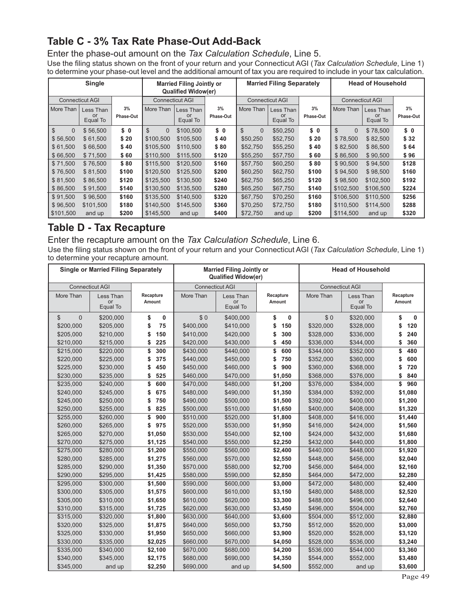## **Table C - 3% Tax Rate Phase-Out Add-Back**

Enter the phase-out amount on the *Tax Calculation Schedule*, Line 5. Use the filing status shown on the front of your return and your Connecticut AGI (Tax Calculation Schedule, Line 1) to determine your phase-out level and the additional amount of tax you are required to include in your tax calculation.

|                          | <b>Single</b>          |           |                | <b>Married Filing Jointly or</b><br><b>Qualified Widow(er)</b> |           |                            | <b>Married Filing Separately</b> |           |                                | <b>Head of Household</b> |           |
|--------------------------|------------------------|-----------|----------------|----------------------------------------------------------------|-----------|----------------------------|----------------------------------|-----------|--------------------------------|--------------------------|-----------|
|                          | <b>Connecticut AGI</b> |           |                | <b>Connecticut AGI</b>                                         |           |                            | <b>Connecticut AGI</b>           |           | <b>Connecticut AGI</b>         |                          |           |
| More Than                | Less Than              | 3%        | More Than      | Less Than                                                      | 3%        | More Than                  | Less Than                        | 3%        | More Than                      | Less Than                | 3%        |
|                          | or<br>Equal To         | Phase-Out |                | or<br>Equal To                                                 | Phase-Out |                            | or<br>Equal To                   | Phase-Out |                                | or<br>Equal To           | Phase-Out |
| $\mathbb{S}$<br>$\Omega$ | \$56,500               | \$ 0      | \$<br>$\Omega$ | \$100,500                                                      | \$0       | $\mathfrak{L}$<br>$\Omega$ | \$50,250                         | \$0       | $\mathbb{S}$<br>$\overline{0}$ | \$78,500                 | \$0       |
| \$56,500                 | \$61,500               | \$20      | \$100.500      | \$105.500                                                      | \$40      | \$50,250                   | \$52,750                         | \$20      | \$78,500                       | \$82,500                 | \$32      |
| \$61,500                 | \$66,500               | \$40      | \$105.500      | \$110,500                                                      | \$80      | \$52,750                   | \$55,250                         | \$40      | \$82,500                       | \$86,500                 | \$64      |
| \$66,500                 | \$71,500               | \$60      | \$110.500      | \$115,500                                                      | \$120     | \$55,250                   | \$57,750                         | \$60      | \$86,500                       | \$90,500                 | \$96      |
| \$71,500                 | \$76,500               | \$80      | \$115,500      | \$120,500                                                      | \$160     | \$57,750                   | \$60,250                         | \$80      | \$90.500                       | \$94,500                 | \$128     |
| \$76,500                 | \$81,500               | \$100     | \$120,500      | \$125,500                                                      | \$200     | \$60,250                   | \$62,750                         | \$100     | \$94.500                       | \$98,500                 | \$160     |
| \$81,500                 | \$86,500               | \$120     | \$125.500      | \$130,500                                                      | \$240     | \$62,750                   | \$65,250                         | \$120     | \$98,500                       | \$102,500                | \$192     |
| \$86,500                 | \$91,500               | \$140     | \$130,500      | \$135,500                                                      | \$280     | \$65,250                   | \$67,750                         | \$140     | \$102,500                      | \$106,500                | \$224     |
| \$91.500                 | \$96,500               | \$160     | \$135,500      | \$140,500                                                      | \$320     | \$67,750                   | \$70,250                         | \$160     | \$106.500                      | \$110,500                | \$256     |
| \$96,500                 | \$101,500              | \$180     | \$140,500      | \$145,500                                                      | \$360     | \$70,250                   | \$72,750                         | \$180     | \$110,500                      | \$114,500                | \$288     |
| \$101,500                | and up                 | \$200     | \$145,500      | and up                                                         | \$400     | \$72,750                   | and up                           | \$200     | \$114,500                      | and up                   | \$320     |

## **Table D - Tax Recapture**

Enter the recapture amount on the *Tax Calculation Schedule*, Line 6. Use the filing status shown on the front of your return and your Connecticut AGI (*Tax Calculation Schedule*, Line 1) to determine your recapture amount.

|                | <b>Single or Married Filing Separately</b> |                     |           | <b>Married Filing Jointly or</b><br><b>Qualified Widow(er)</b> |                     | <b>Head of Household</b> |                             |                     |
|----------------|--------------------------------------------|---------------------|-----------|----------------------------------------------------------------|---------------------|--------------------------|-----------------------------|---------------------|
|                | <b>Connecticut AGI</b>                     |                     |           | <b>Connecticut AGI</b>                                         |                     |                          | <b>Connecticut AGI</b>      |                     |
| More Than      | Less Than<br>or<br>Equal To                | Recapture<br>Amount | More Than | <b>Less Than</b><br>or<br>Equal To                             | Recapture<br>Amount | More Than                | Less Than<br>or<br>Equal To | Recapture<br>Amount |
| \$<br>$\Omega$ | \$200,000                                  | \$<br>0             | \$0       | \$400,000                                                      | \$<br>$\bf{0}$      | \$0                      | \$320,000                   | \$<br>$\bf{0}$      |
| \$200,000      | \$205,000                                  | 75<br>\$            | \$400,000 | \$410,000                                                      | \$<br>150           | \$320,000                | \$328,000                   | 120<br>\$           |
| \$205,000      | \$210,000                                  | \$<br>150           | \$410,000 | \$420,000                                                      | 300<br>\$           | \$328,000                | \$336,000                   | 240<br>\$           |
| \$210,000      | \$215,000                                  | \$<br>225           | \$420,000 | \$430,000                                                      | 450<br>\$           | \$336,000                | \$344,000                   | 360<br>\$           |
| \$215,000      | \$220,000                                  | 300<br>\$           | \$430,000 | \$440,000                                                      | \$<br>600           | \$344,000                | \$352,000                   | \$<br>480           |
| \$220,000      | \$225,000                                  | 375<br>\$           | \$440,000 | \$450,000                                                      | \$<br>750           | \$352,000                | \$360,000                   | 600<br>\$           |
| \$225,000      | \$230,000                                  | 450<br>\$           | \$450,000 | \$460,000                                                      | \$<br>900           | \$360,000                | \$368,000                   | 720                 |
| \$230,000      | \$235,000                                  | 525<br>\$           | \$460,000 | \$470,000                                                      | \$1,050             | \$368,000                | \$376,000                   | \$<br>840           |
| \$235,000      | \$240,000                                  | 600<br>\$           | \$470,000 | \$480,000                                                      | \$1,200             | \$376,000                | \$384,000                   | \$<br>960           |
| \$240,000      | \$245,000                                  | 675<br>\$           | \$480,000 | \$490,000                                                      | \$1,350             | \$384,000                | \$392,000                   | \$1,080             |
| \$245,000      | \$250,000                                  | \$<br>750           | \$490,000 | \$500,000                                                      | \$1,500             | \$392,000                | \$400,000                   | \$1,200             |
| \$250,000      | \$255,000                                  | 825<br>\$           | \$500,000 | \$510,000                                                      | \$1,650             | \$400,000                | \$408,000                   | \$1,320             |
| \$255,000      | \$260,000                                  | \$<br>900           | \$510,000 | \$520,000                                                      | \$1,800             | \$408,000                | \$416,000                   | \$1,440             |
| \$260,000      | \$265,000                                  | \$<br>975           | \$520,000 | \$530,000                                                      | \$1,950             | \$416,000                | \$424,000                   | \$1,560             |
| \$265,000      | \$270,000                                  | \$1,050             | \$530,000 | \$540,000                                                      | \$2,100             | \$424,000                | \$432,000                   | \$1,680             |
| \$270,000      | \$275,000                                  | \$1,125             | \$540,000 | \$550,000                                                      | \$2,250             | \$432,000                | \$440,000                   | \$1,800             |
| \$275,000      | \$280,000                                  | \$1,200             | \$550,000 | \$560,000                                                      | \$2,400             | \$440,000                | \$448,000                   | \$1,920             |
| \$280,000      | \$285,000                                  | \$1,275             | \$560,000 | \$570,000                                                      | \$2,550             | \$448,000                | \$456,000                   | \$2,040             |
| \$285,000      | \$290,000                                  | \$1,350             | \$570,000 | \$580,000                                                      | \$2,700             | \$456,000                | \$464,000                   | \$2,160             |
| \$290,000      | \$295,000                                  | \$1,425             | \$580,000 | \$590,000                                                      | \$2,850             | \$464,000                | \$472,000                   | \$2,280             |
| \$295,000      | \$300,000                                  | \$1,500             | \$590,000 | \$600,000                                                      | \$3,000             | \$472,000                | \$480,000                   | \$2,400             |
| \$300,000      | \$305,000                                  | \$1,575             | \$600,000 | \$610,000                                                      | \$3,150             | \$480,000                | \$488,000                   | \$2,520             |
| \$305,000      | \$310,000                                  | \$1,650             | \$610,000 | \$620,000                                                      | \$3,300             | \$488,000                | \$496,000                   | \$2,640             |
| \$310,000      | \$315,000                                  | \$1,725             | \$620,000 | \$630,000                                                      | \$3,450             | \$496,000                | \$504,000                   | \$2,760             |
| \$315,000      | \$320,000                                  | \$1,800             | \$630,000 | \$640,000                                                      | \$3,600             | \$504,000                | \$512,000                   | \$2,880             |
| \$320,000      | \$325,000                                  | \$1,875             | \$640,000 | \$650,000                                                      | \$3,750             | \$512,000                | \$520,000                   | \$3,000             |
| \$325,000      | \$330,000                                  | \$1,950             | \$650,000 | \$660,000                                                      | \$3,900             | \$520,000                | \$528,000                   | \$3,120             |
| \$330,000      | \$335,000                                  | \$2,025             | \$660,000 | \$670,000                                                      | \$4,050             | \$528,000                | \$536,000                   | \$3,240             |
| \$335,000      | \$340,000                                  | \$2,100             | \$670,000 | \$680,000                                                      | \$4,200             | \$536,000                | \$544,000                   | \$3,360             |
| \$340,000      | \$345,000                                  | \$2,175             | \$680,000 | \$690,000                                                      | \$4,350             | \$544,000                | \$552,000                   | \$3,480             |
| \$345,000      | and up                                     | \$2,250             | \$690,000 | and up                                                         | \$4,500             | \$552,000                | and up                      | \$3,600             |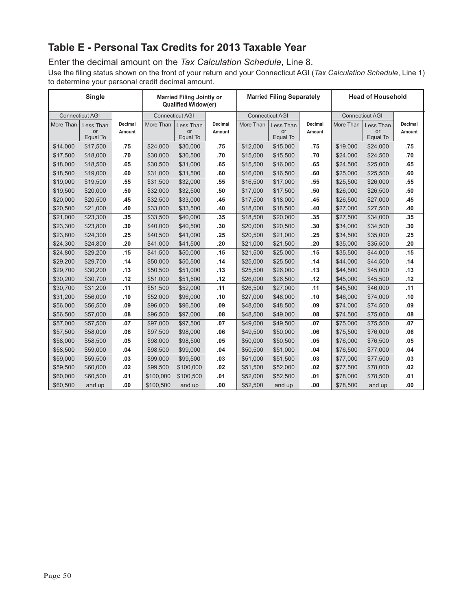## **Table E - Personal Tax Credits for 2013 Taxable Year**

Enter the decimal amount on the *Tax Calculation Schedule*, Line 8.

Use the filing status shown on the front of your return and your Connecticut AGI (*Tax Calculation Schedule*, Line 1) to determine your personal credit decimal amount.

|           | Single                 |         |           | <b>Married Filing Jointly or</b><br><b>Qualified Widow(er)</b> |         |           | <b>Married Filing Separately</b> |         | <b>Head of Household</b> |                |         |
|-----------|------------------------|---------|-----------|----------------------------------------------------------------|---------|-----------|----------------------------------|---------|--------------------------|----------------|---------|
|           | <b>Connecticut AGI</b> |         |           | <b>Connecticut AGI</b>                                         |         |           | <b>Connecticut AGI</b>           |         | <b>Connecticut AGI</b>   |                |         |
| More Than | Less Than              | Decimal | More Than | Less Than                                                      | Decimal | More Than | Less Than                        | Decimal | More Than                | Less Than      | Decimal |
|           | or<br>Equal To         | Amount  |           | <b>or</b><br>Equal To                                          | Amount  |           | or<br>Equal To                   | Amount  |                          | or<br>Equal To | Amount  |
| \$14,000  | \$17,500               | .75     | \$24,000  | \$30,000                                                       | .75     | \$12,000  | \$15,000                         | .75     | \$19,000                 | \$24,000       | .75     |
| \$17,500  | \$18,000               | .70     | \$30,000  | \$30,500                                                       | .70     | \$15,000  | \$15,500                         | .70     | \$24,000                 | \$24,500       | .70     |
| \$18,000  | \$18,500               | .65     | \$30,500  | \$31,000                                                       | .65     | \$15,500  | \$16,000                         | .65     | \$24,500                 | \$25,000       | .65     |
| \$18,500  | \$19,000               | .60     | \$31,000  | \$31,500                                                       | .60     | \$16,000  | \$16,500                         | .60     | \$25,000                 | \$25,500       | .60     |
| \$19,000  | \$19,500               | .55     | \$31,500  | \$32,000                                                       | .55     | \$16,500  | \$17,000                         | .55     | \$25,500                 | \$26,000       | .55     |
| \$19,500  | \$20,000               | .50     | \$32,000  | \$32,500                                                       | .50     | \$17,000  | \$17,500                         | .50     | \$26,000                 | \$26,500       | .50     |
| \$20,000  | \$20,500               | .45     | \$32,500  | \$33,000                                                       | .45     | \$17,500  | \$18,000                         | .45     | \$26,500                 | \$27,000       | .45     |
| \$20,500  | \$21,000               | .40     | \$33,000  | \$33,500                                                       | .40     | \$18,000  | \$18,500                         | .40     | \$27,000                 | \$27,500       | .40     |
| \$21,000  | \$23,300               | .35     | \$33,500  | \$40,000                                                       | .35     | \$18,500  | \$20,000                         | .35     | \$27,500                 | \$34,000       | .35     |
| \$23,300  | \$23,800               | .30     | \$40,000  | \$40,500                                                       | .30     | \$20,000  | \$20,500                         | .30     | \$34,000                 | \$34,500       | .30     |
| \$23,800  | \$24,300               | .25     | \$40,500  | \$41,000                                                       | .25     | \$20,500  | \$21,000                         | .25     | \$34,500                 | \$35,000       | .25     |
| \$24,300  | \$24,800               | .20     | \$41,000  | \$41,500                                                       | .20     | \$21,000  | \$21,500                         | .20     | \$35,000                 | \$35,500       | .20     |
| \$24,800  | \$29,200               | .15     | \$41,500  | \$50,000                                                       | .15     | \$21,500  | \$25,000                         | .15     | \$35,500                 | \$44,000       | .15     |
| \$29,200  | \$29,700               | .14     | \$50,000  | \$50,500                                                       | .14     | \$25,000  | \$25,500                         | .14     | \$44,000                 | \$44,500       | .14     |
| \$29,700  | \$30,200               | .13     | \$50,500  | \$51,000                                                       | .13     | \$25,500  | \$26,000                         | .13     | \$44,500                 | \$45,000       | .13     |
| \$30,200  | \$30,700               | .12     | \$51,000  | \$51,500                                                       | .12     | \$26,000  | \$26,500                         | .12     | \$45,000                 | \$45,500       | .12     |
| \$30,700  | \$31,200               | .11     | \$51,500  | \$52,000                                                       | .11     | \$26,500  | \$27,000                         | .11     | \$45,500                 | \$46,000       | .11     |
| \$31,200  | \$56,000               | .10     | \$52,000  | \$96,000                                                       | .10     | \$27,000  | \$48,000                         | .10     | \$46,000                 | \$74,000       | .10     |
| \$56,000  | \$56,500               | .09     | \$96,000  | \$96,500                                                       | .09     | \$48,000  | \$48,500                         | .09     | \$74,000                 | \$74,500       | .09     |
| \$56,500  | \$57,000               | .08     | \$96,500  | \$97,000                                                       | .08     | \$48,500  | \$49,000                         | .08     | \$74,500                 | \$75,000       | .08     |
| \$57,000  | \$57,500               | .07     | \$97,000  | \$97,500                                                       | .07     | \$49,000  | \$49,500                         | .07     | \$75,000                 | \$75,500       | .07     |
| \$57,500  | \$58,000               | .06     | \$97,500  | \$98,000                                                       | .06     | \$49,500  | \$50,000                         | .06     | \$75,500                 | \$76,000       | .06     |
| \$58,000  | \$58,500               | .05     | \$98,000  | \$98,500                                                       | .05     | \$50,000  | \$50,500                         | .05     | \$76,000                 | \$76,500       | .05     |
| \$58,500  | \$59,000               | .04     | \$98,500  | \$99,000                                                       | .04     | \$50,500  | \$51,000                         | .04     | \$76,500                 | \$77,000       | .04     |
| \$59,000  | \$59,500               | .03     | \$99,000  | \$99,500                                                       | .03     | \$51,000  | \$51,500                         | .03     | \$77,000                 | \$77,500       | .03     |
| \$59,500  | \$60,000               | .02     | \$99,500  | \$100,000                                                      | .02     | \$51,500  | \$52,000                         | .02     | \$77,500                 | \$78,000       | .02     |
| \$60,000  | \$60,500               | .01     | \$100,000 | \$100,500                                                      | .01     | \$52,000  | \$52,500                         | .01     | \$78,000                 | \$78,500       | .01     |
| \$60,500  | and up                 | .00     | \$100,500 | and up                                                         | .00     | \$52,500  | and up                           | .00     | \$78,500                 | and up         | .00     |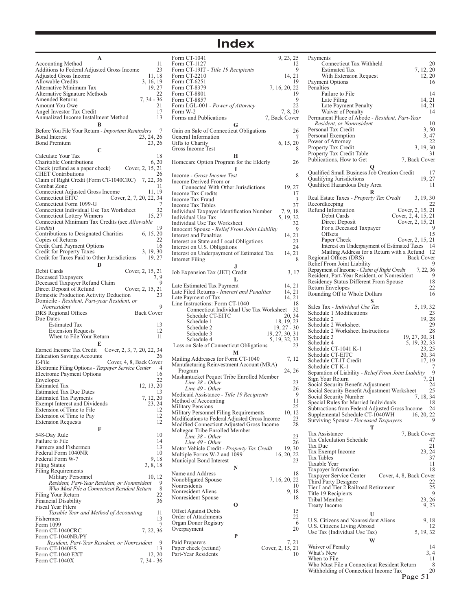## **Index**

| Accounting Method                                                                                                                                         | 11                         |
|-----------------------------------------------------------------------------------------------------------------------------------------------------------|----------------------------|
| Additions to Federal Adjusted Gross Income                                                                                                                | 23                         |
| Adjusted Gross Income                                                                                                                                     | 11, 18                     |
| Allowable Credits                                                                                                                                         | 3, 16, 19                  |
| Alternative Minimum Tax                                                                                                                                   | 19, 27                     |
| Alternative Signature Methods                                                                                                                             | 22                         |
| Amended Returns                                                                                                                                           | $7, 34 - 36$               |
|                                                                                                                                                           |                            |
| Amount You Owe                                                                                                                                            | 21                         |
| Angel Investor Tax Credit                                                                                                                                 | 17                         |
| Annualized Income Installment Method                                                                                                                      | 13                         |
| в                                                                                                                                                         |                            |
| Before You File Your Return - Important Reminders                                                                                                         | 7                          |
| Bond Interest                                                                                                                                             | 23, 24, 26                 |
| <b>Bond Premium</b>                                                                                                                                       | 23, 26                     |
|                                                                                                                                                           |                            |
| C                                                                                                                                                         |                            |
| Calculate Your Tax                                                                                                                                        | 18                         |
| Charitable Contributions                                                                                                                                  | 6, 20                      |
| Check (refund as a paper check) Cover, 2, 15, 21                                                                                                          |                            |
| <b>CHET</b> Contributions                                                                                                                                 | 26                         |
| Claim of Right Credit (Form CT-1040CRC)                                                                                                                   | 7, 22, 36                  |
| Combat Zone                                                                                                                                               | 11                         |
|                                                                                                                                                           |                            |
| Connecticut Adjusted Gross Income                                                                                                                         | 11, 19                     |
| Connecticut EITC                                                                                                                                          | Cover, 2, 7, 20, 22, 34    |
| Connecticut Form 1099-G                                                                                                                                   | 7                          |
| Connecticut Individual Use Tax Worksheet                                                                                                                  | 32                         |
| <b>Connecticut Lottery Winners</b>                                                                                                                        | 15, 27                     |
| Connecticut Minimum Tax Credits (see <i>Allowable</i>                                                                                                     |                            |
| Credits)                                                                                                                                                  | 19                         |
| Contributions to Designated Charities                                                                                                                     | 6, 15, 20                  |
| Copies of Returns                                                                                                                                         | 22                         |
| Credit Card Payment Options                                                                                                                               | 16                         |
|                                                                                                                                                           | 3, 19, 30                  |
| Credit for Property Taxes                                                                                                                                 |                            |
| Credit for Taxes Paid to Other Jurisdictions                                                                                                              | 19, 27                     |
| D                                                                                                                                                         |                            |
| Debit Cards                                                                                                                                               | Cover, 2, 15, 21           |
| Deceased Taxpayers                                                                                                                                        | 7, 9                       |
| Deceased Taxpayer Refund Claim                                                                                                                            | 9                          |
| Direct Deposit of Refund                                                                                                                                  | Cover, 2, 15, 21           |
| Domestic Production Activity Deduction                                                                                                                    | 23                         |
|                                                                                                                                                           |                            |
|                                                                                                                                                           |                            |
| Domicile - Resident, Part-year Resident, or                                                                                                               |                            |
| Nonresident                                                                                                                                               | 9                          |
| DRS Regional Offices                                                                                                                                      | <b>Back Cover</b>          |
|                                                                                                                                                           |                            |
| Due Dates<br><b>Estimated Tax</b>                                                                                                                         | 13                         |
| <b>Extension Requests</b>                                                                                                                                 | 12                         |
| When to File Your Return                                                                                                                                  | 11                         |
|                                                                                                                                                           |                            |
| E                                                                                                                                                         |                            |
| Earned Income Tax Credit                                                                                                                                  | Cover, 2, 3, 7, 20, 22, 34 |
| <b>Education Savings Accounts</b>                                                                                                                         | 26                         |
| E-File                                                                                                                                                    | Cover, 4, 8, Back Cover    |
| Electronic Filing Options - Taxpayer Service Center                                                                                                       | 4                          |
| Electronic Payment Options                                                                                                                                | 16                         |
| Envelopes                                                                                                                                                 | 22                         |
| Estimated Tax                                                                                                                                             |                            |
|                                                                                                                                                           | 12, 13, 20<br>13           |
| <b>Estimated Tax Due Dates</b>                                                                                                                            |                            |
| <b>Estimated Tax Payments</b>                                                                                                                             | 7, 12, 20                  |
| Exempt Interest and Dividends                                                                                                                             | 23, 24                     |
| Extension of Time to File                                                                                                                                 | 12                         |
| Extension of Time to Pay                                                                                                                                  | 12                         |
| <b>Extension Requests</b>                                                                                                                                 | 12                         |
| F                                                                                                                                                         |                            |
| 548-Day Rule                                                                                                                                              | 10                         |
|                                                                                                                                                           | 14                         |
| Failure to File                                                                                                                                           |                            |
| Farmers and Fishermen                                                                                                                                     | 13                         |
|                                                                                                                                                           | 10                         |
| Federal Form 1040NR<br>Federal Form W-7                                                                                                                   | 9, 18                      |
| <b>Filing Status</b>                                                                                                                                      | 3, 8, 18                   |
| Filing Requirements                                                                                                                                       |                            |
| Military Personnel                                                                                                                                        | 10, 12                     |
| Resident, Part-Year Resident, or Nonresident                                                                                                              | 9                          |
| Who Must File a Connecticut Resident Return                                                                                                               | 8                          |
| Filing Your Return                                                                                                                                        | 22                         |
|                                                                                                                                                           | 36                         |
|                                                                                                                                                           |                            |
|                                                                                                                                                           |                            |
| Taxable Year and Method of Accounting                                                                                                                     | 11                         |
|                                                                                                                                                           | 13                         |
|                                                                                                                                                           | 7                          |
|                                                                                                                                                           | 7, 22, 36                  |
|                                                                                                                                                           |                            |
| Resident, Part-Year Resident, or Nonresident                                                                                                              | 9                          |
|                                                                                                                                                           | 13                         |
| <b>Financial Disability</b><br>Fiscal Year Filers<br>Fishermen<br>Form 1099<br>Form CT-1040CRC<br>Form CT-1040NR/PY<br>Form CT-1040ES<br>Form CT-1040 EXT | 12, 20                     |

| Form CT-1041                                   | 9, 23, 25           |
|------------------------------------------------|---------------------|
| Form CT-1127                                   | 12                  |
| Form CT-19IT - Title 19 Recipients             | 9                   |
| Form CT-2210                                   | 14, 21              |
| Form CT-6251                                   | 19                  |
| Form CT-8379                                   | 7, 16, 20, 22       |
| Form CT-8801                                   | 19                  |
| Form CT-8857                                   | 9                   |
| Form LGL-001 - Power of Attorney               | 22                  |
| Form W-2                                       | 7, 8, 20            |
| Forms and Publications                         | 7, Back Cover       |
| G                                              |                     |
| Gain on Sale of Connecticut Obligations        | 26                  |
| General Information                            | 7                   |
|                                                | 6, 15, 20           |
| Gifts to Charity                               | 8                   |
| Gross Income Test                              |                     |
| н                                              |                     |
| Homecare Option Program for the Elderly        | 26                  |
|                                                |                     |
| Income - Gross Income Test                     | 8                   |
| Income Derived From or                         |                     |
| Connected With Other Jurisdictions             | 19, 27              |
| Income Tax Credits                             | 17                  |
| Income Tax Fraud                               | 3                   |
| <b>Income Tax Tables</b>                       | 37                  |
| Individual Taxpayer Identification Number      | 7, 9, 18            |
| Individual Use Tax                             | 5, 19, 32           |
|                                                | 32                  |
| Individual Use Tax Worksheet                   | 9                   |
| Innocent Spouse - Relief From Joint Liability  |                     |
| Interest and Penalties                         | 14, 21              |
| Interest on State and Local Obligations        | 23                  |
| Interest on U.S. Obligations                   | 24                  |
| Interest on Underpayment of Estimated Tax      | 14, 21              |
| Internet Filing                                | 8                   |
|                                                |                     |
| Job Expansion Tax (JET) Credit                 | 3, 17               |
| L                                              |                     |
| Late Estimated Tax Payment                     | 14, 21              |
|                                                |                     |
| Late Filed Returns - Interest and Penalties    | 14, 21              |
| Late Payment of Tax                            | 14, 21              |
| Line Instructions: Form CT-1040                | 18                  |
|                                                |                     |
| Connecticut Individual Use Tax Worksheet       | 32                  |
| Schedule CT-EITC                               | 20, 34              |
| Schedule 1                                     | 18, 19, 23          |
| Schedule 2                                     | $19, 27 - 30$       |
| Schedule 3                                     | 19, 27, 30, 31      |
| Schedule 4                                     | 5, 19, 32, 33       |
| Loss on Sale of Connecticut Obligations        | 23                  |
| М                                              |                     |
|                                                |                     |
| Mailing Addresses for Form CT-1040             | 7, 12               |
| Manufacturing Reinvestment Account (MRA)       |                     |
| Program                                        | 24, 26              |
| Mashantucket Pequot Tribe Enrolled Member      |                     |
| Line 38 - Other                                | 23                  |
| Line 49 - Other                                | 26                  |
| Medicaid Assistance - Title 19 Recipients      | 9                   |
| Method of Accounting                           | 11                  |
| <b>Military Pensions</b>                       | 25                  |
| Military Personnel Filing Requirements         | 10, 12              |
| Modifications to Federal Adjusted Gross Income | 23                  |
| Modified Connecticut Adjusted Gross Income     | 28                  |
| Mohegan Tribe Enrolled Member                  |                     |
| Line 38 - Other                                | 23                  |
| Line 49 - Other                                | 26                  |
| Motor Vehicle Credit - Property Tax Credit     | 19,30               |
| Multiple Forms W-2 and 1099                    | 16, 20, 22          |
| Municipal Bond Interest                        | 23                  |
| N                                              |                     |
| Name and Address                               | 18                  |
| Nonobligated Spouse                            |                     |
| Nonresidents                                   | 7, 16, 20, 22<br>10 |
|                                                |                     |
| Nonresident Aliens                             | 9, 18<br>18         |
| Nonresident Spouse                             |                     |
| О                                              |                     |
| <b>Offset Against Debts</b>                    | 15                  |
| Order of Attachments                           | 22                  |
| Organ Donor Registry                           | 6                   |
| Overpayment                                    | 20                  |
| P                                              |                     |
| Paid Preparers                                 | 7, 21               |
| Paper check (refund)                           | Cover, 2, 15, 21    |
| Part-Year Residents                            | 10                  |
|                                                |                     |

| Payments                                              |                         |
|-------------------------------------------------------|-------------------------|
| Connecticut Tax Withheld                              | 20                      |
| <b>Estimated Tax</b>                                  | 7, 12, 20               |
| With Extension Request                                | 12, 20                  |
|                                                       | 16                      |
| Payment Options                                       |                         |
| Penalties                                             |                         |
| Failure to File                                       | 14                      |
| Late Filing                                           | 14, 21                  |
| Late Payment Penalty                                  | 14, 21                  |
| Waiver of Penalty                                     | 14                      |
| Permanent Place of Abode - Resident, Part-Year        |                         |
| Resident, or Nonresident                              | 10                      |
| Personal Tax Credit                                   | 3, 50                   |
| Personal Exemption                                    | 3, 47                   |
| Power of Attorney                                     | 22                      |
| Property Tax Credit                                   | 3, 19, 30               |
|                                                       | 31                      |
| Property Tax Credit Table                             |                         |
| Publications, How to Get                              | 7, Back Cover           |
| O                                                     |                         |
| Qualified Small Business Job Creation Credit          | 17                      |
| Qualifying Jurisdictions                              | 19, 27                  |
| Qualified Hazardous Duty Area                         | 11                      |
|                                                       |                         |
|                                                       |                         |
| Real Estate Taxes - Property Tax Credit               | 3, 19, 30               |
| Recordkeeping                                         | 22                      |
| Refund Information                                    | Cover, 2, 15, 21        |
| Debit Cards                                           | Cover, 2, 4, 15, 21     |
| Direct Deposit                                        | Cover, 2, 15, 21        |
| For a Deceased Taxpayer                               | 9                       |
| Offsets                                               | 15                      |
| Paper Check                                           | Cover, 2, 15, 21        |
| Interest on Underpayment of Estimated Taxes 14        |                         |
| Mailing Address for a Return with a Refund            | -12                     |
|                                                       | <b>Back Cover</b>       |
| Regional Offices (DRS)                                |                         |
| Relief From Joint Liability                           | 9                       |
| Repayment of Income - Claim of Right Credit           | 7, 22, 36               |
| Resident, Part-Year Resident, or Nonresident          | 9                       |
| Residency Status Different From Spouse                | 18                      |
| Return Envelopes                                      | 22                      |
| Rounding Off to Whole Dollars                         | 16                      |
| s                                                     |                         |
| Sales Tax - Individual Use Tax                        | 5, 19, 32               |
|                                                       |                         |
|                                                       |                         |
| Schedule 1 Modifications                              | 23                      |
| Schedule 2                                            | 19, 28                  |
| Schedule 2 Worksheet                                  | 29                      |
| Schedule 2 Worksheet Instructions                     | 28                      |
| Schedule 3                                            |                         |
| Schedule 4                                            | 19, 27, 30, 31          |
|                                                       | 5, 19, 32, 33           |
| Schedule CT-1041 K-1                                  | 23, 25                  |
| Schedule CT-EITC                                      | 20, 34                  |
| Schedule CT-IT Credit                                 | 17, 19                  |
| Schedule CT K-1                                       | 7                       |
| Separation of Liability - Relief From Joint Liability | 9                       |
| Sign Your Return                                      | 7, 21                   |
| Social Security Benefit Adjustment                    | 24                      |
| Social Security Benefit Adjustment Worksheet          | 25                      |
| Social Security Number                                | 7, 18, 34               |
| Special Rules for Married Individuals                 | 18                      |
| Subtractions from Federal Adjusted Gross Income       | 24                      |
| Supplemental Schedule CT-1040WH                       | 16, 20, 22              |
| Surviving Spouse - Deceased Taxpayers                 | 9                       |
| т                                                     |                         |
|                                                       |                         |
| Tax Assistance                                        | 7, Back Cover           |
| <b>Tax Calculation Schedule</b>                       | 47                      |
| Tax Due                                               | 21                      |
| Tax Exempt Income                                     | 23, 24                  |
| <b>Tax Tables</b>                                     | 37                      |
| Taxable Year                                          | 11                      |
| Taxpayer Information                                  | 18                      |
| Taxpayer Service Center                               | Cover, 4, 8, Back Cover |
| Third Party Designee                                  | 22                      |
| Tier I and Tier 2 Railroad Retirement                 | 25                      |
|                                                       | 9                       |
| Title 19 Recipients                                   |                         |
| Tribal Member                                         | 23, 26                  |
| <b>Treaty Income</b>                                  | 9, 23                   |
| U                                                     |                         |
| U.S. Citizens and Nonresident Aliens                  | 9, 18                   |
|                                                       | 12                      |
| U.S. Citizens Living Abroad                           |                         |
| Use Tax (Individual Use Tax)                          | 5, 19, 32               |
| W                                                     |                         |
| Waiver of Penalty                                     | 14                      |
| What's New                                            | 3, 4                    |
| When to File                                          | 11                      |
| Who Must File a Connecticut Resident Return           | 8                       |
| Withholding of Connecticut Income Tax                 | 20<br>Page 51           |